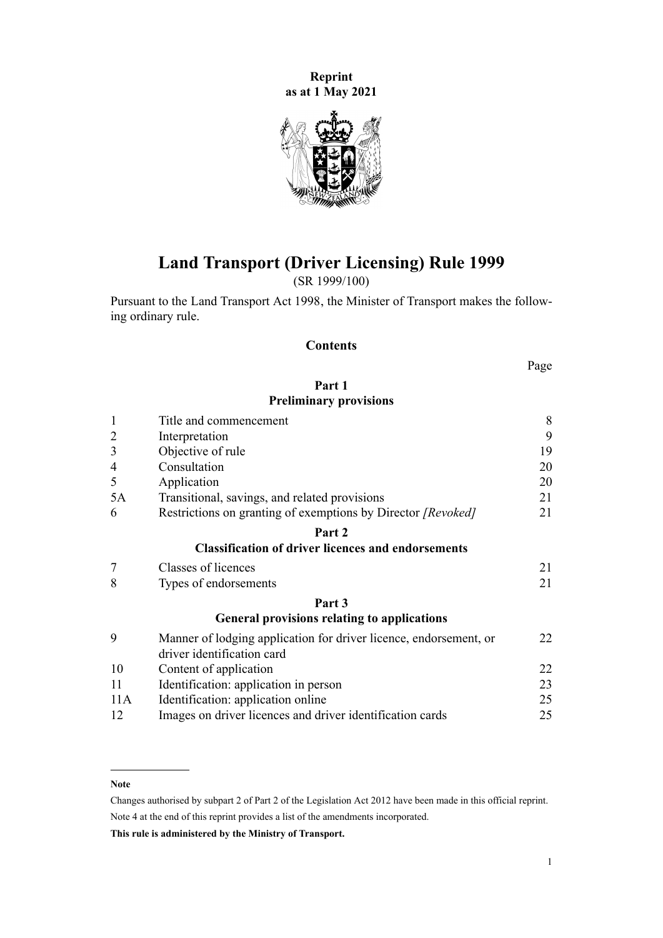**Reprint as at 1 May 2021**



**Land Transport (Driver Licensing) Rule 1999**

(SR 1999/100)

Pursuant to the [Land Transport Act 1998,](http://legislation.govt.nz/pdflink.aspx?id=DLM433612) the Minister of Transport makes the follow‐ ing ordinary rule.

# **Contents**

Page

# **[Part 1](#page-7-0) [Preliminary provisions](#page-7-0)**

| $\mathbf{1}$   | Title and commencement                                                                          |    |  |  |  |  |  |
|----------------|-------------------------------------------------------------------------------------------------|----|--|--|--|--|--|
| $\overline{2}$ | Interpretation                                                                                  | 9  |  |  |  |  |  |
| 3              | Objective of rule                                                                               | 19 |  |  |  |  |  |
| 4              | Consultation                                                                                    | 20 |  |  |  |  |  |
| 5              | Application                                                                                     | 20 |  |  |  |  |  |
| 5A             | Transitional, savings, and related provisions                                                   | 21 |  |  |  |  |  |
| 6              | Restrictions on granting of exemptions by Director [Revoked]                                    | 21 |  |  |  |  |  |
|                | Part 2                                                                                          |    |  |  |  |  |  |
|                | <b>Classification of driver licences and endorsements</b>                                       |    |  |  |  |  |  |
| 7              | Classes of licences                                                                             | 21 |  |  |  |  |  |
| 8              | Types of endorsements                                                                           |    |  |  |  |  |  |
|                | Part 3                                                                                          |    |  |  |  |  |  |
|                | <b>General provisions relating to applications</b>                                              |    |  |  |  |  |  |
| 9              | Manner of lodging application for driver licence, endorsement, or<br>driver identification card | 22 |  |  |  |  |  |
| 10             | Content of application                                                                          | 22 |  |  |  |  |  |
| 11             | Identification: application in person                                                           | 23 |  |  |  |  |  |
| 11A            | Identification: application online                                                              | 25 |  |  |  |  |  |
| 12             | Images on driver licences and driver identification cards                                       | 25 |  |  |  |  |  |

#### **Note**

Changes authorised by [subpart 2](http://legislation.govt.nz/pdflink.aspx?id=DLM2998524) of Part 2 of the Legislation Act 2012 have been made in this official reprint. Note 4 at the end of this reprint provides a list of the amendments incorporated.

**This rule is administered by the Ministry of Transport.**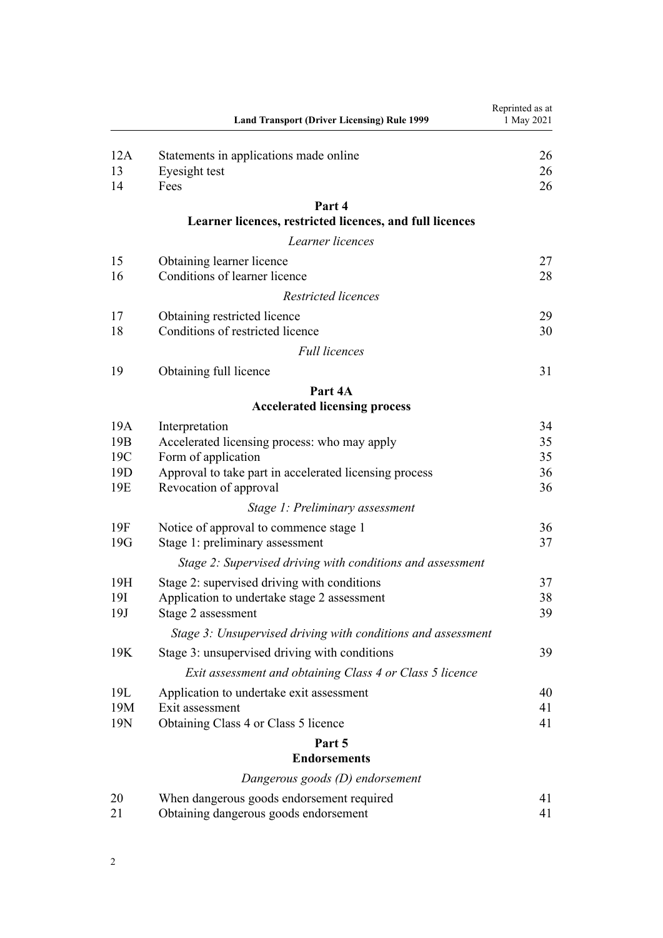|                 | <b>Land Transport (Driver Licensing) Rule 1999</b>           | Reprinted as at<br>1 May 2021 |
|-----------------|--------------------------------------------------------------|-------------------------------|
| 12A             | Statements in applications made online                       | 26                            |
| 13              | Eyesight test                                                | 26                            |
| 14              | Fees                                                         | 26                            |
|                 | Part 4                                                       |                               |
|                 | Learner licences, restricted licences, and full licences     |                               |
|                 | Learner licences                                             |                               |
| 15              | Obtaining learner licence                                    | 27                            |
| 16              | Conditions of learner licence                                | 28                            |
|                 | Restricted licences                                          |                               |
| 17              | Obtaining restricted licence                                 | 29                            |
| 18              | Conditions of restricted licence                             | 30                            |
|                 | <b>Full licences</b>                                         |                               |
| 19              | Obtaining full licence                                       | 31                            |
|                 | Part 4A                                                      |                               |
|                 | <b>Accelerated licensing process</b>                         |                               |
| 19A             | Interpretation                                               | 34                            |
| 19 <sub>B</sub> | Accelerated licensing process: who may apply                 | 35                            |
| 19C             | Form of application                                          | 35                            |
| 19 <sub>D</sub> | Approval to take part in accelerated licensing process       | 36                            |
| 19E             | Revocation of approval                                       | 36                            |
|                 | Stage 1: Preliminary assessment                              |                               |
| 19F             | Notice of approval to commence stage 1                       | 36                            |
| 19G             | Stage 1: preliminary assessment                              | 37                            |
|                 | Stage 2: Supervised driving with conditions and assessment   |                               |
| 19H             | Stage 2: supervised driving with conditions                  | 37                            |
| 19I             | Application to undertake stage 2 assessment                  | 38                            |
| 19J             | Stage 2 assessment                                           | 39                            |
|                 | Stage 3: Unsupervised driving with conditions and assessment |                               |
| 19K             | Stage 3: unsupervised driving with conditions                | 39                            |
|                 | Exit assessment and obtaining Class 4 or Class 5 licence     |                               |
| 19L             | Application to undertake exit assessment                     | 40                            |
| 19M             | Exit assessment                                              | 41                            |
| 19N             | Obtaining Class 4 or Class 5 licence                         | 41                            |
|                 | Part 5                                                       |                               |
|                 | <b>Endorsements</b>                                          |                               |
|                 | Dangerous goods (D) endorsement                              |                               |
| 20<br>21        | When dangerous goods endorsement required                    | 41<br>41                      |
|                 | Obtaining dangerous goods endorsement                        |                               |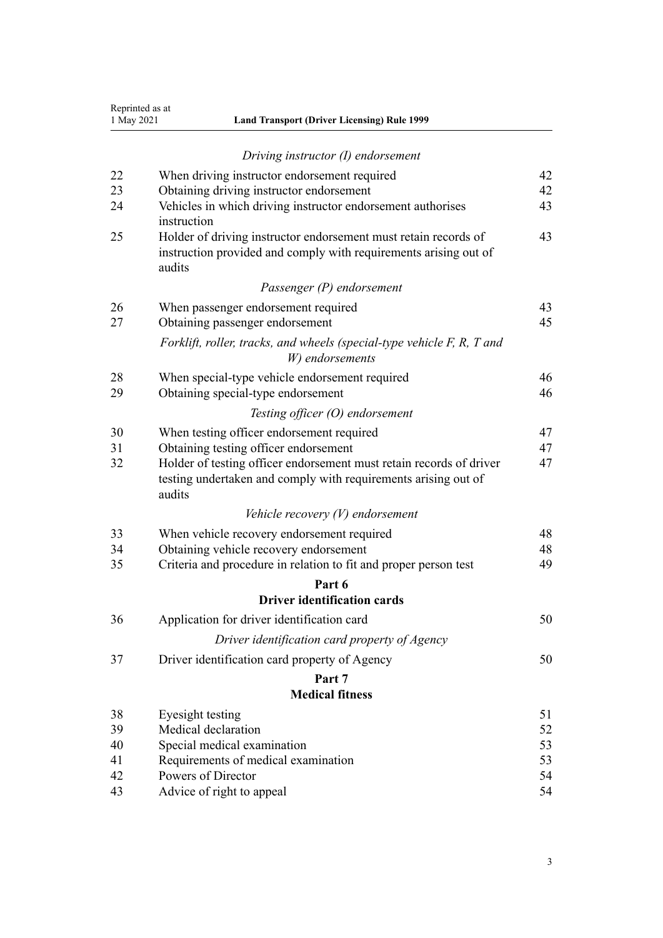| Reprinted as at<br>1 May 2021 | <b>Land Transport (Driver Licensing) Rule 1999</b>                                                                                              |    |
|-------------------------------|-------------------------------------------------------------------------------------------------------------------------------------------------|----|
|                               | Driving instructor $(I)$ endorsement                                                                                                            |    |
| 22                            | When driving instructor endorsement required                                                                                                    | 42 |
| 23                            | Obtaining driving instructor endorsement                                                                                                        | 42 |
| 24                            | Vehicles in which driving instructor endorsement authorises<br>instruction                                                                      | 43 |
| 25                            | Holder of driving instructor endorsement must retain records of<br>instruction provided and comply with requirements arising out of<br>audits   | 43 |
|                               | Passenger (P) endorsement                                                                                                                       |    |
| 26                            | When passenger endorsement required                                                                                                             | 43 |
| 27                            | Obtaining passenger endorsement                                                                                                                 | 45 |
|                               | Forklift, roller, tracks, and wheels (special-type vehicle F, R, T and<br>W) endorsements                                                       |    |
| 28                            | When special-type vehicle endorsement required                                                                                                  | 46 |
| 29                            | Obtaining special-type endorsement                                                                                                              | 46 |
|                               | Testing officer (O) endorsement                                                                                                                 |    |
| 30                            | When testing officer endorsement required                                                                                                       | 47 |
| 31                            | Obtaining testing officer endorsement                                                                                                           | 47 |
| 32                            | Holder of testing officer endorsement must retain records of driver<br>testing undertaken and comply with requirements arising out of<br>audits | 47 |
|                               | Vehicle recovery $(V)$ endorsement                                                                                                              |    |
| 33                            | When vehicle recovery endorsement required                                                                                                      | 48 |
| 34                            | Obtaining vehicle recovery endorsement                                                                                                          | 48 |
| 35                            | Criteria and procedure in relation to fit and proper person test                                                                                | 49 |
|                               | Part 6                                                                                                                                          |    |
|                               | Driver identification cards                                                                                                                     |    |
| 36                            | Application for driver identification card                                                                                                      | 50 |
|                               | Driver identification card property of Agency                                                                                                   |    |
| 37                            | Driver identification card property of Agency                                                                                                   | 50 |
|                               | Part 7                                                                                                                                          |    |
|                               | <b>Medical fitness</b>                                                                                                                          |    |
| 38                            | Eyesight testing                                                                                                                                | 51 |
| 39                            | Medical declaration                                                                                                                             | 52 |
| 40                            | Special medical examination                                                                                                                     | 53 |
| 41                            | Requirements of medical examination                                                                                                             | 53 |
| 42                            | Powers of Director                                                                                                                              | 54 |
| 43                            | Advice of right to appeal                                                                                                                       | 54 |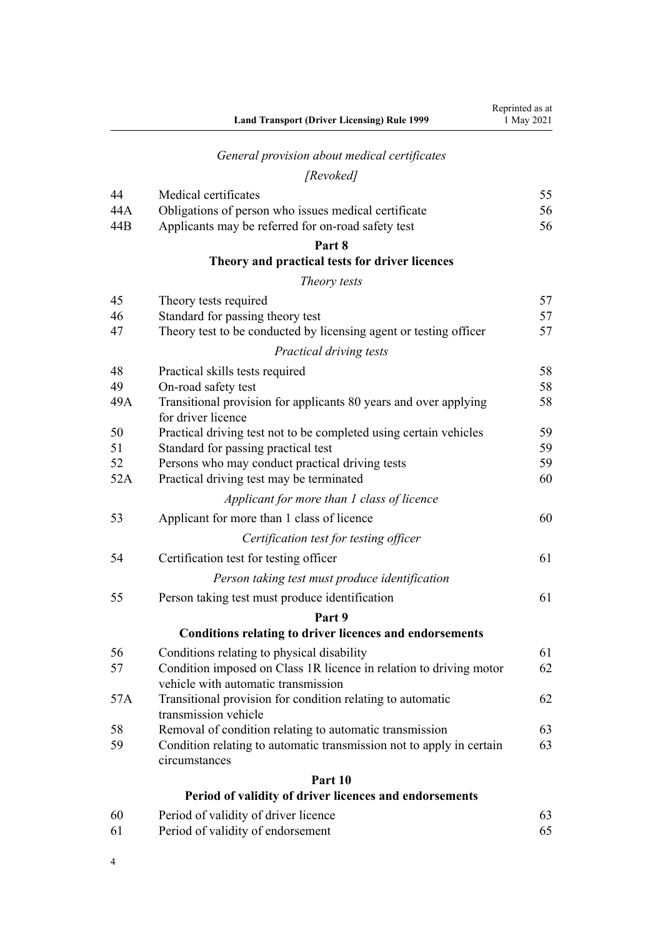|     | <b>Land Transport (Driver Licensing) Rule 1999</b>                                     | Reprinted as at<br>1 May 2021 |
|-----|----------------------------------------------------------------------------------------|-------------------------------|
|     | General provision about medical certificates                                           |                               |
|     | [Revoked]                                                                              |                               |
| 44  | Medical certificates                                                                   | 55                            |
| 44A | Obligations of person who issues medical certificate                                   | 56                            |
| 44B | Applicants may be referred for on-road safety test                                     | 56                            |
|     | Part 8                                                                                 |                               |
|     | Theory and practical tests for driver licences                                         |                               |
|     | Theory tests                                                                           |                               |
| 45  | Theory tests required                                                                  | 57                            |
| 46  | Standard for passing theory test                                                       | 57                            |
| 47  | Theory test to be conducted by licensing agent or testing officer                      | 57                            |
|     | Practical driving tests                                                                |                               |
| 48  | Practical skills tests required                                                        | 58                            |
| 49  | On-road safety test                                                                    | 58                            |
| 49A | Transitional provision for applicants 80 years and over applying<br>for driver licence | 58                            |
| 50  | Practical driving test not to be completed using certain vehicles                      | 59                            |
| 51  | Standard for passing practical test                                                    | 59                            |
| 52  | Persons who may conduct practical driving tests                                        | 59                            |
| 52A | Practical driving test may be terminated                                               | 60                            |
|     | Applicant for more than 1 class of licence                                             |                               |
| 53  | Applicant for more than 1 class of licence                                             | 60                            |
|     | Certification test for testing officer                                                 |                               |
| 54  | Certification test for testing officer                                                 | 61                            |
|     | Person taking test must produce identification                                         |                               |
| 55  | Person taking test must produce identification                                         | 61                            |
|     | Part 9                                                                                 |                               |
|     | <b>Conditions relating to driver licences and endorsements</b>                         |                               |
| 56  | Conditions relating to physical disability                                             | 61                            |
| 57  | Condition imposed on Class 1R licence in relation to driving motor                     | 62                            |
| 57A | vehicle with automatic transmission                                                    | 62                            |
|     | Transitional provision for condition relating to automatic<br>transmission vehicle     |                               |
| 58  | Removal of condition relating to automatic transmission                                | 63                            |
| 59  | Condition relating to automatic transmission not to apply in certain<br>circumstances  | 63                            |
|     | Part 10                                                                                |                               |
|     | Period of validity of driver licences and endorsements                                 |                               |
| 60  | Period of validity of driver licence                                                   | 63                            |
| 61  | Period of validity of endorsement                                                      | 65                            |
|     |                                                                                        |                               |

4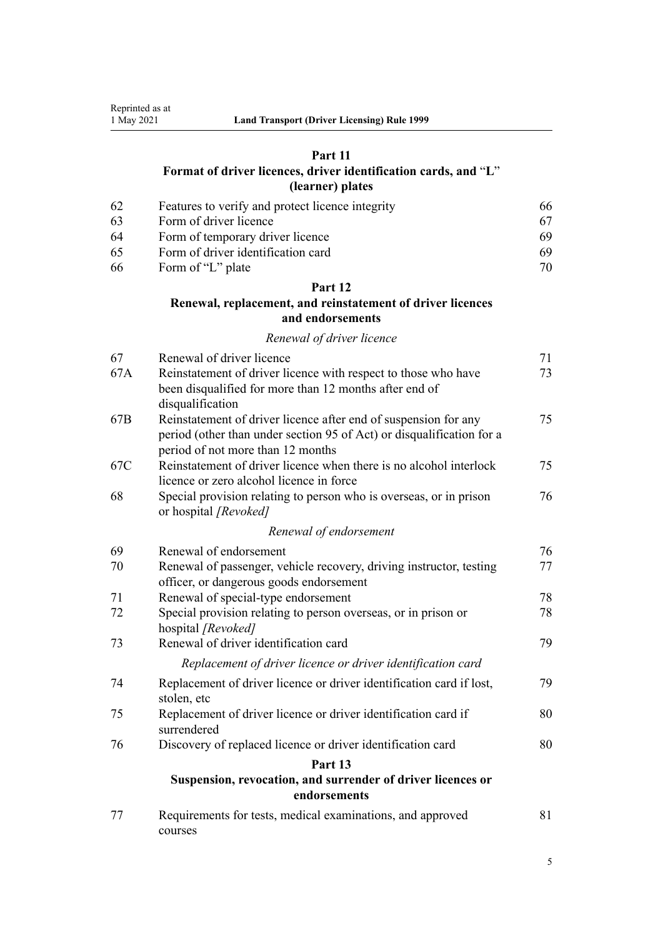# **[Part 11](#page-65-0)**

# **[Format of driver licences, driver identification cards, and](#page-65-0)** "**[L](#page-65-0)**" **[\(learner\) plates](#page-65-0)**

| -62 | Features to verify and protect licence integrity | 66. |
|-----|--------------------------------------------------|-----|
| -63 | Form of driver licence                           | 67  |
| -64 | Form of temporary driver licence                 | 69  |
| -65 | Form of driver identification card               | 69  |
| -66 | Form of "L" plate                                | 70  |

# **[Part 12](#page-70-0)**

# **[Renewal, replacement, and reinstatement of driver licences](#page-70-0) [and endorsements](#page-70-0)**

# *[Renewal of driver licence](#page-70-0)*

| 67  | Renewal of driver licence                                                                                                | 71 |  |  |  |  |  |
|-----|--------------------------------------------------------------------------------------------------------------------------|----|--|--|--|--|--|
| 67A | Reinstatement of driver licence with respect to those who have<br>been disqualified for more than 12 months after end of | 73 |  |  |  |  |  |
|     | disqualification                                                                                                         |    |  |  |  |  |  |
| 67B | Reinstatement of driver licence after end of suspension for any                                                          | 75 |  |  |  |  |  |
|     | period (other than under section 95 of Act) or disqualification for a<br>period of not more than 12 months               |    |  |  |  |  |  |
| 67C | Reinstatement of driver licence when there is no alcohol interlock                                                       | 75 |  |  |  |  |  |
|     | licence or zero alcohol licence in force                                                                                 |    |  |  |  |  |  |
| 68  | Special provision relating to person who is overseas, or in prison<br>or hospital [Revoked]                              |    |  |  |  |  |  |
|     | Renewal of endorsement                                                                                                   |    |  |  |  |  |  |
| 69  | Renewal of endorsement                                                                                                   | 76 |  |  |  |  |  |
| 70  | Renewal of passenger, vehicle recovery, driving instructor, testing                                                      | 77 |  |  |  |  |  |
|     | officer, or dangerous goods endorsement                                                                                  |    |  |  |  |  |  |
| 71  | Renewal of special-type endorsement                                                                                      | 78 |  |  |  |  |  |
| 72  | Special provision relating to person overseas, or in prison or<br>hospital [Revoked]                                     | 78 |  |  |  |  |  |
| 73  | Renewal of driver identification card                                                                                    | 79 |  |  |  |  |  |
|     | Replacement of driver licence or driver identification card                                                              |    |  |  |  |  |  |
| 74  | Replacement of driver licence or driver identification card if lost,<br>stolen, etc                                      | 79 |  |  |  |  |  |
| 75  | Replacement of driver licence or driver identification card if<br>surrendered                                            | 80 |  |  |  |  |  |
| 76  | Discovery of replaced licence or driver identification card                                                              | 80 |  |  |  |  |  |
|     | Part 13                                                                                                                  |    |  |  |  |  |  |
|     | Suspension, revocation, and surrender of driver licences or<br>endorsements                                              |    |  |  |  |  |  |
| 77  | Requirements for tests, medical examinations, and approved<br>courses                                                    | 81 |  |  |  |  |  |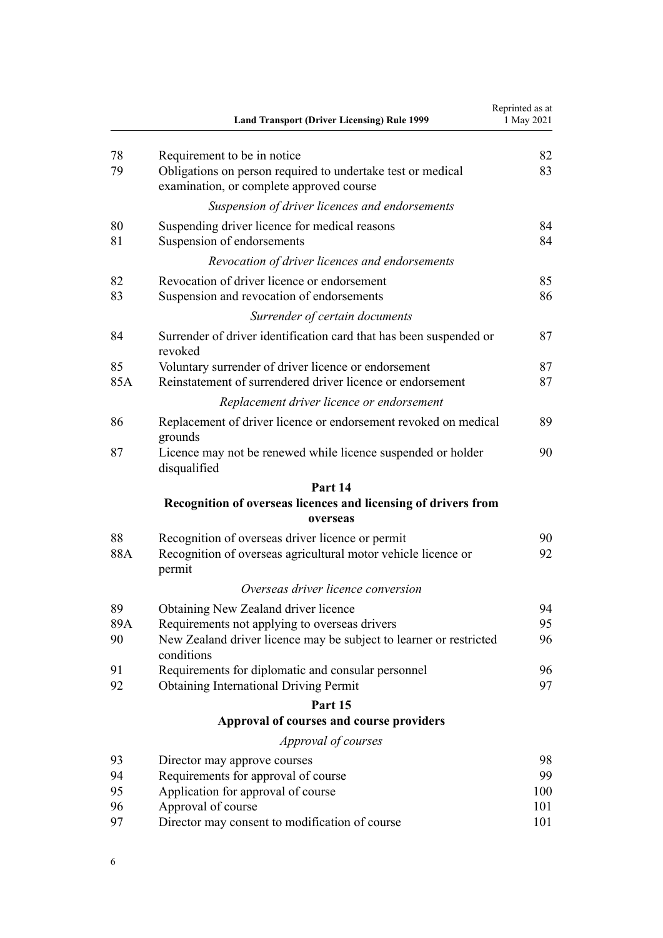| Requirement to be in notice<br>78<br>79<br>Obligations on person required to undertake test or medical<br>examination, or complete approved course<br>Suspension of driver licences and endorsements<br>80<br>Suspending driver licence for medical reasons | 82<br>83<br>84<br>84<br>85 |
|-------------------------------------------------------------------------------------------------------------------------------------------------------------------------------------------------------------------------------------------------------------|----------------------------|
|                                                                                                                                                                                                                                                             |                            |
|                                                                                                                                                                                                                                                             |                            |
|                                                                                                                                                                                                                                                             |                            |
| Suspension of endorsements<br>81                                                                                                                                                                                                                            |                            |
| Revocation of driver licences and endorsements                                                                                                                                                                                                              |                            |
| Revocation of driver licence or endorsement<br>82                                                                                                                                                                                                           |                            |
| Suspension and revocation of endorsements<br>83                                                                                                                                                                                                             | 86                         |
| Surrender of certain documents                                                                                                                                                                                                                              |                            |
| Surrender of driver identification card that has been suspended or<br>84<br>revoked                                                                                                                                                                         | 87                         |
| 85<br>Voluntary surrender of driver licence or endorsement                                                                                                                                                                                                  | 87                         |
| Reinstatement of surrendered driver licence or endorsement<br>85A                                                                                                                                                                                           | 87                         |
| Replacement driver licence or endorsement                                                                                                                                                                                                                   |                            |
| Replacement of driver licence or endorsement revoked on medical<br>86<br>grounds                                                                                                                                                                            | 89                         |
| 87<br>Licence may not be renewed while licence suspended or holder<br>disqualified                                                                                                                                                                          | 90                         |
| Part 14                                                                                                                                                                                                                                                     |                            |
| Recognition of overseas licences and licensing of drivers from<br>overseas                                                                                                                                                                                  |                            |
| 88<br>Recognition of overseas driver licence or permit                                                                                                                                                                                                      | 90                         |
| Recognition of overseas agricultural motor vehicle licence or<br>88A<br>permit                                                                                                                                                                              | 92                         |
| Overseas driver licence conversion                                                                                                                                                                                                                          |                            |
| 89<br>Obtaining New Zealand driver licence                                                                                                                                                                                                                  | 94                         |
| 89A<br>Requirements not applying to overseas drivers                                                                                                                                                                                                        | 95                         |
| New Zealand driver licence may be subject to learner or restricted<br>90<br>conditions                                                                                                                                                                      | 96                         |
| Requirements for diplomatic and consular personnel<br>91                                                                                                                                                                                                    | 96                         |
| 92<br><b>Obtaining International Driving Permit</b>                                                                                                                                                                                                         | 97                         |
| Part 15                                                                                                                                                                                                                                                     |                            |
| Approval of courses and course providers                                                                                                                                                                                                                    |                            |
| Approval of courses                                                                                                                                                                                                                                         |                            |
| 93<br>Director may approve courses                                                                                                                                                                                                                          | 98                         |
| Requirements for approval of course<br>94<br>95                                                                                                                                                                                                             | 99                         |
| Application for approval of course<br>96<br>Approval of course                                                                                                                                                                                              | 100<br>101                 |
| 97<br>Director may consent to modification of course                                                                                                                                                                                                        | 101                        |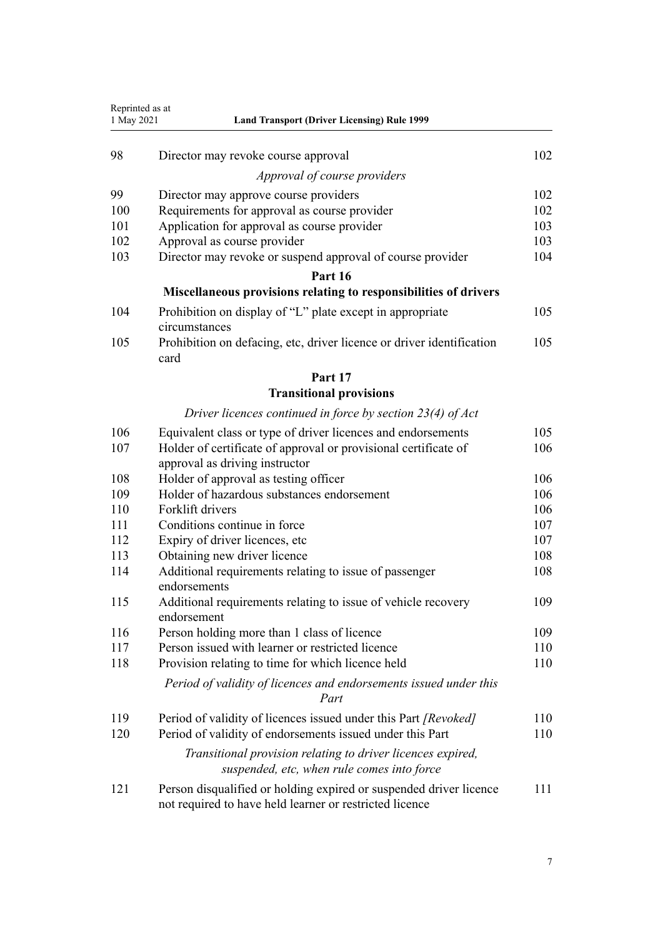| Reprinted as at<br>1 May 2021 | <b>Land Transport (Driver Licensing) Rule 1999</b>                                                                            |     |  |  |  |  |  |  |  |
|-------------------------------|-------------------------------------------------------------------------------------------------------------------------------|-----|--|--|--|--|--|--|--|
|                               |                                                                                                                               |     |  |  |  |  |  |  |  |
| 98                            | Director may revoke course approval                                                                                           | 102 |  |  |  |  |  |  |  |
|                               | Approval of course providers                                                                                                  |     |  |  |  |  |  |  |  |
| 99                            | Director may approve course providers                                                                                         | 102 |  |  |  |  |  |  |  |
| 100                           | Requirements for approval as course provider<br>102                                                                           |     |  |  |  |  |  |  |  |
| 101                           | Application for approval as course provider                                                                                   | 103 |  |  |  |  |  |  |  |
| 102                           | Approval as course provider                                                                                                   | 103 |  |  |  |  |  |  |  |
| 103                           | Director may revoke or suspend approval of course provider                                                                    | 104 |  |  |  |  |  |  |  |
|                               | Part 16                                                                                                                       |     |  |  |  |  |  |  |  |
|                               | Miscellaneous provisions relating to responsibilities of drivers                                                              |     |  |  |  |  |  |  |  |
| 104                           | Prohibition on display of "L" plate except in appropriate<br>circumstances                                                    | 105 |  |  |  |  |  |  |  |
| 105                           | Prohibition on defacing, etc, driver licence or driver identification<br>card                                                 | 105 |  |  |  |  |  |  |  |
|                               | Part 17                                                                                                                       |     |  |  |  |  |  |  |  |
|                               | <b>Transitional provisions</b>                                                                                                |     |  |  |  |  |  |  |  |
|                               | Driver licences continued in force by section $23(4)$ of Act                                                                  |     |  |  |  |  |  |  |  |
| 106                           | Equivalent class or type of driver licences and endorsements                                                                  | 105 |  |  |  |  |  |  |  |
| 107                           | Holder of certificate of approval or provisional certificate of<br>approval as driving instructor                             | 106 |  |  |  |  |  |  |  |
| 108                           | Holder of approval as testing officer<br>106                                                                                  |     |  |  |  |  |  |  |  |
| 109                           | Holder of hazardous substances endorsement<br>106                                                                             |     |  |  |  |  |  |  |  |
| 110                           | Forklift drivers                                                                                                              | 106 |  |  |  |  |  |  |  |
| 111                           | Conditions continue in force<br>107                                                                                           |     |  |  |  |  |  |  |  |
| 112                           | Expiry of driver licences, etc                                                                                                | 107 |  |  |  |  |  |  |  |
| 113                           | Obtaining new driver licence<br>108                                                                                           |     |  |  |  |  |  |  |  |
| 114                           | Additional requirements relating to issue of passenger<br>endorsements                                                        | 108 |  |  |  |  |  |  |  |
| 115                           | Additional requirements relating to issue of vehicle recovery<br>endorsement                                                  | 109 |  |  |  |  |  |  |  |
| 116                           | Person holding more than 1 class of licence                                                                                   | 109 |  |  |  |  |  |  |  |
| 117                           | Person issued with learner or restricted licence                                                                              | 110 |  |  |  |  |  |  |  |
| 118                           | Provision relating to time for which licence held                                                                             | 110 |  |  |  |  |  |  |  |
|                               | Period of validity of licences and endorsements issued under this<br>Part                                                     |     |  |  |  |  |  |  |  |
| 119                           | Period of validity of licences issued under this Part [Revoked]                                                               | 110 |  |  |  |  |  |  |  |
| 120                           | Period of validity of endorsements issued under this Part                                                                     | 110 |  |  |  |  |  |  |  |
|                               | Transitional provision relating to driver licences expired,<br>suspended, etc, when rule comes into force                     |     |  |  |  |  |  |  |  |
| 121                           | Person disqualified or holding expired or suspended driver licence<br>not required to have held learner or restricted licence | 111 |  |  |  |  |  |  |  |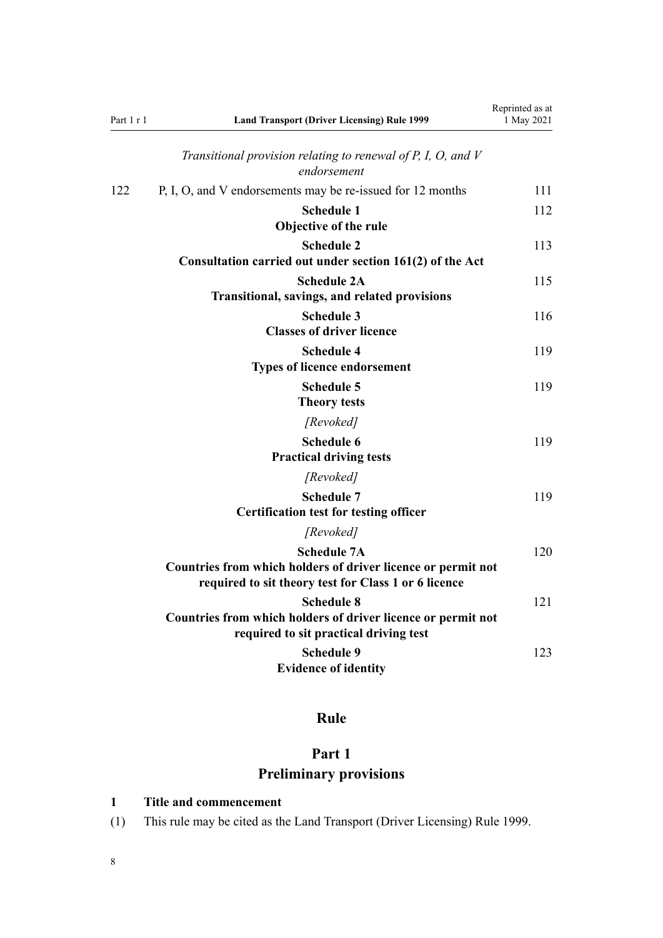<span id="page-7-0"></span>

| Part $1 r 1$ | <b>Land Transport (Driver Licensing) Rule 1999</b>                                                                                         | Reprinted as at<br>1 May 2021 |  |
|--------------|--------------------------------------------------------------------------------------------------------------------------------------------|-------------------------------|--|
|              | Transitional provision relating to renewal of $P$ , $I$ , $O$ , and $V$<br>endorsement                                                     |                               |  |
| 122          | P, I, O, and V endorsements may be re-issued for 12 months                                                                                 | 111                           |  |
|              | <b>Schedule 1</b><br>Objective of the rule                                                                                                 | 112                           |  |
|              | <b>Schedule 2</b><br>Consultation carried out under section 161(2) of the Act                                                              | 113                           |  |
|              | <b>Schedule 2A</b><br><b>Transitional, savings, and related provisions</b>                                                                 | 115                           |  |
|              | <b>Schedule 3</b><br><b>Classes of driver licence</b>                                                                                      | 116                           |  |
|              | <b>Schedule 4</b><br><b>Types of licence endorsement</b>                                                                                   | 119                           |  |
|              | <b>Schedule 5</b><br><b>Theory tests</b>                                                                                                   | 119                           |  |
|              | [Revoked]                                                                                                                                  |                               |  |
|              | <b>Schedule 6</b><br><b>Practical driving tests</b>                                                                                        | 119                           |  |
|              | [Revoked]                                                                                                                                  |                               |  |
|              | <b>Schedule 7</b><br><b>Certification test for testing officer</b>                                                                         | 119                           |  |
|              | [Revoked]                                                                                                                                  |                               |  |
|              | <b>Schedule 7A</b><br>Countries from which holders of driver licence or permit not<br>required to sit theory test for Class 1 or 6 licence | 120                           |  |
|              | <b>Schedule 8</b><br>Countries from which holders of driver licence or permit not<br>required to sit practical driving test                | 121                           |  |
|              | <b>Schedule 9</b><br><b>Evidence of identity</b>                                                                                           | 123                           |  |

# **Rule**

# **Part 1 Preliminary provisions**

# **1 Title and commencement**

(1) This rule may be cited as the Land Transport (Driver Licensing) Rule 1999.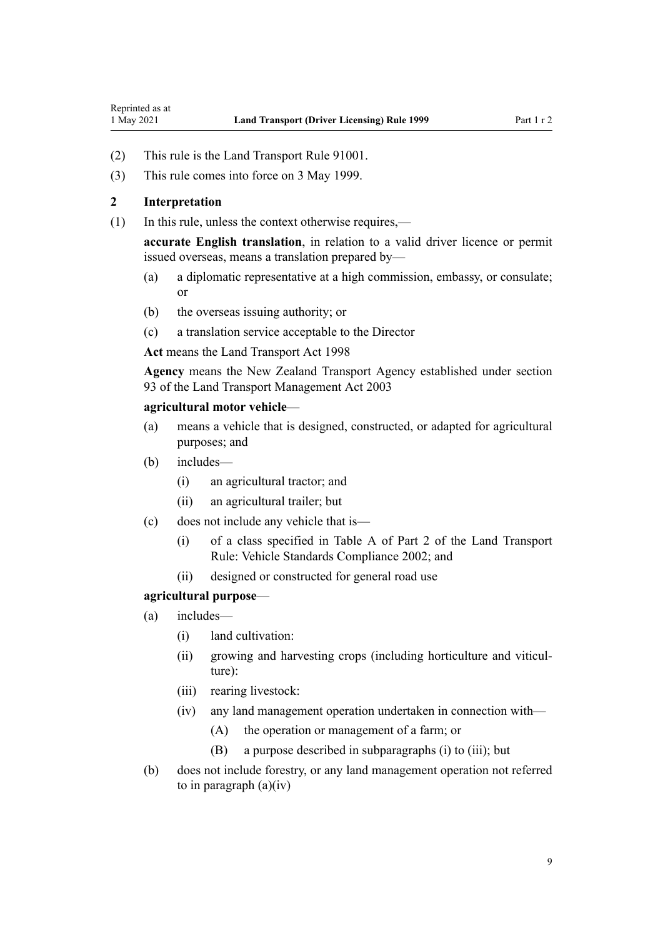- (2) This rule is the Land Transport Rule 91001.
- (3) This rule comes into force on 3 May 1999.

## **2 Interpretation**

<span id="page-8-0"></span>Reprinted as at

(1) In this rule, unless the context otherwise requires,—

**accurate English translation**, in relation to a valid driver licence or permit issued overseas, means a translation prepared by—

- (a) a diplomatic representative at a high commission, embassy, or consulate; or
- (b) the overseas issuing authority; or
- (c) a translation service acceptable to the Director

**Act** means the [Land Transport Act 1998](http://legislation.govt.nz/pdflink.aspx?id=DLM433612)

**Agency** means the New Zealand Transport Agency established under [section](http://legislation.govt.nz/pdflink.aspx?id=DLM228044) [93](http://legislation.govt.nz/pdflink.aspx?id=DLM228044) of the Land Transport Management Act 2003

### **agricultural motor vehicle**—

- (a) means a vehicle that is designed, constructed, or adapted for agricultural purposes; and
- (b) includes—
	- (i) an agricultural tractor; and
	- (ii) an agricultural trailer; but
- (c) does not include any vehicle that is—
	- (i) of a class specified in Table A of Part 2 of the Land Transport Rule: Vehicle Standards Compliance 2002; and
	- (ii) designed or constructed for general road use

#### **agricultural purpose**—

- (a) includes—
	- (i) land cultivation:
	- (ii) growing and harvesting crops (including horticulture and viticulture):
	- (iii) rearing livestock:
	- (iv) any land management operation undertaken in connection with—
		- (A) the operation or management of a farm; or
		- (B) a purpose described in subparagraphs (i) to (iii); but
- (b) does not include forestry, or any land management operation not referred to in paragraph  $(a)(iv)$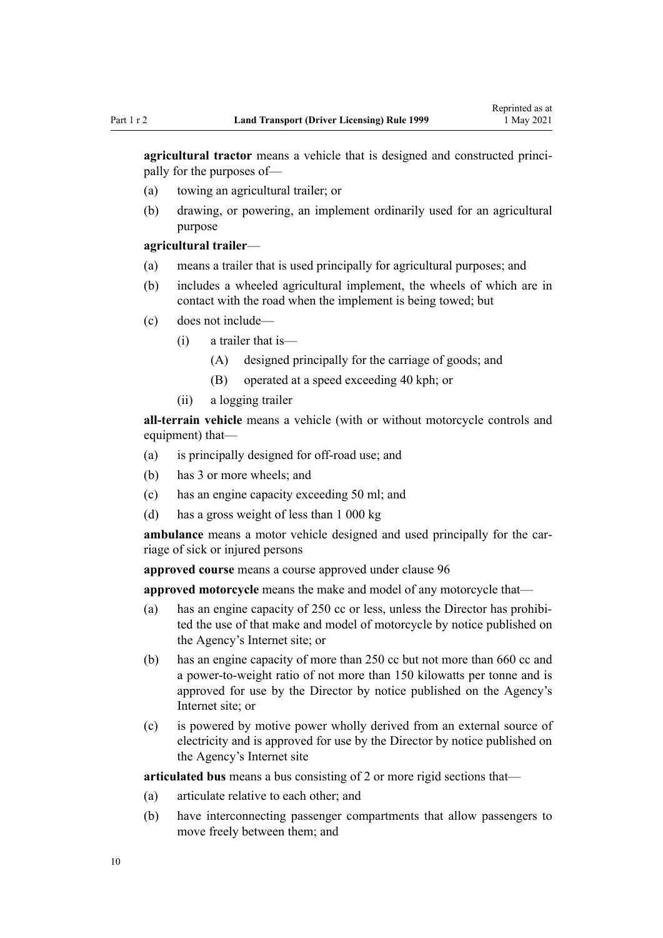**agricultural tractor** means a vehicle that is designed and constructed principally for the purposes of—

- (a) towing an agricultural trailer; or
- (b) drawing, or powering, an implement ordinarily used for an agricultural purpose

## **agricultural trailer**—

- (a) means a trailer that is used principally for agricultural purposes; and
- (b) includes a wheeled agricultural implement, the wheels of which are in contact with the road when the implement is being towed; but
- (c) does not include—
	- (i) a trailer that is—
		- (A) designed principally for the carriage of goods; and
		- (B) operated at a speed exceeding 40 kph; or
	- (ii) a logging trailer

**all-terrain vehicle** means a vehicle (with or without motorcycle controls and equipment) that—

- (a) is principally designed for off-road use; and
- (b) has 3 or more wheels; and
- (c) has an engine capacity exceeding 50 ml; and
- (d) has a gross weight of less than 1 000 kg

ambulance means a motor vehicle designed and used principally for the carriage of sick or injured persons

**approved course** means a course approved under [clause 96](#page-100-0)

**approved motorcycle** means the make and model of any motorcycle that—

- (a) has an engine capacity of 250 cc or less, unless the Director has prohibited the use of that make and model of motorcycle by notice published on the Agency's Internet site; or
- (b) has an engine capacity of more than 250 cc but not more than 660 cc and a power-to-weight ratio of not more than 150 kilowatts per tonne and is approved for use by the Director by notice published on the Agency's Internet site; or
- (c) is powered by motive power wholly derived from an external source of electricity and is approved for use by the Director by notice published on the Agency's Internet site

**articulated bus** means a bus consisting of 2 or more rigid sections that—

- (a) articulate relative to each other; and
- (b) have interconnecting passenger compartments that allow passengers to move freely between them; and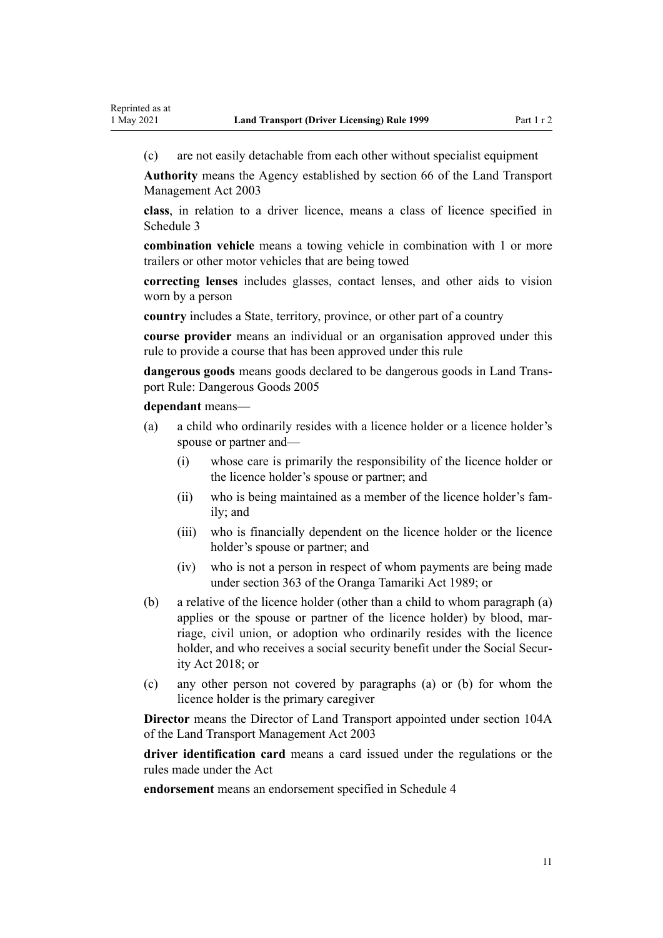(c) are not easily detachable from each other without specialist equipment

**Authority** means the Agency established by [section 66](http://legislation.govt.nz/pdflink.aspx?id=DLM227581) of the Land Transport Management Act 2003

**class**, in relation to a driver licence, means a class of licence specified in [Schedule 3](#page-115-0)

**combination vehicle** means a towing vehicle in combination with 1 or more trailers or other motor vehicles that are being towed

**correcting lenses** includes glasses, contact lenses, and other aids to vision worn by a person

**country** includes a State, territory, province, or other part of a country

**course provider** means an individual or an organisation approved under this rule to provide a course that has been approved under this rule

**dangerous goods** means goods declared to be dangerous goods in Land Trans‐ port Rule: Dangerous Goods 2005

**dependant** means—

- (a) a child who ordinarily resides with a licence holder or a licence holder's spouse or partner and—
	- (i) whose care is primarily the responsibility of the licence holder or the licence holder's spouse or partner; and
	- (ii) who is being maintained as a member of the licence holder's fam‐ ily; and
	- (iii) who is financially dependent on the licence holder or the licence holder's spouse or partner; and
	- (iv) who is not a person in respect of whom payments are being made under [section 363](http://legislation.govt.nz/pdflink.aspx?id=DLM154316) of the Oranga Tamariki Act 1989; or
- (b) a relative of the licence holder (other than a child to whom paragraph (a) applies or the spouse or partner of the licence holder) by blood, marriage, civil union, or adoption who ordinarily resides with the licence holder, and who receives a social security benefit under the Social Secur[ity Act 2018;](http://legislation.govt.nz/pdflink.aspx?id=DLM6783102) or
- (c) any other person not covered by paragraphs (a) or (b) for whom the licence holder is the primary caregiver

**Director** means the Director of Land Transport appointed under [section 104A](http://legislation.govt.nz/pdflink.aspx?id=LMS475458) of the Land Transport Management Act 2003

**driver identification card** means a card issued under the regulations or the rules made under the Act

**endorsement** means an endorsement specified in [Schedule 4](#page-118-0)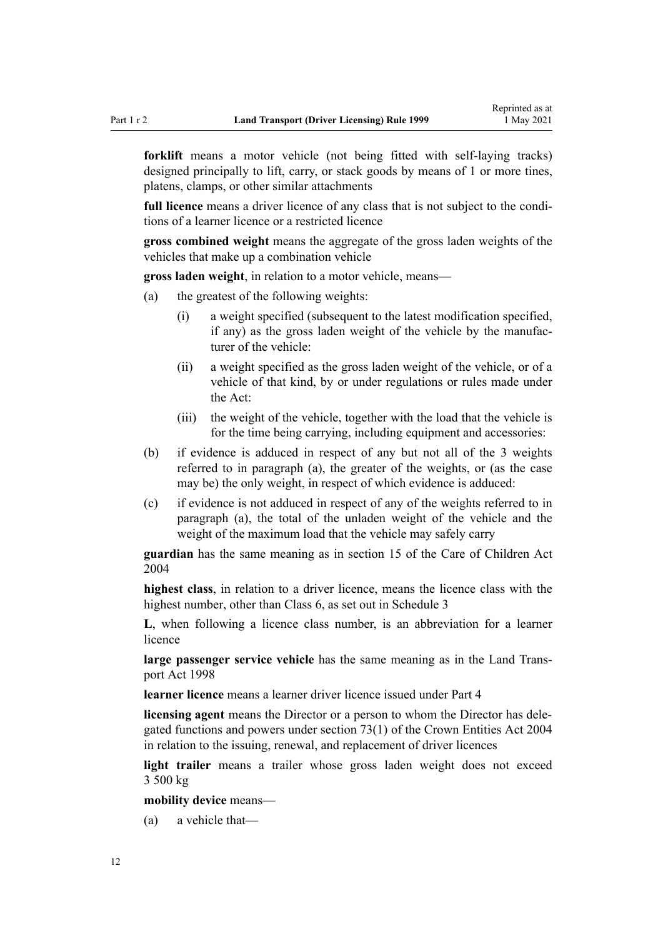**forklift** means a motor vehicle (not being fitted with self-laying tracks) designed principally to lift, carry, or stack goods by means of 1 or more tines, platens, clamps, or other similar attachments

full licence means a driver licence of any class that is not subject to the conditions of a learner licence or a restricted licence

**gross combined weight** means the aggregate of the gross laden weights of the vehicles that make up a combination vehicle

**gross laden weight**, in relation to a motor vehicle, means—

- (a) the greatest of the following weights:
	- (i) a weight specified (subsequent to the latest modification specified, if any) as the gross laden weight of the vehicle by the manufac‐ turer of the vehicle:
	- (ii) a weight specified as the gross laden weight of the vehicle, or of a vehicle of that kind, by or under regulations or rules made under the Act:
	- (iii) the weight of the vehicle, together with the load that the vehicle is for the time being carrying, including equipment and accessories:
- (b) if evidence is adduced in respect of any but not all of the 3 weights referred to in paragraph (a), the greater of the weights, or (as the case may be) the only weight, in respect of which evidence is adduced:
- (c) if evidence is not adduced in respect of any of the weights referred to in paragraph (a), the total of the unladen weight of the vehicle and the weight of the maximum load that the vehicle may safely carry

**guardian** has the same meaning as in [section 15](http://legislation.govt.nz/pdflink.aspx?id=DLM317411) of the Care of Children Act 2004

**highest class**, in relation to a driver licence, means the licence class with the highest number, other than Class 6, as set out in [Schedule 3](#page-115-0)

**L**, when following a licence class number, is an abbreviation for a learner licence

large passenger service vehicle has the same meaning as in the Land Trans[port Act 1998](http://legislation.govt.nz/pdflink.aspx?id=DLM433612)

**learner licence** means a learner driver licence issued under [Part 4](#page-26-0)

**licensing agent** means the Director or a person to whom the Director has dele‐ gated functions and powers under [section 73\(1\)](http://legislation.govt.nz/pdflink.aspx?id=DLM330308) of the Crown Entities Act 2004 in relation to the issuing, renewal, and replacement of driver licences

**light trailer** means a trailer whose gross laden weight does not exceed 3 500 kg

**mobility device** means—

(a) a vehicle that—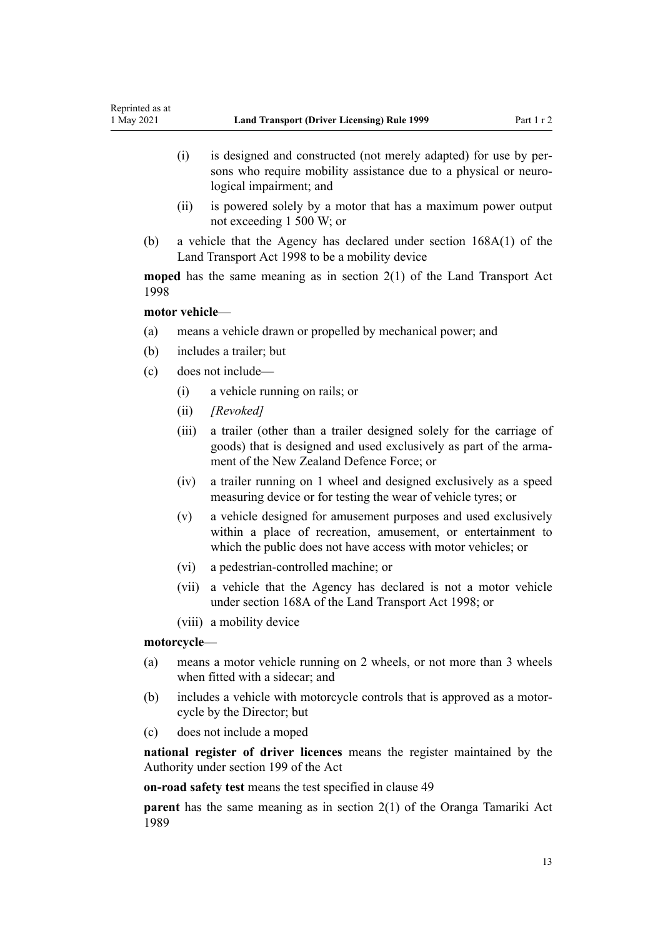- (i) is designed and constructed (not merely adapted) for use by per‐ sons who require mobility assistance due to a physical or neurological impairment; and
- (ii) is powered solely by a motor that has a maximum power output not exceeding 1 500 W; or
- (b) a vehicle that the Agency has declared under [section 168A\(1\)](http://legislation.govt.nz/pdflink.aspx?id=DLM435415) of the Land Transport Act 1998 to be a mobility device

**moped** has the same meaning as in [section 2\(1\)](http://legislation.govt.nz/pdflink.aspx?id=DLM433619) of the Land Transport Act 1998

# **motor vehicle**—

- (a) means a vehicle drawn or propelled by mechanical power; and
- (b) includes a trailer; but
- (c) does not include—
	- (i) a vehicle running on rails; or
	- (ii) *[Revoked]*
	- (iii) a trailer (other than a trailer designed solely for the carriage of goods) that is designed and used exclusively as part of the armament of the New Zealand Defence Force; or
	- (iv) a trailer running on 1 wheel and designed exclusively as a speed measuring device or for testing the wear of vehicle tyres; or
	- (v) a vehicle designed for amusement purposes and used exclusively within a place of recreation, amusement, or entertainment to which the public does not have access with motor vehicles; or
	- (vi) a pedestrian-controlled machine; or
	- (vii) a vehicle that the Agency has declared is not a motor vehicle under [section 168A](http://legislation.govt.nz/pdflink.aspx?id=DLM435415) of the Land Transport Act 1998; or
	- (viii) a mobility device

#### **motorcycle**—

- (a) means a motor vehicle running on 2 wheels, or not more than 3 wheels when fitted with a sidecar; and
- (b) includes a vehicle with motorcycle controls that is approved as a motor‐ cycle by the Director; but
- (c) does not include a moped

**national register of driver licences** means the register maintained by the Authority under [section 199](http://legislation.govt.nz/pdflink.aspx?id=DLM435603) of the Act

**on-road safety test** means the test specified in [clause 49](#page-57-0)

**parent** has the same meaning as in [section 2\(1\)](http://legislation.govt.nz/pdflink.aspx?id=DLM147094) of the Oranga Tamariki Act 1989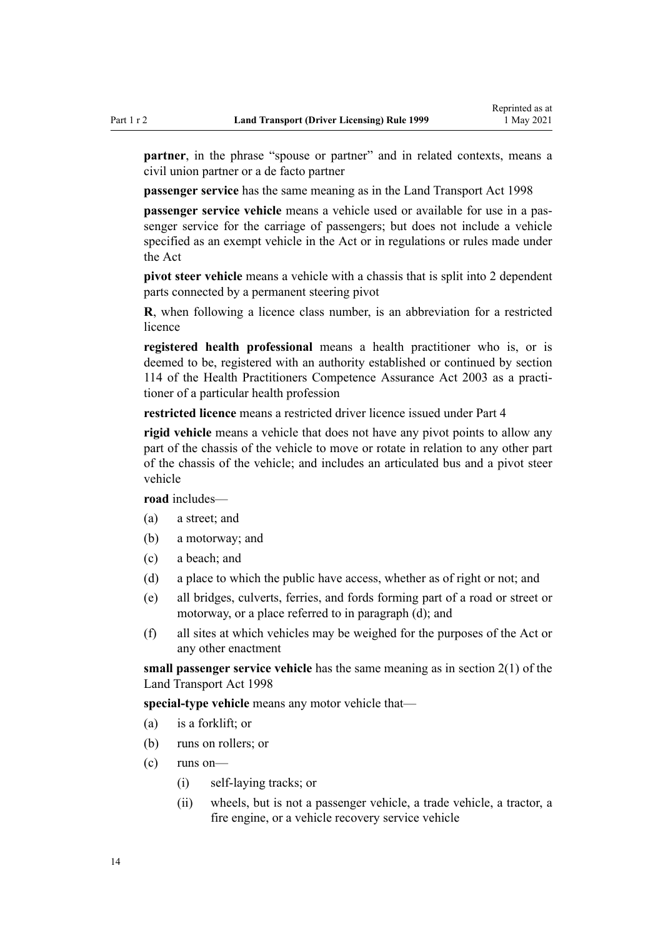**partner**, in the phrase "spouse or partner" and in related contexts, means a civil union partner or a de facto partner

**passenger service** has the same meaning as in the [Land Transport Act 1998](http://legislation.govt.nz/pdflink.aspx?id=DLM433612)

**passenger service vehicle** means a vehicle used or available for use in a passenger service for the carriage of passengers; but does not include a vehicle specified as an exempt vehicle in the Act or in regulations or rules made under the Act

**pivot steer vehicle** means a vehicle with a chassis that is split into 2 dependent parts connected by a permanent steering pivot

**R**, when following a licence class number, is an abbreviation for a restricted licence

**registered health professional** means a health practitioner who is, or is deemed to be, registered with an authority established or continued by [section](http://legislation.govt.nz/pdflink.aspx?id=DLM204329) [114](http://legislation.govt.nz/pdflink.aspx?id=DLM204329) of the Health Practitioners Competence Assurance Act 2003 as a practi‐ tioner of a particular health profession

**restricted licence** means a restricted driver licence issued under [Part 4](#page-26-0)

**rigid vehicle** means a vehicle that does not have any pivot points to allow any part of the chassis of the vehicle to move or rotate in relation to any other part of the chassis of the vehicle; and includes an articulated bus and a pivot steer vehicle

**road** includes—

- (a) a street; and
- (b) a motorway; and
- (c) a beach; and
- (d) a place to which the public have access, whether as of right or not; and
- (e) all bridges, culverts, ferries, and fords forming part of a road or street or motorway, or a place referred to in paragraph (d); and
- (f) all sites at which vehicles may be weighed for the purposes of the Act or any other enactment

**small passenger service vehicle** has the same meaning as in [section 2\(1\)](http://legislation.govt.nz/pdflink.aspx?id=DLM433619) of the Land Transport Act 1998

**special-type vehicle** means any motor vehicle that—

- (a) is a forklift; or
- (b) runs on rollers; or
- (c) runs on—
	- (i) self-laying tracks; or
	- (ii) wheels, but is not a passenger vehicle, a trade vehicle, a tractor, a fire engine, or a vehicle recovery service vehicle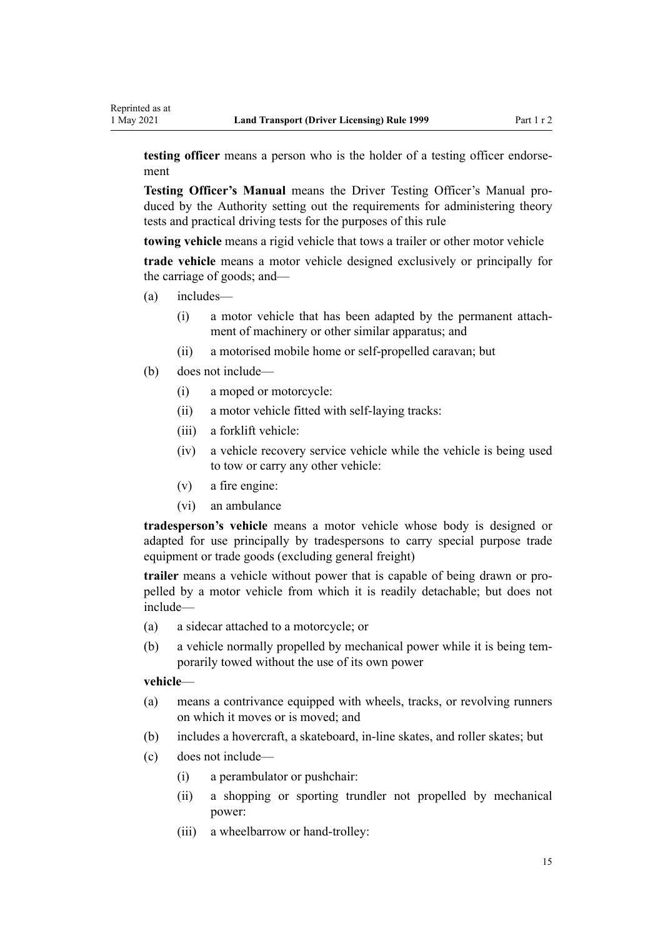**testing officer** means a person who is the holder of a testing officer endorsement

**Testing Officer's Manual** means the Driver Testing Officer's Manual pro‐ duced by the Authority setting out the requirements for administering theory tests and practical driving tests for the purposes of this rule

**towing vehicle** means a rigid vehicle that tows a trailer or other motor vehicle

**trade vehicle** means a motor vehicle designed exclusively or principally for the carriage of goods; and—

- (a) includes—
	- (i) a motor vehicle that has been adapted by the permanent attach‐ ment of machinery or other similar apparatus; and
	- (ii) a motorised mobile home or self-propelled caravan; but
- (b) does not include—
	- (i) a moped or motorcycle:
	- (ii) a motor vehicle fitted with self-laying tracks:
	- (iii) a forklift vehicle:
	- (iv) a vehicle recovery service vehicle while the vehicle is being used to tow or carry any other vehicle:
	- (v) a fire engine:
	- (vi) an ambulance

**tradesperson's vehicle** means a motor vehicle whose body is designed or adapted for use principally by tradespersons to carry special purpose trade equipment or trade goods (excluding general freight)

**trailer** means a vehicle without power that is capable of being drawn or pro‐ pelled by a motor vehicle from which it is readily detachable; but does not include—

- (a) a sidecar attached to a motorcycle; or
- (b) a vehicle normally propelled by mechanical power while it is being temporarily towed without the use of its own power

### **vehicle**—

- (a) means a contrivance equipped with wheels, tracks, or revolving runners on which it moves or is moved; and
- (b) includes a hovercraft, a skateboard, in-line skates, and roller skates; but
- (c) does not include—
	- (i) a perambulator or pushchair:
	- (ii) a shopping or sporting trundler not propelled by mechanical power:
	- (iii) a wheelbarrow or hand-trolley: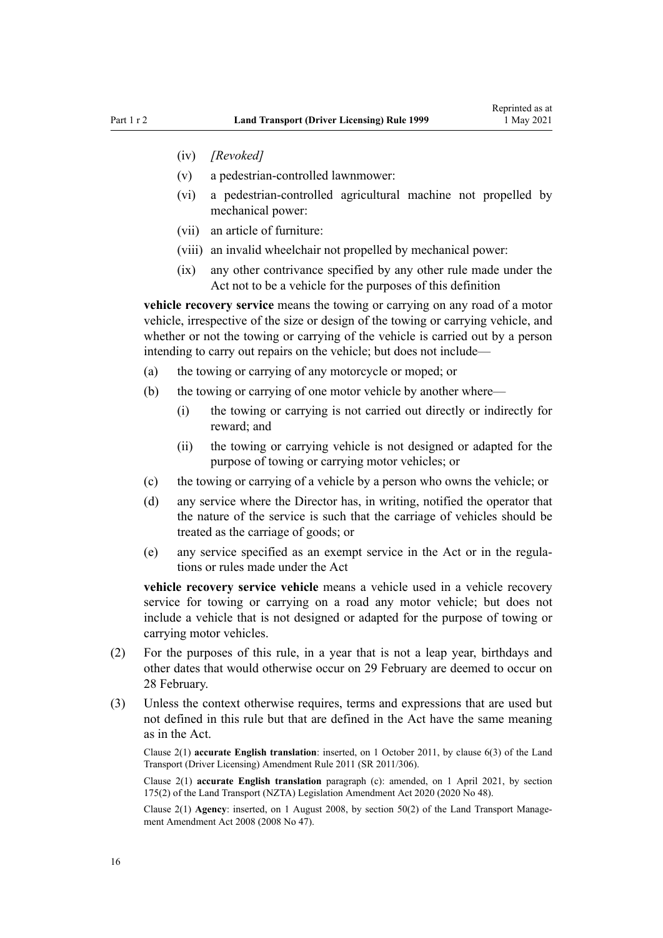- (iv) *[Revoked]*
- (v) a pedestrian-controlled lawnmower:
- (vi) a pedestrian-controlled agricultural machine not propelled by mechanical power:
- (vii) an article of furniture:
- (viii) an invalid wheelchair not propelled by mechanical power:
- (ix) any other contrivance specified by any other rule made under the Act not to be a vehicle for the purposes of this definition

**vehicle recovery service** means the towing or carrying on any road of a motor vehicle, irrespective of the size or design of the towing or carrying vehicle, and whether or not the towing or carrying of the vehicle is carried out by a person intending to carry out repairs on the vehicle; but does not include—

- (a) the towing or carrying of any motorcycle or moped; or
- (b) the towing or carrying of one motor vehicle by another where—
	- (i) the towing or carrying is not carried out directly or indirectly for reward; and
	- (ii) the towing or carrying vehicle is not designed or adapted for the purpose of towing or carrying motor vehicles; or
- (c) the towing or carrying of a vehicle by a person who owns the vehicle; or
- (d) any service where the Director has, in writing, notified the operator that the nature of the service is such that the carriage of vehicles should be treated as the carriage of goods; or
- (e) any service specified as an exempt service in the Act or in the regula‐ tions or rules made under the Act

**vehicle recovery service vehicle** means a vehicle used in a vehicle recovery service for towing or carrying on a road any motor vehicle; but does not include a vehicle that is not designed or adapted for the purpose of towing or carrying motor vehicles.

- (2) For the purposes of this rule, in a year that is not a leap year, birthdays and other dates that would otherwise occur on 29 February are deemed to occur on 28 February.
- (3) Unless the context otherwise requires, terms and expressions that are used but not defined in this rule but that are defined in the Act have the same meaning as in the Act.

Clause 2(1) **accurate English translation**: inserted, on 1 October 2011, by [clause 6\(3\)](http://legislation.govt.nz/pdflink.aspx?id=DLM3956501) of the Land Transport (Driver Licensing) Amendment Rule 2011 (SR 2011/306).

Clause 2(1) **accurate English translation** paragraph (c): amended, on 1 April 2021, by [section](http://legislation.govt.nz/pdflink.aspx?id=LMS286883) [175\(2\)](http://legislation.govt.nz/pdflink.aspx?id=LMS286883) of the Land Transport (NZTA) Legislation Amendment Act 2020 (2020 No 48).

Clause 2(1) **Agency**: inserted, on 1 August 2008, by [section 50\(2\)](http://legislation.govt.nz/pdflink.aspx?id=DLM1313622) of the Land Transport Management Amendment Act 2008 (2008 No 47).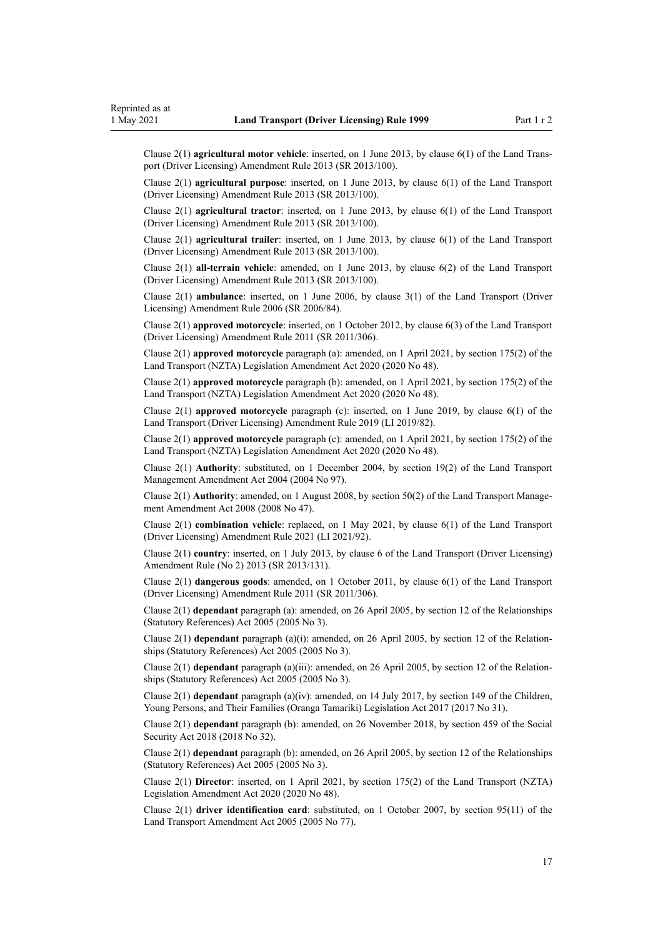Clause 2(1) **agricultural motor vehicle**: inserted, on 1 June 2013, by [clause 6\(1\)](http://legislation.govt.nz/pdflink.aspx?id=DLM5102233) of the Land Trans‐ port (Driver Licensing) Amendment Rule 2013 (SR 2013/100).

Clause 2(1) **agricultural purpose**: inserted, on 1 June 2013, by [clause 6\(1\)](http://legislation.govt.nz/pdflink.aspx?id=DLM5102233) of the Land Transport (Driver Licensing) Amendment Rule 2013 (SR 2013/100).

Clause 2(1) **agricultural tractor**: inserted, on 1 June 2013, by [clause 6\(1\)](http://legislation.govt.nz/pdflink.aspx?id=DLM5102233) of the Land Transport (Driver Licensing) Amendment Rule 2013 (SR 2013/100).

Clause 2(1) **agricultural trailer**: inserted, on 1 June 2013, by [clause 6\(1\)](http://legislation.govt.nz/pdflink.aspx?id=DLM5102233) of the Land Transport (Driver Licensing) Amendment Rule 2013 (SR 2013/100).

Clause 2(1) **all-terrain vehicle**: amended, on 1 June 2013, by [clause 6\(2\)](http://legislation.govt.nz/pdflink.aspx?id=DLM5102233) of the Land Transport (Driver Licensing) Amendment Rule 2013 (SR 2013/100).

Clause 2(1) **ambulance**: inserted, on 1 June 2006, by [clause 3\(1\)](http://legislation.govt.nz/pdflink.aspx?id=DLM375678) of the Land Transport (Driver Licensing) Amendment Rule 2006 (SR 2006/84).

Clause 2(1) **approved motorcycle**: inserted, on 1 October 2012, by [clause 6\(3\)](http://legislation.govt.nz/pdflink.aspx?id=DLM3956501) of the Land Transport (Driver Licensing) Amendment Rule 2011 (SR 2011/306).

Clause 2(1) **approved motorcycle** paragraph (a): amended, on 1 April 2021, by [section 175\(2\)](http://legislation.govt.nz/pdflink.aspx?id=LMS286883) of the Land Transport (NZTA) Legislation Amendment Act 2020 (2020 No 48).

Clause 2(1) **approved motorcycle** paragraph (b): amended, on 1 April 2021, by [section 175\(2\)](http://legislation.govt.nz/pdflink.aspx?id=LMS286883) of the Land Transport (NZTA) Legislation Amendment Act 2020 (2020 No 48).

Clause 2(1) **approved motorcycle** paragraph (c): inserted, on 1 June 2019, by [clause 6\(1\)](http://legislation.govt.nz/pdflink.aspx?id=LMS136011) of the Land Transport (Driver Licensing) Amendment Rule 2019 (LI 2019/82).

Clause 2(1) **approved motorcycle** paragraph (c): amended, on 1 April 2021, by [section 175\(2\)](http://legislation.govt.nz/pdflink.aspx?id=LMS286883) of the Land Transport (NZTA) Legislation Amendment Act 2020 (2020 No 48).

Clause 2(1) **Authority**: substituted, on 1 December 2004, by [section 19\(2\)](http://legislation.govt.nz/pdflink.aspx?id=DLM321838) of the Land Transport Management Amendment Act 2004 (2004 No 97).

Clause 2(1) **Authority**: amended, on 1 August 2008, by [section 50\(2\)](http://legislation.govt.nz/pdflink.aspx?id=DLM1313622) of the Land Transport Management Amendment Act 2008 (2008 No 47).

Clause 2(1) **combination vehicle**: replaced, on 1 May 2021, by [clause 6\(1\)](http://legislation.govt.nz/pdflink.aspx?id=LMS453277) of the Land Transport (Driver Licensing) Amendment Rule 2021 (LI 2021/92).

Clause 2(1) **country**: inserted, on 1 July 2013, by [clause 6](http://legislation.govt.nz/pdflink.aspx?id=DLM5159809) of the Land Transport (Driver Licensing) Amendment Rule (No 2) 2013 (SR 2013/131).

Clause 2(1) **dangerous goods**: amended, on 1 October 2011, by [clause 6\(1\)](http://legislation.govt.nz/pdflink.aspx?id=DLM3956501) of the Land Transport (Driver Licensing) Amendment Rule 2011 (SR 2011/306).

Clause 2(1) **dependant** paragraph (a): amended, on 26 April 2005, by [section 12](http://legislation.govt.nz/pdflink.aspx?id=DLM334004) of the Relationships (Statutory References) Act 2005 (2005 No 3).

Clause 2(1) **dependant** paragraph (a)(i): amended, on 26 April 2005, by [section 12](http://legislation.govt.nz/pdflink.aspx?id=DLM334004) of the Relation‐ ships (Statutory References) Act 2005 (2005 No 3).

Clause 2(1) **dependant** paragraph (a)(iii): amended, on 26 April 2005, by [section 12](http://legislation.govt.nz/pdflink.aspx?id=DLM334004) of the Relation‐ ships (Statutory References) Act 2005 (2005 No 3).

Clause 2(1) **dependant** paragraph (a)(iv): amended, on 14 July 2017, by [section 149](http://legislation.govt.nz/pdflink.aspx?id=DLM7287401) of the Children, Young Persons, and Their Families (Oranga Tamariki) Legislation Act 2017 (2017 No 31).

Clause 2(1) **dependant** paragraph (b): amended, on 26 November 2018, by [section 459](http://legislation.govt.nz/pdflink.aspx?id=DLM6784038) of the Social Security Act 2018 (2018 No 32).

Clause 2(1) **dependant** paragraph (b): amended, on 26 April 2005, by [section 12](http://legislation.govt.nz/pdflink.aspx?id=DLM334004) of the Relationships (Statutory References) Act 2005 (2005 No 3).

Clause 2(1) **Director**: inserted, on 1 April 2021, by [section 175\(2\)](http://legislation.govt.nz/pdflink.aspx?id=LMS286883) of the Land Transport (NZTA) Legislation Amendment Act 2020 (2020 No 48).

Clause 2(1) **driver identification card**: substituted, on 1 October 2007, by [section 95\(11\)](http://legislation.govt.nz/pdflink.aspx?id=DLM353501) of the Land Transport Amendment Act 2005 (2005 No 77).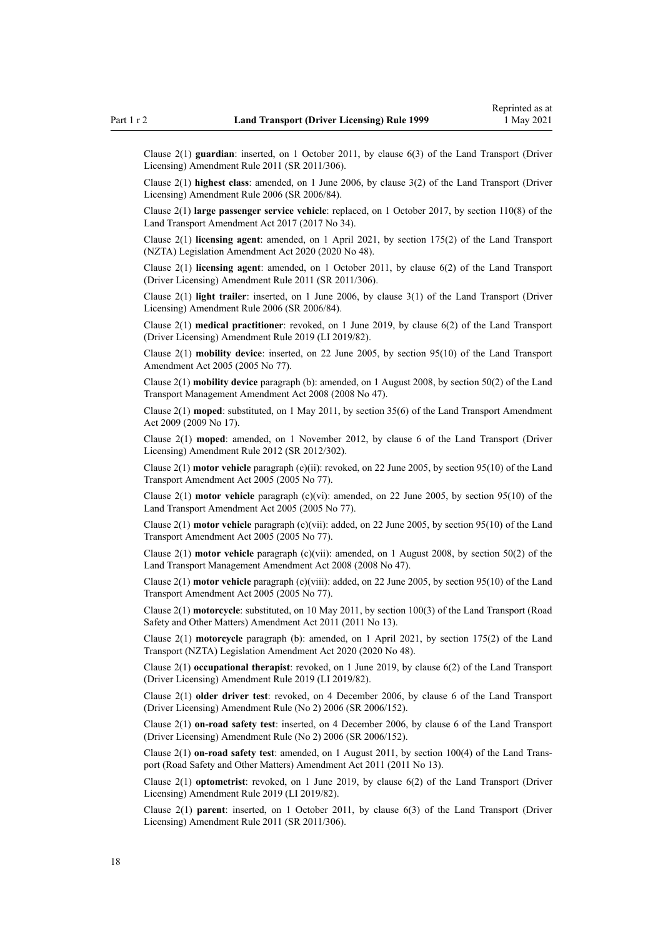Clause 2(1) **guardian**: inserted, on 1 October 2011, by [clause 6\(3\)](http://legislation.govt.nz/pdflink.aspx?id=DLM3956501) of the Land Transport (Driver Licensing) Amendment Rule 2011 (SR 2011/306).

Clause 2(1) **highest class**: amended, on 1 June 2006, by [clause 3\(2\)](http://legislation.govt.nz/pdflink.aspx?id=DLM375678) of the Land Transport (Driver Licensing) Amendment Rule 2006 (SR 2006/84).

Clause 2(1) **large passenger service vehicle**: replaced, on 1 October 2017, by [section 110\(8\)](http://legislation.govt.nz/pdflink.aspx?id=DLM6960929) of the Land Transport Amendment Act 2017 (2017 No 34).

Clause 2(1) **licensing agent**: amended, on 1 April 2021, by [section 175\(2\)](http://legislation.govt.nz/pdflink.aspx?id=LMS286883) of the Land Transport (NZTA) Legislation Amendment Act 2020 (2020 No 48).

Clause 2(1) **licensing agent**: amended, on 1 October 2011, by [clause 6\(2\)](http://legislation.govt.nz/pdflink.aspx?id=DLM3956501) of the Land Transport (Driver Licensing) Amendment Rule 2011 (SR 2011/306).

Clause 2(1) **light trailer**: inserted, on 1 June 2006, by [clause 3\(1\)](http://legislation.govt.nz/pdflink.aspx?id=DLM375678) of the Land Transport (Driver Licensing) Amendment Rule 2006 (SR 2006/84).

Clause 2(1) **medical practitioner**: revoked, on 1 June 2019, by [clause 6\(2\)](http://legislation.govt.nz/pdflink.aspx?id=LMS136011) of the Land Transport (Driver Licensing) Amendment Rule 2019 (LI 2019/82).

Clause 2(1) **mobility device**: inserted, on 22 June 2005, by [section 95\(10\)](http://legislation.govt.nz/pdflink.aspx?id=DLM353501) of the Land Transport Amendment Act 2005 (2005 No 77).

Clause 2(1) **mobility device** paragraph (b): amended, on 1 August 2008, by [section 50\(2\)](http://legislation.govt.nz/pdflink.aspx?id=DLM1313622) of the Land Transport Management Amendment Act 2008 (2008 No 47).

Clause 2(1) **moped**: substituted, on 1 May 2011, by [section 35\(6\)](http://legislation.govt.nz/pdflink.aspx?id=DLM2015063) of the Land Transport Amendment Act 2009 (2009 No 17).

Clause 2(1) **moped**: amended, on 1 November 2012, by [clause 6](http://legislation.govt.nz/pdflink.aspx?id=DLM4773435) of the Land Transport (Driver Licensing) Amendment Rule 2012 (SR 2012/302).

Clause 2(1) **motor vehicle** paragraph (c)(ii): revoked, on 22 June 2005, by [section 95\(10\)](http://legislation.govt.nz/pdflink.aspx?id=DLM353501) of the Land Transport Amendment Act 2005 (2005 No 77).

Clause 2(1) **motor vehicle** paragraph (c)(vi): amended, on 22 June 2005, by [section 95\(10\)](http://legislation.govt.nz/pdflink.aspx?id=DLM353501) of the Land Transport Amendment Act 2005 (2005 No 77).

Clause 2(1) **motor vehicle** paragraph (c)(vii): added, on 22 June 2005, by [section 95\(10\)](http://legislation.govt.nz/pdflink.aspx?id=DLM353501) of the Land Transport Amendment Act 2005 (2005 No 77).

Clause 2(1) **motor vehicle** paragraph (c)(vii): amended, on 1 August 2008, by [section 50\(2\)](http://legislation.govt.nz/pdflink.aspx?id=DLM1313622) of the Land Transport Management Amendment Act 2008 (2008 No 47).

Clause 2(1) **motor vehicle** paragraph (c)(viii): added, on 22 June 2005, by [section 95\(10\)](http://legislation.govt.nz/pdflink.aspx?id=DLM353501) of the Land Transport Amendment Act 2005 (2005 No 77).

Clause 2(1) **motorcycle**: substituted, on 10 May 2011, by [section 100\(3\)](http://legislation.govt.nz/pdflink.aspx?id=DLM3231293) of the Land Transport (Road Safety and Other Matters) Amendment Act 2011 (2011 No 13).

Clause 2(1) **motorcycle** paragraph (b): amended, on 1 April 2021, by [section 175\(2\)](http://legislation.govt.nz/pdflink.aspx?id=LMS286883) of the Land Transport (NZTA) Legislation Amendment Act 2020 (2020 No 48).

Clause 2(1) **occupational therapist**: revoked, on 1 June 2019, by [clause 6\(2\)](http://legislation.govt.nz/pdflink.aspx?id=LMS136011) of the Land Transport (Driver Licensing) Amendment Rule 2019 (LI 2019/82).

Clause 2(1) **older driver test**: revoked, on 4 December 2006, by [clause 6](http://legislation.govt.nz/pdflink.aspx?id=DLM386141) of the Land Transport (Driver Licensing) Amendment Rule (No 2) 2006 (SR 2006/152).

Clause 2(1) **on-road safety test**: inserted, on 4 December 2006, by [clause 6](http://legislation.govt.nz/pdflink.aspx?id=DLM386141) of the Land Transport (Driver Licensing) Amendment Rule (No 2) 2006 (SR 2006/152).

Clause 2(1) **on-road safety test**: amended, on 1 August 2011, by [section 100\(4\)](http://legislation.govt.nz/pdflink.aspx?id=DLM3231293) of the Land Trans‐ port (Road Safety and Other Matters) Amendment Act 2011 (2011 No 13).

Clause 2(1) **optometrist**: revoked, on 1 June 2019, by [clause 6\(2\)](http://legislation.govt.nz/pdflink.aspx?id=LMS136011) of the Land Transport (Driver Licensing) Amendment Rule 2019 (LI 2019/82).

Clause 2(1) **parent**: inserted, on 1 October 2011, by [clause 6\(3\)](http://legislation.govt.nz/pdflink.aspx?id=DLM3956501) of the Land Transport (Driver Licensing) Amendment Rule 2011 (SR 2011/306).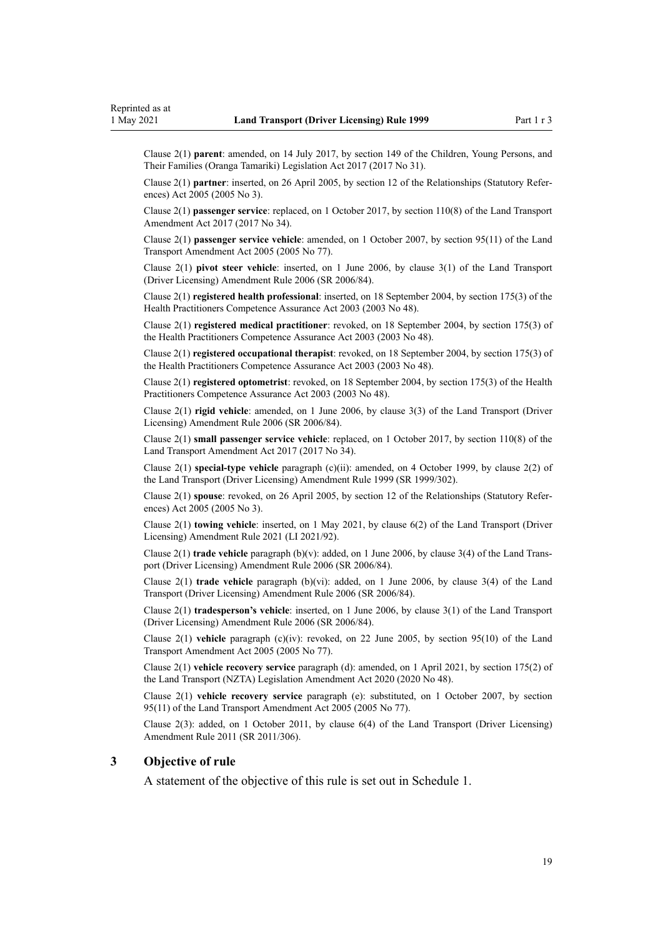<span id="page-18-0"></span>Clause 2(1) **parent**: amended, on 14 July 2017, by [section 149](http://legislation.govt.nz/pdflink.aspx?id=DLM7287401) of the Children, Young Persons, and Their Families (Oranga Tamariki) Legislation Act 2017 (2017 No 31).

Clause 2(1) **partner**: inserted, on 26 April 2005, by [section 12](http://legislation.govt.nz/pdflink.aspx?id=DLM334004) of the Relationships (Statutory Refer‐ ences) Act 2005 (2005 No 3).

Clause 2(1) **passenger service**: replaced, on 1 October 2017, by [section 110\(8\)](http://legislation.govt.nz/pdflink.aspx?id=DLM6960929) of the Land Transport Amendment Act 2017 (2017 No 34).

Clause 2(1) **passenger service vehicle**: amended, on 1 October 2007, by [section 95\(11\)](http://legislation.govt.nz/pdflink.aspx?id=DLM353501) of the Land Transport Amendment Act 2005 (2005 No 77).

Clause 2(1) **pivot steer vehicle**: inserted, on 1 June 2006, by [clause 3\(1\)](http://legislation.govt.nz/pdflink.aspx?id=DLM375678) of the Land Transport (Driver Licensing) Amendment Rule 2006 (SR 2006/84).

Clause 2(1) **registered health professional**: inserted, on 18 September 2004, by [section 175\(3\)](http://legislation.govt.nz/pdflink.aspx?id=DLM205009) of the Health Practitioners Competence Assurance Act 2003 (2003 No 48).

Clause 2(1) **registered medical practitioner**: revoked, on 18 September 2004, by [section 175\(3\)](http://legislation.govt.nz/pdflink.aspx?id=DLM205009) of the Health Practitioners Competence Assurance Act 2003 (2003 No 48).

Clause 2(1) **registered occupational therapist**: revoked, on 18 September 2004, by [section 175\(3\)](http://legislation.govt.nz/pdflink.aspx?id=DLM205009) of the Health Practitioners Competence Assurance Act 2003 (2003 No 48).

Clause 2(1) **registered optometrist**: revoked, on 18 September 2004, by [section 175\(3\)](http://legislation.govt.nz/pdflink.aspx?id=DLM205009) of the Health Practitioners Competence Assurance Act 2003 (2003 No 48).

Clause 2(1) **rigid vehicle**: amended, on 1 June 2006, by [clause 3\(3\)](http://legislation.govt.nz/pdflink.aspx?id=DLM375678) of the Land Transport (Driver Licensing) Amendment Rule 2006 (SR 2006/84).

Clause 2(1) **small passenger service vehicle**: replaced, on 1 October 2017, by [section 110\(8\)](http://legislation.govt.nz/pdflink.aspx?id=DLM6960929) of the Land Transport Amendment Act 2017 (2017 No 34).

Clause 2(1) **special-type vehicle** paragraph (c)(ii): amended, on 4 October 1999, by [clause 2\(2\)](http://legislation.govt.nz/pdflink.aspx?id=DLM293670) of the Land Transport (Driver Licensing) Amendment Rule 1999 (SR 1999/302).

Clause 2(1) **spouse**: revoked, on 26 April 2005, by [section 12](http://legislation.govt.nz/pdflink.aspx?id=DLM334004) of the Relationships (Statutory Refer‐ ences) Act 2005 (2005 No 3).

Clause 2(1) **towing vehicle**: inserted, on 1 May 2021, by [clause 6\(2\)](http://legislation.govt.nz/pdflink.aspx?id=LMS453277) of the Land Transport (Driver Licensing) Amendment Rule 2021 (LI 2021/92).

Clause 2(1) **trade vehicle** paragraph (b)(v): added, on 1 June 2006, by [clause 3\(4\)](http://legislation.govt.nz/pdflink.aspx?id=DLM375678) of the Land Trans‐ port (Driver Licensing) Amendment Rule 2006 (SR 2006/84).

Clause 2(1) **trade vehicle** paragraph (b)(vi): added, on 1 June 2006, by [clause 3\(4\)](http://legislation.govt.nz/pdflink.aspx?id=DLM375678) of the Land Transport (Driver Licensing) Amendment Rule 2006 (SR 2006/84).

Clause 2(1) **tradesperson's vehicle**: inserted, on 1 June 2006, by [clause 3\(1\)](http://legislation.govt.nz/pdflink.aspx?id=DLM375678) of the Land Transport (Driver Licensing) Amendment Rule 2006 (SR 2006/84).

Clause 2(1) **vehicle** paragraph (c)(iv): revoked, on 22 June 2005, by [section 95\(10\)](http://legislation.govt.nz/pdflink.aspx?id=DLM353501) of the Land Transport Amendment Act 2005 (2005 No 77).

Clause 2(1) **vehicle recovery service** paragraph (d): amended, on 1 April 2021, by [section 175\(2\)](http://legislation.govt.nz/pdflink.aspx?id=LMS286883) of the Land Transport (NZTA) Legislation Amendment Act 2020 (2020 No 48).

Clause 2(1) **vehicle recovery service** paragraph (e): substituted, on 1 October 2007, by [section](http://legislation.govt.nz/pdflink.aspx?id=DLM353501) [95\(11\)](http://legislation.govt.nz/pdflink.aspx?id=DLM353501) of the Land Transport Amendment Act 2005 (2005 No 77).

Clause 2(3): added, on 1 October 2011, by [clause 6\(4\)](http://legislation.govt.nz/pdflink.aspx?id=DLM3956501) of the Land Transport (Driver Licensing) Amendment Rule 2011 (SR 2011/306).

## **3 Objective of rule**

A statement of the objective of this rule is set out in [Schedule 1.](#page-111-0)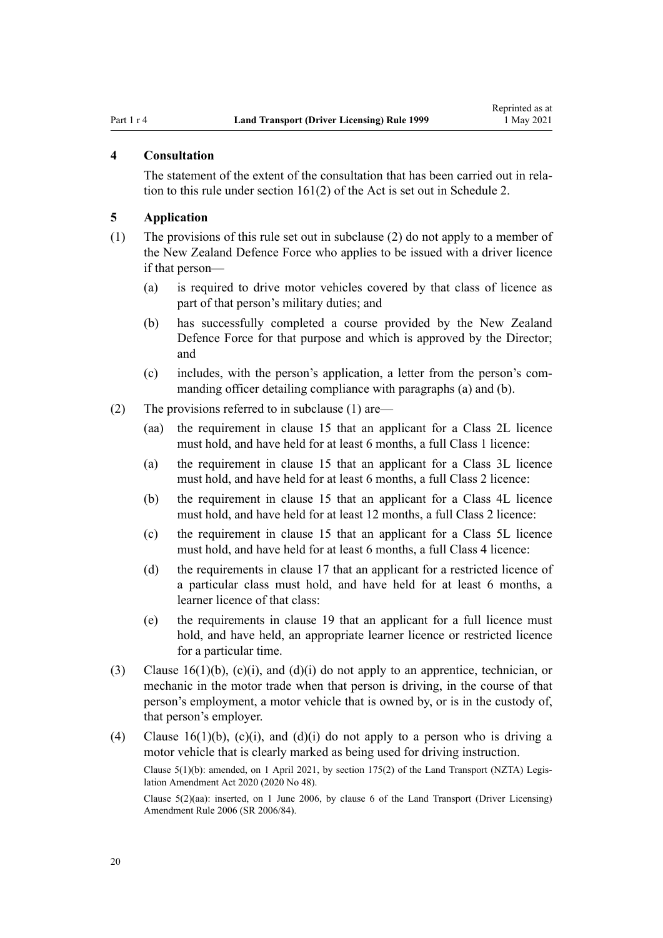### <span id="page-19-0"></span>**4 Consultation**

The statement of the extent of the consultation that has been carried out in relation to this rule under [section 161\(2\)](http://legislation.govt.nz/pdflink.aspx?id=DLM435195) of the Act is set out in [Schedule 2](#page-112-0).

## **5 Application**

- (1) The provisions of this rule set out in subclause (2) do not apply to a member of the New Zealand Defence Force who applies to be issued with a driver licence if that person—
	- (a) is required to drive motor vehicles covered by that class of licence as part of that person's military duties; and
	- (b) has successfully completed a course provided by the New Zealand Defence Force for that purpose and which is approved by the Director; and
	- (c) includes, with the person's application, a letter from the person's com‐ manding officer detailing compliance with paragraphs (a) and (b).
- (2) The provisions referred to in subclause (1) are—
	- (aa) the requirement in [clause 15](#page-26-0) that an applicant for a Class 2L licence must hold, and have held for at least 6 months, a full Class 1 licence:
	- (a) the requirement in [clause 15](#page-26-0) that an applicant for a Class 3L licence must hold, and have held for at least 6 months, a full Class 2 licence:
	- (b) the requirement in [clause 15](#page-26-0) that an applicant for a Class 4L licence must hold, and have held for at least 12 months, a full Class 2 licence:
	- (c) the requirement in [clause 15](#page-26-0) that an applicant for a Class 5L licence must hold, and have held for at least 6 months, a full Class 4 licence:
	- (d) the requirements in [clause 17](#page-28-0) that an applicant for a restricted licence of a particular class must hold, and have held for at least 6 months, a learner licence of that class:
	- (e) the requirements in [clause 19](#page-30-0) that an applicant for a full licence must hold, and have held, an appropriate learner licence or restricted licence for a particular time.
- (3) [Clause 16\(1\)\(b\), \(c\)\(i\), and \(d\)\(i\)](#page-27-0) do not apply to an apprentice, technician, or mechanic in the motor trade when that person is driving, in the course of that person's employment, a motor vehicle that is owned by, or is in the custody of, that person's employer.
- (4) [Clause 16\(1\)\(b\), \(c\)\(i\), and \(d\)\(i\)](#page-27-0) do not apply to a person who is driving a motor vehicle that is clearly marked as being used for driving instruction.

Clause 5(1)(b): amended, on 1 April 2021, by [section 175\(2\)](http://legislation.govt.nz/pdflink.aspx?id=LMS286883) of the Land Transport (NZTA) Legis‐ lation Amendment Act 2020 (2020 No 48).

Clause 5(2)(aa): inserted, on 1 June 2006, by [clause 6](http://legislation.govt.nz/pdflink.aspx?id=DLM375691) of the Land Transport (Driver Licensing) Amendment Rule 2006 (SR 2006/84).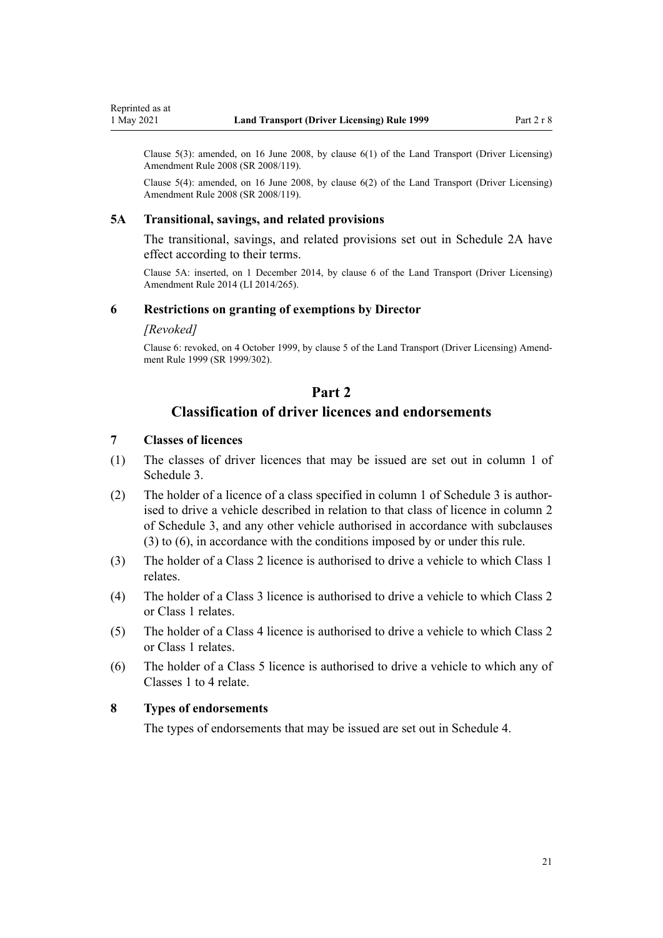<span id="page-20-0"></span>Clause  $5(3)$ : amended, on 16 June 2008, by clause  $6(1)$  of the Land Transport (Driver Licensing) Amendment Rule 2008 (SR 2008/119).

Clause 5(4): amended, on 16 June 2008, by [clause 6\(2\)](http://legislation.govt.nz/pdflink.aspx?id=DLM1317909) of the Land Transport (Driver Licensing) Amendment Rule 2008 (SR 2008/119).

#### **5A Transitional, savings, and related provisions**

The transitional, savings, and related provisions set out in [Schedule 2A](#page-114-0) have effect according to their terms.

Clause 5A: inserted, on 1 December 2014, by [clause 6](http://legislation.govt.nz/pdflink.aspx?id=DLM6216910) of the Land Transport (Driver Licensing) Amendment Rule 2014 (LI 2014/265).

# **6 Restrictions on granting of exemptions by Director**

#### *[Revoked]*

Clause 6: revoked, on 4 October 1999, by [clause 5](http://legislation.govt.nz/pdflink.aspx?id=DLM293673) of the Land Transport (Driver Licensing) Amend‐ ment Rule 1999 (SR 1999/302).

# **Part 2**

# **Classification of driver licences and endorsements**

# **7 Classes of licences**

- (1) The classes of driver licences that may be issued are set out in column 1 of [Schedule 3.](#page-115-0)
- (2) The holder of a licence of a class specified in column 1 of [Schedule 3](#page-115-0) is author‐ ised to drive a vehicle described in relation to that class of licence in column 2 of Schedule 3, and any other vehicle authorised in accordance with subclauses (3) to (6), in accordance with the conditions imposed by or under this rule.
- (3) The holder of a Class 2 licence is authorised to drive a vehicle to which Class 1 relates.
- (4) The holder of a Class 3 licence is authorised to drive a vehicle to which Class 2 or Class 1 relates.
- (5) The holder of a Class 4 licence is authorised to drive a vehicle to which Class 2 or Class 1 relates.
- (6) The holder of a Class 5 licence is authorised to drive a vehicle to which any of Classes 1 to 4 relate.

## **8 Types of endorsements**

The types of endorsements that may be issued are set out in [Schedule 4.](#page-118-0)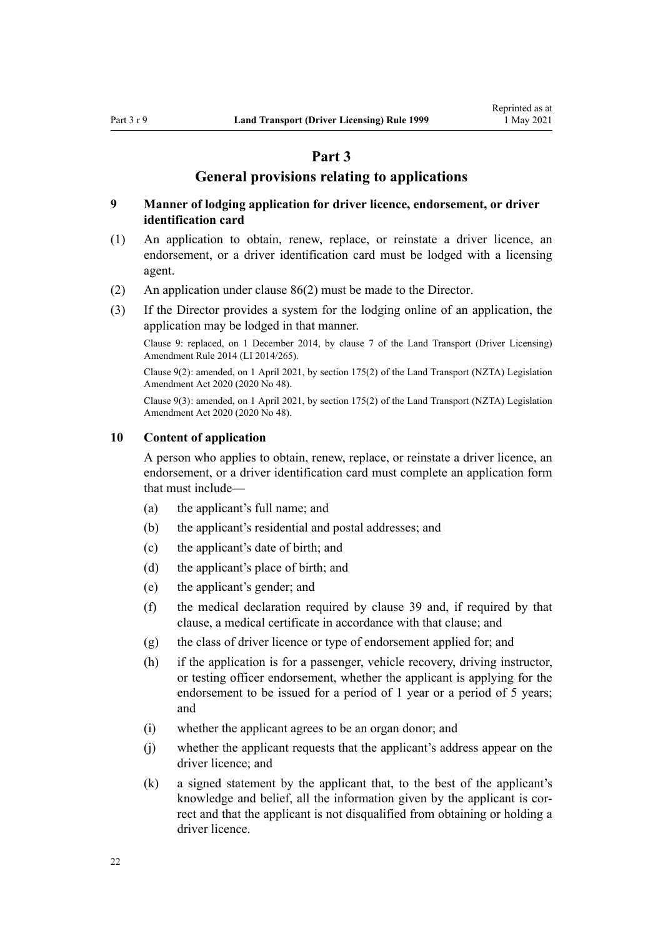# **Part 3**

# **General provisions relating to applications**

# <span id="page-21-0"></span>**9 Manner of lodging application for driver licence, endorsement, or driver identification card**

- (1) An application to obtain, renew, replace, or reinstate a driver licence, an endorsement, or a driver identification card must be lodged with a licensing agent.
- (2) An application under [clause 86\(2\)](#page-88-0) must be made to the Director.
- (3) If the Director provides a system for the lodging online of an application, the application may be lodged in that manner.

Clause 9: replaced, on 1 December 2014, by [clause 7](http://legislation.govt.nz/pdflink.aspx?id=DLM6216912) of the Land Transport (Driver Licensing) Amendment Rule 2014 (LI 2014/265).

Clause 9(2): amended, on 1 April 2021, by [section 175\(2\)](http://legislation.govt.nz/pdflink.aspx?id=LMS286883) of the Land Transport (NZTA) Legislation Amendment Act 2020 (2020 No 48).

Clause 9(3): amended, on 1 April 2021, by [section 175\(2\)](http://legislation.govt.nz/pdflink.aspx?id=LMS286883) of the Land Transport (NZTA) Legislation Amendment Act 2020 (2020 No 48).

#### **10 Content of application**

A person who applies to obtain, renew, replace, or reinstate a driver licence, an endorsement, or a driver identification card must complete an application form that must include—

- (a) the applicant's full name; and
- (b) the applicant's residential and postal addresses; and
- (c) the applicant's date of birth; and
- (d) the applicant's place of birth; and
- (e) the applicant's gender; and
- (f) the medical declaration required by [clause 39](#page-51-0) and, if required by that clause, a medical certificate in accordance with that clause; and
- (g) the class of driver licence or type of endorsement applied for; and
- (h) if the application is for a passenger, vehicle recovery, driving instructor, or testing officer endorsement, whether the applicant is applying for the endorsement to be issued for a period of 1 year or a period of 5 years; and
- (i) whether the applicant agrees to be an organ donor; and
- (j) whether the applicant requests that the applicant's address appear on the driver licence; and
- (k) a signed statement by the applicant that, to the best of the applicant's knowledge and belief, all the information given by the applicant is correct and that the applicant is not disqualified from obtaining or holding a driver licence.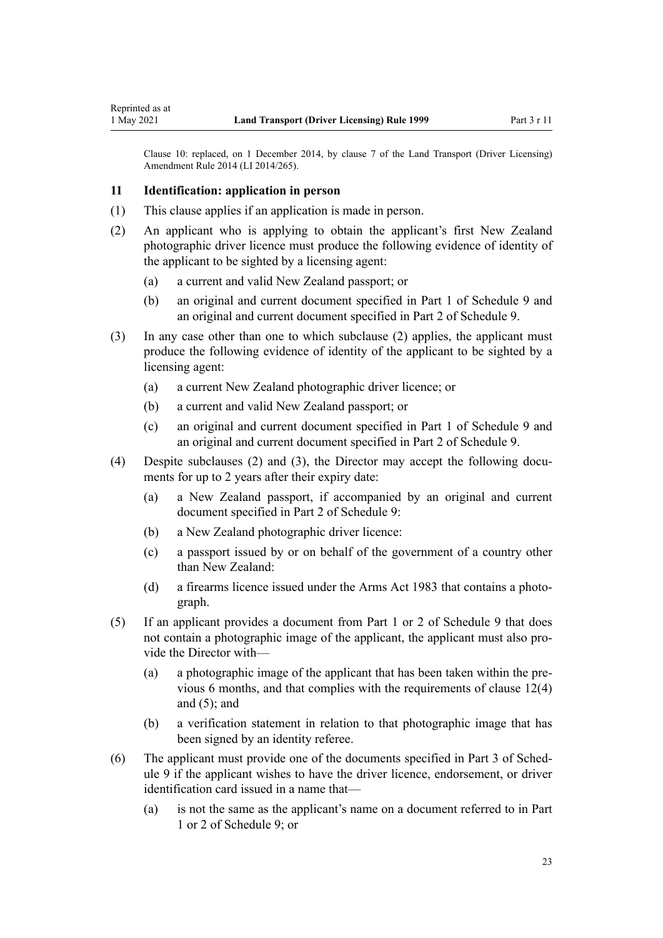<span id="page-22-0"></span>Clause 10: replaced, on 1 December 2014, by [clause 7](http://legislation.govt.nz/pdflink.aspx?id=DLM6216912) of the Land Transport (Driver Licensing) Amendment Rule 2014 (LI 2014/265).

# **11 Identification: application in person**

- (1) This clause applies if an application is made in person.
- (2) An applicant who is applying to obtain the applicant's first New Zealand photographic driver licence must produce the following evidence of identity of the applicant to be sighted by a licensing agent:
	- (a) a current and valid New Zealand passport; or
	- (b) an original and current document specified in [Part 1](#page-122-0) of Schedule 9 and an original and current document specified in [Part 2](#page-122-0) of Schedule 9.
- (3) In any case other than one to which subclause (2) applies, the applicant must produce the following evidence of identity of the applicant to be sighted by a licensing agent:
	- (a) a current New Zealand photographic driver licence; or
	- (b) a current and valid New Zealand passport; or
	- (c) an original and current document specified in [Part 1](#page-122-0) of Schedule 9 and an original and current document specified in [Part 2](#page-122-0) of Schedule 9.
- (4) Despite subclauses (2) and (3), the Director may accept the following documents for up to 2 years after their expiry date:
	- (a) a New Zealand passport, if accompanied by an original and current document specified in [Part 2](#page-122-0) of Schedule 9:
	- (b) a New Zealand photographic driver licence:
	- (c) a passport issued by or on behalf of the government of a country other than New Zealand:
	- (d) a firearms licence issued under the [Arms Act 1983](http://legislation.govt.nz/pdflink.aspx?id=DLM72621) that contains a photograph.
- (5) If an applicant provides a document from [Part 1](#page-122-0) or [2](#page-122-0) of Schedule 9 that does not contain a photographic image of the applicant, the applicant must also provide the Director with—
	- (a) a photographic image of the applicant that has been taken within the pre‐ vious 6 months, and that complies with the requirements of [clause 12\(4\)](#page-24-0) and  $(5)$ ; and
	- (b) a verification statement in relation to that photographic image that has been signed by an identity referee.
- (6) The applicant must provide one of the documents specified in [Part 3](#page-123-0) of Sched‐ ule 9 if the applicant wishes to have the driver licence, endorsement, or driver identification card issued in a name that—
	- (a) is not the same as the applicant's name on a document referred to in [Part](#page-122-0) [1](#page-122-0) or [2](#page-122-0) of Schedule 9; or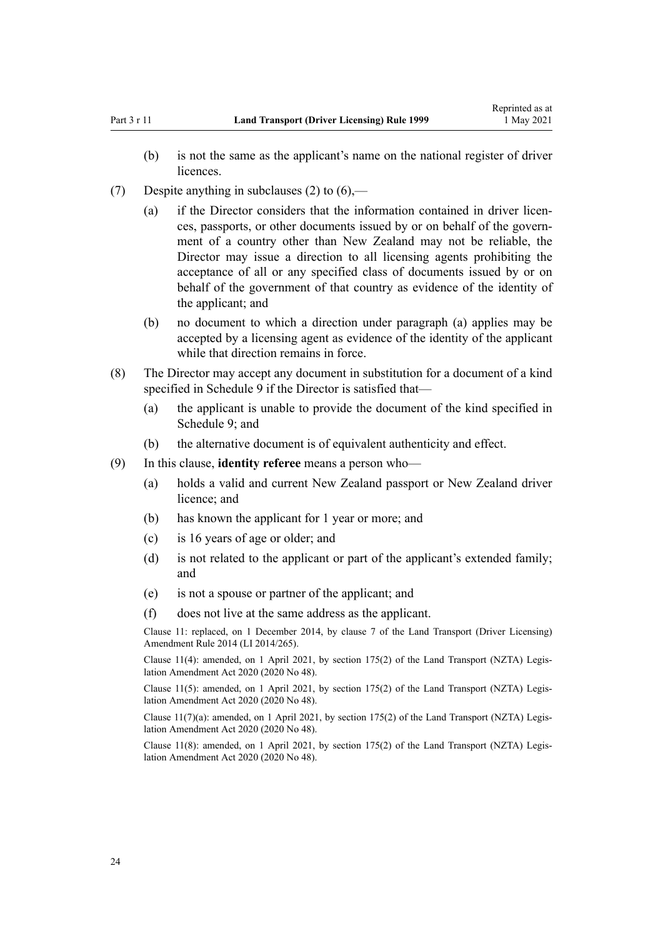- (7) Despite anything in subclauses (2) to  $(6)$ ,—
	- (a) if the Director considers that the information contained in driver licences, passports, or other documents issued by or on behalf of the govern‐ ment of a country other than New Zealand may not be reliable, the Director may issue a direction to all licensing agents prohibiting the acceptance of all or any specified class of documents issued by or on behalf of the government of that country as evidence of the identity of the applicant; and
	- (b) no document to which a direction under paragraph (a) applies may be accepted by a licensing agent as evidence of the identity of the applicant while that direction remains in force.
- (8) The Director may accept any document in substitution for a document of a kind specified in [Schedule 9](#page-122-0) if the Director is satisfied that—
	- (a) the applicant is unable to provide the document of the kind specified in [Schedule 9;](#page-122-0) and
	- (b) the alternative document is of equivalent authenticity and effect.
- (9) In this clause, **identity referee** means a person who—
	- (a) holds a valid and current New Zealand passport or New Zealand driver licence; and
	- (b) has known the applicant for 1 year or more; and
	- (c) is 16 years of age or older; and
	- (d) is not related to the applicant or part of the applicant's extended family; and
	- (e) is not a spouse or partner of the applicant; and
	- (f) does not live at the same address as the applicant.

Clause 11: replaced, on 1 December 2014, by [clause 7](http://legislation.govt.nz/pdflink.aspx?id=DLM6216912) of the Land Transport (Driver Licensing) Amendment Rule 2014 (LI 2014/265).

Clause 11(4): amended, on 1 April 2021, by [section 175\(2\)](http://legislation.govt.nz/pdflink.aspx?id=LMS286883) of the Land Transport (NZTA) Legis‐ lation Amendment Act 2020 (2020 No 48).

Clause 11(5): amended, on 1 April 2021, by [section 175\(2\)](http://legislation.govt.nz/pdflink.aspx?id=LMS286883) of the Land Transport (NZTA) Legis‐ lation Amendment Act 2020 (2020 No 48).

Clause  $11(7)(a)$ : amended, on 1 April 2021, by [section 175\(2\)](http://legislation.govt.nz/pdflink.aspx?id=LMS286883) of the Land Transport (NZTA) Legislation Amendment Act 2020 (2020 No 48).

Clause 11(8): amended, on 1 April 2021, by [section 175\(2\)](http://legislation.govt.nz/pdflink.aspx?id=LMS286883) of the Land Transport (NZTA) Legis‐ lation Amendment Act 2020 (2020 No 48).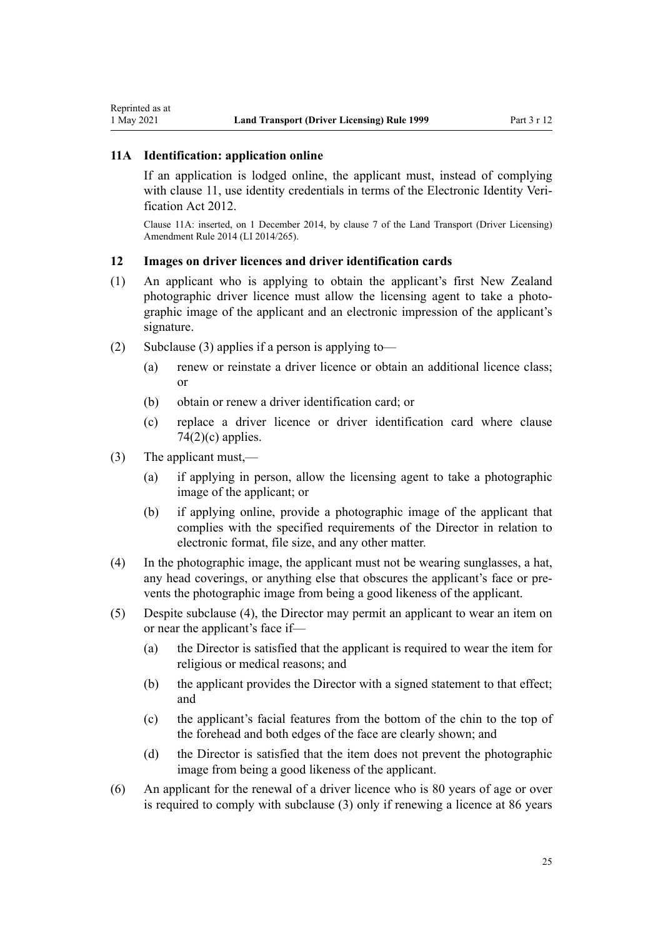# <span id="page-24-0"></span>**11A Identification: application online**

If an application is lodged online, the applicant must, instead of complying with [clause 11](#page-22-0), use identity credentials in terms of the Electronic Identity Veri[fication Act 2012.](http://legislation.govt.nz/pdflink.aspx?id=DLM1777800)

Clause 11A: inserted, on 1 December 2014, by [clause 7](http://legislation.govt.nz/pdflink.aspx?id=DLM6216912) of the Land Transport (Driver Licensing) Amendment Rule 2014 (LI 2014/265).

# **12 Images on driver licences and driver identification cards**

- (1) An applicant who is applying to obtain the applicant's first New Zealand photographic driver licence must allow the licensing agent to take a photographic image of the applicant and an electronic impression of the applicant's signature.
- (2) Subclause (3) applies if a person is applying to-
	- (a) renew or reinstate a driver licence or obtain an additional licence class; or
	- (b) obtain or renew a driver identification card; or
	- (c) replace a driver licence or driver identification card where [clause](#page-78-0)  $74(2)(c)$  applies.
- (3) The applicant must,—
	- (a) if applying in person, allow the licensing agent to take a photographic image of the applicant; or
	- (b) if applying online, provide a photographic image of the applicant that complies with the specified requirements of the Director in relation to electronic format, file size, and any other matter.
- (4) In the photographic image, the applicant must not be wearing sunglasses, a hat, any head coverings, or anything else that obscures the applicant's face or pre‐ vents the photographic image from being a good likeness of the applicant.
- (5) Despite subclause (4), the Director may permit an applicant to wear an item on or near the applicant's face if—
	- (a) the Director is satisfied that the applicant is required to wear the item for religious or medical reasons; and
	- (b) the applicant provides the Director with a signed statement to that effect; and
	- (c) the applicant's facial features from the bottom of the chin to the top of the forehead and both edges of the face are clearly shown; and
	- (d) the Director is satisfied that the item does not prevent the photographic image from being a good likeness of the applicant.
- (6) An applicant for the renewal of a driver licence who is 80 years of age or over is required to comply with subclause (3) only if renewing a licence at 86 years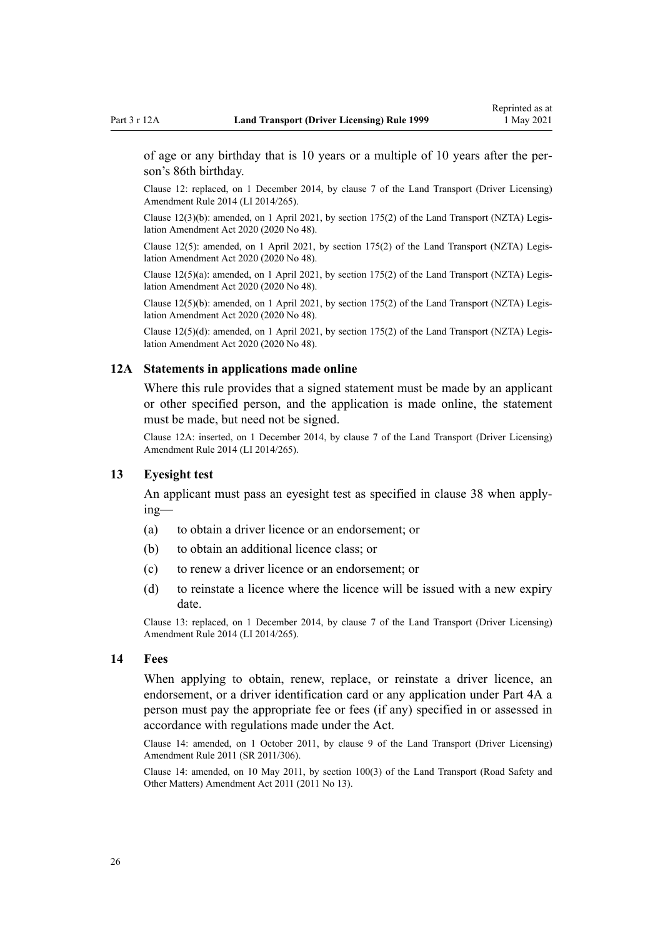<span id="page-25-0"></span>of age or any birthday that is 10 years or a multiple of 10 years after the per‐ son's 86th birthday.

Clause 12: replaced, on 1 December 2014, by [clause 7](http://legislation.govt.nz/pdflink.aspx?id=DLM6216912) of the Land Transport (Driver Licensing) Amendment Rule 2014 (LI 2014/265).

Clause 12(3)(b): amended, on 1 April 2021, by [section 175\(2\)](http://legislation.govt.nz/pdflink.aspx?id=LMS286883) of the Land Transport (NZTA) Legis‐ lation Amendment Act 2020 (2020 No 48).

Clause 12(5): amended, on 1 April 2021, by [section 175\(2\)](http://legislation.govt.nz/pdflink.aspx?id=LMS286883) of the Land Transport (NZTA) Legislation Amendment Act 2020 (2020 No 48).

Clause 12(5)(a): amended, on 1 April 2021, by [section 175\(2\)](http://legislation.govt.nz/pdflink.aspx?id=LMS286883) of the Land Transport (NZTA) Legis‐ lation Amendment Act 2020 (2020 No 48).

Clause 12(5)(b): amended, on 1 April 2021, by [section 175\(2\)](http://legislation.govt.nz/pdflink.aspx?id=LMS286883) of the Land Transport (NZTA) Legis‐ lation Amendment Act 2020 (2020 No 48).

Clause  $12(5)(d)$ : amended, on 1 April 2021, by [section 175\(2\)](http://legislation.govt.nz/pdflink.aspx?id=LMS286883) of the Land Transport (NZTA) Legislation Amendment Act 2020 (2020 No 48).

#### **12A Statements in applications made online**

Where this rule provides that a signed statement must be made by an applicant or other specified person, and the application is made online, the statement must be made, but need not be signed.

Clause 12A: inserted, on 1 December 2014, by [clause 7](http://legislation.govt.nz/pdflink.aspx?id=DLM6216912) of the Land Transport (Driver Licensing) Amendment Rule 2014 (LI 2014/265).

### **13 Eyesight test**

An applicant must pass an eyesight test as specified in [clause 38](#page-50-0) when apply‐ ing—

- (a) to obtain a driver licence or an endorsement; or
- (b) to obtain an additional licence class; or
- (c) to renew a driver licence or an endorsement; or
- (d) to reinstate a licence where the licence will be issued with a new expiry date.

Clause 13: replaced, on 1 December 2014, by [clause 7](http://legislation.govt.nz/pdflink.aspx?id=DLM6216912) of the Land Transport (Driver Licensing) Amendment Rule 2014 (LI 2014/265).

#### **14 Fees**

When applying to obtain, renew, replace, or reinstate a driver licence, an endorsement, or a driver identification card or any application under [Part 4A](#page-33-0) a person must pay the appropriate fee or fees (if any) specified in or assessed in accordance with regulations made under the Act.

Clause 14: amended, on 1 October 2011, by [clause 9](http://legislation.govt.nz/pdflink.aspx?id=DLM3956593) of the Land Transport (Driver Licensing) Amendment Rule 2011 (SR 2011/306).

Clause 14: amended, on 10 May 2011, by [section 100\(3\)](http://legislation.govt.nz/pdflink.aspx?id=DLM3231293) of the Land Transport (Road Safety and Other Matters) Amendment Act 2011 (2011 No 13).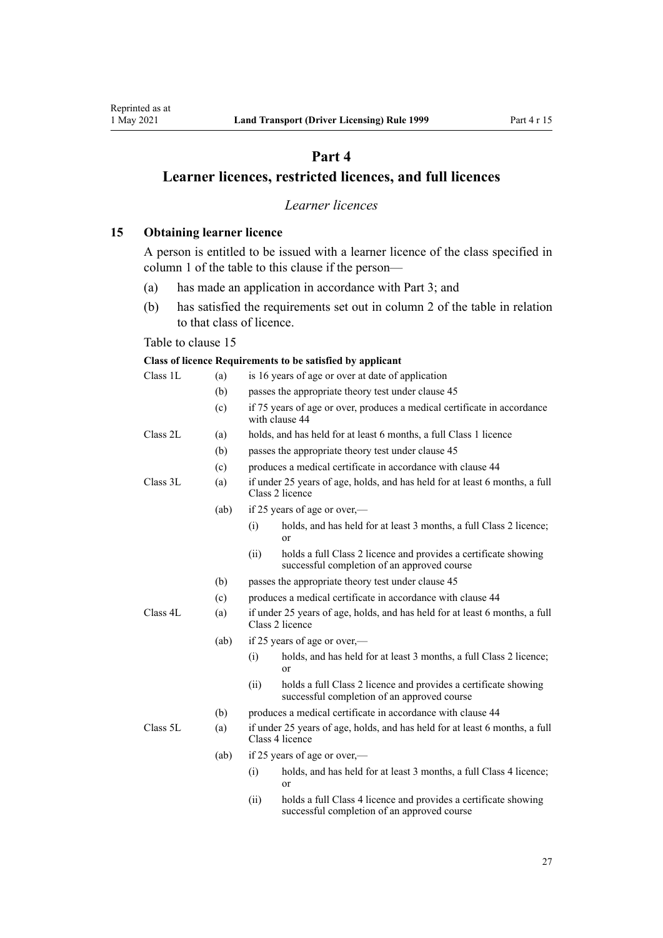# **Part 4**

# <span id="page-26-0"></span>**Learner licences, restricted licences, and full licences**

# *Learner licences*

**15 Obtaining learner licence**

A person is entitled to be issued with a learner licence of the class specified in column 1 of the table to this clause if the person—

- (a) has made an application in accordance with [Part 3;](#page-21-0) and
- (b) has satisfied the requirements set out in column 2 of the table in relation to that class of licence.

# Table to clause 15

#### **Class of licence Requirements to be satisfied by applicant**

| Class 1L | (a)  | is 16 years of age or over at date of application  |                                                                                                                |  |  |
|----------|------|----------------------------------------------------|----------------------------------------------------------------------------------------------------------------|--|--|
|          | (b)  | passes the appropriate theory test under clause 45 |                                                                                                                |  |  |
|          | (c)  |                                                    | if 75 years of age or over, produces a medical certificate in accordance<br>with clause 44                     |  |  |
| Class 2L | (a)  |                                                    | holds, and has held for at least 6 months, a full Class 1 licence                                              |  |  |
|          | (b)  |                                                    | passes the appropriate theory test under clause 45                                                             |  |  |
|          | (c)  |                                                    | produces a medical certificate in accordance with clause 44                                                    |  |  |
| Class 3L | (a)  |                                                    | if under 25 years of age, holds, and has held for at least 6 months, a full<br>Class 2 licence                 |  |  |
|          | (ab) |                                                    | if 25 years of age or over,—                                                                                   |  |  |
|          |      | (i)                                                | holds, and has held for at least 3 months, a full Class 2 licence;<br><sub>or</sub>                            |  |  |
|          |      | (ii)                                               | holds a full Class 2 licence and provides a certificate showing<br>successful completion of an approved course |  |  |
|          | (b)  |                                                    | passes the appropriate theory test under clause 45                                                             |  |  |
|          | (c)  |                                                    | produces a medical certificate in accordance with clause 44                                                    |  |  |
| Class 4L | (a)  |                                                    | if under 25 years of age, holds, and has held for at least 6 months, a full<br>Class 2 licence                 |  |  |
|          | (ab) |                                                    | if 25 years of age or over,—                                                                                   |  |  |
|          |      | (i)                                                | holds, and has held for at least 3 months, a full Class 2 licence;<br>or                                       |  |  |
|          |      | (ii)                                               | holds a full Class 2 licence and provides a certificate showing<br>successful completion of an approved course |  |  |
|          | (b)  |                                                    | produces a medical certificate in accordance with clause 44                                                    |  |  |
| Class 5L | (a)  |                                                    | if under 25 years of age, holds, and has held for at least 6 months, a full<br>Class 4 licence                 |  |  |
|          | (ab) |                                                    | if 25 years of age or over,—                                                                                   |  |  |
|          |      | (i)                                                | holds, and has held for at least 3 months, a full Class 4 licence;<br>or                                       |  |  |
|          |      |                                                    |                                                                                                                |  |  |

(ii) holds a full Class 4 licence and provides a certificate showing successful completion of an approved course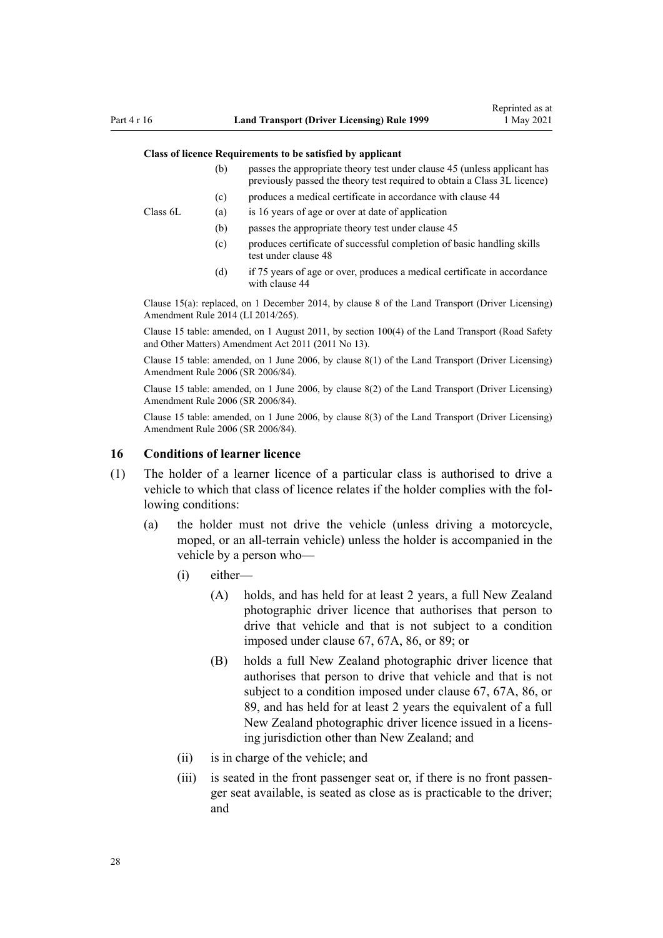#### <span id="page-27-0"></span>**Class of licence Requirements to be satisfied by applicant**

- (b) passes the appropriate theory test under [clause 45](#page-56-0) (unless applicant has previously passed the theory test required to obtain a Class 3L licence)
- (c) produces a medical certificate in accordance with [clause 44](#page-54-0)

Class 6L (a) is 16 years of age or over at date of application

- (b) passes the appropriate theory test under [clause 45](#page-56-0)
- (c) produces certificate of successful completion of basic handling skills test under [clause 48](#page-57-0)
- (d) if 75 years of age or over, produces a medical certificate in accordance with [clause 44](#page-54-0)

Clause 15(a): replaced, on 1 December 2014, by [clause 8](http://legislation.govt.nz/pdflink.aspx?id=DLM6216921) of the Land Transport (Driver Licensing) Amendment Rule 2014 (LI 2014/265).

Clause 15 table: amended, on 1 August 2011, by [section 100\(4\)](http://legislation.govt.nz/pdflink.aspx?id=DLM3231293) of the Land Transport (Road Safety and Other Matters) Amendment Act 2011 (2011 No 13).

Clause 15 table: amended, on 1 June 2006, by [clause 8\(1\)](http://legislation.govt.nz/pdflink.aspx?id=DLM375693) of the Land Transport (Driver Licensing) Amendment Rule 2006 (SR 2006/84).

Clause 15 table: amended, on 1 June 2006, by [clause 8\(2\)](http://legislation.govt.nz/pdflink.aspx?id=DLM375693) of the Land Transport (Driver Licensing) Amendment Rule 2006 (SR 2006/84).

Clause 15 table: amended, on 1 June 2006, by [clause 8\(3\)](http://legislation.govt.nz/pdflink.aspx?id=DLM375693) of the Land Transport (Driver Licensing) Amendment Rule 2006 (SR 2006/84).

#### **16 Conditions of learner licence**

- (1) The holder of a learner licence of a particular class is authorised to drive a vehicle to which that class of licence relates if the holder complies with the following conditions:
	- (a) the holder must not drive the vehicle (unless driving a motorcycle, moped, or an all-terrain vehicle) unless the holder is accompanied in the vehicle by a person who—
		- (i) either—
			- (A) holds, and has held for at least 2 years, a full New Zealand photographic driver licence that authorises that person to drive that vehicle and that is not subject to a condition imposed under [clause 67](#page-70-0), [67A,](#page-72-0) [86](#page-88-0), or [89;](#page-93-0) or
			- (B) holds a full New Zealand photographic driver licence that authorises that person to drive that vehicle and that is not subject to a condition imposed under [clause 67,](#page-70-0) [67A,](#page-72-0) [86](#page-88-0), or [89,](#page-93-0) and has held for at least 2 years the equivalent of a full New Zealand photographic driver licence issued in a licens‐ ing jurisdiction other than New Zealand; and
		- (ii) is in charge of the vehicle; and
		- (iii) is seated in the front passenger seat or, if there is no front passenger seat available, is seated as close as is practicable to the driver; and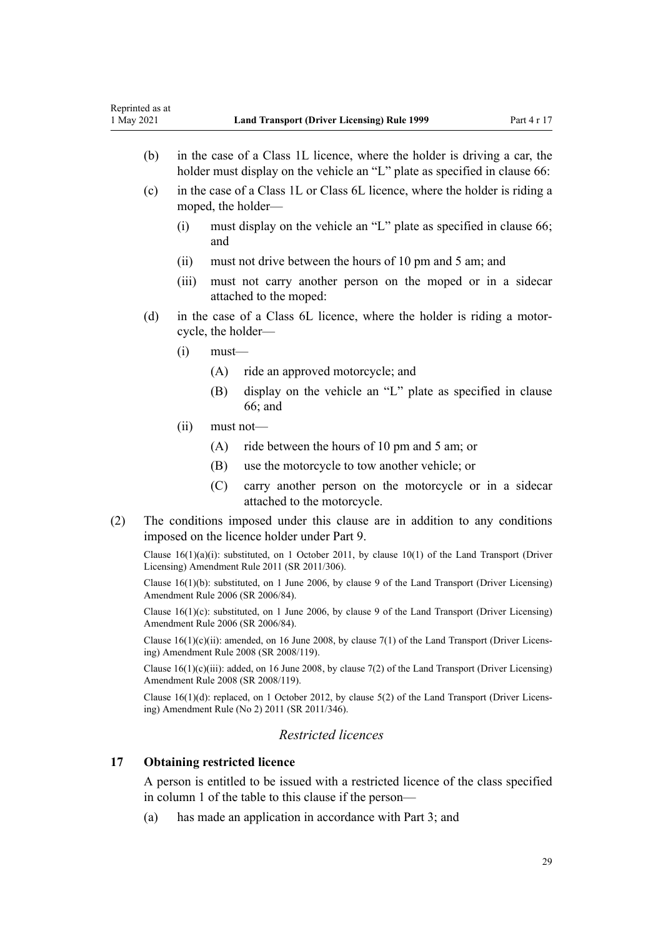- <span id="page-28-0"></span>(b) in the case of a Class 1L licence, where the holder is driving a car, the holder must display on the vehicle an "L" plate as specified in [clause 66](#page-69-0):
- (c) in the case of a Class 1L or Class 6L licence, where the holder is riding a moped, the holder—
	- (i) must display on the vehicle an "L" plate as specified in [clause 66;](#page-69-0) and
	- (ii) must not drive between the hours of 10 pm and 5 am; and
	- (iii) must not carry another person on the moped or in a sidecar attached to the moped:
- (d) in the case of a Class 6L licence, where the holder is riding a motor‐ cycle, the holder—
	- $(i)$  must—
		- (A) ride an approved motorcycle; and
		- (B) display on the vehicle an "L" plate as specified in [clause](#page-69-0) [66;](#page-69-0) and
	- (ii) must not—
		- (A) ride between the hours of 10 pm and 5 am; or
		- (B) use the motorcycle to tow another vehicle; or
		- (C) carry another person on the motorcycle or in a sidecar attached to the motorcycle.
- (2) The conditions imposed under this clause are in addition to any conditions imposed on the licence holder under [Part 9](#page-60-0).

Clause 16(1)(a)(i): substituted, on 1 October 2011, by [clause 10\(1\)](http://legislation.govt.nz/pdflink.aspx?id=DLM3956503) of the Land Transport (Driver Licensing) Amendment Rule 2011 (SR 2011/306).

Clause 16(1)(b): substituted, on 1 June 2006, by [clause 9](http://legislation.govt.nz/pdflink.aspx?id=DLM375694) of the Land Transport (Driver Licensing) Amendment Rule 2006 (SR 2006/84).

Clause  $16(1)(c)$ : substituted, on 1 June 2006, by [clause 9](http://legislation.govt.nz/pdflink.aspx?id=DLM375694) of the Land Transport (Driver Licensing) Amendment Rule 2006 (SR 2006/84).

Clause  $16(1)(c)(ii)$ : amended, on 16 June 2008, by [clause 7\(1\)](http://legislation.govt.nz/pdflink.aspx?id=DLM1317910) of the Land Transport (Driver Licensing) Amendment Rule 2008 (SR 2008/119).

Clause  $16(1)(c)(iii)$ : added, on 16 June 2008, by [clause 7\(2\)](http://legislation.govt.nz/pdflink.aspx?id=DLM1317910) of the Land Transport (Driver Licensing) Amendment Rule 2008 (SR 2008/119).

Clause 16(1)(d): replaced, on 1 October 2012, by [clause 5\(2\)](http://legislation.govt.nz/pdflink.aspx?id=DLM4064302) of the Land Transport (Driver Licens‐ ing) Amendment Rule (No 2) 2011 (SR 2011/346).

# *Restricted licences*

## **17 Obtaining restricted licence**

A person is entitled to be issued with a restricted licence of the class specified in column 1 of the table to this clause if the person—

(a) has made an application in accordance with [Part 3;](#page-21-0) and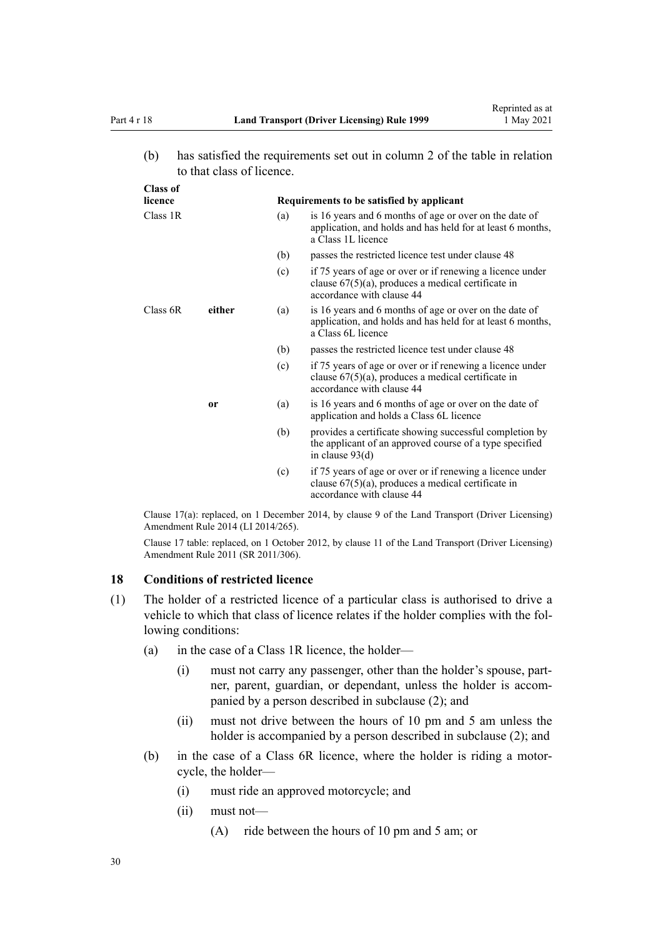**Class of**

<span id="page-29-0"></span>(b) has satisfied the requirements set out in column 2 of the table in relation to that class of licence.

| UTASS OF<br>licence |        | Requirements to be satisfied by applicant |                                                                                                                                                 |  |
|---------------------|--------|-------------------------------------------|-------------------------------------------------------------------------------------------------------------------------------------------------|--|
| Class 1R            |        | (a)                                       | is 16 years and 6 months of age or over on the date of<br>application, and holds and has held for at least 6 months,<br>a Class 1L licence      |  |
|                     |        | (b)                                       | passes the restricted licence test under clause 48                                                                                              |  |
|                     |        | (c)                                       | if 75 years of age or over or if renewing a licence under<br>clause $67(5)(a)$ , produces a medical certificate in<br>accordance with clause 44 |  |
| Class 6R            | either | (a)                                       | is 16 years and 6 months of age or over on the date of<br>application, and holds and has held for at least 6 months,<br>a Class 6L licence      |  |
|                     |        | (b)                                       | passes the restricted licence test under clause 48                                                                                              |  |
|                     |        | (c)                                       | if 75 years of age or over or if renewing a licence under<br>clause $67(5)(a)$ , produces a medical certificate in<br>accordance with clause 44 |  |
|                     | or     | (a)                                       | is 16 years and 6 months of age or over on the date of<br>application and holds a Class 6L licence                                              |  |
|                     |        | (b)                                       | provides a certificate showing successful completion by<br>the applicant of an approved course of a type specified<br>in clause $93(d)$         |  |
|                     |        | (c)                                       | if 75 years of age or over or if renewing a licence under<br>clause $67(5)(a)$ , produces a medical certificate in<br>accordance with clause 44 |  |

Clause 17(a): replaced, on 1 December 2014, by [clause 9](http://legislation.govt.nz/pdflink.aspx?id=DLM6216922) of the Land Transport (Driver Licensing) Amendment Rule 2014 (LI 2014/265).

Clause 17 table: replaced, on 1 October 2012, by [clause 11](http://legislation.govt.nz/pdflink.aspx?id=DLM3956505) of the Land Transport (Driver Licensing) Amendment Rule 2011 (SR 2011/306).

# **18 Conditions of restricted licence**

- (1) The holder of a restricted licence of a particular class is authorised to drive a vehicle to which that class of licence relates if the holder complies with the following conditions:
	- (a) in the case of a Class 1R licence, the holder—
		- (i) must not carry any passenger, other than the holder's spouse, part‐ ner, parent, guardian, or dependant, unless the holder is accompanied by a person described in subclause (2); and
		- (ii) must not drive between the hours of 10 pm and 5 am unless the holder is accompanied by a person described in subclause (2); and
	- (b) in the case of a Class 6R licence, where the holder is riding a motor‐ cycle, the holder—
		- (i) must ride an approved motorcycle; and
		- (ii) must not—
			- (A) ride between the hours of 10 pm and 5 am; or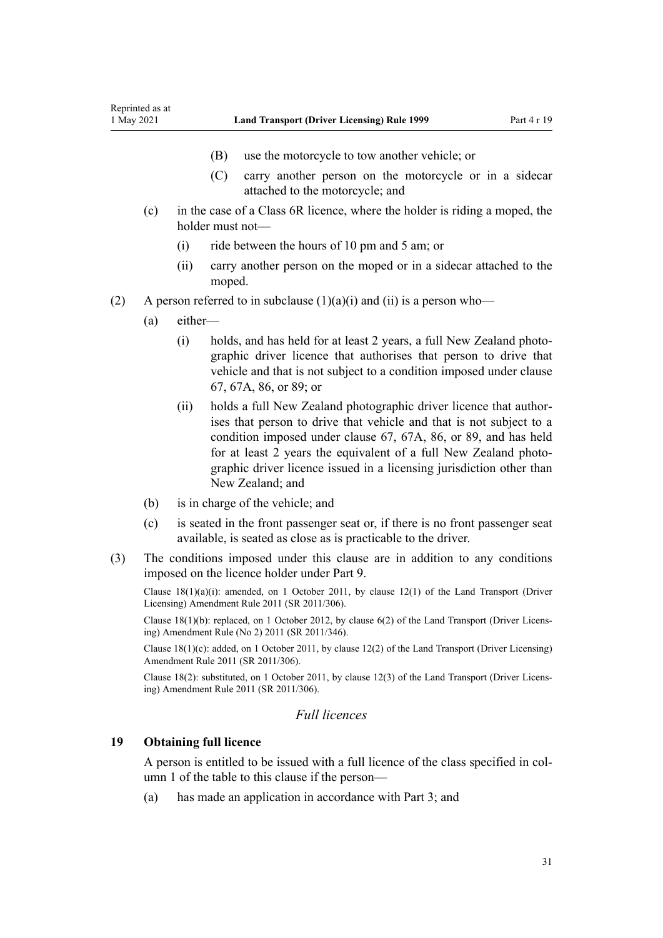- (B) use the motorcycle to tow another vehicle; or
- (C) carry another person on the motorcycle or in a sidecar attached to the motorcycle; and
- <span id="page-30-0"></span>(c) in the case of a Class 6R licence, where the holder is riding a moped, the holder must not—
	- (i) ride between the hours of 10 pm and 5 am; or
	- (ii) carry another person on the moped or in a sidecar attached to the moped.
- (2) A person referred to in subclause  $(1)(a)(i)$  and  $(ii)$  is a person who—
	- (a) either—
		- (i) holds, and has held for at least 2 years, a full New Zealand photo‐ graphic driver licence that authorises that person to drive that vehicle and that is not subject to a condition imposed under [clause](#page-70-0) [67,](#page-70-0) [67A](#page-72-0), [86,](#page-88-0) or [89](#page-93-0); or
		- (ii) holds a full New Zealand photographic driver licence that author‐ ises that person to drive that vehicle and that is not subject to a condition imposed under [clause 67](#page-70-0), [67A,](#page-72-0) [86](#page-88-0), or [89,](#page-93-0) and has held for at least 2 years the equivalent of a full New Zealand photographic driver licence issued in a licensing jurisdiction other than New Zealand; and
	- (b) is in charge of the vehicle; and
	- (c) is seated in the front passenger seat or, if there is no front passenger seat available, is seated as close as is practicable to the driver.
- (3) The conditions imposed under this clause are in addition to any conditions imposed on the licence holder under [Part 9](#page-60-0).

Clause  $18(1)(a)(i)$ : amended, on 1 October 2011, by [clause 12\(1\)](http://legislation.govt.nz/pdflink.aspx?id=DLM3956507) of the Land Transport (Driver Licensing) Amendment Rule 2011 (SR 2011/306).

Clause 18(1)(b): replaced, on 1 October 2012, by [clause 6\(2\)](http://legislation.govt.nz/pdflink.aspx?id=DLM4064304) of the Land Transport (Driver Licens‐ ing) Amendment Rule (No 2) 2011 (SR 2011/346).

Clause 18(1)(c): added, on 1 October 2011, by [clause 12\(2\)](http://legislation.govt.nz/pdflink.aspx?id=DLM3956507) of the Land Transport (Driver Licensing) Amendment Rule 2011 (SR 2011/306).

Clause 18(2): substituted, on 1 October 2011, by [clause 12\(3\)](http://legislation.govt.nz/pdflink.aspx?id=DLM3956507) of the Land Transport (Driver Licens‐ ing) Amendment Rule 2011 (SR 2011/306).

# *Full licences*

## **19 Obtaining full licence**

A person is entitled to be issued with a full licence of the class specified in col‐ umn 1 of the table to this clause if the person—

(a) has made an application in accordance with [Part 3;](#page-21-0) and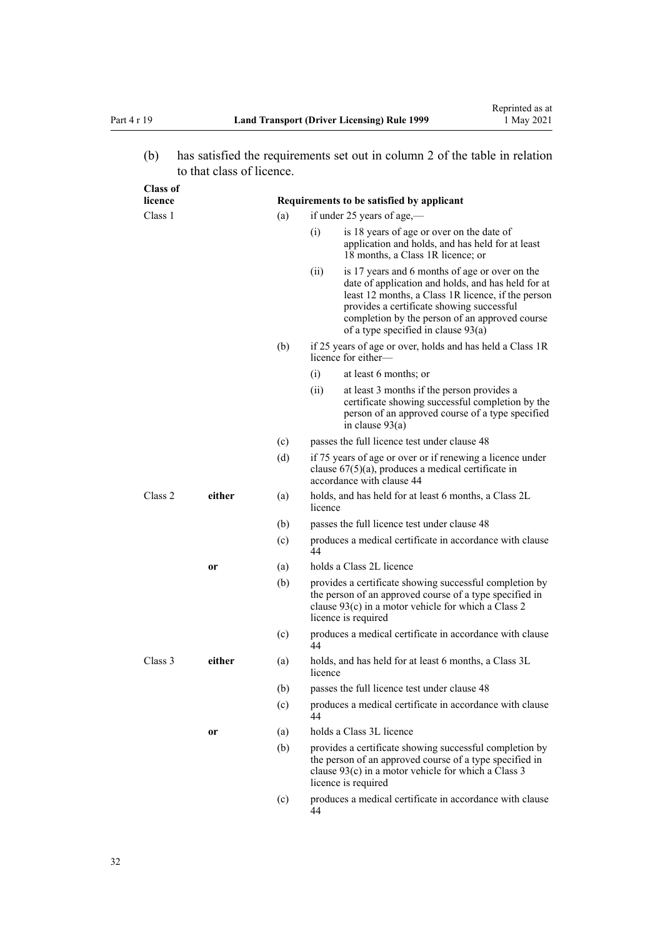(b) has satisfied the requirements set out in column 2 of the table in relation to that class of licence.

| <b>Class of</b><br>licence |               |     |                                   | Requirements to be satisfied by applicant                                                                                                                                                                                                                                                          |  |
|----------------------------|---------------|-----|-----------------------------------|----------------------------------------------------------------------------------------------------------------------------------------------------------------------------------------------------------------------------------------------------------------------------------------------------|--|
| Class 1                    |               |     | (a)<br>if under 25 years of age,— |                                                                                                                                                                                                                                                                                                    |  |
|                            |               |     | (i)                               | is 18 years of age or over on the date of<br>application and holds, and has held for at least<br>18 months, a Class 1R licence; or                                                                                                                                                                 |  |
|                            |               |     | (ii)                              | is 17 years and 6 months of age or over on the<br>date of application and holds, and has held for at<br>least 12 months, a Class 1R licence, if the person<br>provides a certificate showing successful<br>completion by the person of an approved course<br>of a type specified in clause $93(a)$ |  |
|                            |               | (b) |                                   | if 25 years of age or over, holds and has held a Class 1R<br>licence for either—                                                                                                                                                                                                                   |  |
|                            |               |     | (i)                               | at least 6 months; or                                                                                                                                                                                                                                                                              |  |
|                            |               |     | (ii)                              | at least 3 months if the person provides a<br>certificate showing successful completion by the<br>person of an approved course of a type specified<br>in clause $93(a)$                                                                                                                            |  |
|                            |               | (c) |                                   | passes the full licence test under clause 48                                                                                                                                                                                                                                                       |  |
|                            |               | (d) |                                   | if 75 years of age or over or if renewing a licence under<br>clause $67(5)(a)$ , produces a medical certificate in<br>accordance with clause 44                                                                                                                                                    |  |
| Class 2                    | either<br>(a) |     | licence                           | holds, and has held for at least 6 months, a Class 2L                                                                                                                                                                                                                                              |  |
|                            |               | (b) |                                   | passes the full licence test under clause 48                                                                                                                                                                                                                                                       |  |
|                            |               | (c) | 44                                | produces a medical certificate in accordance with clause                                                                                                                                                                                                                                           |  |
|                            | or            | (a) |                                   | holds a Class 2L licence                                                                                                                                                                                                                                                                           |  |
|                            |               | (b) |                                   | provides a certificate showing successful completion by<br>the person of an approved course of a type specified in<br>clause $93(c)$ in a motor vehicle for which a Class 2<br>licence is required                                                                                                 |  |
|                            |               | (c) | 44                                | produces a medical certificate in accordance with clause                                                                                                                                                                                                                                           |  |
| Class 3                    | either        | (a) | licence                           | holds, and has held for at least 6 months, a Class 3L                                                                                                                                                                                                                                              |  |
|                            |               | (b) |                                   | passes the full licence test under clause 48                                                                                                                                                                                                                                                       |  |
|                            |               | (c) | 44                                | produces a medical certificate in accordance with clause                                                                                                                                                                                                                                           |  |
|                            | 0r            | (a) |                                   | holds a Class 3L licence                                                                                                                                                                                                                                                                           |  |
|                            |               | (b) |                                   | provides a certificate showing successful completion by<br>the person of an approved course of a type specified in<br>clause $93(c)$ in a motor vehicle for which a Class 3<br>licence is required                                                                                                 |  |
|                            |               | (c) | 44                                | produces a medical certificate in accordance with clause                                                                                                                                                                                                                                           |  |
|                            |               |     |                                   |                                                                                                                                                                                                                                                                                                    |  |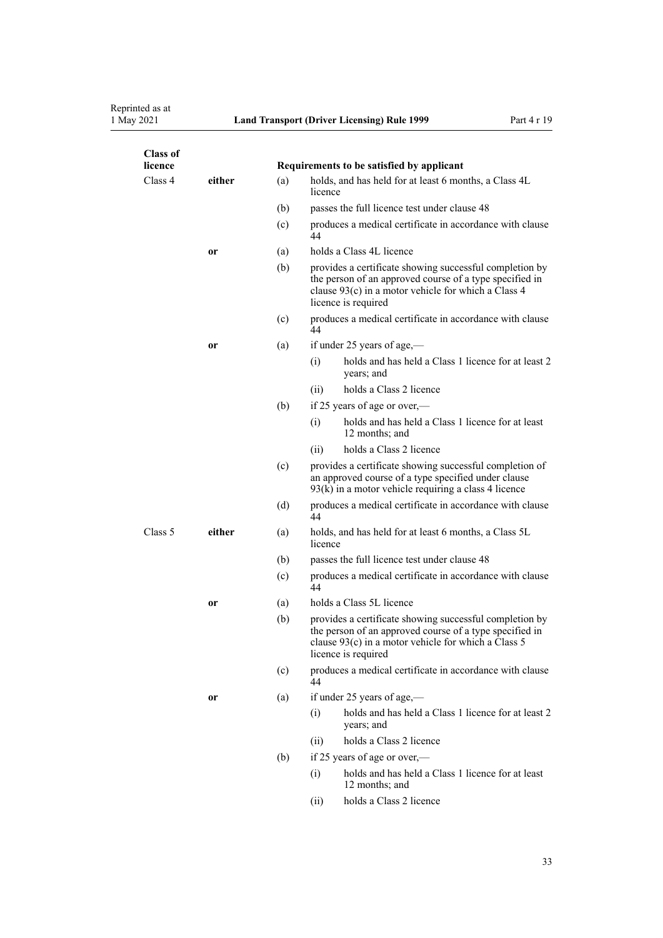| <b>Class of</b><br>licence |           |     | Requirements to be satisfied by applicant                                                                                                                                                          |
|----------------------------|-----------|-----|----------------------------------------------------------------------------------------------------------------------------------------------------------------------------------------------------|
| Class 4                    | either    | (a) | holds, and has held for at least 6 months, a Class 4L<br>licence                                                                                                                                   |
|                            |           | (b) | passes the full licence test under clause 48                                                                                                                                                       |
|                            |           | (c) | produces a medical certificate in accordance with clause<br>44                                                                                                                                     |
|                            | or        | (a) | holds a Class 4L licence                                                                                                                                                                           |
|                            |           | (b) | provides a certificate showing successful completion by<br>the person of an approved course of a type specified in<br>clause 93(c) in a motor vehicle for which a Class 4<br>licence is required   |
|                            |           | (c) | produces a medical certificate in accordance with clause<br>44                                                                                                                                     |
|                            | 0r        | (a) | if under 25 years of age,—                                                                                                                                                                         |
|                            |           |     | holds and has held a Class 1 licence for at least 2<br>(i)<br>years; and                                                                                                                           |
|                            |           |     | (ii)<br>holds a Class 2 licence                                                                                                                                                                    |
|                            |           | (b) | if 25 years of age or over,—                                                                                                                                                                       |
|                            |           |     | holds and has held a Class 1 licence for at least<br>(i)<br>12 months; and                                                                                                                         |
|                            |           |     | holds a Class 2 licence<br>(ii)                                                                                                                                                                    |
|                            |           | (c) | provides a certificate showing successful completion of<br>an approved course of a type specified under clause<br>$93(k)$ in a motor vehicle requiring a class 4 licence                           |
|                            |           | (d) | produces a medical certificate in accordance with clause<br>44                                                                                                                                     |
| Class 5                    | either    | (a) | holds, and has held for at least 6 months, a Class 5L<br>licence                                                                                                                                   |
|                            |           | (b) | passes the full licence test under clause 48                                                                                                                                                       |
|                            |           | (c) | produces a medical certificate in accordance with clause<br>44                                                                                                                                     |
|                            | 0r        | (a) | holds a Class 5L licence                                                                                                                                                                           |
|                            |           | (b) | provides a certificate showing successful completion by<br>the person of an approved course of a type specified in<br>clause $93(c)$ in a motor vehicle for which a Class 5<br>licence is required |
|                            |           | (c) | produces a medical certificate in accordance with clause<br>44                                                                                                                                     |
|                            | <b>or</b> | (a) | if under 25 years of age,—                                                                                                                                                                         |
|                            |           |     | holds and has held a Class 1 licence for at least 2<br>(i)<br>years; and                                                                                                                           |
|                            |           |     | holds a Class 2 licence<br>(ii)                                                                                                                                                                    |
|                            |           | (b) | if 25 years of age or over,—                                                                                                                                                                       |
|                            |           |     | holds and has held a Class 1 licence for at least<br>(i)<br>12 months; and                                                                                                                         |
|                            |           |     | holds a Class 2 licence<br>(ii)                                                                                                                                                                    |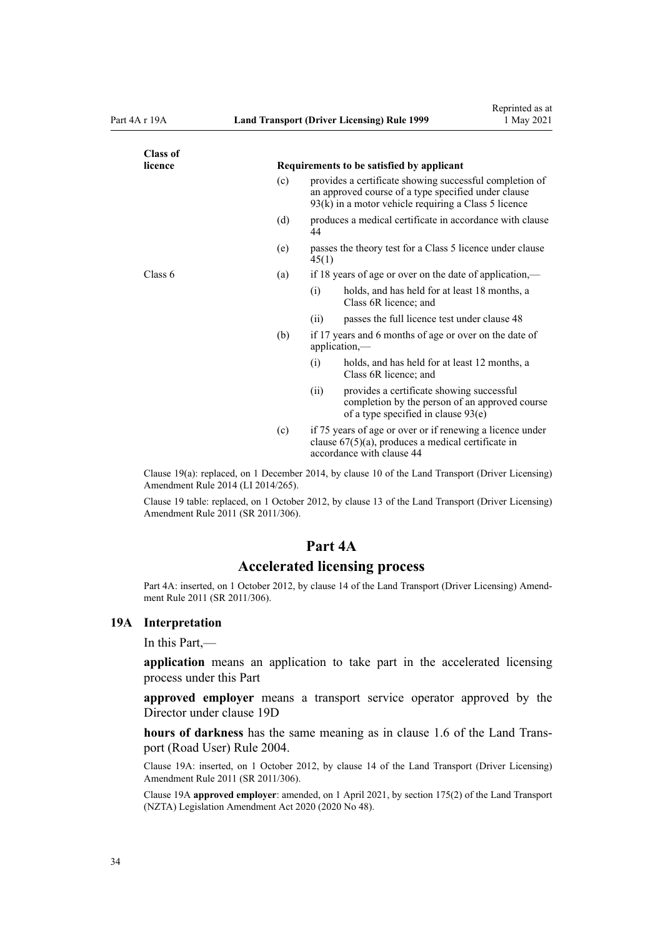<span id="page-33-0"></span>

| <b>Class of</b> |     |                                                                                                                                                                          |
|-----------------|-----|--------------------------------------------------------------------------------------------------------------------------------------------------------------------------|
| licence         |     | Requirements to be satisfied by applicant                                                                                                                                |
|                 | (c) | provides a certificate showing successful completion of<br>an approved course of a type specified under clause<br>$93(k)$ in a motor vehicle requiring a Class 5 licence |
|                 | (d) | produces a medical certificate in accordance with clause<br>44                                                                                                           |
|                 | (e) | passes the theory test for a Class 5 licence under clause<br>45(1)                                                                                                       |
| Class 6         | (a) | if 18 years of age or over on the date of application,—                                                                                                                  |
|                 |     | (i)<br>holds, and has held for at least 18 months, a<br>Class 6R licence; and                                                                                            |
|                 |     | passes the full licence test under clause 48<br>(i)                                                                                                                      |
|                 | (b) | if 17 years and 6 months of age or over on the date of<br>application,—                                                                                                  |
|                 |     | holds, and has held for at least 12 months, a<br>(i)<br>Class 6R licence; and                                                                                            |
|                 |     | provides a certificate showing successful<br>(ii)<br>completion by the person of an approved course<br>of a type specified in clause $93(e)$                             |
|                 | (c) | if 75 years of age or over or if renewing a licence under<br>clause $67(5)(a)$ , produces a medical certificate in<br>accordance with clause 44                          |

Clause 19(a): replaced, on 1 December 2014, by [clause 10](http://legislation.govt.nz/pdflink.aspx?id=DLM6216923) of the Land Transport (Driver Licensing) Amendment Rule 2014 (LI 2014/265).

Clause 19 table: replaced, on 1 October 2012, by [clause 13](http://legislation.govt.nz/pdflink.aspx?id=DLM3956509) of the Land Transport (Driver Licensing) Amendment Rule 2011 (SR 2011/306).

## **Part 4A**

## **Accelerated licensing process**

Part 4A: inserted, on 1 October 2012, by [clause 14](http://legislation.govt.nz/pdflink.aspx?id=DLM3956511) of the Land Transport (Driver Licensing) Amendment Rule 2011 (SR 2011/306).

#### **19A Interpretation**

In this Part,—

**application** means an application to take part in the accelerated licensing process under this Part

**approved employer** means a transport service operator approved by the Director under [clause 19D](#page-35-0)

**hours of darkness** has the same meaning as in [clause 1.6](http://legislation.govt.nz/pdflink.aspx?id=DLM302197) of the Land Trans‐ port (Road User) Rule 2004.

Clause 19A: inserted, on 1 October 2012, by [clause 14](http://legislation.govt.nz/pdflink.aspx?id=DLM3956511) of the Land Transport (Driver Licensing) Amendment Rule 2011 (SR 2011/306).

Clause 19A **approved employer**: amended, on 1 April 2021, by [section 175\(2\)](http://legislation.govt.nz/pdflink.aspx?id=LMS286883) of the Land Transport (NZTA) Legislation Amendment Act 2020 (2020 No 48).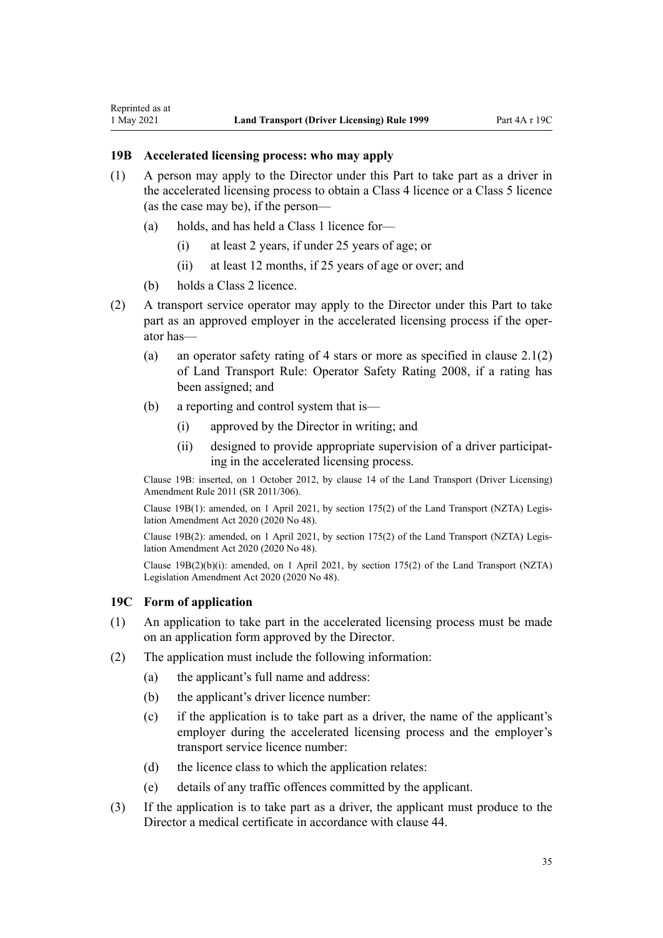<span id="page-34-0"></span>Reprinted as at

- (1) A person may apply to the Director under this Part to take part as a driver in the accelerated licensing process to obtain a Class 4 licence or a Class 5 licence (as the case may be), if the person—
	- (a) holds, and has held a Class 1 licence for—
		- (i) at least 2 years, if under 25 years of age; or
		- (ii) at least 12 months, if 25 years of age or over; and
	- (b) holds a Class 2 licence.
- (2) A transport service operator may apply to the Director under this Part to take part as an approved employer in the accelerated licensing process if the operator has—
	- (a) an operator safety rating of 4 stars or more as specified in clause 2.1(2) of Land Transport Rule: Operator Safety Rating 2008, if a rating has been assigned; and
	- (b) a reporting and control system that is—
		- (i) approved by the Director in writing; and
		- (ii) designed to provide appropriate supervision of a driver participat‐ ing in the accelerated licensing process.

Clause 19B: inserted, on 1 October 2012, by [clause 14](http://legislation.govt.nz/pdflink.aspx?id=DLM3956511) of the Land Transport (Driver Licensing) Amendment Rule 2011 (SR 2011/306).

Clause 19B(1): amended, on 1 April 2021, by [section 175\(2\)](http://legislation.govt.nz/pdflink.aspx?id=LMS286883) of the Land Transport (NZTA) Legis‐ lation Amendment Act 2020 (2020 No 48).

Clause 19B(2): amended, on 1 April 2021, by [section 175\(2\)](http://legislation.govt.nz/pdflink.aspx?id=LMS286883) of the Land Transport (NZTA) Legis‐ lation Amendment Act 2020 (2020 No 48).

Clause 19B(2)(b)(i): amended, on 1 April 2021, by [section 175\(2\)](http://legislation.govt.nz/pdflink.aspx?id=LMS286883) of the Land Transport (NZTA) Legislation Amendment Act 2020 (2020 No 48).

# **19C Form of application**

- (1) An application to take part in the accelerated licensing process must be made on an application form approved by the Director.
- (2) The application must include the following information:
	- (a) the applicant's full name and address:
	- (b) the applicant's driver licence number:
	- (c) if the application is to take part as a driver, the name of the applicant's employer during the accelerated licensing process and the employer's transport service licence number:
	- (d) the licence class to which the application relates:
	- (e) details of any traffic offences committed by the applicant.
- (3) If the application is to take part as a driver, the applicant must produce to the Director a medical certificate in accordance with [clause 44](#page-54-0).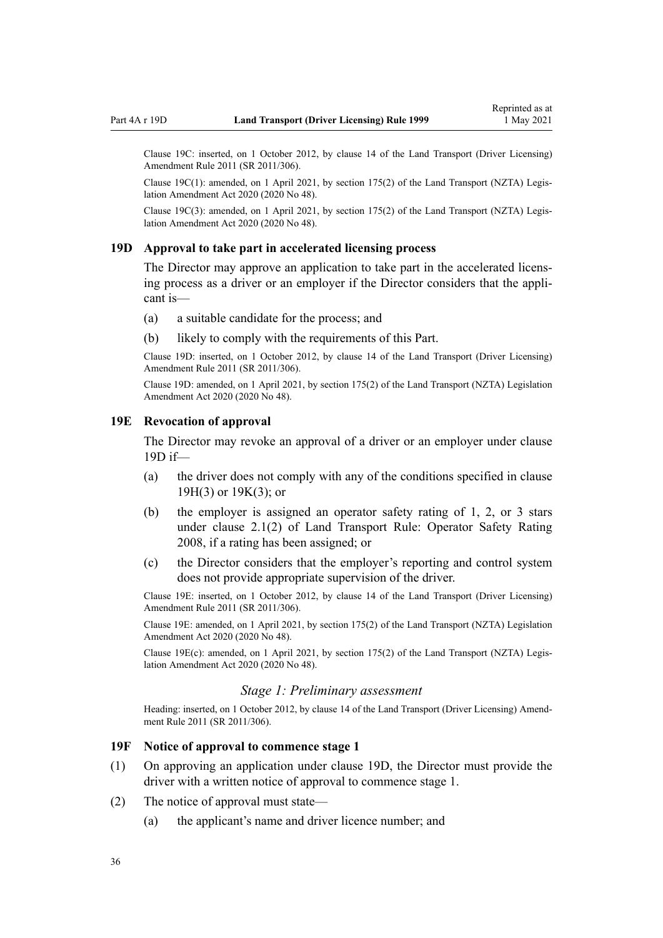<span id="page-35-0"></span>Clause 19C: inserted, on 1 October 2012, by [clause 14](http://legislation.govt.nz/pdflink.aspx?id=DLM3956511) of the Land Transport (Driver Licensing) Amendment Rule 2011 (SR 2011/306).

Clause 19C(1): amended, on 1 April 2021, by [section 175\(2\)](http://legislation.govt.nz/pdflink.aspx?id=LMS286883) of the Land Transport (NZTA) Legis‐ lation Amendment Act 2020 (2020 No 48).

Clause 19C(3): amended, on 1 April 2021, by [section 175\(2\)](http://legislation.govt.nz/pdflink.aspx?id=LMS286883) of the Land Transport (NZTA) Legis‐ lation Amendment Act 2020 (2020 No 48).

#### **19D Approval to take part in accelerated licensing process**

The Director may approve an application to take part in the accelerated licensing process as a driver or an employer if the Director considers that the appli‐ cant is—

- (a) a suitable candidate for the process; and
- (b) likely to comply with the requirements of this Part.

Clause 19D: inserted, on 1 October 2012, by [clause 14](http://legislation.govt.nz/pdflink.aspx?id=DLM3956511) of the Land Transport (Driver Licensing) Amendment Rule 2011 (SR 2011/306).

Clause 19D: amended, on 1 April 2021, by [section 175\(2\)](http://legislation.govt.nz/pdflink.aspx?id=LMS286883) of the Land Transport (NZTA) Legislation Amendment Act 2020 (2020 No 48).

#### **19E Revocation of approval**

The Director may revoke an approval of a driver or an employer under clause 19D if—

- (a) the driver does not comply with any of the conditions specified in [clause](#page-36-0) [19H\(3\)](#page-36-0) or [19K\(3\);](#page-38-0) or
- (b) the employer is assigned an operator safety rating of 1, 2, or 3 stars under clause 2.1(2) of Land Transport Rule: Operator Safety Rating 2008, if a rating has been assigned; or
- (c) the Director considers that the employer's reporting and control system does not provide appropriate supervision of the driver.

Clause 19E: inserted, on 1 October 2012, by [clause 14](http://legislation.govt.nz/pdflink.aspx?id=DLM3956511) of the Land Transport (Driver Licensing) Amendment Rule 2011 (SR 2011/306).

Clause 19E: amended, on 1 April 2021, by [section 175\(2\)](http://legislation.govt.nz/pdflink.aspx?id=LMS286883) of the Land Transport (NZTA) Legislation Amendment Act 2020 (2020 No 48).

Clause 19E(c): amended, on 1 April 2021, by [section 175\(2\)](http://legislation.govt.nz/pdflink.aspx?id=LMS286883) of the Land Transport (NZTA) Legis‐ lation Amendment Act 2020 (2020 No 48).

#### *Stage 1: Preliminary assessment*

Heading: inserted, on 1 October 2012, by [clause 14](http://legislation.govt.nz/pdflink.aspx?id=DLM3956511) of the Land Transport (Driver Licensing) Amendment Rule 2011 (SR 2011/306).

#### **19F Notice of approval to commence stage 1**

- (1) On approving an application under clause 19D, the Director must provide the driver with a written notice of approval to commence stage 1.
- (2) The notice of approval must state—
	- (a) the applicant's name and driver licence number; and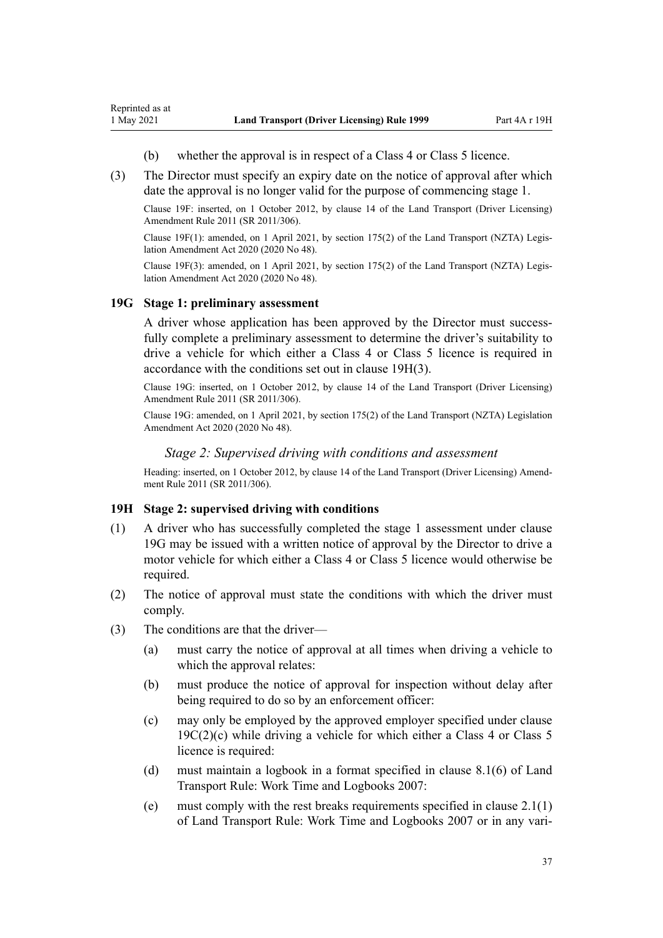- (b) whether the approval is in respect of a Class 4 or Class 5 licence.
- (3) The Director must specify an expiry date on the notice of approval after which date the approval is no longer valid for the purpose of commencing stage 1.

Clause 19F: inserted, on 1 October 2012, by [clause 14](http://legislation.govt.nz/pdflink.aspx?id=DLM3956511) of the Land Transport (Driver Licensing) Amendment Rule 2011 (SR 2011/306).

Clause 19F(1): amended, on 1 April 2021, by [section 175\(2\)](http://legislation.govt.nz/pdflink.aspx?id=LMS286883) of the Land Transport (NZTA) Legis‐ lation Amendment Act 2020 (2020 No 48).

Clause 19F(3): amended, on 1 April 2021, by [section 175\(2\)](http://legislation.govt.nz/pdflink.aspx?id=LMS286883) of the Land Transport (NZTA) Legis‐ lation Amendment Act 2020 (2020 No 48).

#### **19G Stage 1: preliminary assessment**

<span id="page-36-0"></span>Reprinted as at

A driver whose application has been approved by the Director must successfully complete a preliminary assessment to determine the driver's suitability to drive a vehicle for which either a Class 4 or Class 5 licence is required in accordance with the conditions set out in clause 19H(3).

Clause 19G: inserted, on 1 October 2012, by [clause 14](http://legislation.govt.nz/pdflink.aspx?id=DLM3956511) of the Land Transport (Driver Licensing) Amendment Rule 2011 (SR 2011/306).

Clause 19G: amended, on 1 April 2021, by [section 175\(2\)](http://legislation.govt.nz/pdflink.aspx?id=LMS286883) of the Land Transport (NZTA) Legislation Amendment Act 2020 (2020 No 48).

#### *Stage 2: Supervised driving with conditions and assessment*

Heading: inserted, on 1 October 2012, by [clause 14](http://legislation.govt.nz/pdflink.aspx?id=DLM3956511) of the Land Transport (Driver Licensing) Amendment Rule 2011 (SR 2011/306).

#### **19H Stage 2: supervised driving with conditions**

- (1) A driver who has successfully completed the stage 1 assessment under clause 19G may be issued with a written notice of approval by the Director to drive a motor vehicle for which either a Class 4 or Class 5 licence would otherwise be required.
- (2) The notice of approval must state the conditions with which the driver must comply.
- (3) The conditions are that the driver—
	- (a) must carry the notice of approval at all times when driving a vehicle to which the approval relates:
	- (b) must produce the notice of approval for inspection without delay after being required to do so by an enforcement officer:
	- (c) may only be employed by the approved employer specified under [clause](#page-34-0)  $19C(2)(c)$  while driving a vehicle for which either a Class 4 or Class 5 licence is required:
	- (d) must maintain a logbook in a format specified in clause 8.1(6) of Land Transport Rule: Work Time and Logbooks 2007:
	- (e) must comply with the rest breaks requirements specified in clause 2.1(1) of Land Transport Rule: Work Time and Logbooks 2007 or in any vari‐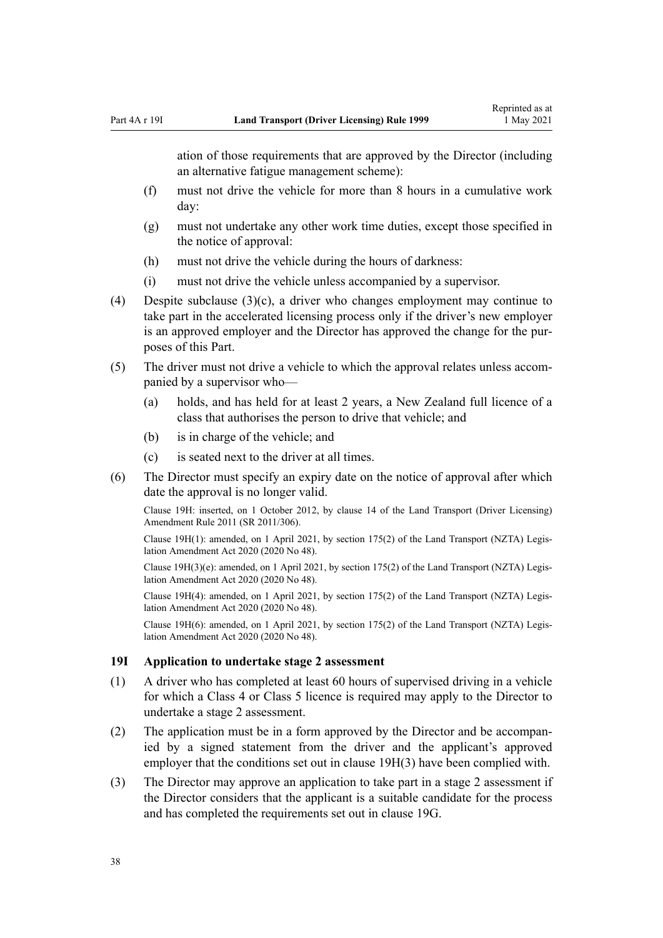<span id="page-37-0"></span>ation of those requirements that are approved by the Director (including an alternative fatigue management scheme):

- (f) must not drive the vehicle for more than 8 hours in a cumulative work day:
- (g) must not undertake any other work time duties, except those specified in the notice of approval:
- (h) must not drive the vehicle during the hours of darkness:
- (i) must not drive the vehicle unless accompanied by a supervisor.
- (4) Despite subclause (3)(c), a driver who changes employment may continue to take part in the accelerated licensing process only if the driver's new employer is an approved employer and the Director has approved the change for the pur‐ poses of this Part.
- (5) The driver must not drive a vehicle to which the approval relates unless accom‐ panied by a supervisor who—
	- (a) holds, and has held for at least 2 years, a New Zealand full licence of a class that authorises the person to drive that vehicle; and
	- (b) is in charge of the vehicle; and
	- (c) is seated next to the driver at all times.
- (6) The Director must specify an expiry date on the notice of approval after which date the approval is no longer valid.

Clause 19H: inserted, on 1 October 2012, by [clause 14](http://legislation.govt.nz/pdflink.aspx?id=DLM3956511) of the Land Transport (Driver Licensing) Amendment Rule 2011 (SR 2011/306).

Clause 19H(1): amended, on 1 April 2021, by [section 175\(2\)](http://legislation.govt.nz/pdflink.aspx?id=LMS286883) of the Land Transport (NZTA) Legis‐ lation Amendment Act 2020 (2020 No 48).

Clause 19H(3)(e): amended, on 1 April 2021, by [section 175\(2\)](http://legislation.govt.nz/pdflink.aspx?id=LMS286883) of the Land Transport (NZTA) Legis‐ lation Amendment Act 2020 (2020 No 48).

Clause 19H(4): amended, on 1 April 2021, by [section 175\(2\)](http://legislation.govt.nz/pdflink.aspx?id=LMS286883) of the Land Transport (NZTA) Legis‐ lation Amendment Act 2020 (2020 No 48).

Clause 19H(6): amended, on 1 April 2021, by [section 175\(2\)](http://legislation.govt.nz/pdflink.aspx?id=LMS286883) of the Land Transport (NZTA) Legis‐ lation Amendment Act 2020 (2020 No 48).

#### **19I Application to undertake stage 2 assessment**

- (1) A driver who has completed at least 60 hours of supervised driving in a vehicle for which a Class 4 or Class 5 licence is required may apply to the Director to undertake a stage 2 assessment.
- (2) The application must be in a form approved by the Director and be accompan‐ ied by a signed statement from the driver and the applicant's approved employer that the conditions set out in [clause 19H\(3\)](#page-36-0) have been complied with.
- (3) The Director may approve an application to take part in a stage 2 assessment if the Director considers that the applicant is a suitable candidate for the process and has completed the requirements set out in [clause 19G.](#page-36-0)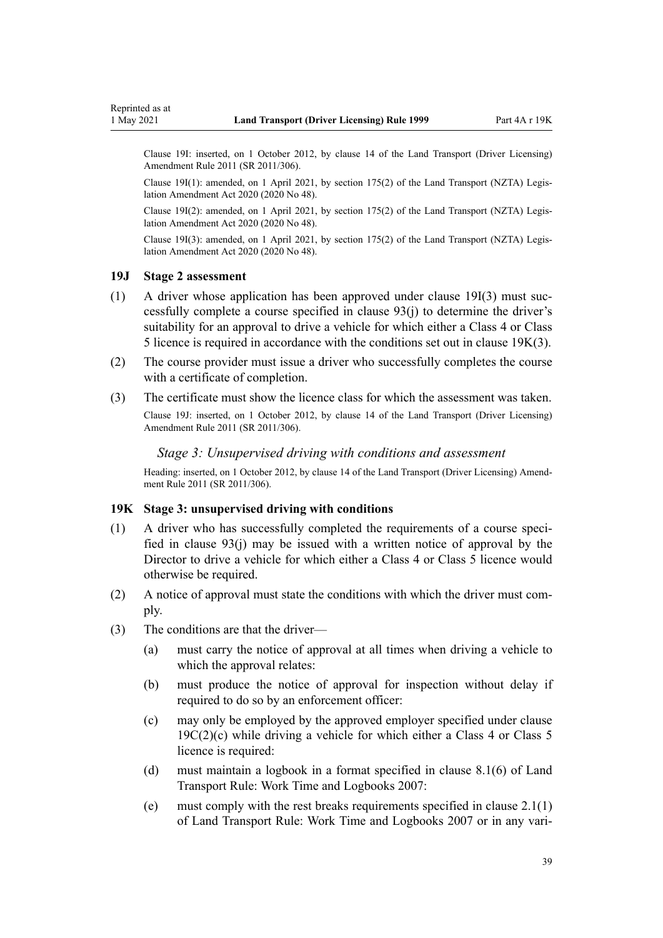<span id="page-38-0"></span>Clause 19I: inserted, on 1 October 2012, by [clause 14](http://legislation.govt.nz/pdflink.aspx?id=DLM3956511) of the Land Transport (Driver Licensing) Amendment Rule 2011 (SR 2011/306).

Clause 19I(1): amended, on 1 April 2021, by [section 175\(2\)](http://legislation.govt.nz/pdflink.aspx?id=LMS286883) of the Land Transport (NZTA) Legis‐ lation Amendment Act 2020 (2020 No 48).

Clause 19I(2): amended, on 1 April 2021, by [section 175\(2\)](http://legislation.govt.nz/pdflink.aspx?id=LMS286883) of the Land Transport (NZTA) Legis‐ lation Amendment Act 2020 (2020 No 48).

Clause 19I(3): amended, on 1 April 2021, by [section 175\(2\)](http://legislation.govt.nz/pdflink.aspx?id=LMS286883) of the Land Transport (NZTA) Legis‐ lation Amendment Act 2020 (2020 No 48).

### **19J Stage 2 assessment**

- $(1)$  A driver whose application has been approved under [clause 19I\(3\)](#page-37-0) must successfully complete a course specified in [clause 93\(j\)](#page-97-0) to determine the driver's suitability for an approval to drive a vehicle for which either a Class 4 or Class 5 licence is required in accordance with the conditions set out in clause 19K(3).
- (2) The course provider must issue a driver who successfully completes the course with a certificate of completion.
- (3) The certificate must show the licence class for which the assessment was taken.

Clause 19J: inserted, on 1 October 2012, by [clause 14](http://legislation.govt.nz/pdflink.aspx?id=DLM3956511) of the Land Transport (Driver Licensing) Amendment Rule 2011 (SR 2011/306).

#### *Stage 3: Unsupervised driving with conditions and assessment*

Heading: inserted, on 1 October 2012, by [clause 14](http://legislation.govt.nz/pdflink.aspx?id=DLM3956511) of the Land Transport (Driver Licensing) Amendment Rule 2011 (SR 2011/306).

#### **19K Stage 3: unsupervised driving with conditions**

- $(1)$  A driver who has successfully completed the requirements of a course specified in [clause 93\(j\)](#page-97-0) may be issued with a written notice of approval by the Director to drive a vehicle for which either a Class 4 or Class 5 licence would otherwise be required.
- (2) A notice of approval must state the conditions with which the driver must com‐ ply.
- (3) The conditions are that the driver—
	- (a) must carry the notice of approval at all times when driving a vehicle to which the approval relates:
	- (b) must produce the notice of approval for inspection without delay if required to do so by an enforcement officer:
	- (c) may only be employed by the approved employer specified under [clause](#page-34-0)  $19C(2)(c)$  while driving a vehicle for which either a Class 4 or Class 5 licence is required:
	- (d) must maintain a logbook in a format specified in clause 8.1(6) of Land Transport Rule: Work Time and Logbooks 2007:
	- (e) must comply with the rest breaks requirements specified in clause 2.1(1) of Land Transport Rule: Work Time and Logbooks 2007 or in any vari‐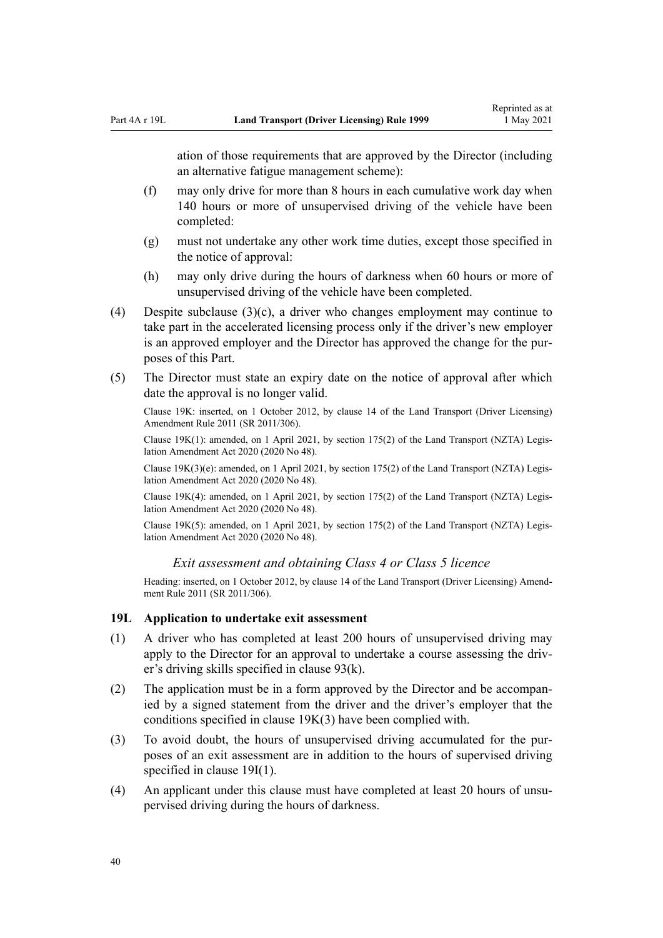ation of those requirements that are approved by the Director (including an alternative fatigue management scheme):

- (f) may only drive for more than 8 hours in each cumulative work day when 140 hours or more of unsupervised driving of the vehicle have been completed:
- (g) must not undertake any other work time duties, except those specified in the notice of approval:
- (h) may only drive during the hours of darkness when 60 hours or more of unsupervised driving of the vehicle have been completed.
- (4) Despite subclause  $(3)(c)$ , a driver who changes employment may continue to take part in the accelerated licensing process only if the driver's new employer is an approved employer and the Director has approved the change for the purposes of this Part.
- (5) The Director must state an expiry date on the notice of approval after which date the approval is no longer valid.

Clause 19K: inserted, on 1 October 2012, by [clause 14](http://legislation.govt.nz/pdflink.aspx?id=DLM3956511) of the Land Transport (Driver Licensing) Amendment Rule 2011 (SR 2011/306).

Clause 19K(1): amended, on 1 April 2021, by [section 175\(2\)](http://legislation.govt.nz/pdflink.aspx?id=LMS286883) of the Land Transport (NZTA) Legis‐ lation Amendment Act 2020 (2020 No 48).

Clause 19K(3)(e): amended, on 1 April 2021, by [section 175\(2\)](http://legislation.govt.nz/pdflink.aspx?id=LMS286883) of the Land Transport (NZTA) Legis‐ lation Amendment Act 2020 (2020 No 48).

Clause 19K(4): amended, on 1 April 2021, by [section 175\(2\)](http://legislation.govt.nz/pdflink.aspx?id=LMS286883) of the Land Transport (NZTA) Legis‐ lation Amendment Act 2020 (2020 No 48).

Clause 19K(5): amended, on 1 April 2021, by [section 175\(2\)](http://legislation.govt.nz/pdflink.aspx?id=LMS286883) of the Land Transport (NZTA) Legis‐ lation Amendment Act 2020 (2020 No 48).

*Exit assessment and obtaining Class 4 or Class 5 licence*

Heading: inserted, on 1 October 2012, by [clause 14](http://legislation.govt.nz/pdflink.aspx?id=DLM3956511) of the Land Transport (Driver Licensing) Amendment Rule 2011 (SR 2011/306).

#### **19L Application to undertake exit assessment**

- (1) A driver who has completed at least 200 hours of unsupervised driving may apply to the Director for an approval to undertake a course assessing the driver's driving skills specified in [clause 93\(k\)](#page-97-0).
- (2) The application must be in a form approved by the Director and be accompan‐ ied by a signed statement from the driver and the driver's employer that the conditions specified in [clause 19K\(3\)](#page-38-0) have been complied with.
- (3) To avoid doubt, the hours of unsupervised driving accumulated for the pur‐ poses of an exit assessment are in addition to the hours of supervised driving specified in [clause 19I\(1\).](#page-37-0)
- (4) An applicant under this clause must have completed at least 20 hours of unsupervised driving during the hours of darkness.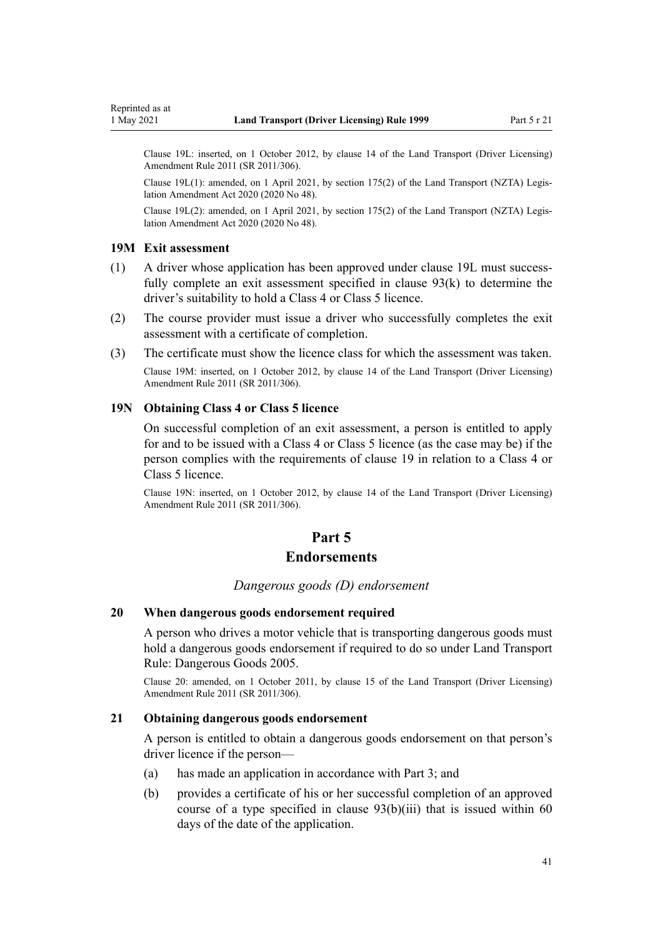Clause 19L: inserted, on 1 October 2012, by [clause 14](http://legislation.govt.nz/pdflink.aspx?id=DLM3956511) of the Land Transport (Driver Licensing) Amendment Rule 2011 (SR 2011/306).

Clause 19L(1): amended, on 1 April 2021, by [section 175\(2\)](http://legislation.govt.nz/pdflink.aspx?id=LMS286883) of the Land Transport (NZTA) Legis‐ lation Amendment Act 2020 (2020 No 48).

Clause 19L(2): amended, on 1 April 2021, by [section 175\(2\)](http://legislation.govt.nz/pdflink.aspx?id=LMS286883) of the Land Transport (NZTA) Legis‐ lation Amendment Act 2020 (2020 No 48).

#### **19M Exit assessment**

- (1) A driver whose application has been approved under clause 19L must success‐ fully complete an exit assessment specified in [clause 93\(k\)](#page-97-0) to determine the driver's suitability to hold a Class 4 or Class 5 licence.
- (2) The course provider must issue a driver who successfully completes the exit assessment with a certificate of completion.
- (3) The certificate must show the licence class for which the assessment was taken.

Clause 19M: inserted, on 1 October 2012, by [clause 14](http://legislation.govt.nz/pdflink.aspx?id=DLM3956511) of the Land Transport (Driver Licensing) Amendment Rule 2011 (SR 2011/306).

## **19N Obtaining Class 4 or Class 5 licence**

On successful completion of an exit assessment, a person is entitled to apply for and to be issued with a Class 4 or Class 5 licence (as the case may be) if the person complies with the requirements of [clause 19](#page-30-0) in relation to a Class 4 or Class 5 licence.

Clause 19N: inserted, on 1 October 2012, by [clause 14](http://legislation.govt.nz/pdflink.aspx?id=DLM3956511) of the Land Transport (Driver Licensing) Amendment Rule 2011 (SR 2011/306).

# **Part 5**

## **Endorsements**

#### *Dangerous goods (D) endorsement*

#### **20 When dangerous goods endorsement required**

A person who drives a motor vehicle that is transporting dangerous goods must hold a dangerous goods endorsement if required to do so under Land Transport Rule: Dangerous Goods 2005.

Clause 20: amended, on 1 October 2011, by [clause 15](http://legislation.govt.nz/pdflink.aspx?id=DLM3956721) of the Land Transport (Driver Licensing) Amendment Rule 2011 (SR 2011/306).

## **21 Obtaining dangerous goods endorsement**

A person is entitled to obtain a dangerous goods endorsement on that person's driver licence if the person—

- (a) has made an application in accordance with [Part 3;](#page-21-0) and
- (b) provides a certificate of his or her successful completion of an approved course of a type specified in clause  $93(b)(iii)$  that is issued within 60 days of the date of the application.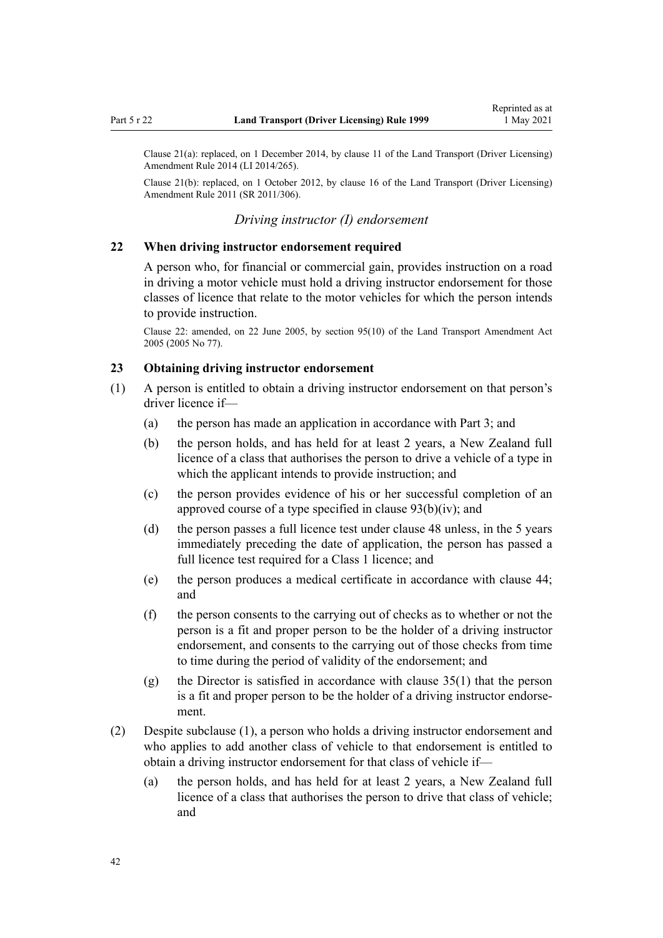Clause 21(a): replaced, on 1 December 2014, by [clause 11](http://legislation.govt.nz/pdflink.aspx?id=DLM6216924) of the Land Transport (Driver Licensing) Amendment Rule 2014 (LI 2014/265).

Clause 21(b): replaced, on 1 October 2012, by [clause 16](http://legislation.govt.nz/pdflink.aspx?id=DLM3956513) of the Land Transport (Driver Licensing) Amendment Rule 2011 (SR 2011/306).

## *Driving instructor (I) endorsement*

#### **22 When driving instructor endorsement required**

A person who, for financial or commercial gain, provides instruction on a road in driving a motor vehicle must hold a driving instructor endorsement for those classes of licence that relate to the motor vehicles for which the person intends to provide instruction.

Clause 22: amended, on 22 June 2005, by [section 95\(10\)](http://legislation.govt.nz/pdflink.aspx?id=DLM353501) of the Land Transport Amendment Act 2005 (2005 No 77).

#### **23 Obtaining driving instructor endorsement**

- (1) A person is entitled to obtain a driving instructor endorsement on that person's driver licence if—
	- (a) the person has made an application in accordance with [Part 3](#page-21-0); and
	- (b) the person holds, and has held for at least 2 years, a New Zealand full licence of a class that authorises the person to drive a vehicle of a type in which the applicant intends to provide instruction; and
	- (c) the person provides evidence of his or her successful completion of an approved course of a type specified in [clause 93\(b\)\(iv\)](#page-97-0); and
	- (d) the person passes a full licence test under [clause 48](#page-57-0) unless, in the 5 years immediately preceding the date of application, the person has passed a full licence test required for a Class 1 licence; and
	- (e) the person produces a medical certificate in accordance with [clause 44;](#page-54-0) and
	- (f) the person consents to the carrying out of checks as to whether or not the person is a fit and proper person to be the holder of a driving instructor endorsement, and consents to the carrying out of those checks from time to time during the period of validity of the endorsement; and
	- (g) the Director is satisfied in accordance with [clause 35\(1\)](#page-48-0) that the person is a fit and proper person to be the holder of a driving instructor endorse‐ ment.
- (2) Despite subclause (1), a person who holds a driving instructor endorsement and who applies to add another class of vehicle to that endorsement is entitled to obtain a driving instructor endorsement for that class of vehicle if—
	- (a) the person holds, and has held for at least 2 years, a New Zealand full licence of a class that authorises the person to drive that class of vehicle; and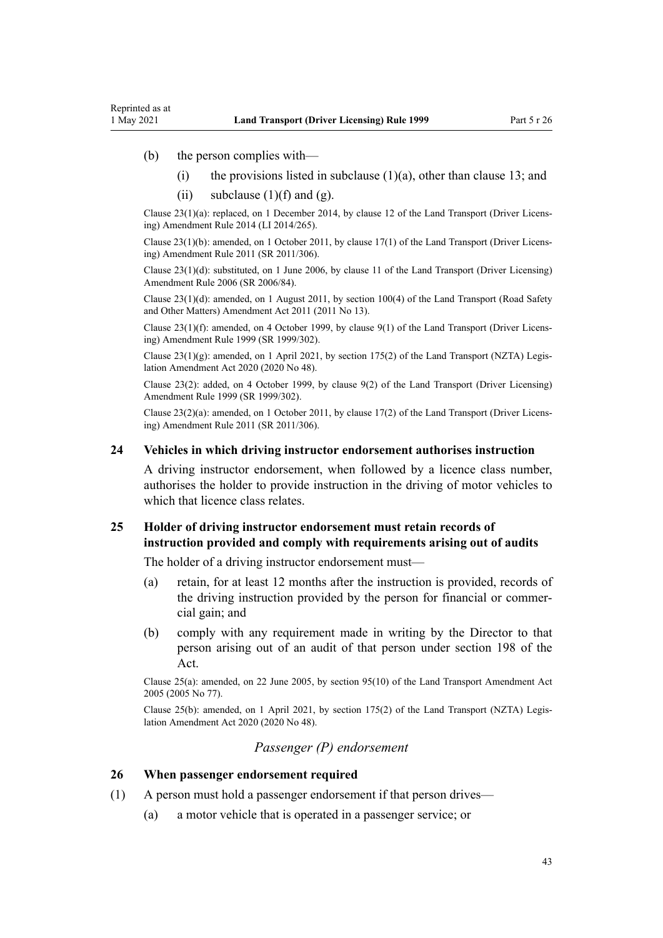- (b) the person complies with—
	- (i) the provisions listed in subclause  $(1)(a)$ , other than [clause 13](#page-25-0); and
	- (ii) subclause  $(1)(f)$  and  $(g)$ .

Clause 23(1)(a): replaced, on 1 December 2014, by [clause 12](http://legislation.govt.nz/pdflink.aspx?id=DLM6216925) of the Land Transport (Driver Licens‐ ing) Amendment Rule 2014 (LI 2014/265).

Clause 23(1)(b): amended, on 1 October 2011, by [clause 17\(1\)](http://legislation.govt.nz/pdflink.aspx?id=DLM3956722) of the Land Transport (Driver Licens‐ ing) Amendment Rule 2011 (SR 2011/306).

Clause 23(1)(d): substituted, on 1 June 2006, by [clause 11](http://legislation.govt.nz/pdflink.aspx?id=DLM375696) of the Land Transport (Driver Licensing) Amendment Rule 2006 (SR 2006/84).

Clause 23(1)(d): amended, on 1 August 2011, by [section 100\(4\)](http://legislation.govt.nz/pdflink.aspx?id=DLM3231293) of the Land Transport (Road Safety and Other Matters) Amendment Act 2011 (2011 No 13).

Clause 23(1)(f): amended, on 4 October 1999, by [clause 9\(1\)](http://legislation.govt.nz/pdflink.aspx?id=DLM293677) of the Land Transport (Driver Licens‐ ing) Amendment Rule 1999 (SR 1999/302).

Clause  $23(1)(g)$ : amended, on 1 April 2021, by [section 175\(2\)](http://legislation.govt.nz/pdflink.aspx?id=LMS286883) of the Land Transport (NZTA) Legislation Amendment Act 2020 (2020 No 48).

Clause 23(2): added, on 4 October 1999, by [clause 9\(2\)](http://legislation.govt.nz/pdflink.aspx?id=DLM293677) of the Land Transport (Driver Licensing) Amendment Rule 1999 (SR 1999/302).

Clause 23(2)(a): amended, on 1 October 2011, by [clause 17\(2\)](http://legislation.govt.nz/pdflink.aspx?id=DLM3956722) of the Land Transport (Driver Licens‐ ing) Amendment Rule 2011 (SR 2011/306).

#### **24 Vehicles in which driving instructor endorsement authorises instruction**

A driving instructor endorsement, when followed by a licence class number, authorises the holder to provide instruction in the driving of motor vehicles to which that licence class relates.

## **25 Holder of driving instructor endorsement must retain records of instruction provided and comply with requirements arising out of audits**

The holder of a driving instructor endorsement must—

- (a) retain, for at least 12 months after the instruction is provided, records of the driving instruction provided by the person for financial or commer‐ cial gain; and
- (b) comply with any requirement made in writing by the Director to that person arising out of an audit of that person under [section 198](http://legislation.govt.nz/pdflink.aspx?id=DLM435602) of the Act.

Clause 25(a): amended, on 22 June 2005, by [section 95\(10\)](http://legislation.govt.nz/pdflink.aspx?id=DLM353501) of the Land Transport Amendment Act 2005 (2005 No 77).

Clause 25(b): amended, on 1 April 2021, by [section 175\(2\)](http://legislation.govt.nz/pdflink.aspx?id=LMS286883) of the Land Transport (NZTA) Legis‐ lation Amendment Act 2020 (2020 No 48).

#### *Passenger (P) endorsement*

#### **26 When passenger endorsement required**

- (1) A person must hold a passenger endorsement if that person drives—
	- (a) a motor vehicle that is operated in a passenger service; or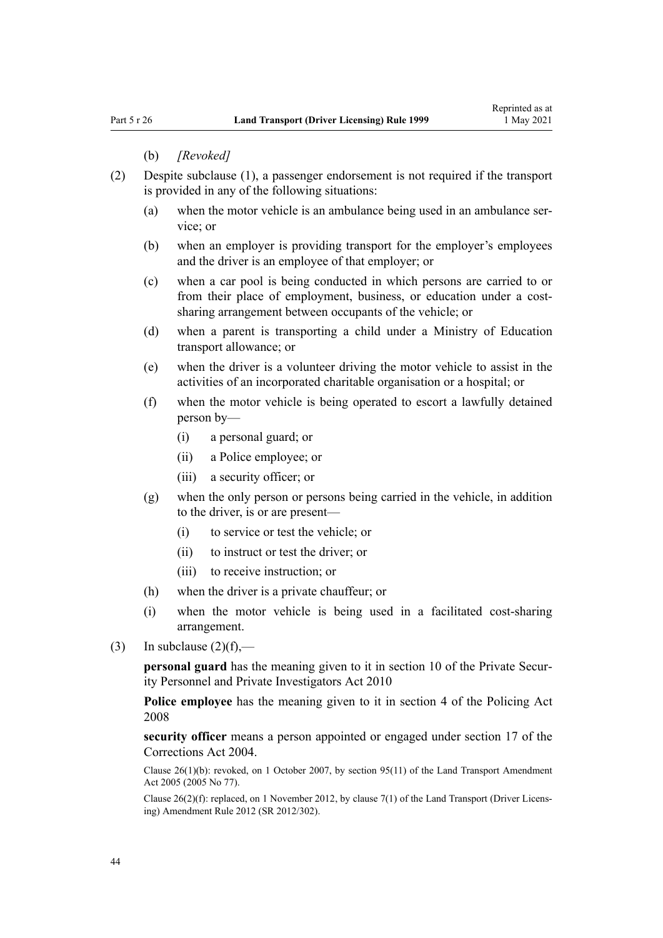#### (b) *[Revoked]*

- (2) Despite subclause (1), a passenger endorsement is not required if the transport is provided in any of the following situations:
	- (a) when the motor vehicle is an ambulance being used in an ambulance ser‐ vice; or
	- (b) when an employer is providing transport for the employer's employees and the driver is an employee of that employer; or
	- (c) when a car pool is being conducted in which persons are carried to or from their place of employment, business, or education under a costsharing arrangement between occupants of the vehicle; or
	- (d) when a parent is transporting a child under a Ministry of Education transport allowance; or
	- (e) when the driver is a volunteer driving the motor vehicle to assist in the activities of an incorporated charitable organisation or a hospital; or
	- (f) when the motor vehicle is being operated to escort a lawfully detained person by—
		- (i) a personal guard; or
		- (ii) a Police employee; or
		- (iii) a security officer; or
	- (g) when the only person or persons being carried in the vehicle, in addition to the driver, is or are present—
		- (i) to service or test the vehicle; or
		- (ii) to instruct or test the driver; or
		- (iii) to receive instruction; or
	- (h) when the driver is a private chauffeur; or
	- (i) when the motor vehicle is being used in a facilitated cost-sharing arrangement.
- (3) In subclause  $(2)(f)$ ,—

**personal guard** has the meaning given to it in [section 10](http://legislation.govt.nz/pdflink.aspx?id=DLM1594507) of the Private Security Personnel and Private Investigators Act 2010

**Police employee** has the meaning given to it in [section 4](http://legislation.govt.nz/pdflink.aspx?id=DLM1102132) of the Policing Act 2008

**security officer** means a person appointed or engaged under [section 17](http://legislation.govt.nz/pdflink.aspx?id=DLM295415) of the Corrections Act 2004.

Clause 26(1)(b): revoked, on 1 October 2007, by [section 95\(11\)](http://legislation.govt.nz/pdflink.aspx?id=DLM353501) of the Land Transport Amendment Act 2005 (2005 No 77).

Clause 26(2)(f): replaced, on 1 November 2012, by [clause 7\(1\)](http://legislation.govt.nz/pdflink.aspx?id=DLM4773437) of the Land Transport (Driver Licens‐ ing) Amendment Rule 2012 (SR 2012/302).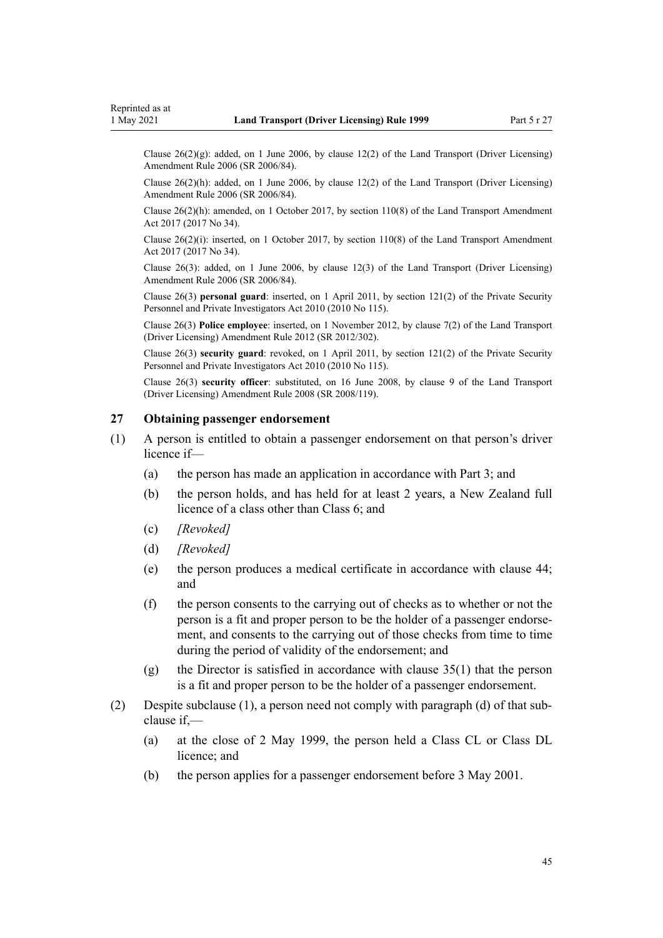Clause  $26(2)(g)$ : added, on 1 June 2006, by [clause 12\(2\)](http://legislation.govt.nz/pdflink.aspx?id=DLM375697) of the Land Transport (Driver Licensing) Amendment Rule 2006 (SR 2006/84).

Clause 26(2)(h): added, on 1 June 2006, by [clause 12\(2\)](http://legislation.govt.nz/pdflink.aspx?id=DLM375697) of the Land Transport (Driver Licensing) Amendment Rule 2006 (SR 2006/84).

Clause 26(2)(h): amended, on 1 October 2017, by [section 110\(8\)](http://legislation.govt.nz/pdflink.aspx?id=DLM6960929) of the Land Transport Amendment Act 2017 (2017 No 34).

Clause 26(2)(i): inserted, on 1 October 2017, by [section 110\(8\)](http://legislation.govt.nz/pdflink.aspx?id=DLM6960929) of the Land Transport Amendment Act 2017 (2017 No 34).

Clause 26(3): added, on 1 June 2006, by [clause 12\(3\)](http://legislation.govt.nz/pdflink.aspx?id=DLM375697) of the Land Transport (Driver Licensing) Amendment Rule 2006 (SR 2006/84).

Clause 26(3) **personal guard**: inserted, on 1 April 2011, by [section 121\(2\)](http://legislation.govt.nz/pdflink.aspx?id=DLM1594656) of the Private Security Personnel and Private Investigators Act 2010 (2010 No 115).

Clause 26(3) **Police employee**: inserted, on 1 November 2012, by [clause 7\(2\)](http://legislation.govt.nz/pdflink.aspx?id=DLM4773437) of the Land Transport (Driver Licensing) Amendment Rule 2012 (SR 2012/302).

Clause 26(3) **security guard**: revoked, on 1 April 2011, by [section 121\(2\)](http://legislation.govt.nz/pdflink.aspx?id=DLM1594656) of the Private Security Personnel and Private Investigators Act 2010 (2010 No 115).

Clause 26(3) **security officer**: substituted, on 16 June 2008, by [clause 9](http://legislation.govt.nz/pdflink.aspx?id=DLM1317912) of the Land Transport (Driver Licensing) Amendment Rule 2008 (SR 2008/119).

## **27 Obtaining passenger endorsement**

- (1) A person is entitled to obtain a passenger endorsement on that person's driver licence if—
	- (a) the person has made an application in accordance with [Part 3](#page-21-0); and
	- (b) the person holds, and has held for at least 2 years, a New Zealand full licence of a class other than Class 6; and
	- (c) *[Revoked]*
	- (d) *[Revoked]*
	- (e) the person produces a medical certificate in accordance with [clause 44;](#page-54-0) and
	- (f) the person consents to the carrying out of checks as to whether or not the person is a fit and proper person to be the holder of a passenger endorse‐ ment, and consents to the carrying out of those checks from time to time during the period of validity of the endorsement; and
	- (g) the Director is satisfied in accordance with [clause 35\(1\)](#page-48-0) that the person is a fit and proper person to be the holder of a passenger endorsement.
- (2) Despite subclause (1), a person need not comply with paragraph (d) of that sub‐ clause if,—
	- (a) at the close of 2 May 1999, the person held a Class CL or Class DL licence; and
	- (b) the person applies for a passenger endorsement before 3 May 2001.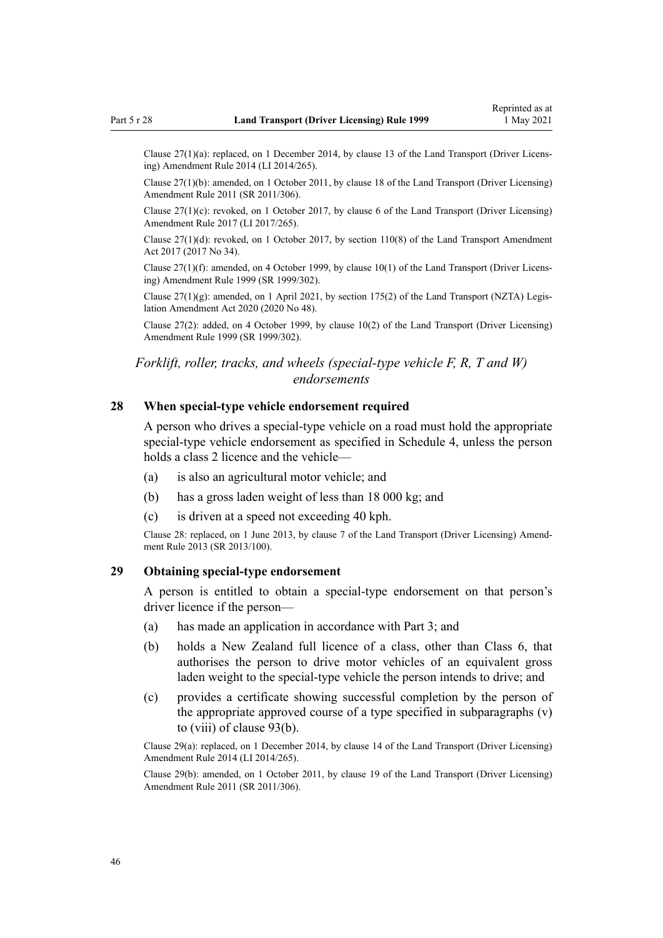Clause 27(1)(a): replaced, on 1 December 2014, by [clause 13](http://legislation.govt.nz/pdflink.aspx?id=DLM6216926) of the Land Transport (Driver Licens‐ ing) Amendment Rule 2014 (LI 2014/265).

Clause 27(1)(b): amended, on 1 October 2011, by [clause 18](http://legislation.govt.nz/pdflink.aspx?id=DLM3956723) of the Land Transport (Driver Licensing) Amendment Rule 2011 (SR 2011/306).

Clause 27(1)(c): revoked, on 1 October 2017, by [clause 6](http://legislation.govt.nz/pdflink.aspx?id=DLM7420930) of the Land Transport (Driver Licensing) Amendment Rule 2017 (LI 2017/265).

Clause  $27(1)(d)$ : revoked, on 1 October 2017, by [section 110\(8\)](http://legislation.govt.nz/pdflink.aspx?id=DLM6960929) of the Land Transport Amendment Act 2017 (2017 No 34).

Clause 27(1)(f): amended, on 4 October 1999, by [clause 10\(1\)](http://legislation.govt.nz/pdflink.aspx?id=DLM293678) of the Land Transport (Driver Licens‐ ing) Amendment Rule 1999 (SR 1999/302).

Clause  $27(1)(g)$ : amended, on 1 April 2021, by [section 175\(2\)](http://legislation.govt.nz/pdflink.aspx?id=LMS286883) of the Land Transport (NZTA) Legislation Amendment Act 2020 (2020 No 48).

Clause 27(2): added, on 4 October 1999, by [clause 10\(2\)](http://legislation.govt.nz/pdflink.aspx?id=DLM293678) of the Land Transport (Driver Licensing) Amendment Rule 1999 (SR 1999/302).

## *Forklift, roller, tracks, and wheels (special-type vehicle F, R, T and W) endorsements*

#### **28 When special-type vehicle endorsement required**

A person who drives a special-type vehicle on a road must hold the appropriate special-type vehicle endorsement as specified in [Schedule 4](#page-118-0), unless the person holds a class 2 licence and the vehicle—

- (a) is also an agricultural motor vehicle; and
- (b) has a gross laden weight of less than 18 000 kg; and
- (c) is driven at a speed not exceeding 40 kph.

Clause 28: replaced, on 1 June 2013, by [clause 7](http://legislation.govt.nz/pdflink.aspx?id=DLM5102242) of the Land Transport (Driver Licensing) Amend‐ ment Rule 2013 (SR 2013/100).

## **29 Obtaining special-type endorsement**

A person is entitled to obtain a special-type endorsement on that person's driver licence if the person—

- (a) has made an application in accordance with [Part 3;](#page-21-0) and
- (b) holds a New Zealand full licence of a class, other than Class 6, that authorises the person to drive motor vehicles of an equivalent gross laden weight to the special-type vehicle the person intends to drive; and
- (c) provides a certificate showing successful completion by the person of the appropriate approved course of a type specified in subparagraphs (v) to (viii) of [clause 93\(b\).](#page-97-0)

Clause 29(a): replaced, on 1 December 2014, by [clause 14](http://legislation.govt.nz/pdflink.aspx?id=DLM6216927) of the Land Transport (Driver Licensing) Amendment Rule 2014 (LI 2014/265).

Clause 29(b): amended, on 1 October 2011, by [clause 19](http://legislation.govt.nz/pdflink.aspx?id=DLM3956724) of the Land Transport (Driver Licensing) Amendment Rule 2011 (SR 2011/306).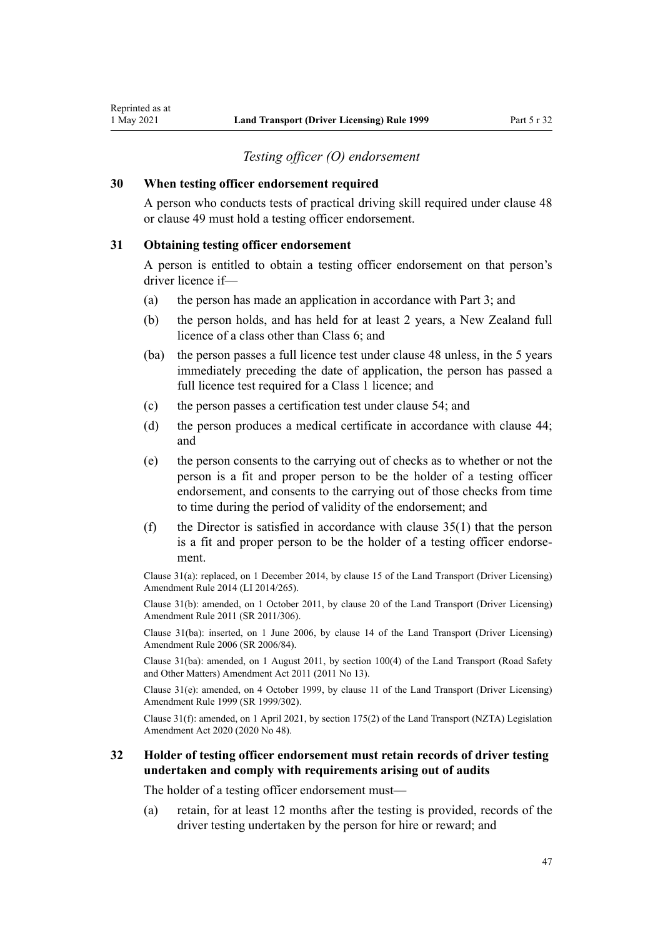## *Testing officer (O) endorsement*

#### **30 When testing officer endorsement required**

A person who conducts tests of practical driving skill required under [clause 48](#page-57-0) or [clause 49](#page-57-0) must hold a testing officer endorsement.

## **31 Obtaining testing officer endorsement**

A person is entitled to obtain a testing officer endorsement on that person's driver licence if—

- (a) the person has made an application in accordance with [Part 3](#page-21-0); and
- (b) the person holds, and has held for at least 2 years, a New Zealand full licence of a class other than Class 6; and
- (ba) the person passes a full licence test under [clause 48](#page-57-0) unless, in the 5 years immediately preceding the date of application, the person has passed a full licence test required for a Class 1 licence; and
- (c) the person passes a certification test under [clause 54](#page-60-0); and
- (d) the person produces a medical certificate in accordance with [clause 44;](#page-54-0) and
- (e) the person consents to the carrying out of checks as to whether or not the person is a fit and proper person to be the holder of a testing officer endorsement, and consents to the carrying out of those checks from time to time during the period of validity of the endorsement; and
- (f) the Director is satisfied in accordance with clause  $35(1)$  that the person is a fit and proper person to be the holder of a testing officer endorse‐ ment.

Clause 31(a): replaced, on 1 December 2014, by [clause 15](http://legislation.govt.nz/pdflink.aspx?id=DLM6216928) of the Land Transport (Driver Licensing) Amendment Rule 2014 (LI 2014/265).

Clause 31(b): amended, on 1 October 2011, by [clause 20](http://legislation.govt.nz/pdflink.aspx?id=DLM3956725) of the Land Transport (Driver Licensing) Amendment Rule 2011 (SR 2011/306).

Clause 31(ba): inserted, on 1 June 2006, by [clause 14](http://legislation.govt.nz/pdflink.aspx?id=DLM376103) of the Land Transport (Driver Licensing) Amendment Rule 2006 (SR 2006/84).

Clause 31(ba): amended, on 1 August 2011, by [section 100\(4\)](http://legislation.govt.nz/pdflink.aspx?id=DLM3231293) of the Land Transport (Road Safety and Other Matters) Amendment Act 2011 (2011 No 13).

Clause 31(e): amended, on 4 October 1999, by [clause 11](http://legislation.govt.nz/pdflink.aspx?id=DLM293679) of the Land Transport (Driver Licensing) Amendment Rule 1999 (SR 1999/302).

Clause 31(f): amended, on 1 April 2021, by [section 175\(2\)](http://legislation.govt.nz/pdflink.aspx?id=LMS286883) of the Land Transport (NZTA) Legislation Amendment Act 2020 (2020 No 48).

## **32 Holder of testing officer endorsement must retain records of driver testing undertaken and comply with requirements arising out of audits**

The holder of a testing officer endorsement must—

(a) retain, for at least 12 months after the testing is provided, records of the driver testing undertaken by the person for hire or reward; and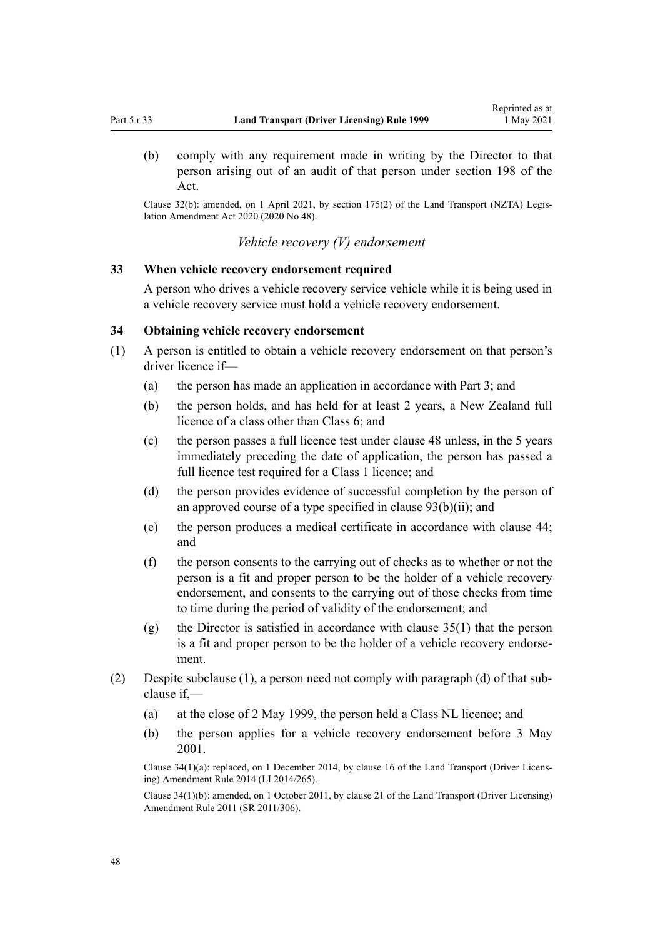(b) comply with any requirement made in writing by the Director to that person arising out of an audit of that person under [section 198](http://legislation.govt.nz/pdflink.aspx?id=DLM435602) of the Act.

Clause 32(b): amended, on 1 April 2021, by [section 175\(2\)](http://legislation.govt.nz/pdflink.aspx?id=LMS286883) of the Land Transport (NZTA) Legis‐ lation Amendment Act 2020 (2020 No 48).

*Vehicle recovery (V) endorsement*

## **33 When vehicle recovery endorsement required**

A person who drives a vehicle recovery service vehicle while it is being used in a vehicle recovery service must hold a vehicle recovery endorsement.

## **34 Obtaining vehicle recovery endorsement**

- (1) A person is entitled to obtain a vehicle recovery endorsement on that person's driver licence if—
	- (a) the person has made an application in accordance with [Part 3](#page-21-0); and
	- (b) the person holds, and has held for at least 2 years, a New Zealand full licence of a class other than Class 6; and
	- (c) the person passes a full licence test under [clause 48](#page-57-0) unless, in the 5 years immediately preceding the date of application, the person has passed a full licence test required for a Class 1 licence; and
	- (d) the person provides evidence of successful completion by the person of an approved course of a type specified in clause  $93(b)(ii)$ ; and
	- (e) the person produces a medical certificate in accordance with [clause 44;](#page-54-0) and
	- (f) the person consents to the carrying out of checks as to whether or not the person is a fit and proper person to be the holder of a vehicle recovery endorsement, and consents to the carrying out of those checks from time to time during the period of validity of the endorsement; and
	- (g) the Director is satisfied in accordance with [clause 35\(1\)](#page-48-0) that the person is a fit and proper person to be the holder of a vehicle recovery endorsement.
- (2) Despite subclause (1), a person need not comply with paragraph (d) of that sub‐ clause if,—
	- (a) at the close of 2 May 1999, the person held a Class NL licence; and
	- (b) the person applies for a vehicle recovery endorsement before 3 May 2001.

Clause 34(1)(a): replaced, on 1 December 2014, by [clause 16](http://legislation.govt.nz/pdflink.aspx?id=DLM6216929) of the Land Transport (Driver Licens‐ ing) Amendment Rule 2014 (LI 2014/265).

Clause 34(1)(b): amended, on 1 October 2011, by [clause 21](http://legislation.govt.nz/pdflink.aspx?id=DLM3956726) of the Land Transport (Driver Licensing) Amendment Rule 2011 (SR 2011/306).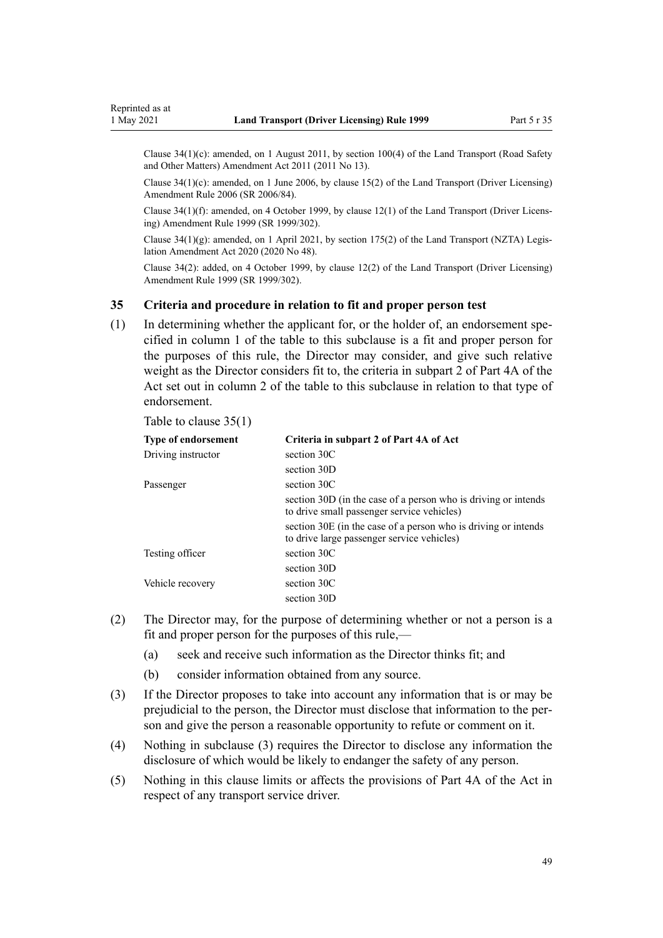<span id="page-48-0"></span>Clause  $34(1)(c)$ : amended, on 1 August 2011, by [section 100\(4\)](http://legislation.govt.nz/pdflink.aspx?id=DLM3231293) of the Land Transport (Road Safety and Other Matters) Amendment Act 2011 (2011 No 13).

Clause 34(1)(c): amended, on 1 June 2006, by [clause 15\(2\)](http://legislation.govt.nz/pdflink.aspx?id=DLM376104) of the Land Transport (Driver Licensing) Amendment Rule 2006 (SR 2006/84).

Clause 34(1)(f): amended, on 4 October 1999, by [clause 12\(1\)](http://legislation.govt.nz/pdflink.aspx?id=DLM293680) of the Land Transport (Driver Licens‐ ing) Amendment Rule 1999 (SR 1999/302).

Clause  $34(1)(g)$ : amended, on 1 April 2021, by [section 175\(2\)](http://legislation.govt.nz/pdflink.aspx?id=LMS286883) of the Land Transport (NZTA) Legislation Amendment Act 2020 (2020 No 48).

Clause 34(2): added, on 4 October 1999, by [clause 12\(2\)](http://legislation.govt.nz/pdflink.aspx?id=DLM293680) of the Land Transport (Driver Licensing) Amendment Rule 1999 (SR 1999/302).

## **35 Criteria and procedure in relation to fit and proper person test**

(1) In determining whether the applicant for, or the holder of, an endorsement specified in column 1 of the table to this subclause is a fit and proper person for the purposes of this rule, the Director may consider, and give such relative weight as the Director considers fit to, the criteria in subpart 2 of [Part 4A](http://legislation.govt.nz/pdflink.aspx?id=DLM434587) of the Act set out in column 2 of the table to this subclause in relation to that type of endorsement.

Table to clause 35(1)

| <b>Type of endorsement</b> | Criteria in subpart 2 of Part 4A of Act                                                                       |
|----------------------------|---------------------------------------------------------------------------------------------------------------|
| Driving instructor         | section 30C                                                                                                   |
|                            | section 30D                                                                                                   |
| Passenger                  | section 30C                                                                                                   |
|                            | section 30D (in the case of a person who is driving or intends<br>to drive small passenger service vehicles)  |
|                            | section 30E (in the case of a person who is driving or intends)<br>to drive large passenger service vehicles) |
| Testing officer            | section 30C                                                                                                   |
|                            | section 30D                                                                                                   |
| Vehicle recovery           | section 30C                                                                                                   |
|                            | section 30D                                                                                                   |

- (2) The Director may, for the purpose of determining whether or not a person is a fit and proper person for the purposes of this rule,—
	- (a) seek and receive such information as the Director thinks fit; and
	- (b) consider information obtained from any source.
- (3) If the Director proposes to take into account any information that is or may be prejudicial to the person, the Director must disclose that information to the person and give the person a reasonable opportunity to refute or comment on it.
- (4) Nothing in subclause (3) requires the Director to disclose any information the disclosure of which would be likely to endanger the safety of any person.
- (5) Nothing in this clause limits or affects the provisions of [Part 4A](http://legislation.govt.nz/pdflink.aspx?id=DLM434587) of the Act in respect of any transport service driver.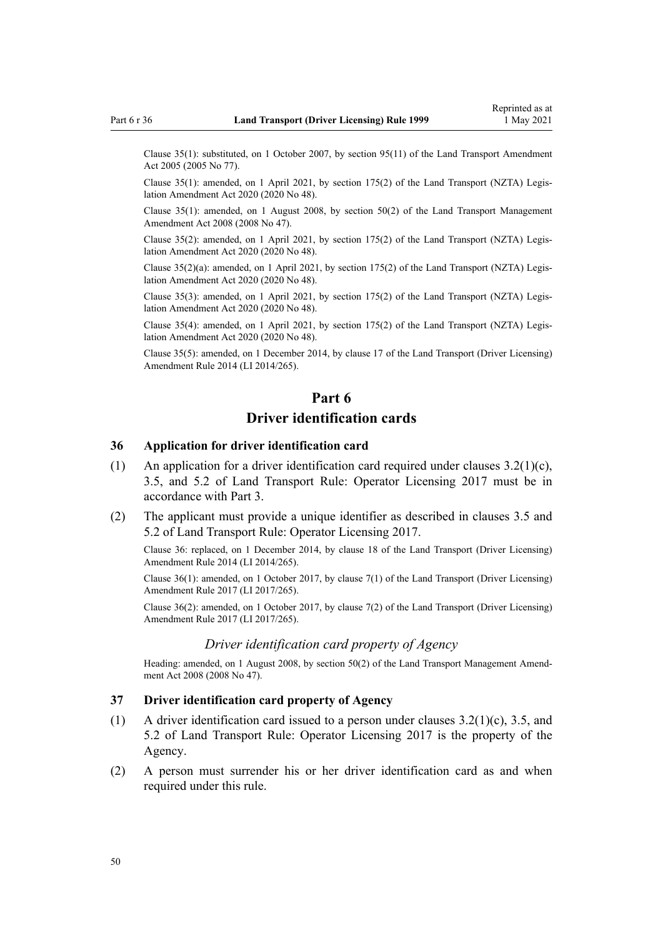Clause 35(1): substituted, on 1 October 2007, by [section 95\(11\)](http://legislation.govt.nz/pdflink.aspx?id=DLM353501) of the Land Transport Amendment Act 2005 (2005 No 77).

Clause 35(1): amended, on 1 April 2021, by [section 175\(2\)](http://legislation.govt.nz/pdflink.aspx?id=LMS286883) of the Land Transport (NZTA) Legis‐ lation Amendment Act 2020 (2020 No 48).

Clause 35(1): amended, on 1 August 2008, by [section 50\(2\)](http://legislation.govt.nz/pdflink.aspx?id=DLM1313622) of the Land Transport Management Amendment Act 2008 (2008 No 47).

Clause 35(2): amended, on 1 April 2021, by [section 175\(2\)](http://legislation.govt.nz/pdflink.aspx?id=LMS286883) of the Land Transport (NZTA) Legis‐ lation Amendment Act 2020 (2020 No 48).

Clause 35(2)(a): amended, on 1 April 2021, by [section 175\(2\)](http://legislation.govt.nz/pdflink.aspx?id=LMS286883) of the Land Transport (NZTA) Legis‐ lation Amendment Act 2020 (2020 No 48).

Clause 35(3): amended, on 1 April 2021, by [section 175\(2\)](http://legislation.govt.nz/pdflink.aspx?id=LMS286883) of the Land Transport (NZTA) Legis‐ lation Amendment Act 2020 (2020 No 48).

Clause 35(4): amended, on 1 April 2021, by [section 175\(2\)](http://legislation.govt.nz/pdflink.aspx?id=LMS286883) of the Land Transport (NZTA) Legis‐ lation Amendment Act 2020 (2020 No 48).

Clause 35(5): amended, on 1 December 2014, by [clause 17](http://legislation.govt.nz/pdflink.aspx?id=DLM6216930) of the Land Transport (Driver Licensing) Amendment Rule 2014 (LI 2014/265).

# **Part 6 Driver identification cards**

### **36 Application for driver identification card**

- (1) An application for a driver identification card required under clauses  $3.2(1)(c)$ , 3.5, and 5.2 of Land Transport Rule: Operator Licensing 2017 must be in accordance with [Part 3](#page-21-0).
- (2) The applicant must provide a unique identifier as described in clauses 3.5 and 5.2 of Land Transport Rule: Operator Licensing 2017.

Clause 36: replaced, on 1 December 2014, by [clause 18](http://legislation.govt.nz/pdflink.aspx?id=DLM6216931) of the Land Transport (Driver Licensing) Amendment Rule 2014 (LI 2014/265).

Clause 36(1): amended, on 1 October 2017, by [clause 7\(1\)](http://legislation.govt.nz/pdflink.aspx?id=DLM7420931) of the Land Transport (Driver Licensing) Amendment Rule 2017 (LI 2017/265).

Clause 36(2): amended, on 1 October 2017, by [clause 7\(2\)](http://legislation.govt.nz/pdflink.aspx?id=DLM7420931) of the Land Transport (Driver Licensing) Amendment Rule 2017 (LI 2017/265).

#### *Driver identification card property of Agency*

Heading: amended, on 1 August 2008, by [section 50\(2\)](http://legislation.govt.nz/pdflink.aspx?id=DLM1313622) of the Land Transport Management Amendment Act 2008 (2008 No 47).

#### **37 Driver identification card property of Agency**

- (1) A driver identification card issued to a person under clauses  $3.2(1)(c)$ ,  $3.5$ , and 5.2 of Land Transport Rule: Operator Licensing 2017 is the property of the Agency.
- (2) A person must surrender his or her driver identification card as and when required under this rule.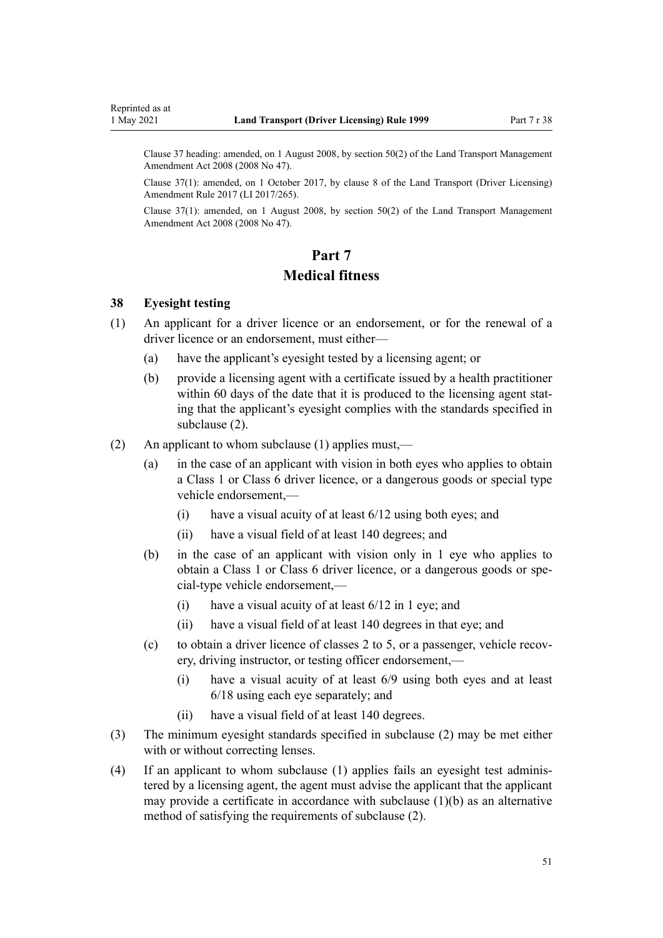<span id="page-50-0"></span>Clause 37 heading: amended, on 1 August 2008, by [section 50\(2\)](http://legislation.govt.nz/pdflink.aspx?id=DLM1313622) of the Land Transport Management Amendment Act 2008 (2008 No 47).

Clause 37(1): amended, on 1 October 2017, by [clause 8](http://legislation.govt.nz/pdflink.aspx?id=DLM7420932) of the Land Transport (Driver Licensing) Amendment Rule 2017 (LI 2017/265).

Clause 37(1): amended, on 1 August 2008, by [section 50\(2\)](http://legislation.govt.nz/pdflink.aspx?id=DLM1313622) of the Land Transport Management Amendment Act 2008 (2008 No 47).

# **Part 7 Medical fitness**

#### **38 Eyesight testing**

- (1) An applicant for a driver licence or an endorsement, or for the renewal of a driver licence or an endorsement, must either—
	- (a) have the applicant's eyesight tested by a licensing agent; or
	- (b) provide a licensing agent with a certificate issued by a health practitioner within 60 days of the date that it is produced to the licensing agent stating that the applicant's eyesight complies with the standards specified in subclause (2).
- (2) An applicant to whom subclause (1) applies must,—
	- (a) in the case of an applicant with vision in both eyes who applies to obtain a Class 1 or Class 6 driver licence, or a dangerous goods or special type vehicle endorsement,—
		- (i) have a visual acuity of at least 6/12 using both eyes; and
		- (ii) have a visual field of at least 140 degrees; and
	- (b) in the case of an applicant with vision only in 1 eye who applies to obtain a Class 1 or Class 6 driver licence, or a dangerous goods or spe‐ cial-type vehicle endorsement,—
		- (i) have a visual acuity of at least 6/12 in 1 eye; and
		- (ii) have a visual field of at least 140 degrees in that eye; and
	- (c) to obtain a driver licence of classes 2 to 5, or a passenger, vehicle recovery, driving instructor, or testing officer endorsement,—
		- (i) have a visual acuity of at least 6/9 using both eyes and at least 6/18 using each eye separately; and
		- (ii) have a visual field of at least 140 degrees.
- (3) The minimum eyesight standards specified in subclause (2) may be met either with or without correcting lenses.
- (4) If an applicant to whom subclause (1) applies fails an eyesight test adminis‐ tered by a licensing agent, the agent must advise the applicant that the applicant may provide a certificate in accordance with subclause  $(1)(b)$  as an alternative method of satisfying the requirements of subclause (2).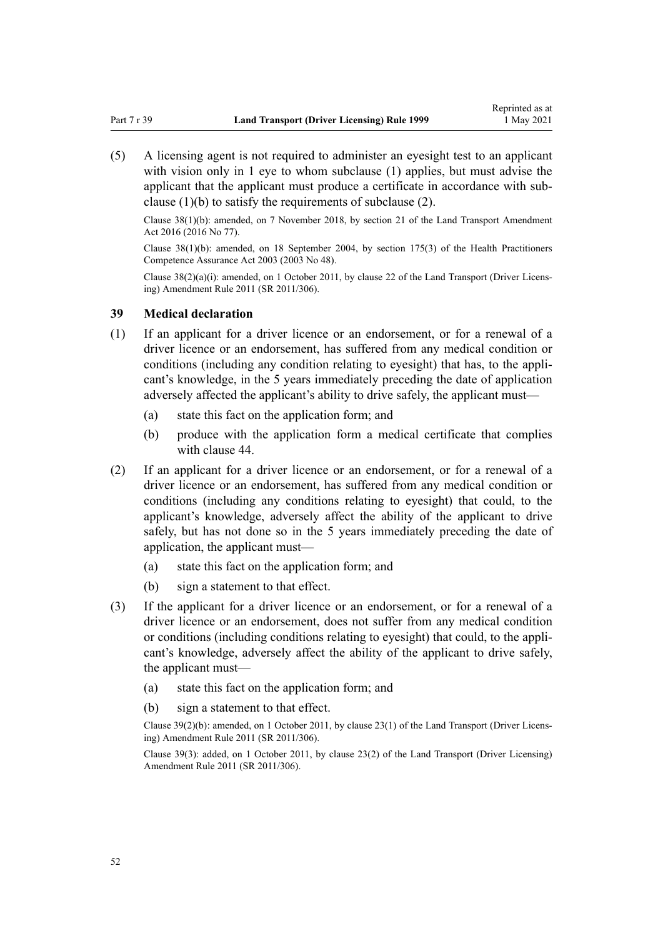(5) A licensing agent is not required to administer an eyesight test to an applicant with vision only in 1 eye to whom subclause (1) applies, but must advise the applicant that the applicant must produce a certificate in accordance with subclause (1)(b) to satisfy the requirements of subclause (2).

Clause 38(1)(b): amended, on 7 November 2018, by [section 21](http://legislation.govt.nz/pdflink.aspx?id=DLM6984133) of the Land Transport Amendment Act 2016 (2016 No 77).

Clause 38(1)(b): amended, on 18 September 2004, by [section 175\(3\)](http://legislation.govt.nz/pdflink.aspx?id=DLM205009) of the Health Practitioners Competence Assurance Act 2003 (2003 No 48).

Clause 38(2)(a)(i): amended, on 1 October 2011, by [clause 22](http://legislation.govt.nz/pdflink.aspx?id=DLM3956727) of the Land Transport (Driver Licens‐ ing) Amendment Rule 2011 (SR 2011/306).

### **39 Medical declaration**

- (1) If an applicant for a driver licence or an endorsement, or for a renewal of a driver licence or an endorsement, has suffered from any medical condition or conditions (including any condition relating to eyesight) that has, to the applicant's knowledge, in the 5 years immediately preceding the date of application adversely affected the applicant's ability to drive safely, the applicant must—
	- (a) state this fact on the application form; and
	- (b) produce with the application form a medical certificate that complies with [clause 44.](#page-54-0)
- (2) If an applicant for a driver licence or an endorsement, or for a renewal of a driver licence or an endorsement, has suffered from any medical condition or conditions (including any conditions relating to eyesight) that could, to the applicant's knowledge, adversely affect the ability of the applicant to drive safely, but has not done so in the 5 years immediately preceding the date of application, the applicant must—
	- (a) state this fact on the application form; and
	- (b) sign a statement to that effect.
- (3) If the applicant for a driver licence or an endorsement, or for a renewal of a driver licence or an endorsement, does not suffer from any medical condition or conditions (including conditions relating to eyesight) that could, to the appli‐ cant's knowledge, adversely affect the ability of the applicant to drive safely, the applicant must—
	- (a) state this fact on the application form; and
	- (b) sign a statement to that effect.

Clause 39(2)(b): amended, on 1 October 2011, by [clause 23\(1\)](http://legislation.govt.nz/pdflink.aspx?id=DLM3956728) of the Land Transport (Driver Licens‐ ing) Amendment Rule 2011 (SR 2011/306).

Clause 39(3): added, on 1 October 2011, by [clause 23\(2\)](http://legislation.govt.nz/pdflink.aspx?id=DLM3956728) of the Land Transport (Driver Licensing) Amendment Rule 2011 (SR 2011/306).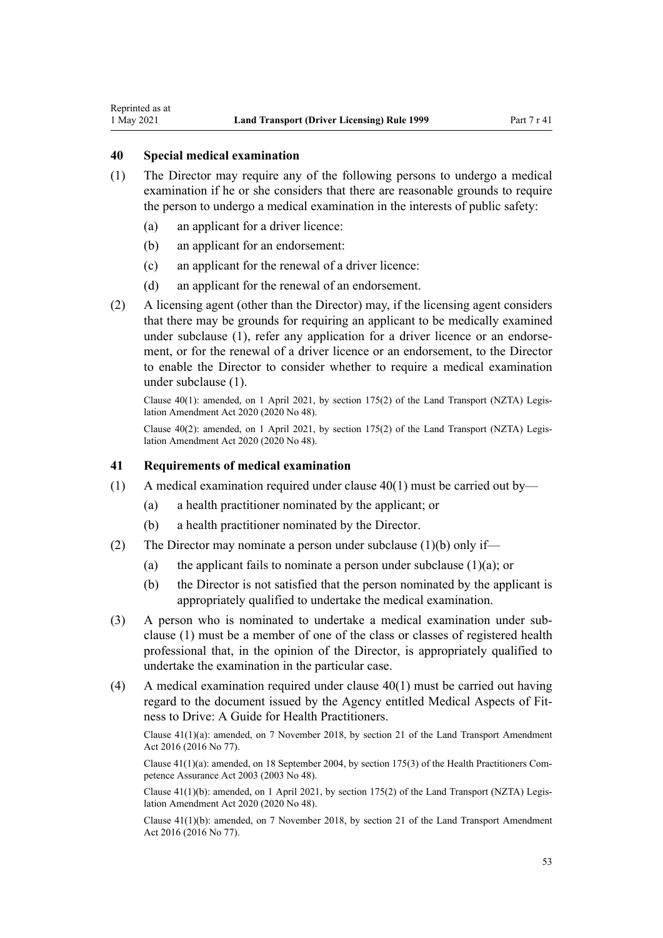## **40 Special medical examination**

<span id="page-52-0"></span>Reprinted as at

- (1) The Director may require any of the following persons to undergo a medical examination if he or she considers that there are reasonable grounds to require the person to undergo a medical examination in the interests of public safety:
	- (a) an applicant for a driver licence:
	- (b) an applicant for an endorsement:
	- (c) an applicant for the renewal of a driver licence:
	- (d) an applicant for the renewal of an endorsement.
- (2) A licensing agent (other than the Director) may, if the licensing agent considers that there may be grounds for requiring an applicant to be medically examined under subclause  $(1)$ , refer any application for a driver licence or an endorsement, or for the renewal of a driver licence or an endorsement, to the Director to enable the Director to consider whether to require a medical examination under subclause (1).

Clause  $40(1)$ : amended, on 1 April 2021, by [section 175\(2\)](http://legislation.govt.nz/pdflink.aspx?id=LMS286883) of the Land Transport (NZTA) Legislation Amendment Act 2020 (2020 No 48).

Clause 40(2): amended, on 1 April 2021, by [section 175\(2\)](http://legislation.govt.nz/pdflink.aspx?id=LMS286883) of the Land Transport (NZTA) Legis‐ lation Amendment Act 2020 (2020 No 48).

#### **41 Requirements of medical examination**

- (1) A medical examination required under clause  $40(1)$  must be carried out by—
	- (a) a health practitioner nominated by the applicant; or
	- (b) a health practitioner nominated by the Director.
- (2) The Director may nominate a person under subclause (1)(b) only if—
	- (a) the applicant fails to nominate a person under subclause  $(1)(a)$ ; or
	- (b) the Director is not satisfied that the person nominated by the applicant is appropriately qualified to undertake the medical examination.
- (3) A person who is nominated to undertake a medical examination under sub‐ clause (1) must be a member of one of the class or classes of registered health professional that, in the opinion of the Director, is appropriately qualified to undertake the examination in the particular case.
- (4) A medical examination required under clause 40(1) must be carried out having regard to the document issued by the Agency entitled Medical Aspects of Fit‐ ness to Drive: A Guide for Health Practitioners.

Clause 41(1)(a): amended, on 7 November 2018, by [section 21](http://legislation.govt.nz/pdflink.aspx?id=DLM6984133) of the Land Transport Amendment Act 2016 (2016 No 77).

Clause  $41(1)(a)$ : amended, on 18 September 2004, by [section 175\(3\)](http://legislation.govt.nz/pdflink.aspx?id=DLM205009) of the Health Practitioners Competence Assurance Act 2003 (2003 No 48).

Clause 41(1)(b): amended, on 1 April 2021, by [section 175\(2\)](http://legislation.govt.nz/pdflink.aspx?id=LMS286883) of the Land Transport (NZTA) Legis‐ lation Amendment Act 2020 (2020 No 48).

Clause 41(1)(b): amended, on 7 November 2018, by [section 21](http://legislation.govt.nz/pdflink.aspx?id=DLM6984133) of the Land Transport Amendment Act 2016 (2016 No 77).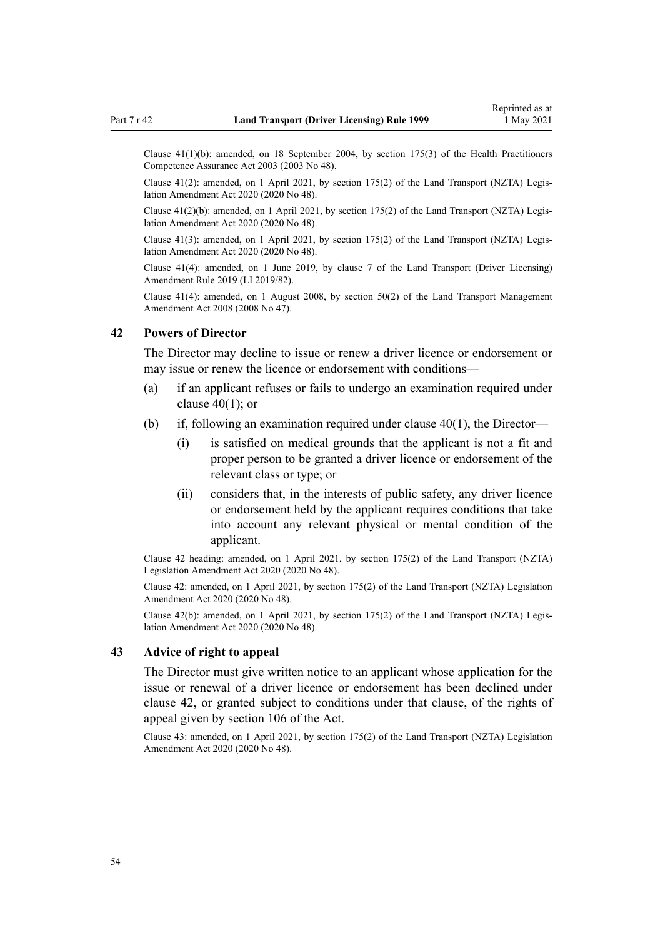Clause 41(1)(b): amended, on 18 September 2004, by [section 175\(3\)](http://legislation.govt.nz/pdflink.aspx?id=DLM205009) of the Health Practitioners Competence Assurance Act 2003 (2003 No 48).

Clause  $41(2)$ : amended, on 1 April 2021, by [section 175\(2\)](http://legislation.govt.nz/pdflink.aspx?id=LMS286883) of the Land Transport (NZTA) Legislation Amendment Act 2020 (2020 No 48).

Clause 41(2)(b): amended, on 1 April 2021, by [section 175\(2\)](http://legislation.govt.nz/pdflink.aspx?id=LMS286883) of the Land Transport (NZTA) Legis‐ lation Amendment Act 2020 (2020 No 48).

Clause 41(3): amended, on 1 April 2021, by [section 175\(2\)](http://legislation.govt.nz/pdflink.aspx?id=LMS286883) of the Land Transport (NZTA) Legis‐ lation Amendment Act 2020 (2020 No 48).

Clause 41(4): amended, on 1 June 2019, by [clause 7](http://legislation.govt.nz/pdflink.aspx?id=LMS136012) of the Land Transport (Driver Licensing) Amendment Rule 2019 (LI 2019/82).

Clause 41(4): amended, on 1 August 2008, by [section 50\(2\)](http://legislation.govt.nz/pdflink.aspx?id=DLM1313622) of the Land Transport Management Amendment Act 2008 (2008 No 47).

### **42 Powers of Director**

The Director may decline to issue or renew a driver licence or endorsement or may issue or renew the licence or endorsement with conditions—

- (a) if an applicant refuses or fails to undergo an examination required under [clause 40\(1\);](#page-52-0) or
- (b) if, following an examination required under [clause 40\(1\),](#page-52-0) the Director—
	- (i) is satisfied on medical grounds that the applicant is not a fit and proper person to be granted a driver licence or endorsement of the relevant class or type; or
	- (ii) considers that, in the interests of public safety, any driver licence or endorsement held by the applicant requires conditions that take into account any relevant physical or mental condition of the applicant.

Clause 42 heading: amended, on 1 April 2021, by [section 175\(2\)](http://legislation.govt.nz/pdflink.aspx?id=LMS286883) of the Land Transport (NZTA) Legislation Amendment Act 2020 (2020 No 48).

Clause 42: amended, on 1 April 2021, by [section 175\(2\)](http://legislation.govt.nz/pdflink.aspx?id=LMS286883) of the Land Transport (NZTA) Legislation Amendment Act 2020 (2020 No 48).

Clause 42(b): amended, on 1 April 2021, by [section 175\(2\)](http://legislation.govt.nz/pdflink.aspx?id=LMS286883) of the Land Transport (NZTA) Legis‐ lation Amendment Act 2020 (2020 No 48).

## **43 Advice of right to appeal**

The Director must give written notice to an applicant whose application for the issue or renewal of a driver licence or endorsement has been declined under clause 42, or granted subject to conditions under that clause, of the rights of appeal given by [section 106](http://legislation.govt.nz/pdflink.aspx?id=DLM435083) of the Act.

Clause 43: amended, on 1 April 2021, by [section 175\(2\)](http://legislation.govt.nz/pdflink.aspx?id=LMS286883) of the Land Transport (NZTA) Legislation Amendment Act 2020 (2020 No 48).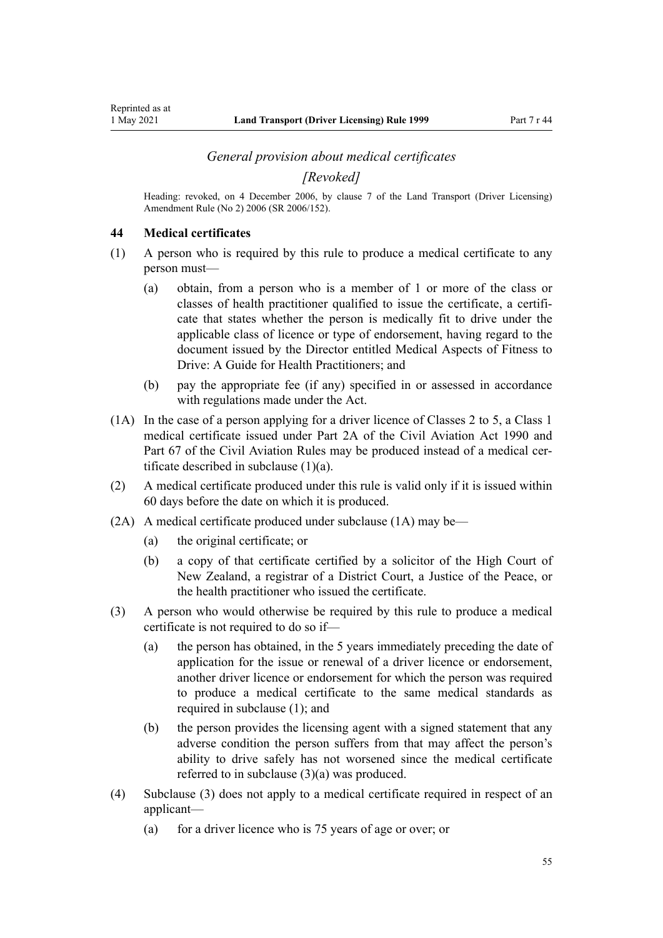#### *General provision about medical certificates*

*[Revoked]*

<span id="page-54-0"></span>Heading: revoked, on 4 December 2006, by [clause 7](http://legislation.govt.nz/pdflink.aspx?id=DLM386144) of the Land Transport (Driver Licensing) Amendment Rule (No 2) 2006 (SR 2006/152).

### **44 Medical certificates**

- (1) A person who is required by this rule to produce a medical certificate to any person must—
	- (a) obtain, from a person who is a member of 1 or more of the class or classes of health practitioner qualified to issue the certificate, a certificate that states whether the person is medically fit to drive under the applicable class of licence or type of endorsement, having regard to the document issued by the Director entitled Medical Aspects of Fitness to Drive: A Guide for Health Practitioners; and
	- (b) pay the appropriate fee (if any) specified in or assessed in accordance with regulations made under the Act.
- (1A) In the case of a person applying for a driver licence of Classes 2 to 5, a Class 1 medical certificate issued under [Part 2A](http://legislation.govt.nz/pdflink.aspx?id=DLM216176) of the Civil Aviation Act 1990 and Part 67 of the Civil Aviation Rules may be produced instead of a medical certificate described in subclause (1)(a).
- (2) A medical certificate produced under this rule is valid only if it is issued within 60 days before the date on which it is produced.
- (2A) A medical certificate produced under subclause (1A) may be—
	- (a) the original certificate; or
	- (b) a copy of that certificate certified by a solicitor of the High Court of New Zealand, a registrar of a District Court, a Justice of the Peace, or the health practitioner who issued the certificate.
- (3) A person who would otherwise be required by this rule to produce a medical certificate is not required to do so if—
	- (a) the person has obtained, in the 5 years immediately preceding the date of application for the issue or renewal of a driver licence or endorsement, another driver licence or endorsement for which the person was required to produce a medical certificate to the same medical standards as required in subclause (1); and
	- (b) the person provides the licensing agent with a signed statement that any adverse condition the person suffers from that may affect the person's ability to drive safely has not worsened since the medical certificate referred to in subclause (3)(a) was produced.
- (4) Subclause (3) does not apply to a medical certificate required in respect of an applicant—
	- (a) for a driver licence who is 75 years of age or over; or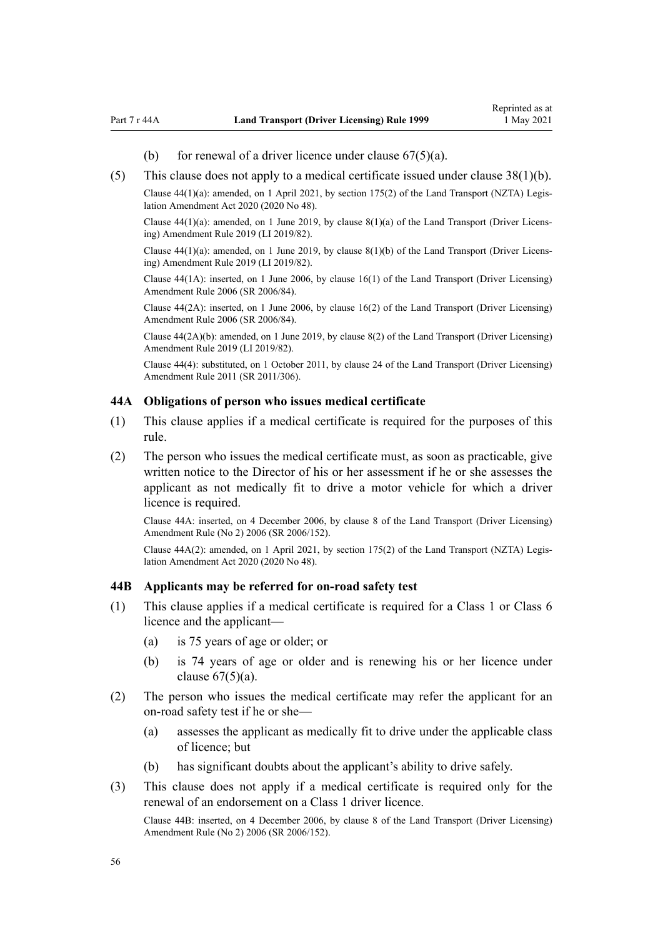- (b) for renewal of a driver licence under clause  $67(5)(a)$ .
- <span id="page-55-0"></span>(5) This clause does not apply to a medical certificate issued under [clause 38\(1\)\(b\).](#page-50-0)

Clause  $44(1)(a)$ : amended, on 1 April 2021, by [section 175\(2\)](http://legislation.govt.nz/pdflink.aspx?id=LMS286883) of the Land Transport (NZTA) Legislation Amendment Act 2020 (2020 No 48).

Clause 44(1)(a): amended, on 1 June 2019, by [clause 8\(1\)\(a\)](http://legislation.govt.nz/pdflink.aspx?id=LMS136013) of the Land Transport (Driver Licens‐ ing) Amendment Rule 2019 (LI 2019/82).

Clause  $44(1)(a)$ : amended, on 1 June 2019, by clause  $8(1)(b)$  of the Land Transport (Driver Licensing) Amendment Rule 2019 (LI 2019/82).

Clause 44(1A): inserted, on 1 June 2006, by [clause 16\(1\)](http://legislation.govt.nz/pdflink.aspx?id=DLM376105) of the Land Transport (Driver Licensing) Amendment Rule 2006 (SR 2006/84).

Clause 44(2A): inserted, on 1 June 2006, by [clause 16\(2\)](http://legislation.govt.nz/pdflink.aspx?id=DLM376105) of the Land Transport (Driver Licensing) Amendment Rule 2006 (SR 2006/84).

Clause 44(2A)(b): amended, on 1 June 2019, by [clause 8\(2\)](http://legislation.govt.nz/pdflink.aspx?id=LMS136013) of the Land Transport (Driver Licensing) Amendment Rule 2019 (LI 2019/82).

Clause 44(4): substituted, on 1 October 2011, by [clause 24](http://legislation.govt.nz/pdflink.aspx?id=DLM3956729) of the Land Transport (Driver Licensing) Amendment Rule 2011 (SR 2011/306).

#### **44A Obligations of person who issues medical certificate**

- (1) This clause applies if a medical certificate is required for the purposes of this rule.
- (2) The person who issues the medical certificate must, as soon as practicable, give written notice to the Director of his or her assessment if he or she assesses the applicant as not medically fit to drive a motor vehicle for which a driver licence is required.

Clause 44A: inserted, on 4 December 2006, by [clause 8](http://legislation.govt.nz/pdflink.aspx?id=DLM386145) of the Land Transport (Driver Licensing) Amendment Rule (No 2) 2006 (SR 2006/152).

Clause 44A(2): amended, on 1 April 2021, by [section 175\(2\)](http://legislation.govt.nz/pdflink.aspx?id=LMS286883) of the Land Transport (NZTA) Legis‐ lation Amendment Act 2020 (2020 No 48).

#### **44B Applicants may be referred for on-road safety test**

- (1) This clause applies if a medical certificate is required for a Class 1 or Class 6 licence and the applicant—
	- (a) is 75 years of age or older; or
	- (b) is 74 years of age or older and is renewing his or her licence under clause  $67(5)(a)$ .
- (2) The person who issues the medical certificate may refer the applicant for an on-road safety test if he or she—
	- (a) assesses the applicant as medically fit to drive under the applicable class of licence; but
	- (b) has significant doubts about the applicant's ability to drive safely.
- (3) This clause does not apply if a medical certificate is required only for the renewal of an endorsement on a Class 1 driver licence.

Clause 44B: inserted, on 4 December 2006, by [clause 8](http://legislation.govt.nz/pdflink.aspx?id=DLM386145) of the Land Transport (Driver Licensing) Amendment Rule (No 2) 2006 (SR 2006/152).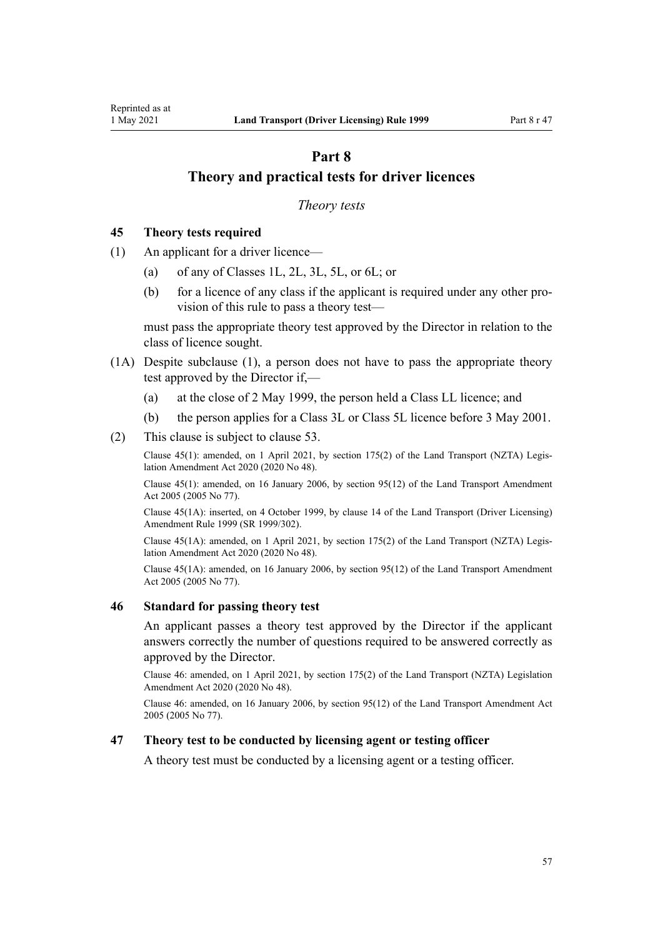# <span id="page-56-0"></span>**Part 8 Theory and practical tests for driver licences**

### *Theory tests*

## **45 Theory tests required**

- (1) An applicant for a driver licence—
	- (a) of any of Classes 1L, 2L, 3L, 5L, or 6L; or
	- (b) for a licence of any class if the applicant is required under any other provision of this rule to pass a theory test—

must pass the appropriate theory test approved by the Director in relation to the class of licence sought.

- (1A) Despite subclause (1), a person does not have to pass the appropriate theory test approved by the Director if,—
	- (a) at the close of 2 May 1999, the person held a Class LL licence; and
	- (b) the person applies for a Class 3L or Class 5L licence before 3 May 2001.
- (2) This clause is subject to [clause 53](#page-59-0).

Clause 45(1): amended, on 1 April 2021, by [section 175\(2\)](http://legislation.govt.nz/pdflink.aspx?id=LMS286883) of the Land Transport (NZTA) Legis‐ lation Amendment Act 2020 (2020 No 48).

Clause 45(1): amended, on 16 January 2006, by [section 95\(12\)](http://legislation.govt.nz/pdflink.aspx?id=DLM353501) of the Land Transport Amendment Act 2005 (2005 No 77).

Clause 45(1A): inserted, on 4 October 1999, by [clause 14](http://legislation.govt.nz/pdflink.aspx?id=DLM293682) of the Land Transport (Driver Licensing) Amendment Rule 1999 (SR 1999/302).

Clause 45(1A): amended, on 1 April 2021, by [section 175\(2\)](http://legislation.govt.nz/pdflink.aspx?id=LMS286883) of the Land Transport (NZTA) Legis‐ lation Amendment Act 2020 (2020 No 48).

Clause 45(1A): amended, on 16 January 2006, by [section 95\(12\)](http://legislation.govt.nz/pdflink.aspx?id=DLM353501) of the Land Transport Amendment Act 2005 (2005 No 77).

#### **46 Standard for passing theory test**

An applicant passes a theory test approved by the Director if the applicant answers correctly the number of questions required to be answered correctly as approved by the Director.

Clause 46: amended, on 1 April 2021, by [section 175\(2\)](http://legislation.govt.nz/pdflink.aspx?id=LMS286883) of the Land Transport (NZTA) Legislation Amendment Act 2020 (2020 No 48).

Clause 46: amended, on 16 January 2006, by [section 95\(12\)](http://legislation.govt.nz/pdflink.aspx?id=DLM353501) of the Land Transport Amendment Act 2005 (2005 No 77).

## **47 Theory test to be conducted by licensing agent or testing officer**

A theory test must be conducted by a licensing agent or a testing officer.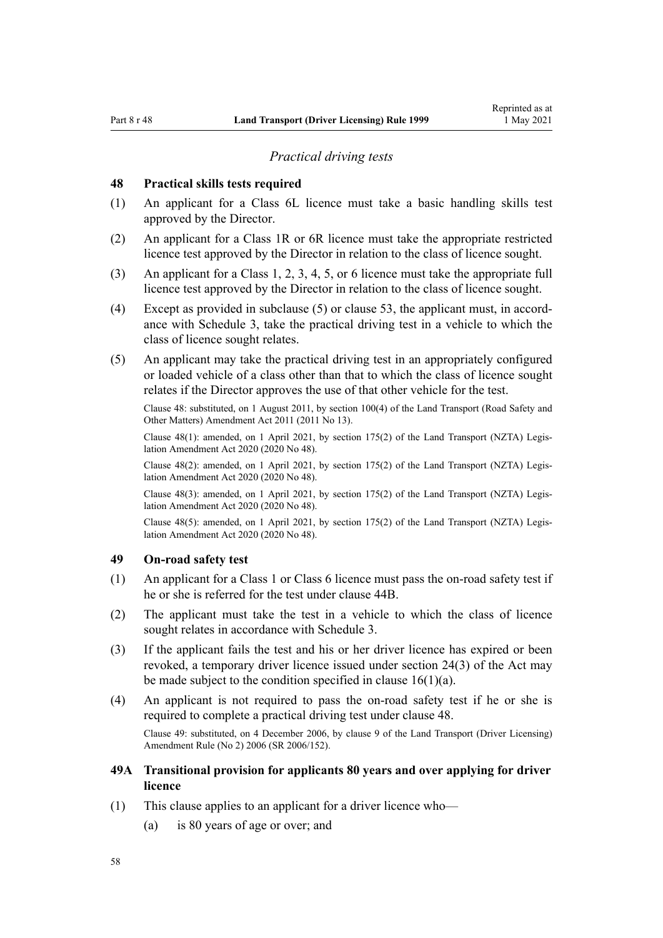#### *Practical driving tests*

### <span id="page-57-0"></span>**48 Practical skills tests required**

- (1) An applicant for a Class 6L licence must take a basic handling skills test approved by the Director.
- (2) An applicant for a Class 1R or 6R licence must take the appropriate restricted licence test approved by the Director in relation to the class of licence sought.
- (3) An applicant for a Class 1, 2, 3, 4, 5, or 6 licence must take the appropriate full licence test approved by the Director in relation to the class of licence sought.
- (4) Except as provided in subclause  $(5)$  or [clause 53](#page-59-0), the applicant must, in accordance with [Schedule 3](#page-115-0), take the practical driving test in a vehicle to which the class of licence sought relates.
- (5) An applicant may take the practical driving test in an appropriately configured or loaded vehicle of a class other than that to which the class of licence sought relates if the Director approves the use of that other vehicle for the test.

Clause 48: substituted, on 1 August 2011, by [section 100\(4\)](http://legislation.govt.nz/pdflink.aspx?id=DLM3231293) of the Land Transport (Road Safety and Other Matters) Amendment Act 2011 (2011 No 13).

Clause 48(1): amended, on 1 April 2021, by [section 175\(2\)](http://legislation.govt.nz/pdflink.aspx?id=LMS286883) of the Land Transport (NZTA) Legis‐ lation Amendment Act 2020 (2020 No 48).

Clause 48(2): amended, on 1 April 2021, by [section 175\(2\)](http://legislation.govt.nz/pdflink.aspx?id=LMS286883) of the Land Transport (NZTA) Legis‐ lation Amendment Act 2020 (2020 No 48).

Clause 48(3): amended, on 1 April 2021, by [section 175\(2\)](http://legislation.govt.nz/pdflink.aspx?id=LMS286883) of the Land Transport (NZTA) Legis‐ lation Amendment Act 2020 (2020 No 48).

Clause 48(5): amended, on 1 April 2021, by [section 175\(2\)](http://legislation.govt.nz/pdflink.aspx?id=LMS286883) of the Land Transport (NZTA) Legis‐ lation Amendment Act 2020 (2020 No 48).

## **49 On-road safety test**

- (1) An applicant for a Class 1 or Class 6 licence must pass the on-road safety test if he or she is referred for the test under [clause 44B](#page-55-0).
- (2) The applicant must take the test in a vehicle to which the class of licence sought relates in accordance with [Schedule 3](#page-115-0).
- (3) If the applicant fails the test and his or her driver licence has expired or been revoked, a temporary driver licence issued under [section 24\(3\)](http://legislation.govt.nz/pdflink.aspx?id=DLM434553) of the Act may be made subject to the condition specified in clause  $16(1)(a)$ .
- (4) An applicant is not required to pass the on-road safety test if he or she is required to complete a practical driving test under clause 48. Clause 49: substituted, on 4 December 2006, by [clause 9](http://legislation.govt.nz/pdflink.aspx?id=DLM386148) of the Land Transport (Driver Licensing) Amendment Rule (No 2) 2006 (SR 2006/152).
- **49A Transitional provision for applicants 80 years and over applying for driver licence**
- (1) This clause applies to an applicant for a driver licence who—
	- (a) is 80 years of age or over; and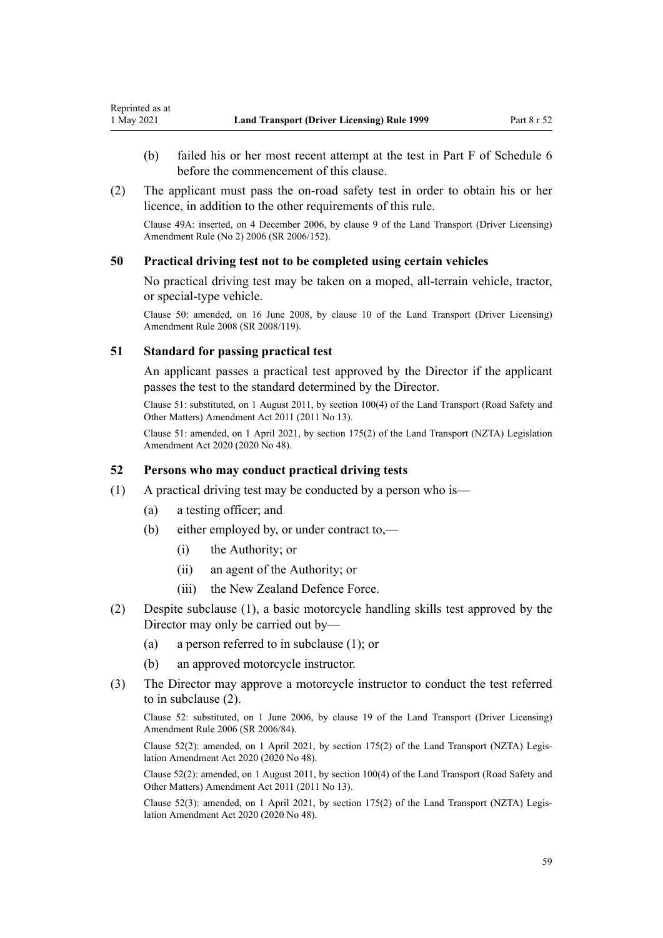- <span id="page-58-0"></span>(b) failed his or her most recent attempt at the test in Part F of [Schedule 6](#page-118-0) before the commencement of this clause.
- (2) The applicant must pass the on-road safety test in order to obtain his or her licence, in addition to the other requirements of this rule.

Clause 49A: inserted, on 4 December 2006, by [clause 9](http://legislation.govt.nz/pdflink.aspx?id=DLM386148) of the Land Transport (Driver Licensing) Amendment Rule (No 2) 2006 (SR 2006/152).

### **50 Practical driving test not to be completed using certain vehicles**

No practical driving test may be taken on a moped, all-terrain vehicle, tractor, or special-type vehicle.

Clause 50: amended, on 16 June 2008, by [clause 10](http://legislation.govt.nz/pdflink.aspx?id=DLM1317916) of the Land Transport (Driver Licensing) Amendment Rule 2008 (SR 2008/119).

### **51 Standard for passing practical test**

An applicant passes a practical test approved by the Director if the applicant passes the test to the standard determined by the Director.

Clause 51: substituted, on 1 August 2011, by [section 100\(4\)](http://legislation.govt.nz/pdflink.aspx?id=DLM3231293) of the Land Transport (Road Safety and Other Matters) Amendment Act 2011 (2011 No 13).

Clause 51: amended, on 1 April 2021, by [section 175\(2\)](http://legislation.govt.nz/pdflink.aspx?id=LMS286883) of the Land Transport (NZTA) Legislation Amendment Act 2020 (2020 No 48).

## **52 Persons who may conduct practical driving tests**

- (1) A practical driving test may be conducted by a person who is—
	- (a) a testing officer; and
	- (b) either employed by, or under contract to,—
		- (i) the Authority; or
		- (ii) an agent of the Authority; or
		- (iii) the New Zealand Defence Force.
- (2) Despite subclause (1), a basic motorcycle handling skills test approved by the Director may only be carried out by—
	- (a) a person referred to in subclause (1); or
	- (b) an approved motorcycle instructor.
- (3) The Director may approve a motorcycle instructor to conduct the test referred to in subclause (2).

Clause 52: substituted, on 1 June 2006, by [clause 19](http://legislation.govt.nz/pdflink.aspx?id=DLM376108) of the Land Transport (Driver Licensing) Amendment Rule 2006 (SR 2006/84).

Clause 52(2): amended, on 1 April 2021, by [section 175\(2\)](http://legislation.govt.nz/pdflink.aspx?id=LMS286883) of the Land Transport (NZTA) Legis‐ lation Amendment Act 2020 (2020 No 48).

Clause 52(2): amended, on 1 August 2011, by [section 100\(4\)](http://legislation.govt.nz/pdflink.aspx?id=DLM3231293) of the Land Transport (Road Safety and Other Matters) Amendment Act 2011 (2011 No 13).

Clause 52(3): amended, on 1 April 2021, by [section 175\(2\)](http://legislation.govt.nz/pdflink.aspx?id=LMS286883) of the Land Transport (NZTA) Legis‐ lation Amendment Act 2020 (2020 No 48).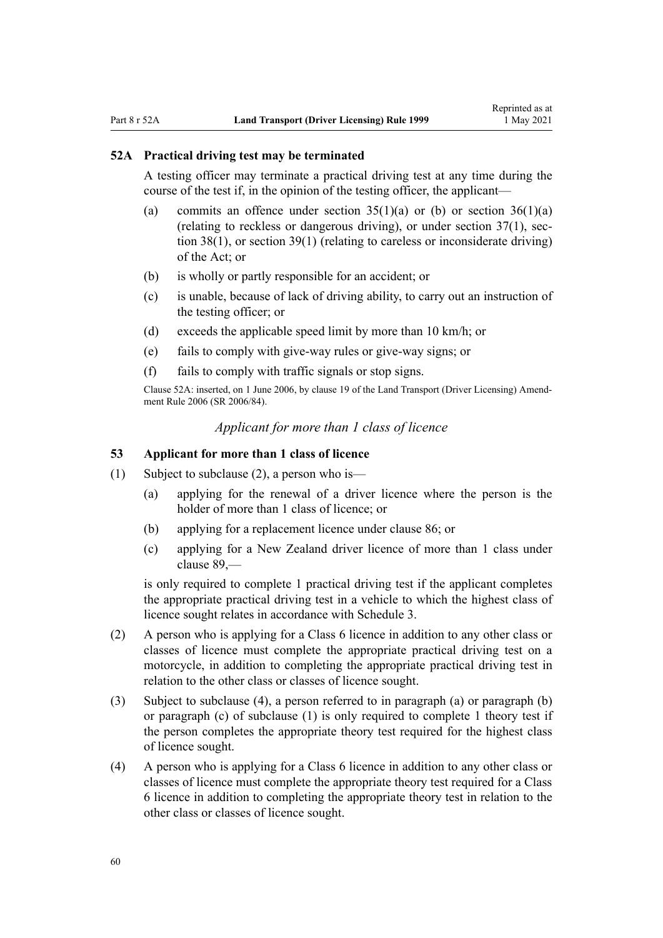### <span id="page-59-0"></span>**52A Practical driving test may be terminated**

A testing officer may terminate a practical driving test at any time during the course of the test if, in the opinion of the testing officer, the applicant—

- (a) commits an offence under section  $35(1)(a)$  or (b) or section  $36(1)(a)$ (relating to reckless or dangerous driving), or under section  $37(1)$ , sec[tion 38\(1\)](http://legislation.govt.nz/pdflink.aspx?id=DLM434659), or [section 39\(1\)](http://legislation.govt.nz/pdflink.aspx?id=DLM434662) (relating to careless or inconsiderate driving) of the Act; or
- (b) is wholly or partly responsible for an accident; or
- (c) is unable, because of lack of driving ability, to carry out an instruction of the testing officer; or
- (d) exceeds the applicable speed limit by more than 10 km/h; or
- (e) fails to comply with give-way rules or give-way signs; or
- (f) fails to comply with traffic signals or stop signs.

Clause 52A: inserted, on 1 June 2006, by [clause 19](http://legislation.govt.nz/pdflink.aspx?id=DLM376108) of the Land Transport (Driver Licensing) Amend‐ ment Rule 2006 (SR 2006/84).

## *Applicant for more than 1 class of licence*

## **53 Applicant for more than 1 class of licence**

- (1) Subject to subclause (2), a person who is—
	- (a) applying for the renewal of a driver licence where the person is the holder of more than 1 class of licence; or
	- (b) applying for a replacement licence under [clause 86](#page-88-0); or
	- (c) applying for a New Zealand driver licence of more than 1 class under [clause 89](#page-93-0),—

is only required to complete 1 practical driving test if the applicant completes the appropriate practical driving test in a vehicle to which the highest class of licence sought relates in accordance with [Schedule 3.](#page-115-0)

- (2) A person who is applying for a Class 6 licence in addition to any other class or classes of licence must complete the appropriate practical driving test on a motorcycle, in addition to completing the appropriate practical driving test in relation to the other class or classes of licence sought.
- (3) Subject to subclause (4), a person referred to in paragraph (a) or paragraph (b) or paragraph (c) of subclause (1) is only required to complete 1 theory test if the person completes the appropriate theory test required for the highest class of licence sought.
- (4) A person who is applying for a Class 6 licence in addition to any other class or classes of licence must complete the appropriate theory test required for a Class 6 licence in addition to completing the appropriate theory test in relation to the other class or classes of licence sought.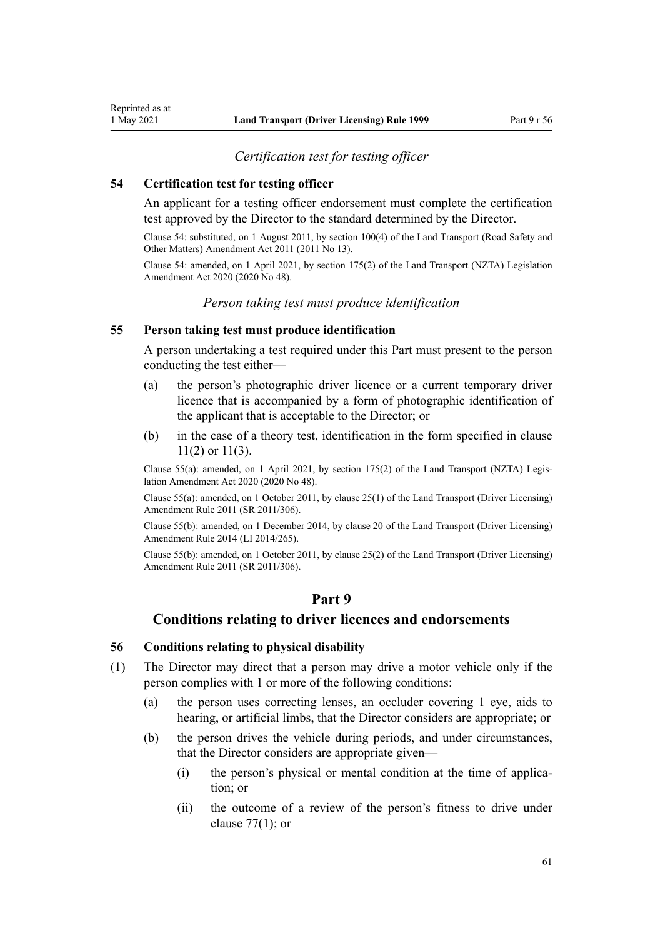## *Certification test for testing officer*

#### **54 Certification test for testing officer**

<span id="page-60-0"></span>Reprinted as at

An applicant for a testing officer endorsement must complete the certification test approved by the Director to the standard determined by the Director.

Clause 54: substituted, on 1 August 2011, by [section 100\(4\)](http://legislation.govt.nz/pdflink.aspx?id=DLM3231293) of the Land Transport (Road Safety and Other Matters) Amendment Act 2011 (2011 No 13).

Clause 54: amended, on 1 April 2021, by [section 175\(2\)](http://legislation.govt.nz/pdflink.aspx?id=LMS286883) of the Land Transport (NZTA) Legislation Amendment Act 2020 (2020 No 48).

## *Person taking test must produce identification*

#### **55 Person taking test must produce identification**

A person undertaking a test required under this Part must present to the person conducting the test either—

- (a) the person's photographic driver licence or a current temporary driver licence that is accompanied by a form of photographic identification of the applicant that is acceptable to the Director; or
- (b) in the case of a theory test, identification in the form specified in [clause](#page-22-0) [11\(2\) or 11\(3\).](#page-22-0)

Clause 55(a): amended, on 1 April 2021, by [section 175\(2\)](http://legislation.govt.nz/pdflink.aspx?id=LMS286883) of the Land Transport (NZTA) Legis‐ lation Amendment Act 2020 (2020 No 48).

Clause 55(a): amended, on 1 October 2011, by [clause 25\(1\)](http://legislation.govt.nz/pdflink.aspx?id=DLM3956730) of the Land Transport (Driver Licensing) Amendment Rule 2011 (SR 2011/306).

Clause 55(b): amended, on 1 December 2014, by [clause 20](http://legislation.govt.nz/pdflink.aspx?id=DLM6216934) of the Land Transport (Driver Licensing) Amendment Rule 2014 (LI 2014/265).

Clause 55(b): amended, on 1 October 2011, by [clause 25\(2\)](http://legislation.govt.nz/pdflink.aspx?id=DLM3956730) of the Land Transport (Driver Licensing) Amendment Rule 2011 (SR 2011/306).

## **Part 9**

## **Conditions relating to driver licences and endorsements**

#### **56 Conditions relating to physical disability**

- (1) The Director may direct that a person may drive a motor vehicle only if the person complies with 1 or more of the following conditions:
	- (a) the person uses correcting lenses, an occluder covering 1 eye, aids to hearing, or artificial limbs, that the Director considers are appropriate; or
	- (b) the person drives the vehicle during periods, and under circumstances, that the Director considers are appropriate given—
		- (i) the person's physical or mental condition at the time of application; or
		- (ii) the outcome of a review of the person's fitness to drive under [clause 77\(1\);](#page-80-0) or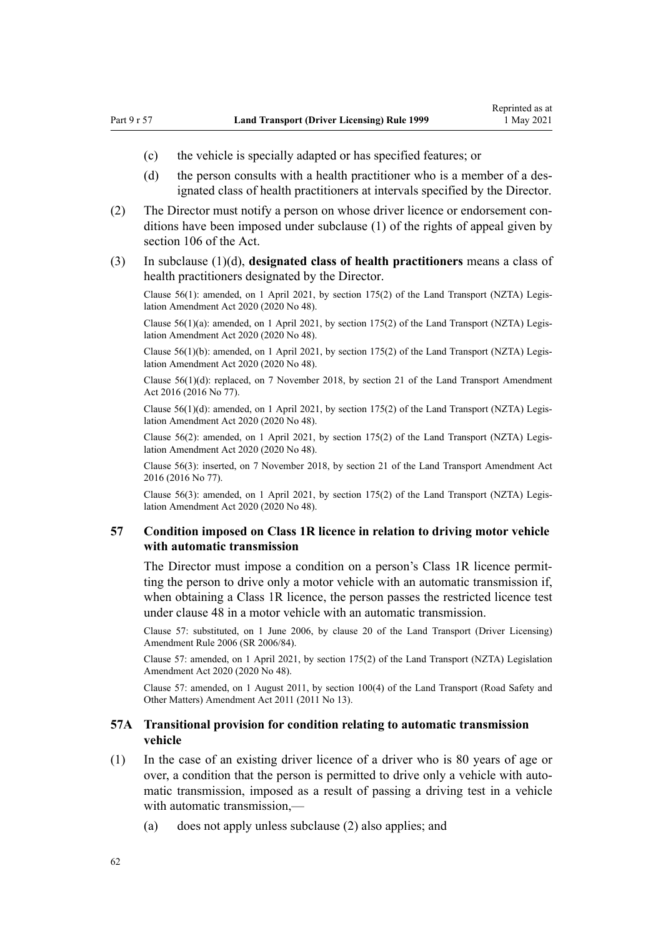- <span id="page-61-0"></span>(c) the vehicle is specially adapted or has specified features; or
- (d) the person consults with a health practitioner who is a member of a designated class of health practitioners at intervals specified by the Director.
- (2) The Director must notify a person on whose driver licence or endorsement con‐ ditions have been imposed under subclause (1) of the rights of appeal given by [section 106](http://legislation.govt.nz/pdflink.aspx?id=DLM435083) of the Act.
- (3) In subclause (1)(d), **designated class of health practitioners** means a class of health practitioners designated by the Director.

Clause 56(1): amended, on 1 April 2021, by [section 175\(2\)](http://legislation.govt.nz/pdflink.aspx?id=LMS286883) of the Land Transport (NZTA) Legis‐ lation Amendment Act 2020 (2020 No 48).

Clause 56(1)(a): amended, on 1 April 2021, by [section 175\(2\)](http://legislation.govt.nz/pdflink.aspx?id=LMS286883) of the Land Transport (NZTA) Legis‐ lation Amendment Act 2020 (2020 No 48).

Clause 56(1)(b): amended, on 1 April 2021, by [section 175\(2\)](http://legislation.govt.nz/pdflink.aspx?id=LMS286883) of the Land Transport (NZTA) Legis‐ lation Amendment Act 2020 (2020 No 48).

Clause 56(1)(d): replaced, on 7 November 2018, by [section 21](http://legislation.govt.nz/pdflink.aspx?id=DLM6984133) of the Land Transport Amendment Act 2016 (2016 No 77).

Clause  $56(1)(d)$ : amended, on 1 April 2021, by [section 175\(2\)](http://legislation.govt.nz/pdflink.aspx?id=LMS286883) of the Land Transport (NZTA) Legislation Amendment Act 2020 (2020 No 48).

Clause 56(2): amended, on 1 April 2021, by [section 175\(2\)](http://legislation.govt.nz/pdflink.aspx?id=LMS286883) of the Land Transport (NZTA) Legis‐ lation Amendment Act 2020 (2020 No 48).

Clause 56(3): inserted, on 7 November 2018, by [section 21](http://legislation.govt.nz/pdflink.aspx?id=DLM6984133) of the Land Transport Amendment Act 2016 (2016 No 77).

Clause 56(3): amended, on 1 April 2021, by [section 175\(2\)](http://legislation.govt.nz/pdflink.aspx?id=LMS286883) of the Land Transport (NZTA) Legis‐ lation Amendment Act 2020 (2020 No 48).

### **57 Condition imposed on Class 1R licence in relation to driving motor vehicle with automatic transmission**

The Director must impose a condition on a person's Class 1R licence permitting the person to drive only a motor vehicle with an automatic transmission if, when obtaining a Class 1R licence, the person passes the restricted licence test under [clause 48](#page-57-0) in a motor vehicle with an automatic transmission.

Clause 57: substituted, on 1 June 2006, by [clause 20](http://legislation.govt.nz/pdflink.aspx?id=DLM376111) of the Land Transport (Driver Licensing) Amendment Rule 2006 (SR 2006/84).

Clause 57: amended, on 1 April 2021, by [section 175\(2\)](http://legislation.govt.nz/pdflink.aspx?id=LMS286883) of the Land Transport (NZTA) Legislation Amendment Act 2020 (2020 No 48).

Clause 57: amended, on 1 August 2011, by [section 100\(4\)](http://legislation.govt.nz/pdflink.aspx?id=DLM3231293) of the Land Transport (Road Safety and Other Matters) Amendment Act 2011 (2011 No 13).

## **57A Transitional provision for condition relating to automatic transmission vehicle**

- (1) In the case of an existing driver licence of a driver who is 80 years of age or over, a condition that the person is permitted to drive only a vehicle with automatic transmission, imposed as a result of passing a driving test in a vehicle with automatic transmission,—
	- (a) does not apply unless subclause (2) also applies; and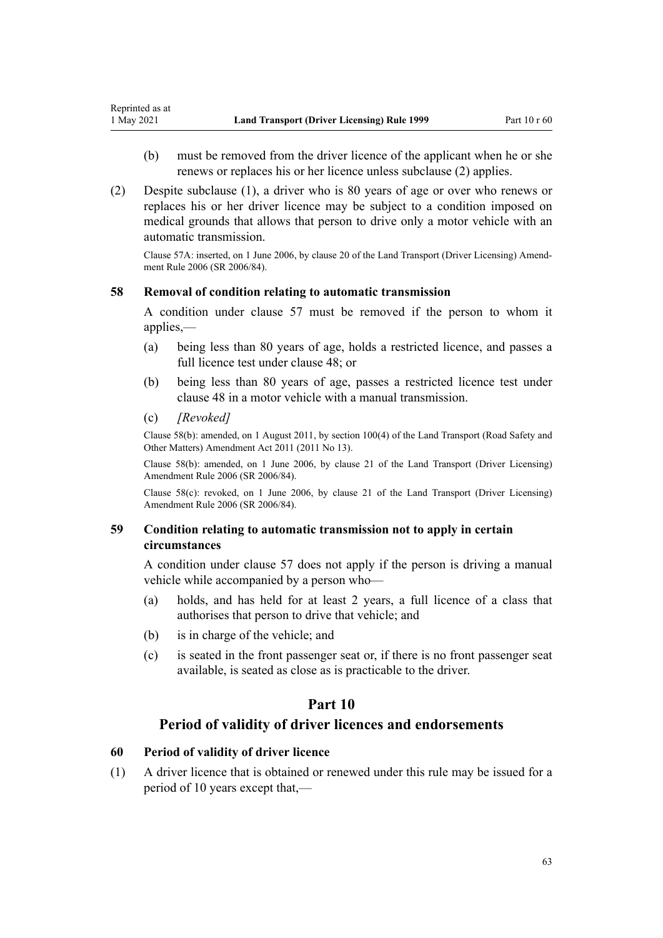- (b) must be removed from the driver licence of the applicant when he or she renews or replaces his or her licence unless subclause (2) applies.
- (2) Despite subclause (1), a driver who is 80 years of age or over who renews or replaces his or her driver licence may be subject to a condition imposed on medical grounds that allows that person to drive only a motor vehicle with an automatic transmission.

Clause 57A: inserted, on 1 June 2006, by [clause 20](http://legislation.govt.nz/pdflink.aspx?id=DLM376111) of the Land Transport (Driver Licensing) Amend‐ ment Rule 2006 (SR 2006/84).

## **58 Removal of condition relating to automatic transmission**

A condition under [clause 57](#page-61-0) must be removed if the person to whom it applies,—

- (a) being less than 80 years of age, holds a restricted licence, and passes a full licence test under [clause 48;](#page-57-0) or
- (b) being less than 80 years of age, passes a restricted licence test under [clause 48](#page-57-0) in a motor vehicle with a manual transmission.
- (c) *[Revoked]*

Clause 58(b): amended, on 1 August 2011, by [section 100\(4\)](http://legislation.govt.nz/pdflink.aspx?id=DLM3231293) of the Land Transport (Road Safety and Other Matters) Amendment Act 2011 (2011 No 13).

Clause 58(b): amended, on 1 June 2006, by [clause 21](http://legislation.govt.nz/pdflink.aspx?id=DLM376114) of the Land Transport (Driver Licensing) Amendment Rule 2006 (SR 2006/84).

Clause 58(c): revoked, on 1 June 2006, by [clause 21](http://legislation.govt.nz/pdflink.aspx?id=DLM376114) of the Land Transport (Driver Licensing) Amendment Rule 2006 (SR 2006/84).

## **59 Condition relating to automatic transmission not to apply in certain circumstances**

A condition under [clause 57](#page-61-0) does not apply if the person is driving a manual vehicle while accompanied by a person who—

- (a) holds, and has held for at least 2 years, a full licence of a class that authorises that person to drive that vehicle; and
- (b) is in charge of the vehicle; and
- (c) is seated in the front passenger seat or, if there is no front passenger seat available, is seated as close as is practicable to the driver.

## **Part 10**

## **Period of validity of driver licences and endorsements**

## **60 Period of validity of driver licence**

(1) A driver licence that is obtained or renewed under this rule may be issued for a period of 10 years except that,—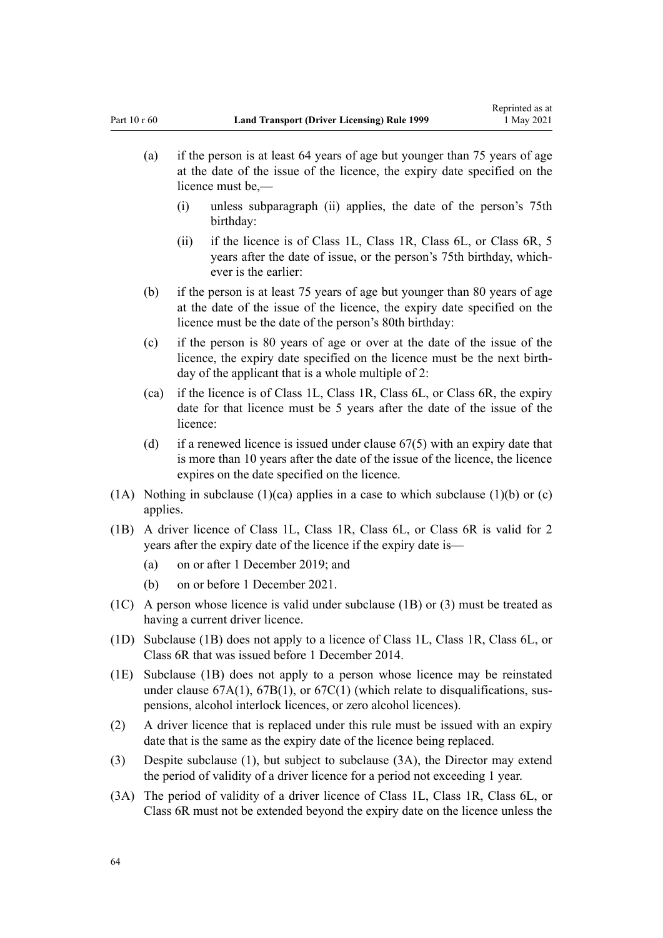- (a) if the person is at least 64 years of age but younger than 75 years of age at the date of the issue of the licence, the expiry date specified on the licence must be,—
	- (i) unless subparagraph (ii) applies, the date of the person's 75th birthday:
	- (ii) if the licence is of Class 1L, Class 1R, Class 6L, or Class 6R, 5 years after the date of issue, or the person's 75th birthday, which‐ ever is the earlier:
- (b) if the person is at least 75 years of age but younger than 80 years of age at the date of the issue of the licence, the expiry date specified on the licence must be the date of the person's 80th birthday:
- (c) if the person is 80 years of age or over at the date of the issue of the licence, the expiry date specified on the licence must be the next birth‐ day of the applicant that is a whole multiple of 2:
- (ca) if the licence is of Class 1L, Class 1R, Class 6L, or Class 6R, the expiry date for that licence must be 5 years after the date of the issue of the licence:
- (d) if a renewed licence is issued under [clause 67\(5\)](#page-70-0) with an expiry date that is more than 10 years after the date of the issue of the licence, the licence expires on the date specified on the licence.
- (1A) Nothing in subclause (1)(ca) applies in a case to which subclause (1)(b) or (c) applies.
- (1B) A driver licence of Class 1L, Class 1R, Class 6L, or Class 6R is valid for 2 years after the expiry date of the licence if the expiry date is—
	- (a) on or after 1 December 2019; and
	- (b) on or before 1 December 2021.
- (1C) A person whose licence is valid under subclause (1B) or (3) must be treated as having a current driver licence.
- (1D) Subclause (1B) does not apply to a licence of Class 1L, Class 1R, Class 6L, or Class 6R that was issued before 1 December 2014.
- (1E) Subclause (1B) does not apply to a person whose licence may be reinstated under clause  $67A(1)$ ,  $67B(1)$ , or  $67C(1)$  (which relate to disqualifications, suspensions, alcohol interlock licences, or zero alcohol licences).
- (2) A driver licence that is replaced under this rule must be issued with an expiry date that is the same as the expiry date of the licence being replaced.
- (3) Despite subclause (1), but subject to subclause (3A), the Director may extend the period of validity of a driver licence for a period not exceeding 1 year.
- (3A) The period of validity of a driver licence of Class 1L, Class 1R, Class 6L, or Class 6R must not be extended beyond the expiry date on the licence unless the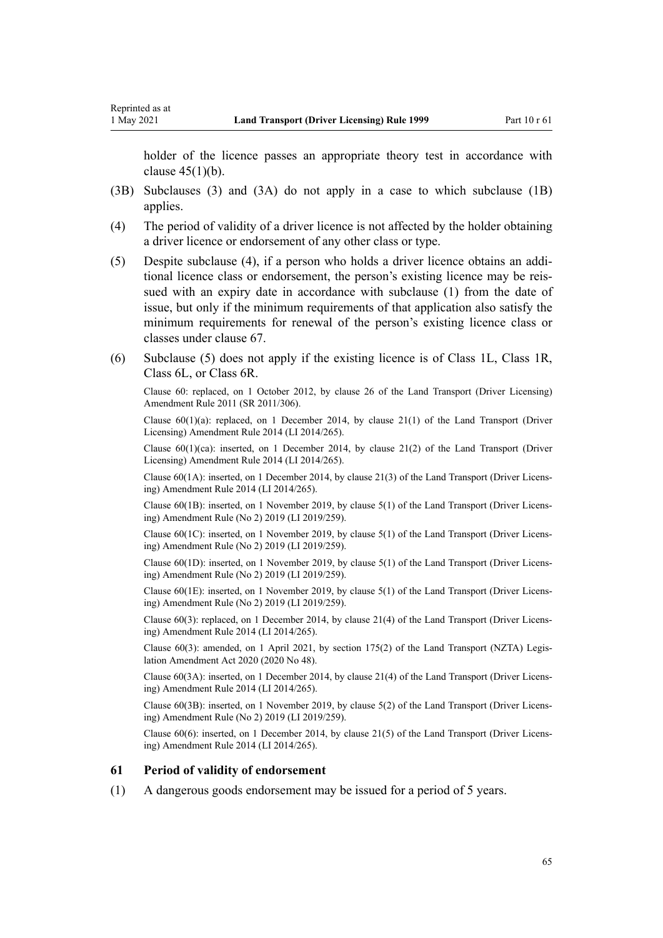Reprinted as at

holder of the licence passes an appropriate theory test in accordance with clause  $45(1)(b)$ .

- (3B) Subclauses (3) and (3A) do not apply in a case to which subclause (1B) applies.
- (4) The period of validity of a driver licence is not affected by the holder obtaining a driver licence or endorsement of any other class or type.
- (5) Despite subclause (4), if a person who holds a driver licence obtains an addi‐ tional licence class or endorsement, the person's existing licence may be reis‐ sued with an expiry date in accordance with subclause (1) from the date of issue, but only if the minimum requirements of that application also satisfy the minimum requirements for renewal of the person's existing licence class or classes under [clause 67](#page-70-0).
- (6) Subclause (5) does not apply if the existing licence is of Class 1L, Class 1R, Class 6L, or Class 6R.

Clause 60: replaced, on 1 October 2012, by [clause 26](http://legislation.govt.nz/pdflink.aspx?id=DLM3956515) of the Land Transport (Driver Licensing) Amendment Rule 2011 (SR 2011/306).

Clause  $60(1)(a)$ : replaced, on 1 December 2014, by [clause 21\(1\)](http://legislation.govt.nz/pdflink.aspx?id=DLM6216935) of the Land Transport (Driver Licensing) Amendment Rule 2014 (LI 2014/265).

Clause  $60(1)(ca)$ : inserted, on 1 December 2014, by [clause 21\(2\)](http://legislation.govt.nz/pdflink.aspx?id=DLM6216935) of the Land Transport (Driver Licensing) Amendment Rule 2014 (LI 2014/265).

Clause 60(1A): inserted, on 1 December 2014, by [clause 21\(3\)](http://legislation.govt.nz/pdflink.aspx?id=DLM6216935) of the Land Transport (Driver Licens‐ ing) Amendment Rule 2014 (LI 2014/265).

Clause 60(1B): inserted, on 1 November 2019, by [clause 5\(1\)](http://legislation.govt.nz/pdflink.aspx?id=LMS264758) of the Land Transport (Driver Licens‐ ing) Amendment Rule (No 2) 2019 (LI 2019/259).

Clause 60(1C): inserted, on 1 November 2019, by [clause 5\(1\)](http://legislation.govt.nz/pdflink.aspx?id=LMS264758) of the Land Transport (Driver Licens‐ ing) Amendment Rule (No 2) 2019 (LI 2019/259).

Clause 60(1D): inserted, on 1 November 2019, by [clause 5\(1\)](http://legislation.govt.nz/pdflink.aspx?id=LMS264758) of the Land Transport (Driver Licens‐ ing) Amendment Rule (No 2) 2019 (LI 2019/259).

Clause 60(1E): inserted, on 1 November 2019, by [clause 5\(1\)](http://legislation.govt.nz/pdflink.aspx?id=LMS264758) of the Land Transport (Driver Licens‐ ing) Amendment Rule (No 2) 2019 (LI 2019/259).

Clause 60(3): replaced, on 1 December 2014, by [clause 21\(4\)](http://legislation.govt.nz/pdflink.aspx?id=DLM6216935) of the Land Transport (Driver Licens‐ ing) Amendment Rule 2014 (LI 2014/265).

Clause 60(3): amended, on 1 April 2021, by [section 175\(2\)](http://legislation.govt.nz/pdflink.aspx?id=LMS286883) of the Land Transport (NZTA) Legis‐ lation Amendment Act 2020 (2020 No 48).

Clause 60(3A): inserted, on 1 December 2014, by [clause 21\(4\)](http://legislation.govt.nz/pdflink.aspx?id=DLM6216935) of the Land Transport (Driver Licens‐ ing) Amendment Rule 2014 (LI 2014/265).

Clause 60(3B): inserted, on 1 November 2019, by [clause 5\(2\)](http://legislation.govt.nz/pdflink.aspx?id=LMS264758) of the Land Transport (Driver Licens‐ ing) Amendment Rule (No 2) 2019 (LI 2019/259).

Clause 60(6): inserted, on 1 December 2014, by [clause 21\(5\)](http://legislation.govt.nz/pdflink.aspx?id=DLM6216935) of the Land Transport (Driver Licens‐ ing) Amendment Rule 2014 (LI 2014/265).

#### **61 Period of validity of endorsement**

(1) A dangerous goods endorsement may be issued for a period of 5 years.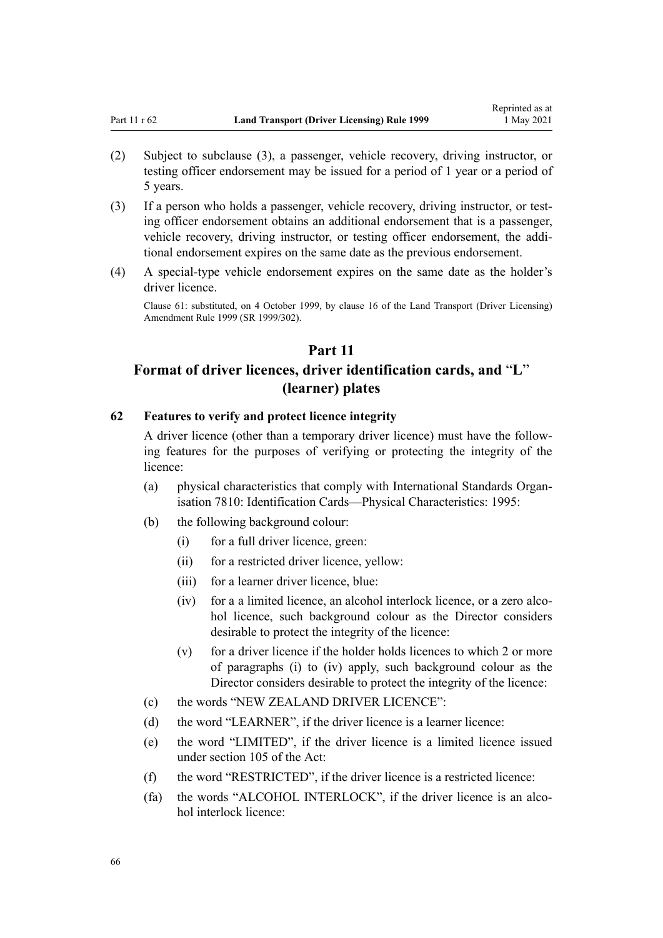- <span id="page-65-0"></span>(2) Subject to subclause (3), a passenger, vehicle recovery, driving instructor, or testing officer endorsement may be issued for a period of 1 year or a period of 5 years.
- (3) If a person who holds a passenger, vehicle recovery, driving instructor, or test‐ ing officer endorsement obtains an additional endorsement that is a passenger, vehicle recovery, driving instructor, or testing officer endorsement, the additional endorsement expires on the same date as the previous endorsement.
- (4) A special-type vehicle endorsement expires on the same date as the holder's driver licence.

Clause 61: substituted, on 4 October 1999, by [clause 16](http://legislation.govt.nz/pdflink.aspx?id=DLM293684) of the Land Transport (Driver Licensing) Amendment Rule 1999 (SR 1999/302).

## **Part 11**

# **Format of driver licences, driver identification cards, and** "**L**" **(learner) plates**

### **62 Features to verify and protect licence integrity**

A driver licence (other than a temporary driver licence) must have the follow‐ ing features for the purposes of verifying or protecting the integrity of the licence:

- (a) physical characteristics that comply with International Standards Organ‐ isation 7810: Identification Cards—Physical Characteristics: 1995:
- (b) the following background colour:
	- (i) for a full driver licence, green:
	- (ii) for a restricted driver licence, yellow:
	- (iii) for a learner driver licence, blue:
	- (iv) for a a limited licence, an alcohol interlock licence, or a zero alcohol licence, such background colour as the Director considers desirable to protect the integrity of the licence:
	- (v) for a driver licence if the holder holds licences to which 2 or more of paragraphs (i) to (iv) apply, such background colour as the Director considers desirable to protect the integrity of the licence:
- (c) the words "NEW ZEALAND DRIVER LICENCE":
- (d) the word "LEARNER", if the driver licence is a learner licence:
- (e) the word "LIMITED", if the driver licence is a limited licence issued under [section 105](http://legislation.govt.nz/pdflink.aspx?id=DLM435080) of the Act:
- (f) the word "RESTRICTED", if the driver licence is a restricted licence:
- (fa) the words "ALCOHOL INTERLOCK", if the driver licence is an alcohol interlock licence: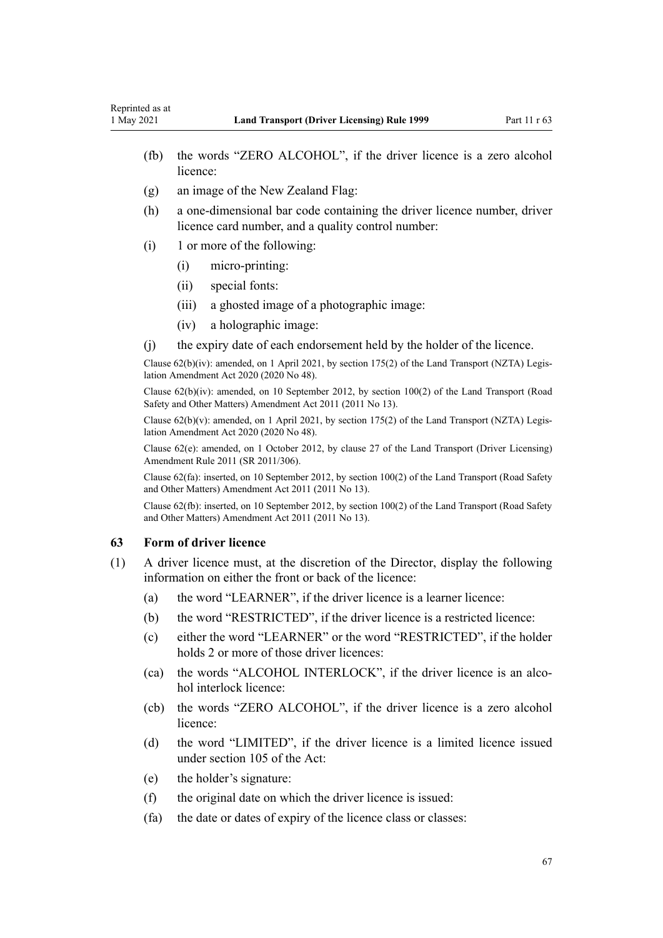- (fb) the words "ZERO ALCOHOL", if the driver licence is a zero alcohol licence:
- (g) an image of the New Zealand Flag:
- (h) a one-dimensional bar code containing the driver licence number, driver licence card number, and a quality control number:
- (i) 1 or more of the following:
	- (i) micro-printing:
	- (ii) special fonts:
	- (iii) a ghosted image of a photographic image:
	- (iv) a holographic image:
- (j) the expiry date of each endorsement held by the holder of the licence.

Clause 62(b)(iv): amended, on 1 April 2021, by [section 175\(2\)](http://legislation.govt.nz/pdflink.aspx?id=LMS286883) of the Land Transport (NZTA) Legis‐ lation Amendment Act 2020 (2020 No 48).

Clause 62(b)(iv): amended, on 10 September 2012, by [section 100\(2\)](http://legislation.govt.nz/pdflink.aspx?id=DLM3231293) of the Land Transport (Road Safety and Other Matters) Amendment Act 2011 (2011 No 13).

Clause  $62(b)(v)$ : amended, on 1 April 2021, by [section 175\(2\)](http://legislation.govt.nz/pdflink.aspx?id=LMS286883) of the Land Transport (NZTA) Legislation Amendment Act 2020 (2020 No 48).

Clause 62(e): amended, on 1 October 2012, by [clause 27](http://legislation.govt.nz/pdflink.aspx?id=DLM3956517) of the Land Transport (Driver Licensing) Amendment Rule 2011 (SR 2011/306).

Clause 62(fa): inserted, on 10 September 2012, by [section 100\(2\)](http://legislation.govt.nz/pdflink.aspx?id=DLM3231293) of the Land Transport (Road Safety and Other Matters) Amendment Act 2011 (2011 No 13).

Clause 62(fb): inserted, on 10 September 2012, by [section 100\(2\)](http://legislation.govt.nz/pdflink.aspx?id=DLM3231293) of the Land Transport (Road Safety and Other Matters) Amendment Act 2011 (2011 No 13).

## **63 Form of driver licence**

- (1) A driver licence must, at the discretion of the Director, display the following information on either the front or back of the licence:
	- (a) the word "LEARNER", if the driver licence is a learner licence:
	- (b) the word "RESTRICTED", if the driver licence is a restricted licence:
	- (c) either the word "LEARNER" or the word "RESTRICTED", if the holder holds 2 or more of those driver licences:
	- (ca) the words "ALCOHOL INTERLOCK", if the driver licence is an alco‐ hol interlock licence:
	- (cb) the words "ZERO ALCOHOL", if the driver licence is a zero alcohol licence:
	- (d) the word "LIMITED", if the driver licence is a limited licence issued under [section 105](http://legislation.govt.nz/pdflink.aspx?id=DLM435080) of the Act:
	- (e) the holder's signature:
	- (f) the original date on which the driver licence is issued:
	- (fa) the date or dates of expiry of the licence class or classes: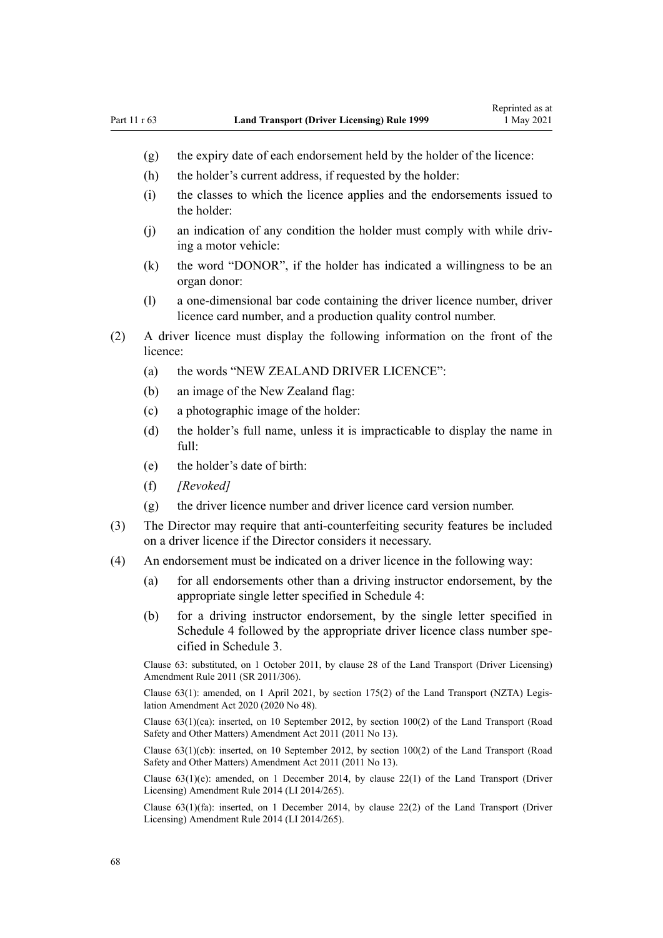- (g) the expiry date of each endorsement held by the holder of the licence:
- (h) the holder's current address, if requested by the holder:
- (i) the classes to which the licence applies and the endorsements issued to the holder:
- (j) an indication of any condition the holder must comply with while driv‐ ing a motor vehicle:
- (k) the word "DONOR", if the holder has indicated a willingness to be an organ donor:
- (l) a one-dimensional bar code containing the driver licence number, driver licence card number, and a production quality control number.
- (2) A driver licence must display the following information on the front of the licence:
	- (a) the words "NEW ZEALAND DRIVER LICENCE":
	- (b) an image of the New Zealand flag:
	- (c) a photographic image of the holder:
	- (d) the holder's full name, unless it is impracticable to display the name in full:
	- (e) the holder's date of birth:
	- (f) *[Revoked]*
	- (g) the driver licence number and driver licence card version number.
- (3) The Director may require that anti-counterfeiting security features be included on a driver licence if the Director considers it necessary.
- (4) An endorsement must be indicated on a driver licence in the following way:
	- (a) for all endorsements other than a driving instructor endorsement, by the appropriate single letter specified in [Schedule 4](#page-118-0):
	- (b) for a driving instructor endorsement, by the single letter specified in [Schedule 4](#page-118-0) followed by the appropriate driver licence class number specified in [Schedule 3.](#page-115-0)

Clause 63: substituted, on 1 October 2011, by [clause 28](http://legislation.govt.nz/pdflink.aspx?id=DLM3956732) of the Land Transport (Driver Licensing) Amendment Rule 2011 (SR 2011/306).

Clause 63(1): amended, on 1 April 2021, by [section 175\(2\)](http://legislation.govt.nz/pdflink.aspx?id=LMS286883) of the Land Transport (NZTA) Legis‐ lation Amendment Act 2020 (2020 No 48).

Clause 63(1)(ca): inserted, on 10 September 2012, by [section 100\(2\)](http://legislation.govt.nz/pdflink.aspx?id=DLM3231293) of the Land Transport (Road Safety and Other Matters) Amendment Act 2011 (2011 No 13).

Clause 63(1)(cb): inserted, on 10 September 2012, by [section 100\(2\)](http://legislation.govt.nz/pdflink.aspx?id=DLM3231293) of the Land Transport (Road Safety and Other Matters) Amendment Act 2011 (2011 No 13).

Clause  $63(1)(e)$ : amended, on 1 December 2014, by [clause 22\(1\)](http://legislation.govt.nz/pdflink.aspx?id=DLM6216936) of the Land Transport (Driver Licensing) Amendment Rule 2014 (LI 2014/265).

Clause 63(1)(fa): inserted, on 1 December 2014, by [clause 22\(2\)](http://legislation.govt.nz/pdflink.aspx?id=DLM6216936) of the Land Transport (Driver Licensing) Amendment Rule 2014 (LI 2014/265).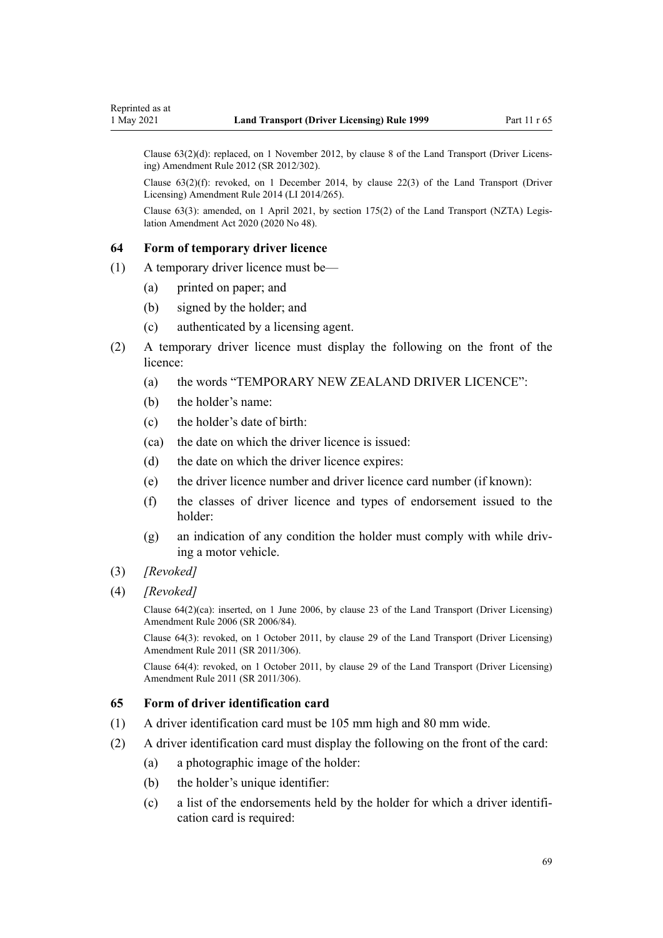Clause 63(2)(d): replaced, on 1 November 2012, by [clause 8](http://legislation.govt.nz/pdflink.aspx?id=DLM4773440) of the Land Transport (Driver Licens‐ ing) Amendment Rule 2012 (SR 2012/302).

Clause 63(2)(f): revoked, on 1 December 2014, by [clause 22\(3\)](http://legislation.govt.nz/pdflink.aspx?id=DLM6216936) of the Land Transport (Driver Licensing) Amendment Rule 2014 (LI 2014/265).

Clause 63(3): amended, on 1 April 2021, by [section 175\(2\)](http://legislation.govt.nz/pdflink.aspx?id=LMS286883) of the Land Transport (NZTA) Legis‐ lation Amendment Act 2020 (2020 No 48).

#### **64 Form of temporary driver licence**

- (1) A temporary driver licence must be—
	- (a) printed on paper; and
	- (b) signed by the holder; and
	- (c) authenticated by a licensing agent.
- (2) A temporary driver licence must display the following on the front of the licence:
	- (a) the words "TEMPORARY NEW ZEALAND DRIVER LICENCE":
	- (b) the holder's name:
	- (c) the holder's date of birth:
	- (ca) the date on which the driver licence is issued:
	- (d) the date on which the driver licence expires:
	- (e) the driver licence number and driver licence card number (if known):
	- (f) the classes of driver licence and types of endorsement issued to the holder:
	- (g) an indication of any condition the holder must comply with while driv‐ ing a motor vehicle.
- (3) *[Revoked]*
- (4) *[Revoked]*

Clause 64(2)(ca): inserted, on 1 June 2006, by [clause 23](http://legislation.govt.nz/pdflink.aspx?id=DLM376116) of the Land Transport (Driver Licensing) Amendment Rule 2006 (SR 2006/84).

Clause 64(3): revoked, on 1 October 2011, by [clause 29](http://legislation.govt.nz/pdflink.aspx?id=DLM3956734) of the Land Transport (Driver Licensing) Amendment Rule 2011 (SR 2011/306).

Clause 64(4): revoked, on 1 October 2011, by [clause 29](http://legislation.govt.nz/pdflink.aspx?id=DLM3956734) of the Land Transport (Driver Licensing) Amendment Rule 2011 (SR 2011/306).

## **65 Form of driver identification card**

- (1) A driver identification card must be 105 mm high and 80 mm wide.
- (2) A driver identification card must display the following on the front of the card:
	- (a) a photographic image of the holder:
	- (b) the holder's unique identifier:
	- (c) a list of the endorsements held by the holder for which a driver identifi‐ cation card is required: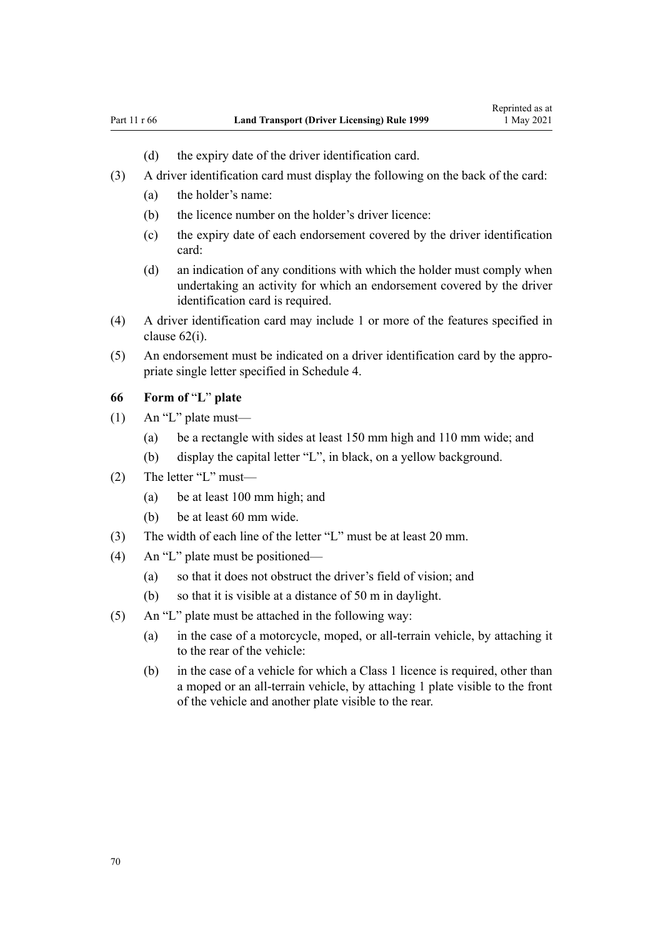- (d) the expiry date of the driver identification card.
- (3) A driver identification card must display the following on the back of the card:
	- (a) the holder's name:
	- (b) the licence number on the holder's driver licence:
	- (c) the expiry date of each endorsement covered by the driver identification card:
	- (d) an indication of any conditions with which the holder must comply when undertaking an activity for which an endorsement covered by the driver identification card is required.
- (4) A driver identification card may include 1 or more of the features specified in [clause 62\(i\)](#page-65-0).
- (5) An endorsement must be indicated on a driver identification card by the appro‐ priate single letter specified in [Schedule 4](#page-118-0).

## **66 Form of** "**L**" **plate**

- (1) An "L" plate must—
	- (a) be a rectangle with sides at least 150 mm high and 110 mm wide; and
	- (b) display the capital letter "L", in black, on a yellow background.
- (2) The letter "L" must—
	- (a) be at least 100 mm high; and
	- (b) be at least 60 mm wide.
- (3) The width of each line of the letter "L" must be at least 20 mm.
- (4) An "L" plate must be positioned—
	- (a) so that it does not obstruct the driver's field of vision; and
	- (b) so that it is visible at a distance of 50 m in daylight.
- (5) An "L" plate must be attached in the following way:
	- (a) in the case of a motorcycle, moped, or all-terrain vehicle, by attaching it to the rear of the vehicle:
	- (b) in the case of a vehicle for which a Class 1 licence is required, other than a moped or an all-terrain vehicle, by attaching 1 plate visible to the front of the vehicle and another plate visible to the rear.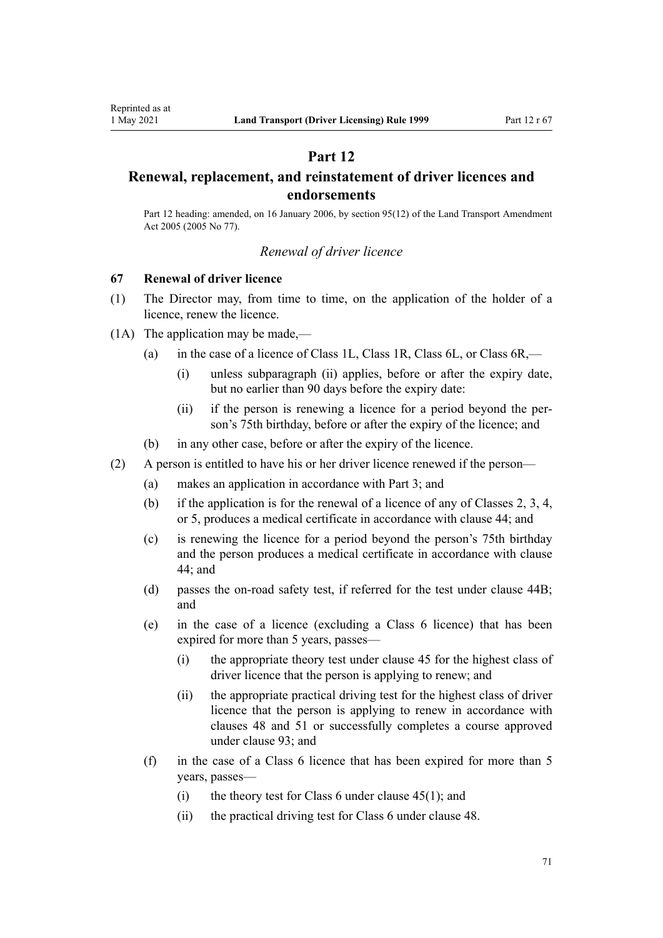## **Part 12**

## <span id="page-70-0"></span>**Renewal, replacement, and reinstatement of driver licences and endorsements**

Part 12 heading: amended, on 16 January 2006, by [section 95\(12\)](http://legislation.govt.nz/pdflink.aspx?id=DLM353501) of the Land Transport Amendment Act 2005 (2005 No 77).

## *Renewal of driver licence*

## **67 Renewal of driver licence**

- (1) The Director may, from time to time, on the application of the holder of a licence, renew the licence.
- (1A) The application may be made,—
	- (a) in the case of a licence of Class 1L, Class 1R, Class 6L, or Class 6R,—
		- (i) unless subparagraph (ii) applies, before or after the expiry date, but no earlier than 90 days before the expiry date:
		- (ii) if the person is renewing a licence for a period beyond the per‐ son's 75th birthday, before or after the expiry of the licence; and
	- (b) in any other case, before or after the expiry of the licence.
- (2) A person is entitled to have his or her driver licence renewed if the person—
	- (a) makes an application in accordance with [Part 3](#page-21-0); and
	- (b) if the application is for the renewal of a licence of any of Classes 2, 3, 4, or 5, produces a medical certificate in accordance with [clause 44](#page-54-0); and
	- (c) is renewing the licence for a period beyond the person's 75th birthday and the person produces a medical certificate in accordance with [clause](#page-54-0) [44;](#page-54-0) and
	- (d) passes the on-road safety test, if referred for the test under [clause 44B;](#page-55-0) and
	- (e) in the case of a licence (excluding a Class 6 licence) that has been expired for more than 5 years, passes—
		- (i) the appropriate theory test under [clause 45](#page-56-0) for the highest class of driver licence that the person is applying to renew; and
		- (ii) the appropriate practical driving test for the highest class of driver licence that the person is applying to renew in accordance with [clauses 48](#page-57-0) and [51](#page-58-0) or successfully completes a course approved under [clause 93](#page-97-0); and
	- (f) in the case of a Class 6 licence that has been expired for more than 5 years, passes—
		- (i) the theory test for Class 6 under clause  $45(1)$ ; and
		- (ii) the practical driving test for Class 6 under [clause 48](#page-57-0).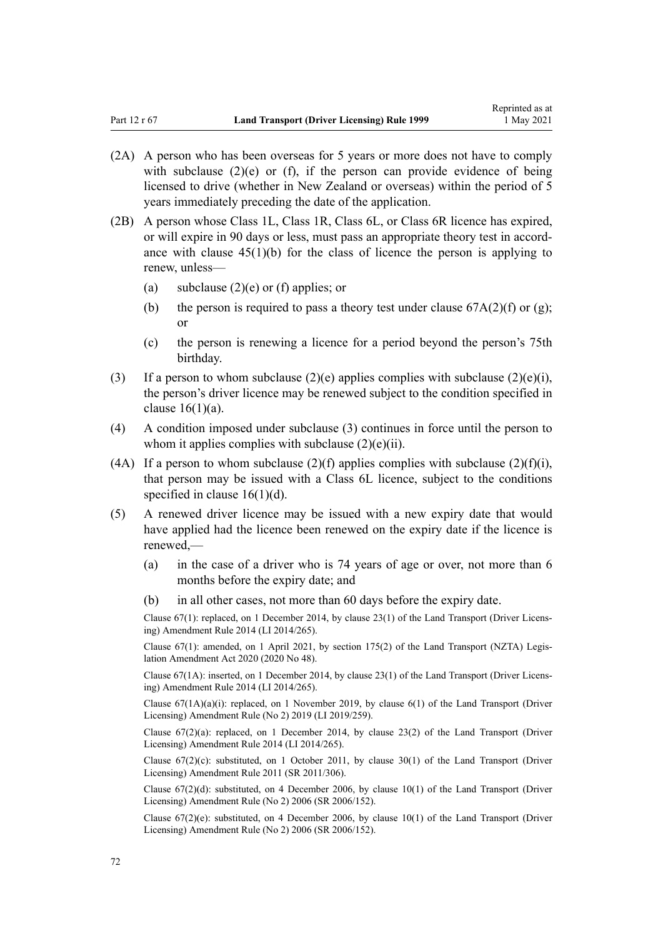- (2A) A person who has been overseas for 5 years or more does not have to comply with subclause  $(2)(e)$  or  $(f)$ , if the person can provide evidence of being licensed to drive (whether in New Zealand or overseas) within the period of 5 years immediately preceding the date of the application.
- (2B) A person whose Class 1L, Class 1R, Class 6L, or Class 6R licence has expired, or will expire in 90 days or less, must pass an appropriate theory test in accordance with clause  $45(1)(b)$  for the class of licence the person is applying to renew, unless—
	- (a) subclause  $(2)(e)$  or (f) applies; or
	- (b) the person is required to pass a theory test under clause  $67A(2)(f)$  or (g); or
	- (c) the person is renewing a licence for a period beyond the person's 75th birthday.
- (3) If a person to whom subclause (2)(e) applies complies with subclause (2)(e)(i), the person's driver licence may be renewed subject to the condition specified in [clause 16\(1\)\(a\)](#page-27-0).
- (4) A condition imposed under subclause (3) continues in force until the person to whom it applies complies with subclause  $(2)(e)(ii)$ .
- (4A) If a person to whom subclause  $(2)(f)$  applies complies with subclause  $(2)(f)(i)$ , that person may be issued with a Class 6L licence, subject to the conditions specified in [clause 16\(1\)\(d\)](#page-27-0).
- (5) A renewed driver licence may be issued with a new expiry date that would have applied had the licence been renewed on the expiry date if the licence is renewed,—
	- (a) in the case of a driver who is 74 years of age or over, not more than 6 months before the expiry date; and
	- (b) in all other cases, not more than 60 days before the expiry date.

Clause 67(1): replaced, on 1 December 2014, by [clause 23\(1\)](http://legislation.govt.nz/pdflink.aspx?id=DLM6216937) of the Land Transport (Driver Licens‐ ing) Amendment Rule 2014 (LI 2014/265).

Clause 67(1): amended, on 1 April 2021, by [section 175\(2\)](http://legislation.govt.nz/pdflink.aspx?id=LMS286883) of the Land Transport (NZTA) Legis‐ lation Amendment Act 2020 (2020 No 48).

Clause 67(1A): inserted, on 1 December 2014, by [clause 23\(1\)](http://legislation.govt.nz/pdflink.aspx?id=DLM6216937) of the Land Transport (Driver Licens‐ ing) Amendment Rule 2014 (LI 2014/265).

Clause  $67(1A)(a)(i)$ : replaced, on 1 November 2019, by clause  $6(1)$  of the Land Transport (Driver Licensing) Amendment Rule (No 2) 2019 (LI 2019/259).

Clause  $67(2)(a)$ : replaced, on 1 December 2014, by [clause 23\(2\)](http://legislation.govt.nz/pdflink.aspx?id=DLM6216937) of the Land Transport (Driver Licensing) Amendment Rule 2014 (LI 2014/265).

Clause  $67(2)(c)$ : substituted, on 1 October 2011, by clause  $30(1)$  of the Land Transport (Driver Licensing) Amendment Rule 2011 (SR 2011/306).

Clause 67(2)(d): substituted, on 4 December 2006, by [clause 10\(1\)](http://legislation.govt.nz/pdflink.aspx?id=DLM386151) of the Land Transport (Driver Licensing) Amendment Rule (No 2) 2006 (SR 2006/152).

Clause  $67(2)(e)$ : substituted, on 4 December 2006, by clause  $10(1)$  of the Land Transport (Driver Licensing) Amendment Rule (No 2) 2006 (SR 2006/152).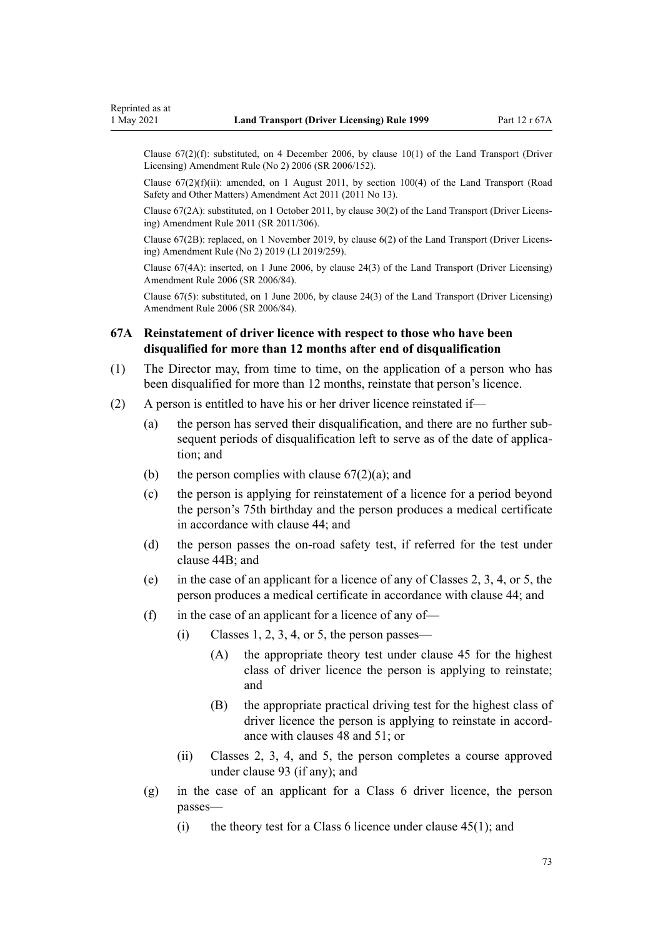Clause 67(2)(f): substituted, on 4 December 2006, by [clause 10\(1\)](http://legislation.govt.nz/pdflink.aspx?id=DLM386151) of the Land Transport (Driver Licensing) Amendment Rule (No 2) 2006 (SR 2006/152).

Clause  $67(2)(f)(ii)$ : amended, on 1 August 2011, by [section 100\(4\)](http://legislation.govt.nz/pdflink.aspx?id=DLM3231293) of the Land Transport (Road Safety and Other Matters) Amendment Act 2011 (2011 No 13).

Clause 67(2A): substituted, on 1 October 2011, by [clause 30\(2\)](http://legislation.govt.nz/pdflink.aspx?id=DLM3956735) of the Land Transport (Driver Licens‐ ing) Amendment Rule 2011 (SR 2011/306).

Clause 67(2B): replaced, on 1 November 2019, by [clause 6\(2\)](http://legislation.govt.nz/pdflink.aspx?id=LMS264759) of the Land Transport (Driver Licens‐ ing) Amendment Rule (No 2) 2019 (LI 2019/259).

Clause 67(4A): inserted, on 1 June 2006, by [clause 24\(3\)](http://legislation.govt.nz/pdflink.aspx?id=DLM376117) of the Land Transport (Driver Licensing) Amendment Rule 2006 (SR 2006/84).

Clause 67(5): substituted, on 1 June 2006, by [clause 24\(3\)](http://legislation.govt.nz/pdflink.aspx?id=DLM376117) of the Land Transport (Driver Licensing) Amendment Rule 2006 (SR 2006/84).

## **67A Reinstatement of driver licence with respect to those who have been disqualified for more than 12 months after end of disqualification**

- (1) The Director may, from time to time, on the application of a person who has been disqualified for more than 12 months, reinstate that person's licence.
- (2) A person is entitled to have his or her driver licence reinstated if—
	- (a) the person has served their disqualification, and there are no further sub‐ sequent periods of disqualification left to serve as of the date of application; and
	- (b) the person complies with clause  $67(2)(a)$ ; and
	- (c) the person is applying for reinstatement of a licence for a period beyond the person's 75th birthday and the person produces a medical certificate in accordance with [clause 44](#page-54-0); and
	- (d) the person passes the on-road safety test, if referred for the test under [clause 44B;](#page-55-0) and
	- (e) in the case of an applicant for a licence of any of Classes 2, 3, 4, or 5, the person produces a medical certificate in accordance with [clause 44](#page-54-0); and
	- (f) in the case of an applicant for a licence of any of-
		- $(i)$  Classes 1, 2, 3, 4, or 5, the person passes—
			- (A) the appropriate theory test under [clause 45](#page-56-0) for the highest class of driver licence the person is applying to reinstate; and
			- (B) the appropriate practical driving test for the highest class of driver licence the person is applying to reinstate in accordance with [clauses 48](#page-57-0) and [51;](#page-58-0) or
		- (ii) Classes 2, 3, 4, and 5, the person completes a course approved under [clause 93](#page-97-0) (if any); and
	- (g) in the case of an applicant for a Class 6 driver licence, the person passes—
		- (i) the theory test for a Class 6 licence under [clause 45\(1\);](#page-56-0) and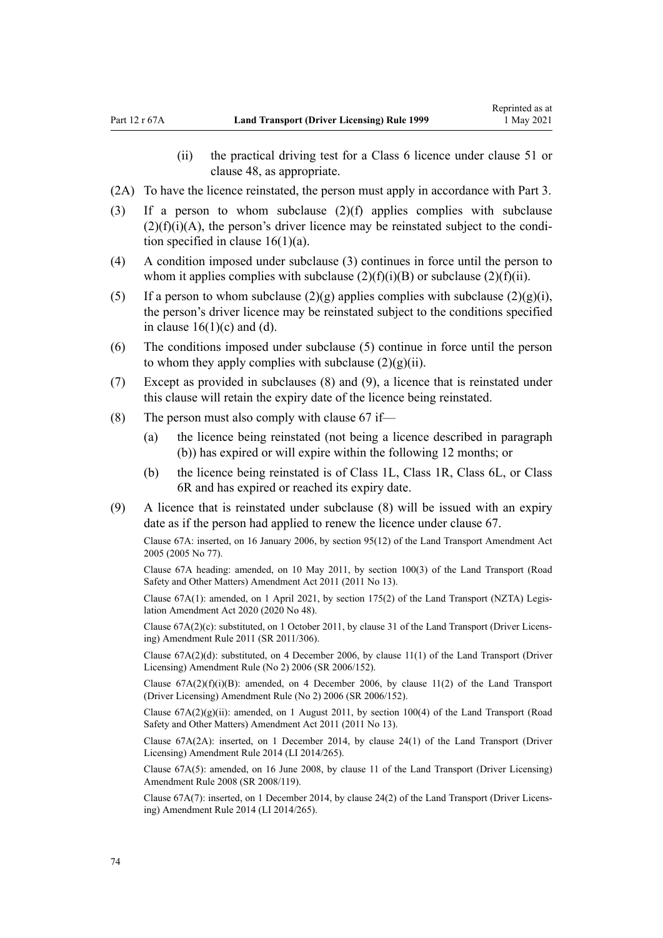- (ii) the practical driving test for a Class 6 licence under [clause 51](#page-58-0) or [clause 48](#page-57-0), as appropriate.
- (2A) To have the licence reinstated, the person must apply in accordance with [Part 3](#page-21-0).
- (3) If a person to whom subclause (2)(f) applies complies with subclause  $(2)(f)(i)(A)$ , the person's driver licence may be reinstated subject to the condition specified in clause  $16(1)(a)$ .
- (4) A condition imposed under subclause (3) continues in force until the person to whom it applies complies with subclause  $(2)(f)(i)(B)$  or subclause  $(2)(f)(ii)$ .
- (5) If a person to whom subclause  $(2)(g)$  applies complies with subclause  $(2)(g)(i)$ , the person's driver licence may be reinstated subject to the conditions specified in clause  $16(1)(c)$  and (d).
- (6) The conditions imposed under subclause (5) continue in force until the person to whom they apply complies with subclause  $(2)(g)(ii)$ .
- (7) Except as provided in subclauses (8) and (9), a licence that is reinstated under this clause will retain the expiry date of the licence being reinstated.
- (8) The person must also comply with [clause 67](#page-70-0) if—
	- (a) the licence being reinstated (not being a licence described in paragraph (b)) has expired or will expire within the following 12 months; or
	- (b) the licence being reinstated is of Class 1L, Class 1R, Class 6L, or Class 6R and has expired or reached its expiry date.
- (9) A licence that is reinstated under subclause (8) will be issued with an expiry date as if the person had applied to renew the licence under [clause 67.](#page-70-0)

Clause 67A: inserted, on 16 January 2006, by [section 95\(12\)](http://legislation.govt.nz/pdflink.aspx?id=DLM353501) of the Land Transport Amendment Act 2005 (2005 No 77).

Clause 67A heading: amended, on 10 May 2011, by [section 100\(3\)](http://legislation.govt.nz/pdflink.aspx?id=DLM3231293) of the Land Transport (Road Safety and Other Matters) Amendment Act 2011 (2011 No 13).

Clause 67A(1): amended, on 1 April 2021, by [section 175\(2\)](http://legislation.govt.nz/pdflink.aspx?id=LMS286883) of the Land Transport (NZTA) Legis‐ lation Amendment Act 2020 (2020 No 48).

Clause 67A(2)(c): substituted, on 1 October 2011, by [clause 31](http://legislation.govt.nz/pdflink.aspx?id=DLM3956736) of the Land Transport (Driver Licens‐ ing) Amendment Rule 2011 (SR 2011/306).

Clause 67A(2)(d): substituted, on 4 December 2006, by [clause 11\(1\)](http://legislation.govt.nz/pdflink.aspx?id=DLM386152) of the Land Transport (Driver Licensing) Amendment Rule (No 2) 2006 (SR 2006/152).

Clause  $67A(2)(f)(i)(B)$ : amended, on 4 December 2006, by [clause 11\(2\)](http://legislation.govt.nz/pdflink.aspx?id=DLM386152) of the Land Transport (Driver Licensing) Amendment Rule (No 2) 2006 (SR 2006/152).

Clause  $67A(2)(g)(ii)$ : amended, on 1 August 2011, by [section 100\(4\)](http://legislation.govt.nz/pdflink.aspx?id=DLM3231293) of the Land Transport (Road Safety and Other Matters) Amendment Act 2011 (2011 No 13).

Clause 67A(2A): inserted, on 1 December 2014, by [clause 24\(1\)](http://legislation.govt.nz/pdflink.aspx?id=DLM6216938) of the Land Transport (Driver Licensing) Amendment Rule 2014 (LI 2014/265).

Clause 67A(5): amended, on 16 June 2008, by [clause 11](http://legislation.govt.nz/pdflink.aspx?id=DLM1317917) of the Land Transport (Driver Licensing) Amendment Rule 2008 (SR 2008/119).

Clause 67A(7): inserted, on 1 December 2014, by [clause 24\(2\)](http://legislation.govt.nz/pdflink.aspx?id=DLM6216938) of the Land Transport (Driver Licens‐ ing) Amendment Rule 2014 (LI 2014/265).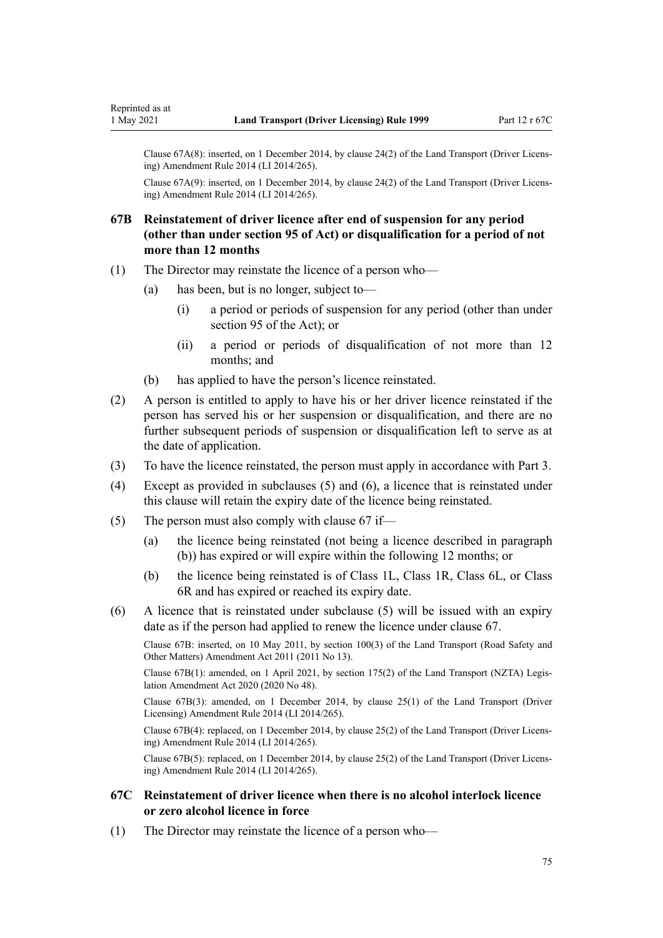Clause 67A(8): inserted, on 1 December 2014, by [clause 24\(2\)](http://legislation.govt.nz/pdflink.aspx?id=DLM6216938) of the Land Transport (Driver Licens‐ ing) Amendment Rule 2014 (LI 2014/265).

Clause 67A(9): inserted, on 1 December 2014, by [clause 24\(2\)](http://legislation.govt.nz/pdflink.aspx?id=DLM6216938) of the Land Transport (Driver Licens‐ ing) Amendment Rule 2014 (LI 2014/265).

## **67B Reinstatement of driver licence after end of suspension for any period (other than under section 95 of Act) or disqualification for a period of not more than 12 months**

- (1) The Director may reinstate the licence of a person who—
	- (a) has been, but is no longer, subject to—
		- (i) a period or periods of suspension for any period (other than under [section 95](http://legislation.govt.nz/pdflink.aspx?id=DLM435024) of the Act); or
		- (ii) a period or periods of disqualification of not more than 12 months; and
	- (b) has applied to have the person's licence reinstated.
- (2) A person is entitled to apply to have his or her driver licence reinstated if the person has served his or her suspension or disqualification, and there are no further subsequent periods of suspension or disqualification left to serve as at the date of application.
- (3) To have the licence reinstated, the person must apply in accordance with [Part 3](#page-21-0).
- (4) Except as provided in subclauses (5) and (6), a licence that is reinstated under this clause will retain the expiry date of the licence being reinstated.
- (5) The person must also comply with [clause 67](#page-70-0) if—
	- (a) the licence being reinstated (not being a licence described in paragraph (b)) has expired or will expire within the following 12 months; or
	- (b) the licence being reinstated is of Class 1L, Class 1R, Class 6L, or Class 6R and has expired or reached its expiry date.
- (6) A licence that is reinstated under subclause (5) will be issued with an expiry date as if the person had applied to renew the licence under [clause 67.](#page-70-0)

Clause 67B: inserted, on 10 May 2011, by [section 100\(3\)](http://legislation.govt.nz/pdflink.aspx?id=DLM3231293) of the Land Transport (Road Safety and Other Matters) Amendment Act 2011 (2011 No 13).

Clause 67B(1): amended, on 1 April 2021, by [section 175\(2\)](http://legislation.govt.nz/pdflink.aspx?id=LMS286883) of the Land Transport (NZTA) Legis‐ lation Amendment Act 2020 (2020 No 48).

Clause 67B(3): amended, on 1 December 2014, by [clause 25\(1\)](http://legislation.govt.nz/pdflink.aspx?id=DLM6216939) of the Land Transport (Driver Licensing) Amendment Rule 2014 (LI 2014/265).

Clause 67B(4): replaced, on 1 December 2014, by [clause 25\(2\)](http://legislation.govt.nz/pdflink.aspx?id=DLM6216939) of the Land Transport (Driver Licens‐ ing) Amendment Rule 2014 (LI 2014/265).

Clause 67B(5): replaced, on 1 December 2014, by [clause 25\(2\)](http://legislation.govt.nz/pdflink.aspx?id=DLM6216939) of the Land Transport (Driver Licens‐ ing) Amendment Rule 2014 (LI 2014/265).

## **67C Reinstatement of driver licence when there is no alcohol interlock licence or zero alcohol licence in force**

(1) The Director may reinstate the licence of a person who—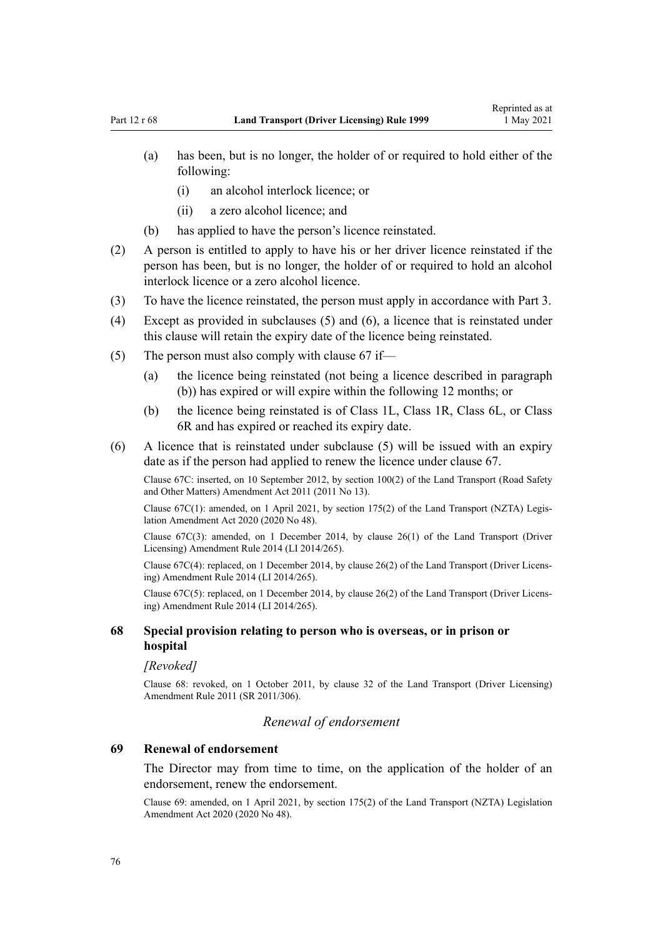- (a) has been, but is no longer, the holder of or required to hold either of the following:
	- (i) an alcohol interlock licence; or
	- (ii) a zero alcohol licence; and
- (b) has applied to have the person's licence reinstated.
- (2) A person is entitled to apply to have his or her driver licence reinstated if the person has been, but is no longer, the holder of or required to hold an alcohol interlock licence or a zero alcohol licence.
- (3) To have the licence reinstated, the person must apply in accordance with [Part 3](#page-21-0).
- (4) Except as provided in subclauses (5) and (6), a licence that is reinstated under this clause will retain the expiry date of the licence being reinstated.
- (5) The person must also comply with [clause 67](#page-70-0) if—
	- (a) the licence being reinstated (not being a licence described in paragraph (b)) has expired or will expire within the following 12 months; or
	- (b) the licence being reinstated is of Class 1L, Class 1R, Class 6L, or Class 6R and has expired or reached its expiry date.
- (6) A licence that is reinstated under subclause (5) will be issued with an expiry date as if the person had applied to renew the licence under [clause 67.](#page-70-0)

Clause 67C: inserted, on 10 September 2012, by [section 100\(2\)](http://legislation.govt.nz/pdflink.aspx?id=DLM3231293) of the Land Transport (Road Safety and Other Matters) Amendment Act 2011 (2011 No 13).

Clause 67C(1): amended, on 1 April 2021, by [section 175\(2\)](http://legislation.govt.nz/pdflink.aspx?id=LMS286883) of the Land Transport (NZTA) Legis‐ lation Amendment Act 2020 (2020 No 48).

Clause 67C(3): amended, on 1 December 2014, by [clause 26\(1\)](http://legislation.govt.nz/pdflink.aspx?id=DLM6216940) of the Land Transport (Driver Licensing) Amendment Rule 2014 (LI 2014/265).

Clause 67C(4): replaced, on 1 December 2014, by [clause 26\(2\)](http://legislation.govt.nz/pdflink.aspx?id=DLM6216940) of the Land Transport (Driver Licens‐ ing) Amendment Rule 2014 (LI 2014/265).

Clause 67C(5): replaced, on 1 December 2014, by [clause 26\(2\)](http://legislation.govt.nz/pdflink.aspx?id=DLM6216940) of the Land Transport (Driver Licens‐ ing) Amendment Rule 2014 (LI 2014/265).

## **68 Special provision relating to person who is overseas, or in prison or hospital**

#### *[Revoked]*

Clause 68: revoked, on 1 October 2011, by [clause 32](http://legislation.govt.nz/pdflink.aspx?id=DLM3956737) of the Land Transport (Driver Licensing) Amendment Rule 2011 (SR 2011/306).

#### *Renewal of endorsement*

#### **69 Renewal of endorsement**

The Director may from time to time, on the application of the holder of an endorsement, renew the endorsement.

Clause 69: amended, on 1 April 2021, by [section 175\(2\)](http://legislation.govt.nz/pdflink.aspx?id=LMS286883) of the Land Transport (NZTA) Legislation Amendment Act 2020 (2020 No 48).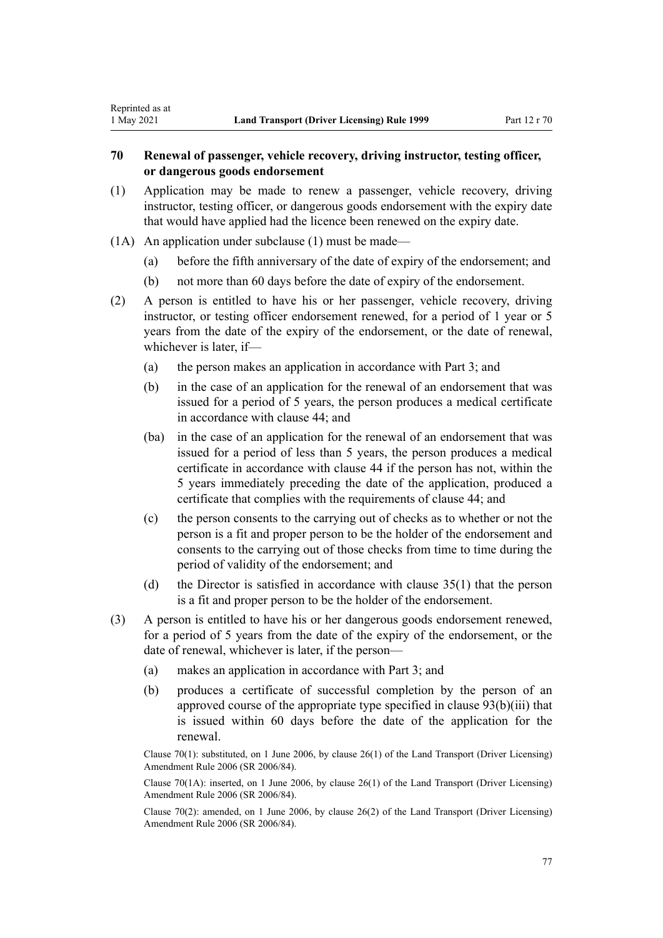# <span id="page-76-0"></span>**70 Renewal of passenger, vehicle recovery, driving instructor, testing officer, or dangerous goods endorsement**

- (1) Application may be made to renew a passenger, vehicle recovery, driving instructor, testing officer, or dangerous goods endorsement with the expiry date that would have applied had the licence been renewed on the expiry date.
- (1A) An application under subclause (1) must be made—
	- (a) before the fifth anniversary of the date of expiry of the endorsement; and
	- (b) not more than 60 days before the date of expiry of the endorsement.
- (2) A person is entitled to have his or her passenger, vehicle recovery, driving instructor, or testing officer endorsement renewed, for a period of 1 year or 5 years from the date of the expiry of the endorsement, or the date of renewal, whichever is later, if—
	- (a) the person makes an application in accordance with [Part 3](#page-21-0); and
	- (b) in the case of an application for the renewal of an endorsement that was issued for a period of 5 years, the person produces a medical certificate in accordance with [clause 44](#page-54-0); and
	- (ba) in the case of an application for the renewal of an endorsement that was issued for a period of less than 5 years, the person produces a medical certificate in accordance with [clause 44](#page-54-0) if the person has not, within the 5 years immediately preceding the date of the application, produced a certificate that complies with the requirements of clause 44; and
	- (c) the person consents to the carrying out of checks as to whether or not the person is a fit and proper person to be the holder of the endorsement and consents to the carrying out of those checks from time to time during the period of validity of the endorsement; and
	- (d) the Director is satisfied in accordance with [clause 35\(1\)](#page-48-0) that the person is a fit and proper person to be the holder of the endorsement.
- (3) A person is entitled to have his or her dangerous goods endorsement renewed, for a period of 5 years from the date of the expiry of the endorsement, or the date of renewal, whichever is later, if the person—
	- (a) makes an application in accordance with [Part 3](#page-21-0); and
	- (b) produces a certificate of successful completion by the person of an approved course of the appropriate type specified in [clause 93\(b\)\(iii\)](#page-97-0) that is issued within 60 days before the date of the application for the renewal.

Clause 70(1): substituted, on 1 June 2006, by [clause 26\(1\)](http://legislation.govt.nz/pdflink.aspx?id=DLM376119) of the Land Transport (Driver Licensing) Amendment Rule 2006 (SR 2006/84).

Clause 70(1A): inserted, on 1 June 2006, by [clause 26\(1\)](http://legislation.govt.nz/pdflink.aspx?id=DLM376119) of the Land Transport (Driver Licensing) Amendment Rule 2006 (SR 2006/84).

Clause 70(2): amended, on 1 June 2006, by [clause 26\(2\)](http://legislation.govt.nz/pdflink.aspx?id=DLM376119) of the Land Transport (Driver Licensing) Amendment Rule 2006 (SR 2006/84).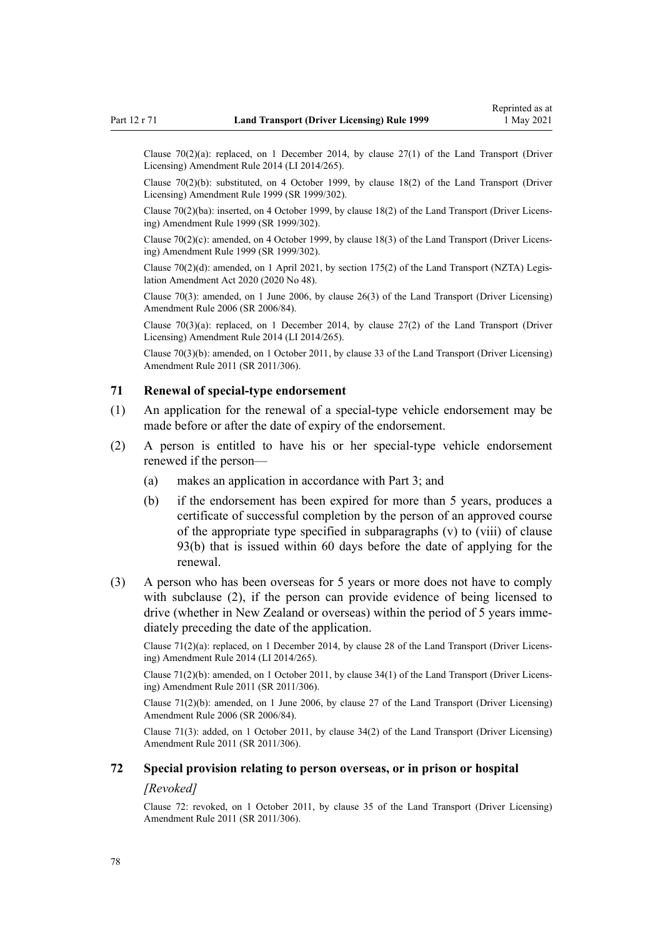<span id="page-77-0"></span>Clause  $70(2)(a)$ : replaced, on 1 December 2014, by clause  $27(1)$  of the Land Transport (Driver Licensing) Amendment Rule 2014 (LI 2014/265).

Clause 70(2)(b): substituted, on 4 October 1999, by [clause 18\(2\)](http://legislation.govt.nz/pdflink.aspx?id=DLM293687) of the Land Transport (Driver Licensing) Amendment Rule 1999 (SR 1999/302).

Clause 70(2)(ba): inserted, on 4 October 1999, by [clause 18\(2\)](http://legislation.govt.nz/pdflink.aspx?id=DLM293687) of the Land Transport (Driver Licens‐ ing) Amendment Rule 1999 (SR 1999/302).

Clause  $70(2)(c)$ : amended, on 4 October 1999, by [clause 18\(3\)](http://legislation.govt.nz/pdflink.aspx?id=DLM293687) of the Land Transport (Driver Licensing) Amendment Rule 1999 (SR 1999/302).

Clause 70(2)(d): amended, on 1 April 2021, by [section 175\(2\)](http://legislation.govt.nz/pdflink.aspx?id=LMS286883) of the Land Transport (NZTA) Legis‐ lation Amendment Act 2020 (2020 No 48).

Clause 70(3): amended, on 1 June 2006, by [clause 26\(3\)](http://legislation.govt.nz/pdflink.aspx?id=DLM376119) of the Land Transport (Driver Licensing) Amendment Rule 2006 (SR 2006/84).

Clause  $70(3)(a)$ : replaced, on 1 December 2014, by clause  $27(2)$  of the Land Transport (Driver Licensing) Amendment Rule 2014 (LI 2014/265).

Clause 70(3)(b): amended, on 1 October 2011, by [clause 33](http://legislation.govt.nz/pdflink.aspx?id=DLM3956738) of the Land Transport (Driver Licensing) Amendment Rule 2011 (SR 2011/306).

## **71 Renewal of special-type endorsement**

- (1) An application for the renewal of a special-type vehicle endorsement may be made before or after the date of expiry of the endorsement.
- (2) A person is entitled to have his or her special-type vehicle endorsement renewed if the person—
	- (a) makes an application in accordance with [Part 3](#page-21-0); and
	- (b) if the endorsement has been expired for more than 5 years, produces a certificate of successful completion by the person of an approved course of the appropriate type specified in subparagraphs (v) to (viii) of [clause](#page-97-0) [93\(b\)](#page-97-0) that is issued within 60 days before the date of applying for the renewal.
- (3) A person who has been overseas for 5 years or more does not have to comply with subclause (2), if the person can provide evidence of being licensed to drive (whether in New Zealand or overseas) within the period of 5 years immediately preceding the date of the application.

Clause 71(2)(a): replaced, on 1 December 2014, by [clause 28](http://legislation.govt.nz/pdflink.aspx?id=DLM6216942) of the Land Transport (Driver Licens‐ ing) Amendment Rule 2014 (LI 2014/265).

Clause 71(2)(b): amended, on 1 October 2011, by [clause 34\(1\)](http://legislation.govt.nz/pdflink.aspx?id=DLM3956739) of the Land Transport (Driver Licens‐ ing) Amendment Rule 2011 (SR 2011/306).

Clause 71(2)(b): amended, on 1 June 2006, by [clause 27](http://legislation.govt.nz/pdflink.aspx?id=DLM376120) of the Land Transport (Driver Licensing) Amendment Rule 2006 (SR 2006/84).

Clause 71(3): added, on 1 October 2011, by [clause 34\(2\)](http://legislation.govt.nz/pdflink.aspx?id=DLM3956739) of the Land Transport (Driver Licensing) Amendment Rule 2011 (SR 2011/306).

## **72 Special provision relating to person overseas, or in prison or hospital**

#### *[Revoked]*

Clause 72: revoked, on 1 October 2011, by [clause 35](http://legislation.govt.nz/pdflink.aspx?id=DLM3956740) of the Land Transport (Driver Licensing) Amendment Rule 2011 (SR 2011/306).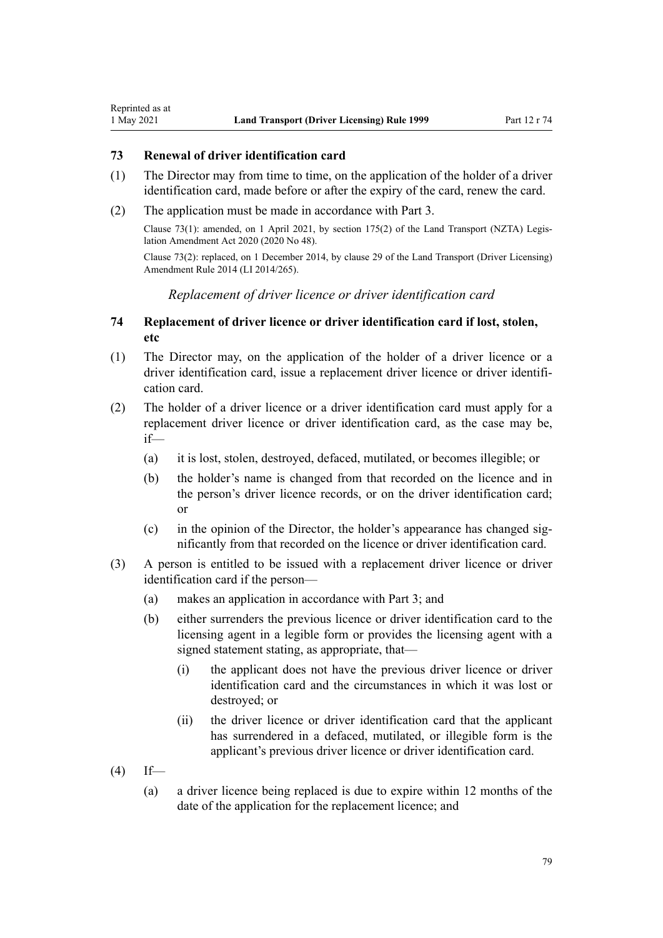### **73 Renewal of driver identification card**

<span id="page-78-0"></span>Reprinted as at

- (1) The Director may from time to time, on the application of the holder of a driver identification card, made before or after the expiry of the card, renew the card.
- (2) The application must be made in accordance with [Part 3.](#page-21-0)

Clause 73(1): amended, on 1 April 2021, by [section 175\(2\)](http://legislation.govt.nz/pdflink.aspx?id=LMS286883) of the Land Transport (NZTA) Legis‐ lation Amendment Act 2020 (2020 No 48).

Clause 73(2): replaced, on 1 December 2014, by [clause 29](http://legislation.govt.nz/pdflink.aspx?id=DLM6216943) of the Land Transport (Driver Licensing) Amendment Rule 2014 (LI 2014/265).

*Replacement of driver licence or driver identification card*

## **74 Replacement of driver licence or driver identification card if lost, stolen, etc**

- (1) The Director may, on the application of the holder of a driver licence or a driver identification card, issue a replacement driver licence or driver identifi cation card.
- (2) The holder of a driver licence or a driver identification card must apply for a replacement driver licence or driver identification card, as the case may be, if—
	- (a) it is lost, stolen, destroyed, defaced, mutilated, or becomes illegible; or
	- (b) the holder's name is changed from that recorded on the licence and in the person's driver licence records, or on the driver identification card; or
	- (c) in the opinion of the Director, the holder's appearance has changed sig‐ nificantly from that recorded on the licence or driver identification card.
- (3) A person is entitled to be issued with a replacement driver licence or driver identification card if the person—
	- (a) makes an application in accordance with [Part 3](#page-21-0); and
	- (b) either surrenders the previous licence or driver identification card to the licensing agent in a legible form or provides the licensing agent with a signed statement stating, as appropriate, that—
		- (i) the applicant does not have the previous driver licence or driver identification card and the circumstances in which it was lost or destroyed; or
		- (ii) the driver licence or driver identification card that the applicant has surrendered in a defaced, mutilated, or illegible form is the applicant's previous driver licence or driver identification card.
- $(4)$  If—
	- (a) a driver licence being replaced is due to expire within 12 months of the date of the application for the replacement licence; and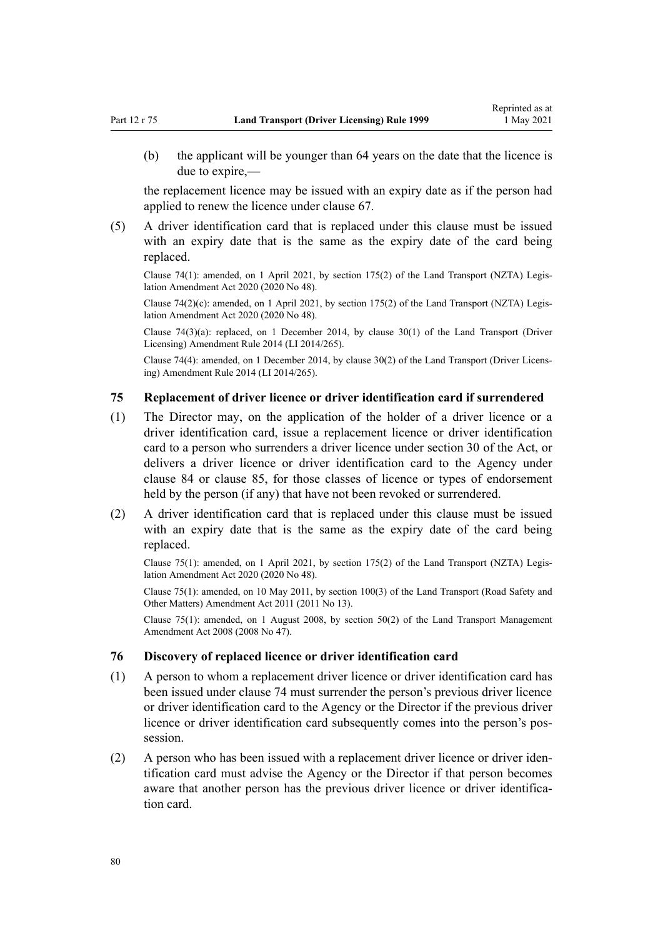(b) the applicant will be younger than 64 years on the date that the licence is due to expire,—

the replacement licence may be issued with an expiry date as if the person had applied to renew the licence under [clause 67](#page-70-0).

(5) A driver identification card that is replaced under this clause must be issued with an expiry date that is the same as the expiry date of the card being replaced.

Clause 74(1): amended, on 1 April 2021, by [section 175\(2\)](http://legislation.govt.nz/pdflink.aspx?id=LMS286883) of the Land Transport (NZTA) Legis‐ lation Amendment Act 2020 (2020 No 48).

Clause 74(2)(c): amended, on 1 April 2021, by [section 175\(2\)](http://legislation.govt.nz/pdflink.aspx?id=LMS286883) of the Land Transport (NZTA) Legislation Amendment Act 2020 (2020 No 48).

Clause 74(3)(a): replaced, on 1 December 2014, by [clause 30\(1\)](http://legislation.govt.nz/pdflink.aspx?id=DLM6216944) of the Land Transport (Driver Licensing) Amendment Rule 2014 (LI 2014/265).

Clause 74(4): amended, on 1 December 2014, by [clause 30\(2\)](http://legislation.govt.nz/pdflink.aspx?id=DLM6216944) of the Land Transport (Driver Licens‐ ing) Amendment Rule 2014 (LI 2014/265).

## **75 Replacement of driver licence or driver identification card if surrendered**

- (1) The Director may, on the application of the holder of a driver licence or a driver identification card, issue a replacement licence or driver identification card to a person who surrenders a driver licence under [section 30](http://legislation.govt.nz/pdflink.aspx?id=DLM434583) of the Act, or delivers a driver licence or driver identification card to the Agency under [clause 84](#page-86-0) or [clause 85,](#page-86-0) for those classes of licence or types of endorsement held by the person (if any) that have not been revoked or surrendered.
- (2) A driver identification card that is replaced under this clause must be issued with an expiry date that is the same as the expiry date of the card being replaced.

Clause 75(1): amended, on 1 April 2021, by [section 175\(2\)](http://legislation.govt.nz/pdflink.aspx?id=LMS286883) of the Land Transport (NZTA) Legis‐ lation Amendment Act 2020 (2020 No 48).

Clause 75(1): amended, on 10 May 2011, by [section 100\(3\)](http://legislation.govt.nz/pdflink.aspx?id=DLM3231293) of the Land Transport (Road Safety and Other Matters) Amendment Act 2011 (2011 No 13).

Clause 75(1): amended, on 1 August 2008, by [section 50\(2\)](http://legislation.govt.nz/pdflink.aspx?id=DLM1313622) of the Land Transport Management Amendment Act 2008 (2008 No 47).

#### **76 Discovery of replaced licence or driver identification card**

- (1) A person to whom a replacement driver licence or driver identification card has been issued under [clause 74](#page-78-0) must surrender the person's previous driver licence or driver identification card to the Agency or the Director if the previous driver licence or driver identification card subsequently comes into the person's possession.
- (2) A person who has been issued with a replacement driver licence or driver iden‐ tification card must advise the Agency or the Director if that person becomes aware that another person has the previous driver licence or driver identification card.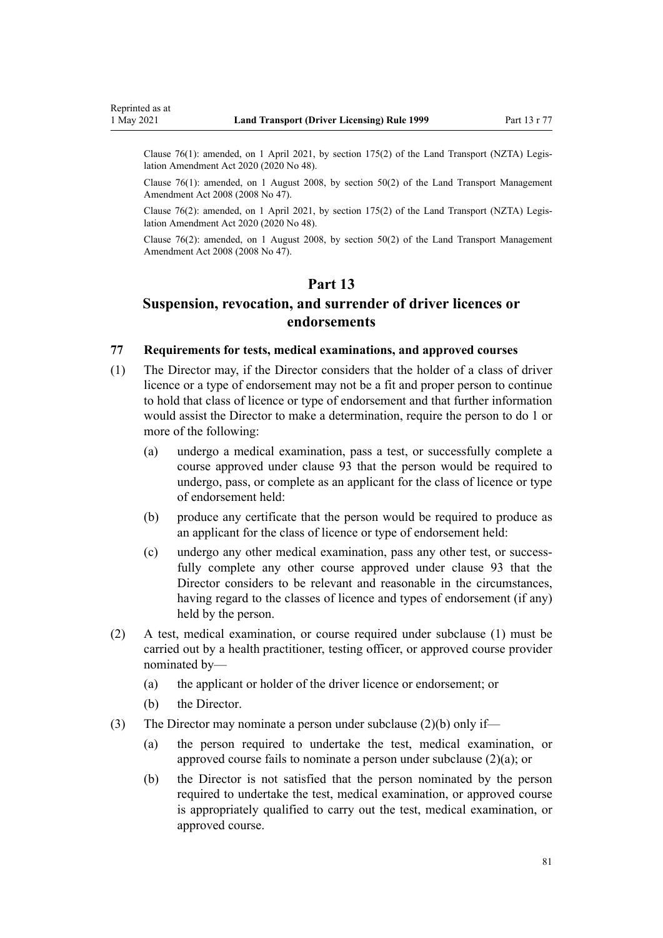<span id="page-80-0"></span>Clause 76(1): amended, on 1 April 2021, by [section 175\(2\)](http://legislation.govt.nz/pdflink.aspx?id=LMS286883) of the Land Transport (NZTA) Legislation Amendment Act 2020 (2020 No 48).

Clause 76(1): amended, on 1 August 2008, by [section 50\(2\)](http://legislation.govt.nz/pdflink.aspx?id=DLM1313622) of the Land Transport Management Amendment Act 2008 (2008 No 47).

Clause 76(2): amended, on 1 April 2021, by [section 175\(2\)](http://legislation.govt.nz/pdflink.aspx?id=LMS286883) of the Land Transport (NZTA) Legis‐ lation Amendment Act 2020 (2020 No 48).

Clause 76(2): amended, on 1 August 2008, by [section 50\(2\)](http://legislation.govt.nz/pdflink.aspx?id=DLM1313622) of the Land Transport Management Amendment Act 2008 (2008 No 47).

# **Part 13**

# **Suspension, revocation, and surrender of driver licences or endorsements**

# **77 Requirements for tests, medical examinations, and approved courses**

- (1) The Director may, if the Director considers that the holder of a class of driver licence or a type of endorsement may not be a fit and proper person to continue to hold that class of licence or type of endorsement and that further information would assist the Director to make a determination, require the person to do 1 or more of the following:
	- (a) undergo a medical examination, pass a test, or successfully complete a course approved under [clause 93](#page-97-0) that the person would be required to undergo, pass, or complete as an applicant for the class of licence or type of endorsement held:
	- (b) produce any certificate that the person would be required to produce as an applicant for the class of licence or type of endorsement held:
	- (c) undergo any other medical examination, pass any other test, or success‐ fully complete any other course approved under [clause 93](#page-97-0) that the Director considers to be relevant and reasonable in the circumstances, having regard to the classes of licence and types of endorsement (if any) held by the person.
- (2) A test, medical examination, or course required under subclause (1) must be carried out by a health practitioner, testing officer, or approved course provider nominated by—
	- (a) the applicant or holder of the driver licence or endorsement; or
	- (b) the Director.
- (3) The Director may nominate a person under subclause  $(2)(b)$  only if—
	- (a) the person required to undertake the test, medical examination, or approved course fails to nominate a person under subclause (2)(a); or
	- (b) the Director is not satisfied that the person nominated by the person required to undertake the test, medical examination, or approved course is appropriately qualified to carry out the test, medical examination, or approved course.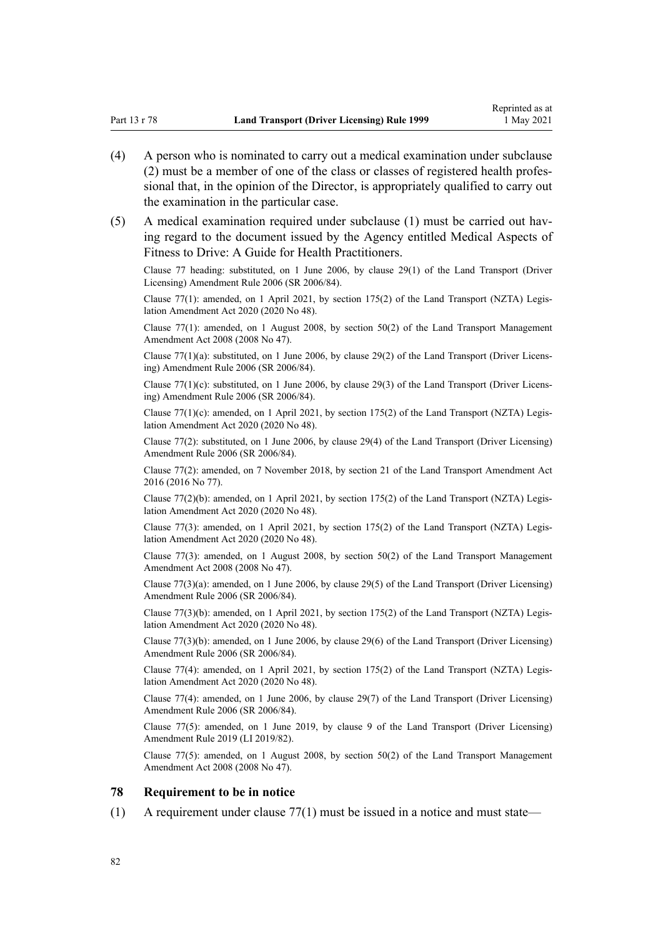- <span id="page-81-0"></span>(4) A person who is nominated to carry out a medical examination under subclause (2) must be a member of one of the class or classes of registered health profes‐ sional that, in the opinion of the Director, is appropriately qualified to carry out the examination in the particular case.
- (5) A medical examination required under subclause (1) must be carried out hav‐ ing regard to the document issued by the Agency entitled Medical Aspects of Fitness to Drive: A Guide for Health Practitioners.

Clause 77 heading: substituted, on 1 June 2006, by [clause 29\(1\)](http://legislation.govt.nz/pdflink.aspx?id=DLM376122) of the Land Transport (Driver Licensing) Amendment Rule 2006 (SR 2006/84).

Clause 77(1): amended, on 1 April 2021, by [section 175\(2\)](http://legislation.govt.nz/pdflink.aspx?id=LMS286883) of the Land Transport (NZTA) Legis‐ lation Amendment Act 2020 (2020 No 48).

Clause 77(1): amended, on 1 August 2008, by [section 50\(2\)](http://legislation.govt.nz/pdflink.aspx?id=DLM1313622) of the Land Transport Management Amendment Act 2008 (2008 No 47).

Clause  $77(1)(a)$ : substituted, on 1 June 2006, by [clause 29\(2\)](http://legislation.govt.nz/pdflink.aspx?id=DLM376122) of the Land Transport (Driver Licensing) Amendment Rule 2006 (SR 2006/84).

Clause 77(1)(c): substituted, on 1 June 2006, by [clause 29\(3\)](http://legislation.govt.nz/pdflink.aspx?id=DLM376122) of the Land Transport (Driver Licensing) Amendment Rule 2006 (SR 2006/84).

Clause 77(1)(c): amended, on 1 April 2021, by [section 175\(2\)](http://legislation.govt.nz/pdflink.aspx?id=LMS286883) of the Land Transport (NZTA) Legislation Amendment Act 2020 (2020 No 48).

Clause 77(2): substituted, on 1 June 2006, by [clause 29\(4\)](http://legislation.govt.nz/pdflink.aspx?id=DLM376122) of the Land Transport (Driver Licensing) Amendment Rule 2006 (SR 2006/84).

Clause 77(2): amended, on 7 November 2018, by [section 21](http://legislation.govt.nz/pdflink.aspx?id=DLM6984133) of the Land Transport Amendment Act 2016 (2016 No 77).

Clause 77(2)(b): amended, on 1 April 2021, by [section 175\(2\)](http://legislation.govt.nz/pdflink.aspx?id=LMS286883) of the Land Transport (NZTA) Legis‐ lation Amendment Act 2020 (2020 No 48).

Clause 77(3): amended, on 1 April 2021, by [section 175\(2\)](http://legislation.govt.nz/pdflink.aspx?id=LMS286883) of the Land Transport (NZTA) Legis‐ lation Amendment Act 2020 (2020 No 48).

Clause 77(3): amended, on 1 August 2008, by [section 50\(2\)](http://legislation.govt.nz/pdflink.aspx?id=DLM1313622) of the Land Transport Management Amendment Act 2008 (2008 No 47).

Clause 77(3)(a): amended, on 1 June 2006, by [clause 29\(5\)](http://legislation.govt.nz/pdflink.aspx?id=DLM376122) of the Land Transport (Driver Licensing) Amendment Rule 2006 (SR 2006/84).

Clause 77(3)(b): amended, on 1 April 2021, by [section 175\(2\)](http://legislation.govt.nz/pdflink.aspx?id=LMS286883) of the Land Transport (NZTA) Legis‐ lation Amendment Act 2020 (2020 No 48).

Clause 77(3)(b): amended, on 1 June 2006, by [clause 29\(6\)](http://legislation.govt.nz/pdflink.aspx?id=DLM376122) of the Land Transport (Driver Licensing) Amendment Rule 2006 (SR 2006/84).

Clause 77(4): amended, on 1 April 2021, by [section 175\(2\)](http://legislation.govt.nz/pdflink.aspx?id=LMS286883) of the Land Transport (NZTA) Legis‐ lation Amendment Act 2020 (2020 No 48).

Clause 77(4): amended, on 1 June 2006, by [clause 29\(7\)](http://legislation.govt.nz/pdflink.aspx?id=DLM376122) of the Land Transport (Driver Licensing) Amendment Rule 2006 (SR 2006/84).

Clause 77(5): amended, on 1 June 2019, by [clause 9](http://legislation.govt.nz/pdflink.aspx?id=LMS136014) of the Land Transport (Driver Licensing) Amendment Rule 2019 (LI 2019/82).

Clause 77(5): amended, on 1 August 2008, by [section 50\(2\)](http://legislation.govt.nz/pdflink.aspx?id=DLM1313622) of the Land Transport Management Amendment Act 2008 (2008 No 47).

#### **78 Requirement to be in notice**

 $(1)$  A requirement under [clause 77\(1\)](#page-80-0) must be issued in a notice and must state—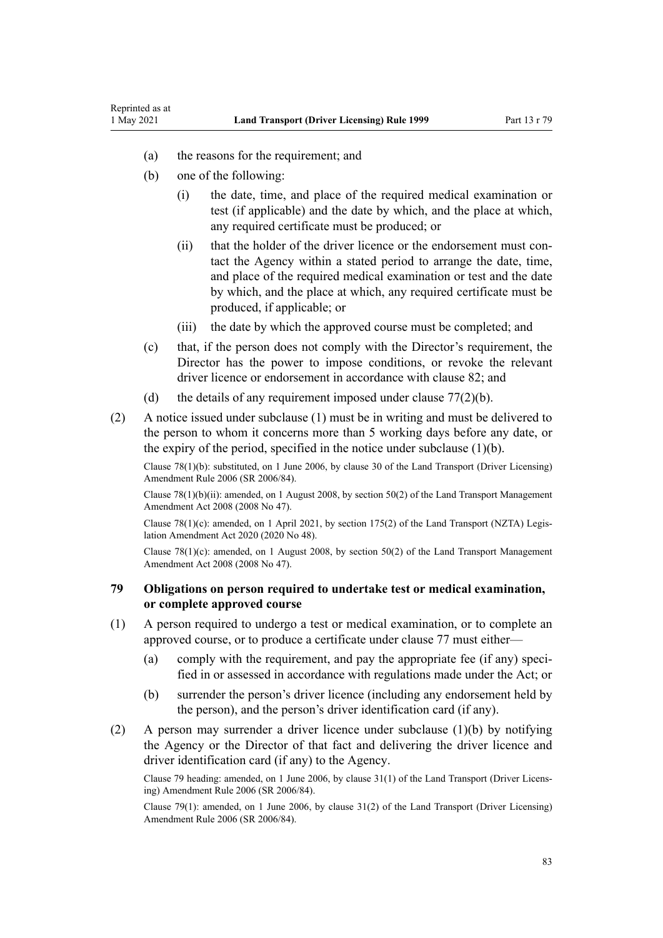- (a) the reasons for the requirement; and
- (b) one of the following:

Reprinted as at

- (i) the date, time, and place of the required medical examination or test (if applicable) and the date by which, and the place at which, any required certificate must be produced; or
- (ii) that the holder of the driver licence or the endorsement must contact the Agency within a stated period to arrange the date, time, and place of the required medical examination or test and the date by which, and the place at which, any required certificate must be produced, if applicable; or
- (iii) the date by which the approved course must be completed; and
- (c) that, if the person does not comply with the Director's requirement, the Director has the power to impose conditions, or revoke the relevant driver licence or endorsement in accordance with [clause 82;](#page-84-0) and
- (d) the details of any requirement imposed under clause  $77(2)(b)$ .
- (2) A notice issued under subclause (1) must be in writing and must be delivered to the person to whom it concerns more than 5 working days before any date, or the expiry of the period, specified in the notice under subclause  $(1)(b)$ .

Clause 78(1)(b): substituted, on 1 June 2006, by [clause 30](http://legislation.govt.nz/pdflink.aspx?id=DLM376123) of the Land Transport (Driver Licensing) Amendment Rule 2006 (SR 2006/84).

Clause 78(1)(b)(ii): amended, on 1 August 2008, by [section 50\(2\)](http://legislation.govt.nz/pdflink.aspx?id=DLM1313622) of the Land Transport Management Amendment Act 2008 (2008 No 47).

Clause 78(1)(c): amended, on 1 April 2021, by [section 175\(2\)](http://legislation.govt.nz/pdflink.aspx?id=LMS286883) of the Land Transport (NZTA) Legislation Amendment Act 2020 (2020 No 48).

Clause  $78(1)(c)$ : amended, on 1 August 2008, by section  $50(2)$  of the Land Transport Management Amendment Act 2008 (2008 No 47).

#### **79 Obligations on person required to undertake test or medical examination, or complete approved course**

- (1) A person required to undergo a test or medical examination, or to complete an approved course, or to produce a certificate under [clause 77](#page-80-0) must either—
	- (a) comply with the requirement, and pay the appropriate fee (if any) specified in or assessed in accordance with regulations made under the Act; or
	- (b) surrender the person's driver licence (including any endorsement held by the person), and the person's driver identification card (if any).
- (2) A person may surrender a driver licence under subclause (1)(b) by notifying the Agency or the Director of that fact and delivering the driver licence and driver identification card (if any) to the Agency.

Clause 79 heading: amended, on 1 June 2006, by [clause 31\(1\)](http://legislation.govt.nz/pdflink.aspx?id=DLM376124) of the Land Transport (Driver Licens‐ ing) Amendment Rule 2006 (SR 2006/84).

Clause 79(1): amended, on 1 June 2006, by [clause 31\(2\)](http://legislation.govt.nz/pdflink.aspx?id=DLM376124) of the Land Transport (Driver Licensing) Amendment Rule 2006 (SR 2006/84).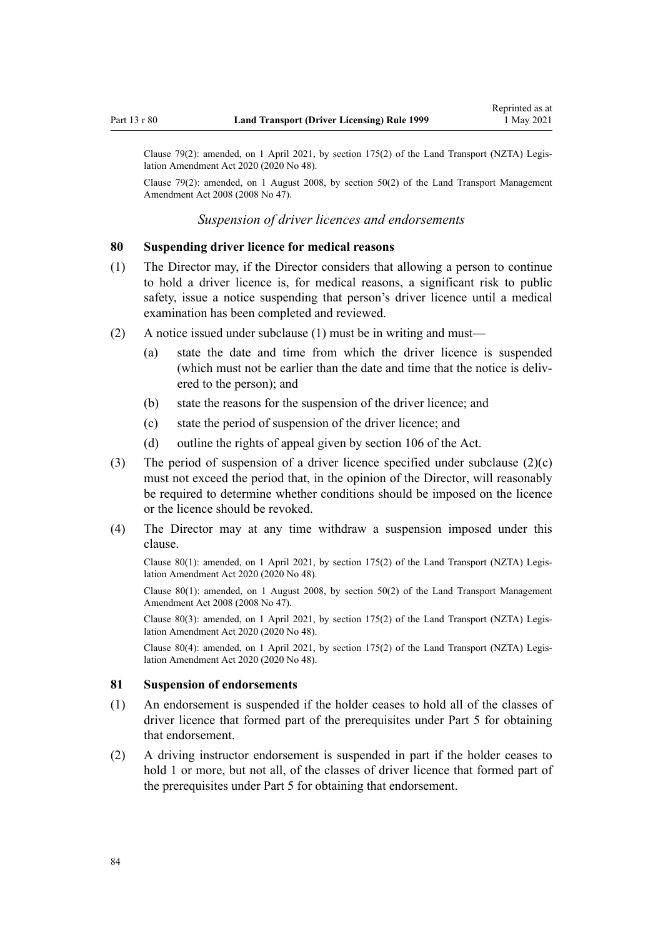Clause 79(2): amended, on 1 April 2021, by [section 175\(2\)](http://legislation.govt.nz/pdflink.aspx?id=LMS286883) of the Land Transport (NZTA) Legislation Amendment Act 2020 (2020 No 48).

Clause 79(2): amended, on 1 August 2008, by [section 50\(2\)](http://legislation.govt.nz/pdflink.aspx?id=DLM1313622) of the Land Transport Management Amendment Act 2008 (2008 No 47).

*Suspension of driver licences and endorsements*

#### **80 Suspending driver licence for medical reasons**

- (1) The Director may, if the Director considers that allowing a person to continue to hold a driver licence is, for medical reasons, a significant risk to public safety, issue a notice suspending that person's driver licence until a medical examination has been completed and reviewed.
- (2) A notice issued under subclause (1) must be in writing and must—
	- (a) state the date and time from which the driver licence is suspended (which must not be earlier than the date and time that the notice is delivered to the person); and
	- (b) state the reasons for the suspension of the driver licence; and
	- (c) state the period of suspension of the driver licence; and
	- (d) outline the rights of appeal given by [section 106](http://legislation.govt.nz/pdflink.aspx?id=DLM435083) of the Act.
- (3) The period of suspension of a driver licence specified under subclause (2)(c) must not exceed the period that, in the opinion of the Director, will reasonably be required to determine whether conditions should be imposed on the licence or the licence should be revoked.
- (4) The Director may at any time withdraw a suspension imposed under this clause.

Clause 80(1): amended, on 1 April 2021, by [section 175\(2\)](http://legislation.govt.nz/pdflink.aspx?id=LMS286883) of the Land Transport (NZTA) Legis‐ lation Amendment Act 2020 (2020 No 48).

Clause 80(1): amended, on 1 August 2008, by [section 50\(2\)](http://legislation.govt.nz/pdflink.aspx?id=DLM1313622) of the Land Transport Management Amendment Act 2008 (2008 No 47).

Clause 80(3): amended, on 1 April 2021, by [section 175\(2\)](http://legislation.govt.nz/pdflink.aspx?id=LMS286883) of the Land Transport (NZTA) Legis‐ lation Amendment Act 2020 (2020 No 48).

Clause 80(4): amended, on 1 April 2021, by [section 175\(2\)](http://legislation.govt.nz/pdflink.aspx?id=LMS286883) of the Land Transport (NZTA) Legis‐ lation Amendment Act 2020 (2020 No 48).

#### **81 Suspension of endorsements**

- (1) An endorsement is suspended if the holder ceases to hold all of the classes of driver licence that formed part of the prerequisites under [Part 5](#page-40-0) for obtaining that endorsement.
- (2) A driving instructor endorsement is suspended in part if the holder ceases to hold 1 or more, but not all, of the classes of driver licence that formed part of the prerequisites under [Part 5](#page-40-0) for obtaining that endorsement.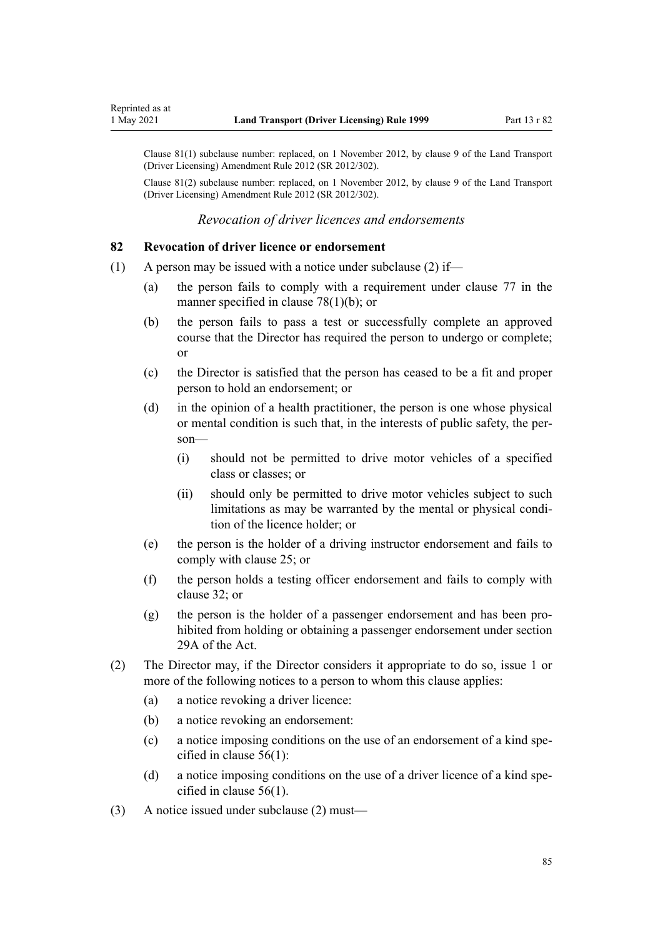<span id="page-84-0"></span>Clause 81(1) subclause number: replaced, on 1 November 2012, by [clause 9](http://legislation.govt.nz/pdflink.aspx?id=DLM4773441) of the Land Transport (Driver Licensing) Amendment Rule 2012 (SR 2012/302).

Clause 81(2) subclause number: replaced, on 1 November 2012, by [clause 9](http://legislation.govt.nz/pdflink.aspx?id=DLM4773441) of the Land Transport (Driver Licensing) Amendment Rule 2012 (SR 2012/302).

*Revocation of driver licences and endorsements*

#### **82 Revocation of driver licence or endorsement**

- (1) A person may be issued with a notice under subclause (2) if—
	- (a) the person fails to comply with a requirement under [clause 77](#page-80-0) in the manner specified in [clause 78\(1\)\(b\);](#page-81-0) or
	- (b) the person fails to pass a test or successfully complete an approved course that the Director has required the person to undergo or complete; or
	- (c) the Director is satisfied that the person has ceased to be a fit and proper person to hold an endorsement; or
	- (d) in the opinion of a health practitioner, the person is one whose physical or mental condition is such that, in the interests of public safety, the per‐ son—
		- (i) should not be permitted to drive motor vehicles of a specified class or classes; or
		- (ii) should only be permitted to drive motor vehicles subject to such limitations as may be warranted by the mental or physical condition of the licence holder; or
	- (e) the person is the holder of a driving instructor endorsement and fails to comply with [clause 25](#page-42-0); or
	- (f) the person holds a testing officer endorsement and fails to comply with [clause 32](#page-46-0); or
	- (g) the person is the holder of a passenger endorsement and has been prohibited from holding or obtaining a passenger endorsement under [section](http://legislation.govt.nz/pdflink.aspx?id=DLM434566) [29A](http://legislation.govt.nz/pdflink.aspx?id=DLM434566) of the Act.
- (2) The Director may, if the Director considers it appropriate to do so, issue 1 or more of the following notices to a person to whom this clause applies:
	- (a) a notice revoking a driver licence:
	- (b) a notice revoking an endorsement:
	- (c) a notice imposing conditions on the use of an endorsement of a kind specified in [clause 56\(1\):](#page-60-0)
	- (d) a notice imposing conditions on the use of a driver licence of a kind specified in [clause 56\(1\).](#page-60-0)
- (3) A notice issued under subclause (2) must—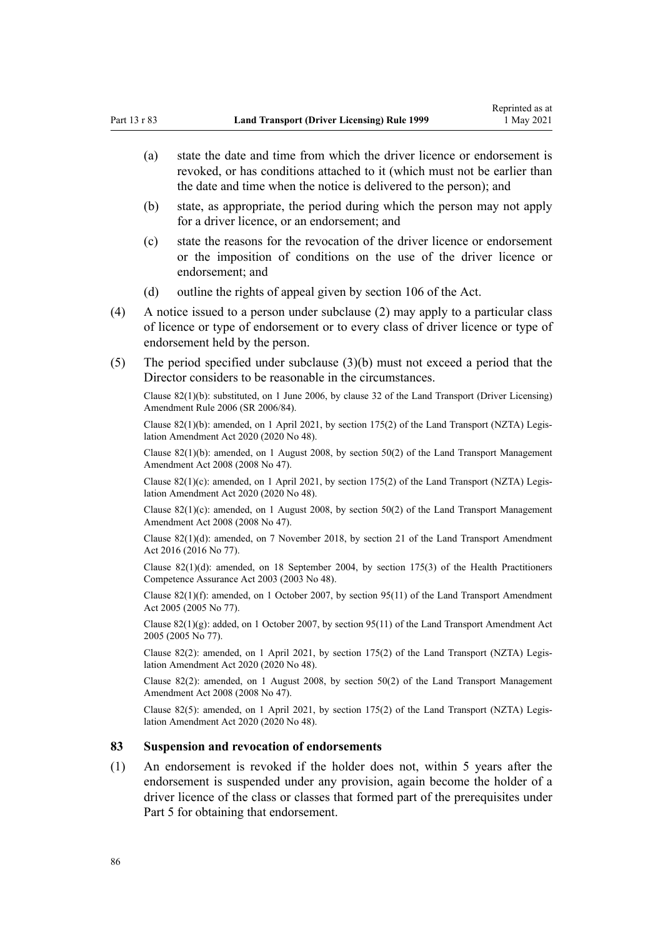- (a) state the date and time from which the driver licence or endorsement is revoked, or has conditions attached to it (which must not be earlier than the date and time when the notice is delivered to the person); and
- (b) state, as appropriate, the period during which the person may not apply for a driver licence, or an endorsement; and
- (c) state the reasons for the revocation of the driver licence or endorsement or the imposition of conditions on the use of the driver licence or endorsement; and
- (d) outline the rights of appeal given by [section 106](http://legislation.govt.nz/pdflink.aspx?id=DLM435083) of the Act.
- (4) A notice issued to a person under subclause (2) may apply to a particular class of licence or type of endorsement or to every class of driver licence or type of endorsement held by the person.
- (5) The period specified under subclause (3)(b) must not exceed a period that the Director considers to be reasonable in the circumstances.

Clause 82(1)(b): substituted, on 1 June 2006, by [clause 32](http://legislation.govt.nz/pdflink.aspx?id=DLM376125) of the Land Transport (Driver Licensing) Amendment Rule 2006 (SR 2006/84).

Clause 82(1)(b): amended, on 1 April 2021, by [section 175\(2\)](http://legislation.govt.nz/pdflink.aspx?id=LMS286883) of the Land Transport (NZTA) Legis‐ lation Amendment Act 2020 (2020 No 48).

Clause 82(1)(b): amended, on 1 August 2008, by [section 50\(2\)](http://legislation.govt.nz/pdflink.aspx?id=DLM1313622) of the Land Transport Management Amendment Act 2008 (2008 No 47).

Clause  $82(1)(c)$ : amended, on 1 April 2021, by [section 175\(2\)](http://legislation.govt.nz/pdflink.aspx?id=LMS286883) of the Land Transport (NZTA) Legislation Amendment Act 2020 (2020 No 48).

Clause 82(1)(c): amended, on 1 August 2008, by [section 50\(2\)](http://legislation.govt.nz/pdflink.aspx?id=DLM1313622) of the Land Transport Management Amendment Act 2008 (2008 No 47).

Clause 82(1)(d): amended, on 7 November 2018, by [section 21](http://legislation.govt.nz/pdflink.aspx?id=DLM6984133) of the Land Transport Amendment Act 2016 (2016 No 77).

Clause 82(1)(d): amended, on 18 September 2004, by [section 175\(3\)](http://legislation.govt.nz/pdflink.aspx?id=DLM205009) of the Health Practitioners Competence Assurance Act 2003 (2003 No 48).

Clause 82(1)(f): amended, on 1 October 2007, by [section 95\(11\)](http://legislation.govt.nz/pdflink.aspx?id=DLM353501) of the Land Transport Amendment Act 2005 (2005 No 77).

Clause  $82(1)(g)$ : added, on 1 October 2007, by [section 95\(11\)](http://legislation.govt.nz/pdflink.aspx?id=DLM353501) of the Land Transport Amendment Act 2005 (2005 No 77).

Clause 82(2): amended, on 1 April 2021, by [section 175\(2\)](http://legislation.govt.nz/pdflink.aspx?id=LMS286883) of the Land Transport (NZTA) Legis‐ lation Amendment Act 2020 (2020 No 48).

Clause 82(2): amended, on 1 August 2008, by [section 50\(2\)](http://legislation.govt.nz/pdflink.aspx?id=DLM1313622) of the Land Transport Management Amendment Act 2008 (2008 No 47).

Clause 82(5): amended, on 1 April 2021, by [section 175\(2\)](http://legislation.govt.nz/pdflink.aspx?id=LMS286883) of the Land Transport (NZTA) Legis‐ lation Amendment Act 2020 (2020 No 48).

#### **83 Suspension and revocation of endorsements**

(1) An endorsement is revoked if the holder does not, within 5 years after the endorsement is suspended under any provision, again become the holder of a driver licence of the class or classes that formed part of the prerequisites under [Part 5](#page-40-0) for obtaining that endorsement.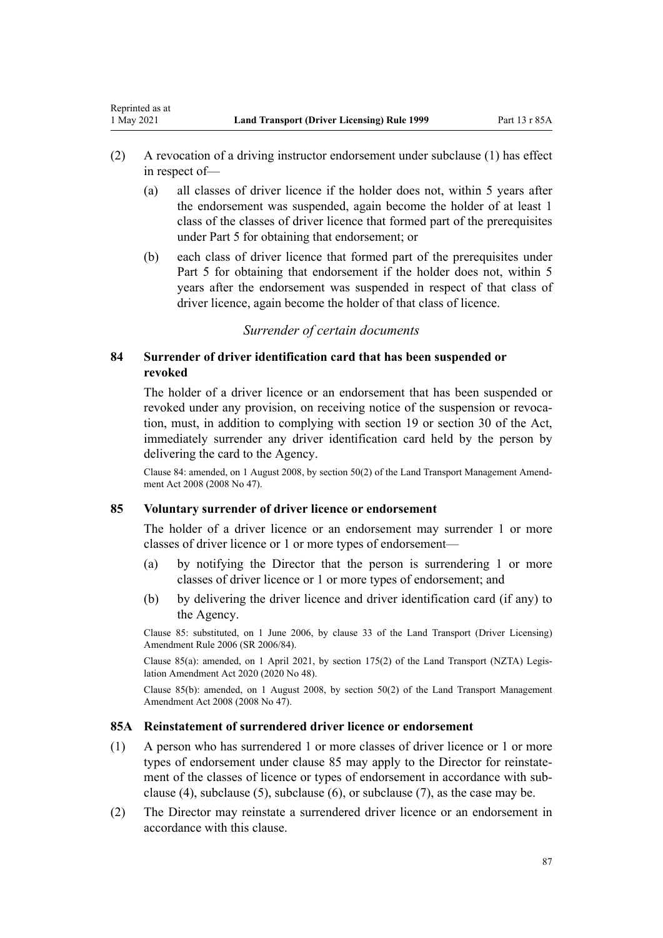- <span id="page-86-0"></span>(2) A revocation of a driving instructor endorsement under subclause (1) has effect in respect of—
	- (a) all classes of driver licence if the holder does not, within 5 years after the endorsement was suspended, again become the holder of at least 1 class of the classes of driver licence that formed part of the prerequisites under [Part 5](#page-40-0) for obtaining that endorsement; or
	- (b) each class of driver licence that formed part of the prerequisites under [Part 5](#page-40-0) for obtaining that endorsement if the holder does not, within 5 years after the endorsement was suspended in respect of that class of driver licence, again become the holder of that class of licence.

## *Surrender of certain documents*

# **84 Surrender of driver identification card that has been suspended or revoked**

The holder of a driver licence or an endorsement that has been suspended or revoked under any provision, on receiving notice of the suspension or revocation, must, in addition to complying with [section 19](http://legislation.govt.nz/pdflink.aspx?id=DLM434536) or [section 30](http://legislation.govt.nz/pdflink.aspx?id=DLM434583) of the Act, immediately surrender any driver identification card held by the person by delivering the card to the Agency.

Clause 84: amended, on 1 August 2008, by [section 50\(2\)](http://legislation.govt.nz/pdflink.aspx?id=DLM1313622) of the Land Transport Management Amend‐ ment Act 2008 (2008 No 47).

## **85 Voluntary surrender of driver licence or endorsement**

The holder of a driver licence or an endorsement may surrender 1 or more classes of driver licence or 1 or more types of endorsement—

- (a) by notifying the Director that the person is surrendering 1 or more classes of driver licence or 1 or more types of endorsement; and
- (b) by delivering the driver licence and driver identification card (if any) to the Agency.

Clause 85: substituted, on 1 June 2006, by [clause 33](http://legislation.govt.nz/pdflink.aspx?id=DLM376126) of the Land Transport (Driver Licensing) Amendment Rule 2006 (SR 2006/84).

Clause 85(a): amended, on 1 April 2021, by [section 175\(2\)](http://legislation.govt.nz/pdflink.aspx?id=LMS286883) of the Land Transport (NZTA) Legis‐ lation Amendment Act 2020 (2020 No 48).

Clause 85(b): amended, on 1 August 2008, by [section 50\(2\)](http://legislation.govt.nz/pdflink.aspx?id=DLM1313622) of the Land Transport Management Amendment Act 2008 (2008 No 47).

#### **85A Reinstatement of surrendered driver licence or endorsement**

- (1) A person who has surrendered 1 or more classes of driver licence or 1 or more types of endorsement under clause 85 may apply to the Director for reinstatement of the classes of licence or types of endorsement in accordance with subclause (4), subclause (5), subclause (6), or subclause (7), as the case may be.
- (2) The Director may reinstate a surrendered driver licence or an endorsement in accordance with this clause.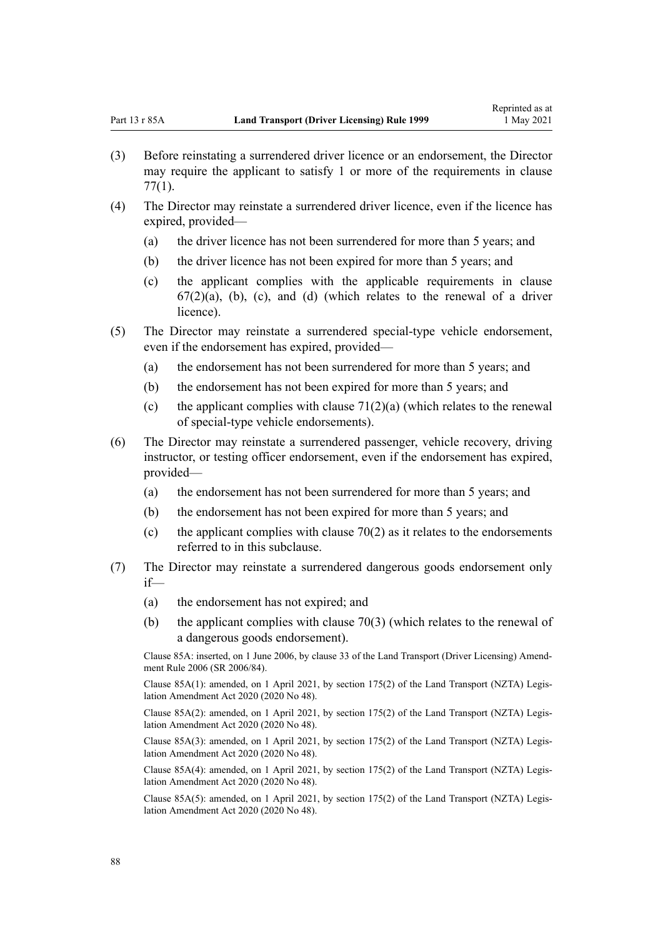- (3) Before reinstating a surrendered driver licence or an endorsement, the Director may require the applicant to satisfy 1 or more of the requirements in [clause](#page-80-0) [77\(1\)](#page-80-0).
- (4) The Director may reinstate a surrendered driver licence, even if the licence has expired, provided—
	- (a) the driver licence has not been surrendered for more than 5 years; and
	- (b) the driver licence has not been expired for more than 5 years; and
	- (c) the applicant complies with the applicable requirements in [clause](#page-70-0)  $67(2)(a)$ , (b), (c), and (d) (which relates to the renewal of a driver licence).
- (5) The Director may reinstate a surrendered special-type vehicle endorsement, even if the endorsement has expired, provided—
	- (a) the endorsement has not been surrendered for more than 5 years; and
	- (b) the endorsement has not been expired for more than 5 years; and
	- (c) the applicant complies with clause  $71(2)(a)$  (which relates to the renewal of special-type vehicle endorsements).
- (6) The Director may reinstate a surrendered passenger, vehicle recovery, driving instructor, or testing officer endorsement, even if the endorsement has expired, provided—
	- (a) the endorsement has not been surrendered for more than 5 years; and
	- (b) the endorsement has not been expired for more than 5 years; and
	- (c) the applicant complies with clause  $70(2)$  as it relates to the endorsements referred to in this subclause.
- (7) The Director may reinstate a surrendered dangerous goods endorsement only if—
	- (a) the endorsement has not expired; and
	- (b) the applicant complies with [clause 70\(3\)](#page-76-0) (which relates to the renewal of a dangerous goods endorsement).

Clause 85A: inserted, on 1 June 2006, by [clause 33](http://legislation.govt.nz/pdflink.aspx?id=DLM376126) of the Land Transport (Driver Licensing) Amend‐ ment Rule 2006 (SR 2006/84).

Clause 85A(1): amended, on 1 April 2021, by [section 175\(2\)](http://legislation.govt.nz/pdflink.aspx?id=LMS286883) of the Land Transport (NZTA) Legis‐ lation Amendment Act 2020 (2020 No 48).

Clause 85A(2): amended, on 1 April 2021, by [section 175\(2\)](http://legislation.govt.nz/pdflink.aspx?id=LMS286883) of the Land Transport (NZTA) Legis‐ lation Amendment Act 2020 (2020 No 48).

Clause 85A(3): amended, on 1 April 2021, by [section 175\(2\)](http://legislation.govt.nz/pdflink.aspx?id=LMS286883) of the Land Transport (NZTA) Legis‐ lation Amendment Act 2020 (2020 No 48).

Clause 85A(4): amended, on 1 April 2021, by [section 175\(2\)](http://legislation.govt.nz/pdflink.aspx?id=LMS286883) of the Land Transport (NZTA) Legis‐ lation Amendment Act 2020 (2020 No 48).

Clause 85A(5): amended, on 1 April 2021, by [section 175\(2\)](http://legislation.govt.nz/pdflink.aspx?id=LMS286883) of the Land Transport (NZTA) Legis‐ lation Amendment Act 2020 (2020 No 48).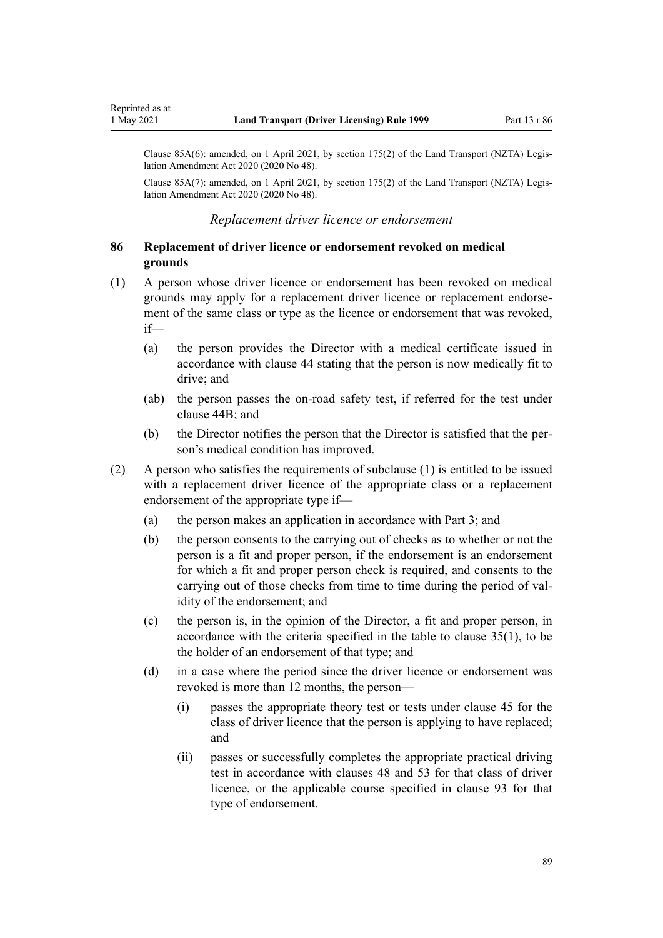Clause 85A(6): amended, on 1 April 2021, by [section 175\(2\)](http://legislation.govt.nz/pdflink.aspx?id=LMS286883) of the Land Transport (NZTA) Legis‐ lation Amendment Act 2020 (2020 No 48).

Clause 85A(7): amended, on 1 April 2021, by [section 175\(2\)](http://legislation.govt.nz/pdflink.aspx?id=LMS286883) of the Land Transport (NZTA) Legis‐ lation Amendment Act 2020 (2020 No 48).

#### *Replacement driver licence or endorsement*

## **86 Replacement of driver licence or endorsement revoked on medical grounds**

- (1) A person whose driver licence or endorsement has been revoked on medical grounds may apply for a replacement driver licence or replacement endorse‐ ment of the same class or type as the licence or endorsement that was revoked, if—
	- (a) the person provides the Director with a medical certificate issued in accordance with [clause 44](#page-54-0) stating that the person is now medically fit to drive; and
	- (ab) the person passes the on-road safety test, if referred for the test under [clause 44B;](#page-55-0) and
	- (b) the Director notifies the person that the Director is satisfied that the per‐ son's medical condition has improved.
- (2) A person who satisfies the requirements of subclause (1) is entitled to be issued with a replacement driver licence of the appropriate class or a replacement endorsement of the appropriate type if—
	- (a) the person makes an application in accordance with [Part 3](#page-21-0); and
	- (b) the person consents to the carrying out of checks as to whether or not the person is a fit and proper person, if the endorsement is an endorsement for which a fit and proper person check is required, and consents to the carrying out of those checks from time to time during the period of validity of the endorsement; and
	- (c) the person is, in the opinion of the Director, a fit and proper person, in accordance with the criteria specified in the table to [clause 35\(1\),](#page-48-0) to be the holder of an endorsement of that type; and
	- (d) in a case where the period since the driver licence or endorsement was revoked is more than 12 months, the person—
		- (i) passes the appropriate theory test or tests under [clause 45](#page-56-0) for the class of driver licence that the person is applying to have replaced; and
		- (ii) passes or successfully completes the appropriate practical driving test in accordance with [clauses 48](#page-57-0) and [53](#page-59-0) for that class of driver licence, or the applicable course specified in [clause 93](#page-97-0) for that type of endorsement.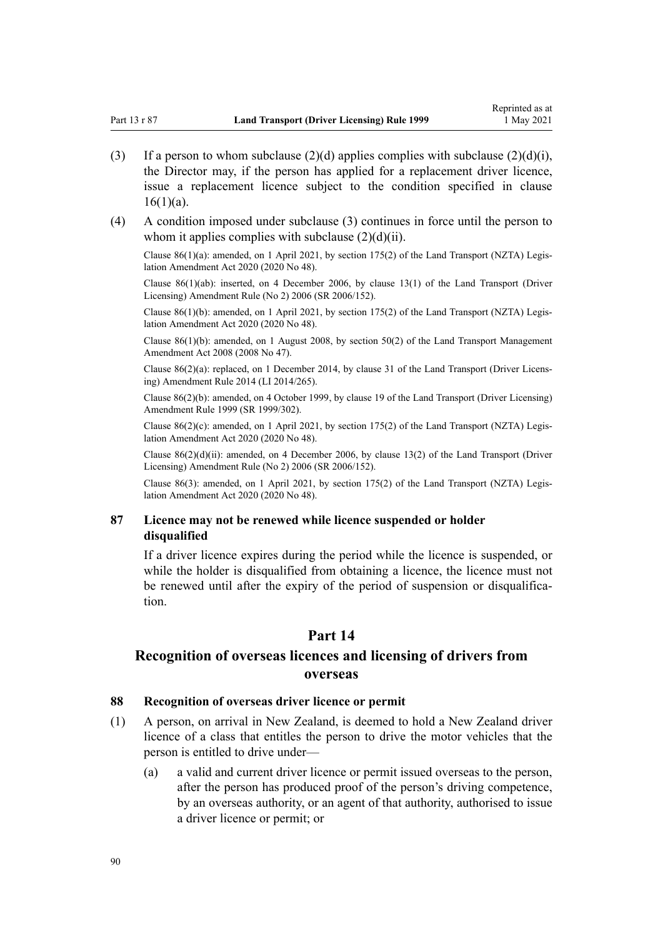- <span id="page-89-0"></span>(3) If a person to whom subclause (2)(d) applies complies with subclause (2)(d)(i), the Director may, if the person has applied for a replacement driver licence, issue a replacement licence subject to the condition specified in [clause](#page-27-0)  $16(1)(a)$ .
- (4) A condition imposed under subclause (3) continues in force until the person to whom it applies complies with subclause  $(2)(d)(ii)$ .

Clause 86(1)(a): amended, on 1 April 2021, by [section 175\(2\)](http://legislation.govt.nz/pdflink.aspx?id=LMS286883) of the Land Transport (NZTA) Legis‐ lation Amendment Act 2020 (2020 No 48).

Clause 86(1)(ab): inserted, on 4 December 2006, by [clause 13\(1\)](http://legislation.govt.nz/pdflink.aspx?id=DLM386154) of the Land Transport (Driver Licensing) Amendment Rule (No 2) 2006 (SR 2006/152).

Clause  $86(1)(b)$ : amended, on 1 April 2021, by [section 175\(2\)](http://legislation.govt.nz/pdflink.aspx?id=LMS286883) of the Land Transport (NZTA) Legislation Amendment Act 2020 (2020 No 48).

Clause 86(1)(b): amended, on 1 August 2008, by [section 50\(2\)](http://legislation.govt.nz/pdflink.aspx?id=DLM1313622) of the Land Transport Management Amendment Act 2008 (2008 No 47).

Clause 86(2)(a): replaced, on 1 December 2014, by [clause 31](http://legislation.govt.nz/pdflink.aspx?id=DLM6216945) of the Land Transport (Driver Licens‐ ing) Amendment Rule 2014 (LI 2014/265).

Clause 86(2)(b): amended, on 4 October 1999, by [clause 19](http://legislation.govt.nz/pdflink.aspx?id=DLM293688) of the Land Transport (Driver Licensing) Amendment Rule 1999 (SR 1999/302).

Clause  $86(2)(c)$ : amended, on 1 April 2021, by [section 175\(2\)](http://legislation.govt.nz/pdflink.aspx?id=LMS286883) of the Land Transport (NZTA) Legislation Amendment Act 2020 (2020 No 48).

Clause  $86(2)(d)(ii)$ : amended, on 4 December 2006, by [clause 13\(2\)](http://legislation.govt.nz/pdflink.aspx?id=DLM386154) of the Land Transport (Driver Licensing) Amendment Rule (No 2) 2006 (SR 2006/152).

Clause 86(3): amended, on 1 April 2021, by [section 175\(2\)](http://legislation.govt.nz/pdflink.aspx?id=LMS286883) of the Land Transport (NZTA) Legislation Amendment Act 2020 (2020 No 48).

## **87 Licence may not be renewed while licence suspended or holder disqualified**

If a driver licence expires during the period while the licence is suspended, or while the holder is disqualified from obtaining a licence, the licence must not be renewed until after the expiry of the period of suspension or disqualification.

# **Part 14**

# **Recognition of overseas licences and licensing of drivers from overseas**

### **88 Recognition of overseas driver licence or permit**

- (1) A person, on arrival in New Zealand, is deemed to hold a New Zealand driver licence of a class that entitles the person to drive the motor vehicles that the person is entitled to drive under—
	- (a) a valid and current driver licence or permit issued overseas to the person, after the person has produced proof of the person's driving competence, by an overseas authority, or an agent of that authority, authorised to issue a driver licence or permit; or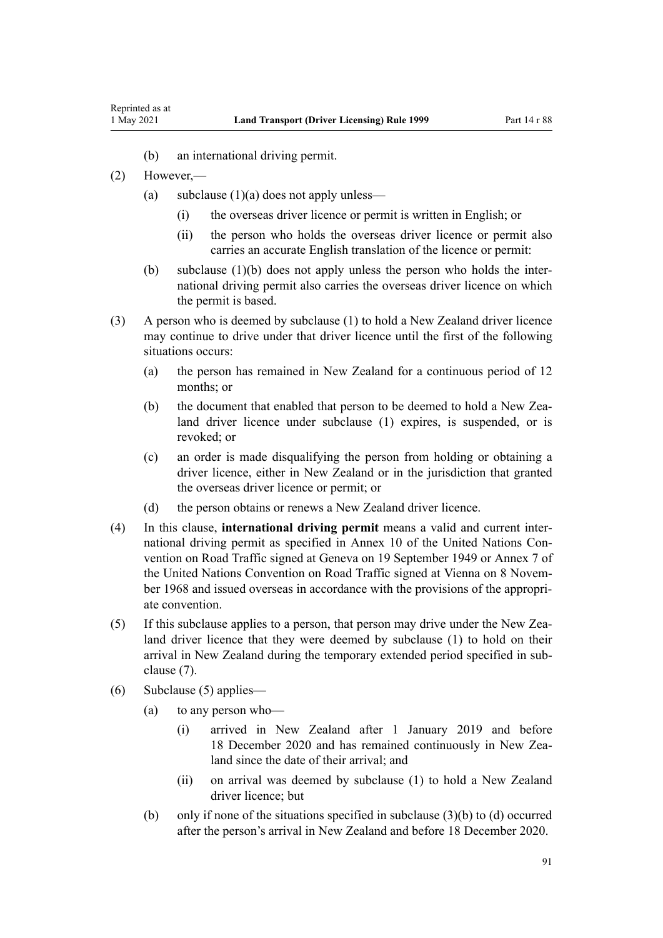- (b) an international driving permit.
- (2) However,—
	- (a) subclause  $(1)(a)$  does not apply unless—
		- (i) the overseas driver licence or permit is written in English; or
		- (ii) the person who holds the overseas driver licence or permit also carries an accurate English translation of the licence or permit:
	- (b) subclause  $(1)(b)$  does not apply unless the person who holds the international driving permit also carries the overseas driver licence on which the permit is based.
- (3) A person who is deemed by subclause (1) to hold a New Zealand driver licence may continue to drive under that driver licence until the first of the following situations occurs:
	- (a) the person has remained in New Zealand for a continuous period of 12 months; or
	- (b) the document that enabled that person to be deemed to hold a New Zealand driver licence under subclause (1) expires, is suspended, or is revoked; or
	- (c) an order is made disqualifying the person from holding or obtaining a driver licence, either in New Zealand or in the jurisdiction that granted the overseas driver licence or permit; or
	- (d) the person obtains or renews a New Zealand driver licence.
- (4) In this clause, **international driving permit** means a valid and current inter‐ national driving permit as specified in Annex 10 of the United Nations Convention on Road Traffic signed at Geneva on 19 September 1949 or Annex 7 of the United Nations Convention on Road Traffic signed at Vienna on 8 November 1968 and issued overseas in accordance with the provisions of the appropriate convention.
- (5) If this subclause applies to a person, that person may drive under the New Zea‐ land driver licence that they were deemed by subclause (1) to hold on their arrival in New Zealand during the temporary extended period specified in sub‐ clause (7).
- (6) Subclause (5) applies—
	- (a) to any person who—
		- (i) arrived in New Zealand after 1 January 2019 and before 18 December 2020 and has remained continuously in New Zealand since the date of their arrival; and
		- (ii) on arrival was deemed by subclause (1) to hold a New Zealand driver licence; but
	- (b) only if none of the situations specified in subclause  $(3)(b)$  to  $(d)$  occurred after the person's arrival in New Zealand and before 18 December 2020.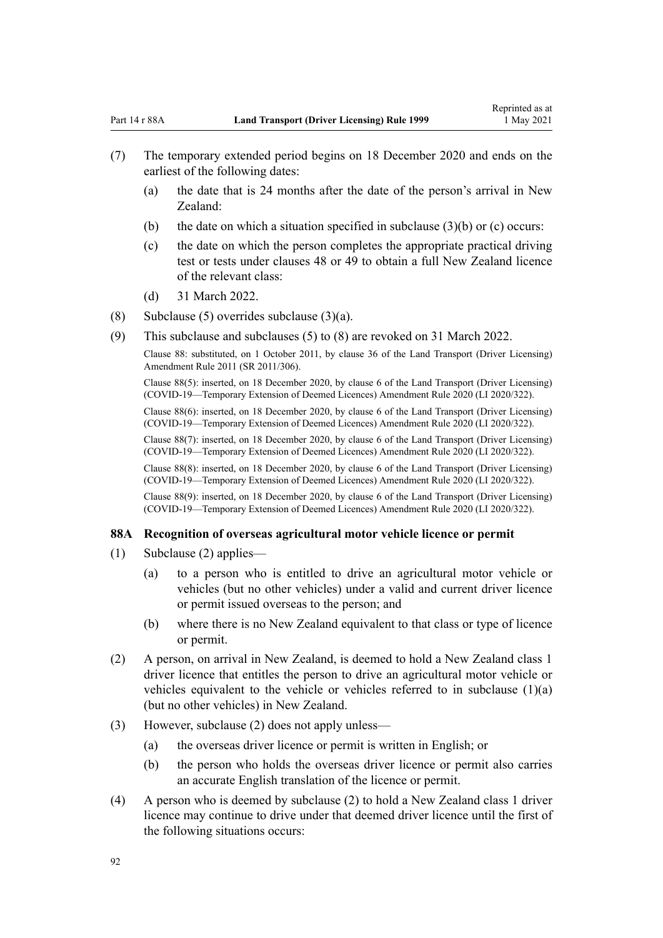- (7) The temporary extended period begins on 18 December 2020 and ends on the earliest of the following dates:
	- (a) the date that is 24 months after the date of the person's arrival in New Zealand:
	- (b) the date on which a situation specified in subclause  $(3)(b)$  or (c) occurs:
	- (c) the date on which the person completes the appropriate practical driving test or tests under [clauses 48](#page-57-0) or [49](#page-57-0) to obtain a full New Zealand licence of the relevant class:
	- (d) 31 March 2022.
- (8) Subclause (5) overrides subclause  $(3)(a)$ .
- (9) This subclause and subclauses (5) to (8) are revoked on 31 March 2022.

Clause 88: substituted, on 1 October 2011, by [clause 36](http://legislation.govt.nz/pdflink.aspx?id=DLM3956741) of the Land Transport (Driver Licensing) Amendment Rule 2011 (SR 2011/306).

Clause 88(5): inserted, on 18 December 2020, by [clause 6](http://legislation.govt.nz/pdflink.aspx?id=LMS436148) of the Land Transport (Driver Licensing) (COVID-19—Temporary Extension of Deemed Licences) Amendment Rule 2020 (LI 2020/322).

Clause 88(6): inserted, on 18 December 2020, by [clause 6](http://legislation.govt.nz/pdflink.aspx?id=LMS436148) of the Land Transport (Driver Licensing) (COVID-19—Temporary Extension of Deemed Licences) Amendment Rule 2020 (LI 2020/322).

Clause 88(7): inserted, on 18 December 2020, by [clause 6](http://legislation.govt.nz/pdflink.aspx?id=LMS436148) of the Land Transport (Driver Licensing) (COVID-19—Temporary Extension of Deemed Licences) Amendment Rule 2020 (LI 2020/322).

Clause 88(8): inserted, on 18 December 2020, by [clause 6](http://legislation.govt.nz/pdflink.aspx?id=LMS436148) of the Land Transport (Driver Licensing) (COVID-19—Temporary Extension of Deemed Licences) Amendment Rule 2020 (LI 2020/322).

Clause 88(9): inserted, on 18 December 2020, by [clause 6](http://legislation.govt.nz/pdflink.aspx?id=LMS436148) of the Land Transport (Driver Licensing) (COVID-19—Temporary Extension of Deemed Licences) Amendment Rule 2020 (LI 2020/322).

#### **88A Recognition of overseas agricultural motor vehicle licence or permit**

- (1) Subclause (2) applies—
	- (a) to a person who is entitled to drive an agricultural motor vehicle or vehicles (but no other vehicles) under a valid and current driver licence or permit issued overseas to the person; and
	- (b) where there is no New Zealand equivalent to that class or type of licence or permit.
- (2) A person, on arrival in New Zealand, is deemed to hold a New Zealand class 1 driver licence that entitles the person to drive an agricultural motor vehicle or vehicles equivalent to the vehicle or vehicles referred to in subclause  $(1)(a)$ (but no other vehicles) in New Zealand.
- (3) However, subclause (2) does not apply unless—
	- (a) the overseas driver licence or permit is written in English; or
	- (b) the person who holds the overseas driver licence or permit also carries an accurate English translation of the licence or permit.
- (4) A person who is deemed by subclause (2) to hold a New Zealand class 1 driver licence may continue to drive under that deemed driver licence until the first of the following situations occurs: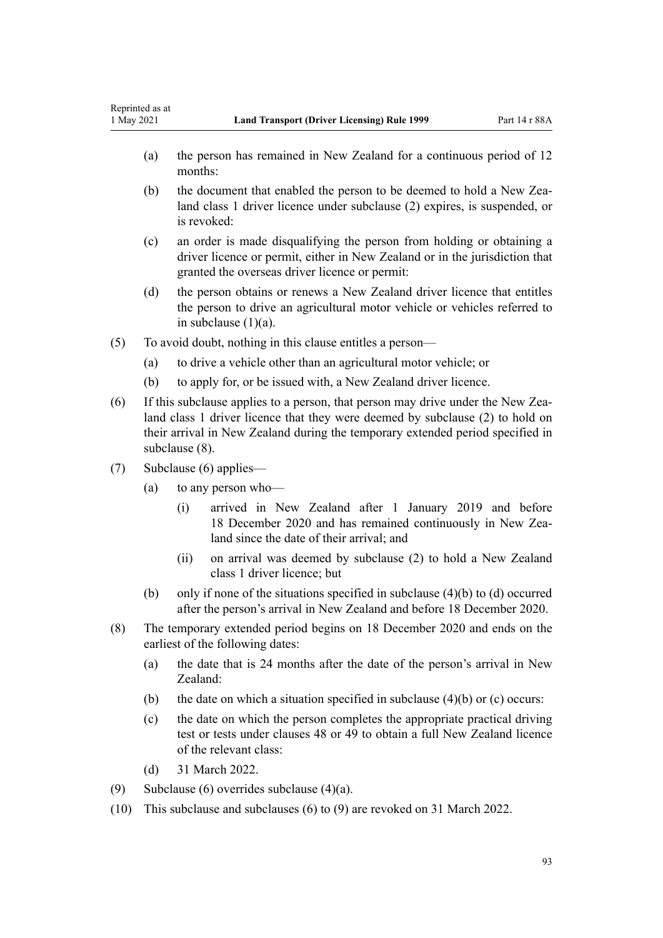- (a) the person has remained in New Zealand for a continuous period of 12 months:
- (b) the document that enabled the person to be deemed to hold a New Zealand class 1 driver licence under subclause (2) expires, is suspended, or is revoked:
- (c) an order is made disqualifying the person from holding or obtaining a driver licence or permit, either in New Zealand or in the jurisdiction that granted the overseas driver licence or permit:
- (d) the person obtains or renews a New Zealand driver licence that entitles the person to drive an agricultural motor vehicle or vehicles referred to in subclause (1)(a).
- (5) To avoid doubt, nothing in this clause entitles a person—
	- (a) to drive a vehicle other than an agricultural motor vehicle; or
	- (b) to apply for, or be issued with, a New Zealand driver licence.
- (6) If this subclause applies to a person, that person may drive under the New Zea‐ land class 1 driver licence that they were deemed by subclause (2) to hold on their arrival in New Zealand during the temporary extended period specified in subclause (8).
- (7) Subclause (6) applies—
	- (a) to any person who—
		- (i) arrived in New Zealand after 1 January 2019 and before 18 December 2020 and has remained continuously in New Zealand since the date of their arrival; and
		- (ii) on arrival was deemed by subclause (2) to hold a New Zealand class 1 driver licence; but
	- (b) only if none of the situations specified in subclause (4)(b) to (d) occurred after the person's arrival in New Zealand and before 18 December 2020.
- (8) The temporary extended period begins on 18 December 2020 and ends on the earliest of the following dates:
	- (a) the date that is 24 months after the date of the person's arrival in New Zealand:
	- (b) the date on which a situation specified in subclause  $(4)(b)$  or  $(c)$  occurs:
	- (c) the date on which the person completes the appropriate practical driving test or tests under [clauses 48](#page-57-0) or [49](#page-57-0) to obtain a full New Zealand licence of the relevant class:
	- (d) 31 March 2022.
- (9) Subclause (6) overrides subclause (4)(a).
- (10) This subclause and subclauses (6) to (9) are revoked on 31 March 2022.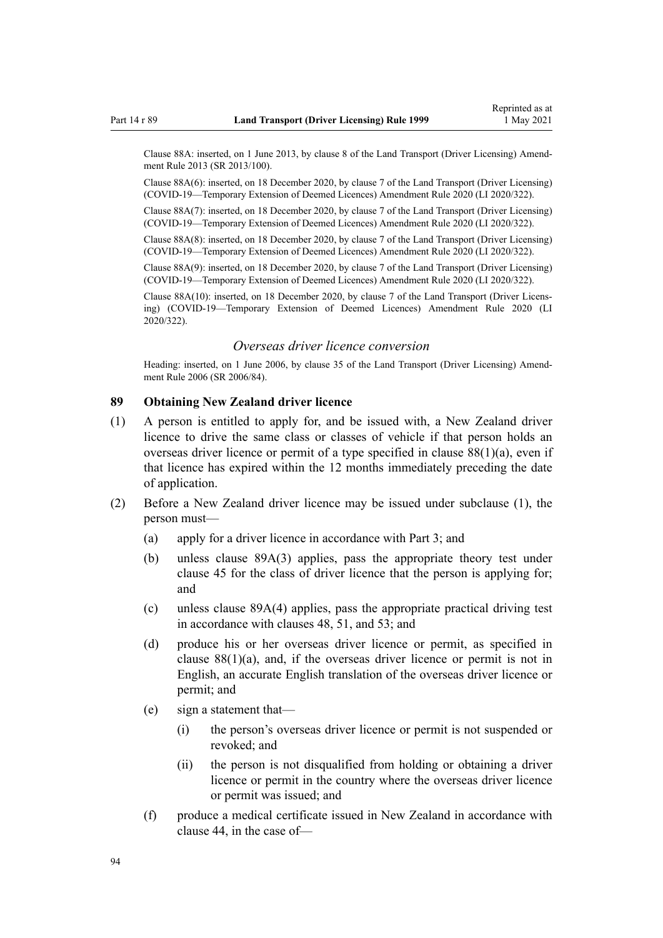<span id="page-93-0"></span>Clause 88A: inserted, on 1 June 2013, by [clause 8](http://legislation.govt.nz/pdflink.aspx?id=DLM5102244) of the Land Transport (Driver Licensing) Amend‐ ment Rule 2013 (SR 2013/100).

Clause 88A(6): inserted, on 18 December 2020, by [clause 7](http://legislation.govt.nz/pdflink.aspx?id=LMS436149) of the Land Transport (Driver Licensing) (COVID-19—Temporary Extension of Deemed Licences) Amendment Rule 2020 (LI 2020/322).

Clause 88A(7): inserted, on 18 December 2020, by [clause 7](http://legislation.govt.nz/pdflink.aspx?id=LMS436149) of the Land Transport (Driver Licensing) (COVID-19—Temporary Extension of Deemed Licences) Amendment Rule 2020 (LI 2020/322).

Clause 88A(8): inserted, on 18 December 2020, by [clause 7](http://legislation.govt.nz/pdflink.aspx?id=LMS436149) of the Land Transport (Driver Licensing) (COVID-19—Temporary Extension of Deemed Licences) Amendment Rule 2020 (LI 2020/322).

Clause 88A(9): inserted, on 18 December 2020, by [clause 7](http://legislation.govt.nz/pdflink.aspx?id=LMS436149) of the Land Transport (Driver Licensing) (COVID-19—Temporary Extension of Deemed Licences) Amendment Rule 2020 (LI 2020/322).

Clause 88A(10): inserted, on 18 December 2020, by [clause 7](http://legislation.govt.nz/pdflink.aspx?id=LMS436149) of the Land Transport (Driver Licens‐ ing) (COVID-19—Temporary Extension of Deemed Licences) Amendment Rule 2020 (LI 2020/322).

## *Overseas driver licence conversion*

Heading: inserted, on 1 June 2006, by [clause 35](http://legislation.govt.nz/pdflink.aspx?id=DLM376131) of the Land Transport (Driver Licensing) Amendment Rule 2006 (SR 2006/84).

#### **89 Obtaining New Zealand driver licence**

- (1) A person is entitled to apply for, and be issued with, a New Zealand driver licence to drive the same class or classes of vehicle if that person holds an overseas driver licence or permit of a type specified in clause  $88(1)(a)$ , even if that licence has expired within the 12 months immediately preceding the date of application.
- (2) Before a New Zealand driver licence may be issued under subclause (1), the person must—
	- (a) apply for a driver licence in accordance with [Part 3;](#page-21-0) and
	- (b) unless [clause 89A\(3\)](#page-94-0) applies, pass the appropriate theory test under [clause 45](#page-56-0) for the class of driver licence that the person is applying for; and
	- (c) unless [clause 89A\(4\)](#page-94-0) applies, pass the appropriate practical driving test in accordance with [clauses 48,](#page-57-0) [51,](#page-58-0) and [53](#page-59-0); and
	- (d) produce his or her overseas driver licence or permit, as specified in clause  $88(1)(a)$ , and, if the overseas driver licence or permit is not in English, an accurate English translation of the overseas driver licence or permit; and
	- (e) sign a statement that—
		- (i) the person's overseas driver licence or permit is not suspended or revoked; and
		- (ii) the person is not disqualified from holding or obtaining a driver licence or permit in the country where the overseas driver licence or permit was issued; and
	- (f) produce a medical certificate issued in New Zealand in accordance with [clause 44](#page-54-0), in the case of—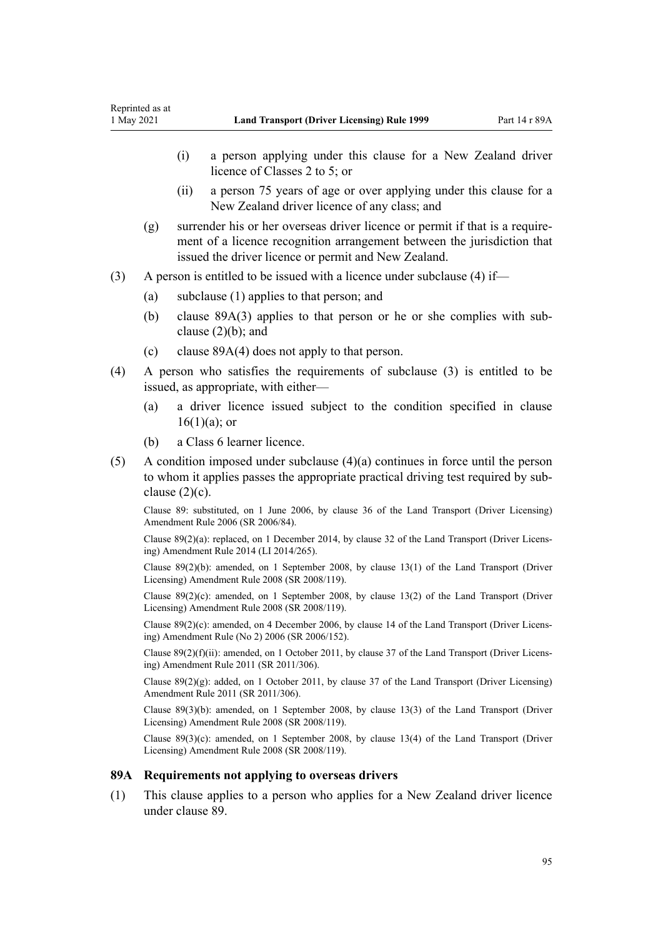- <span id="page-94-0"></span>(i) a person applying under this clause for a New Zealand driver licence of Classes 2 to 5; or
- (ii) a person 75 years of age or over applying under this clause for a New Zealand driver licence of any class; and
- $(g)$  surrender his or her overseas driver licence or permit if that is a requirement of a licence recognition arrangement between the jurisdiction that issued the driver licence or permit and New Zealand.
- (3) A person is entitled to be issued with a licence under subclause (4) if—
	- (a) subclause (1) applies to that person; and
	- (b) clause 89A(3) applies to that person or he or she complies with sub‐ clause  $(2)(b)$ ; and
	- (c) clause 89A(4) does not apply to that person.
- (4) A person who satisfies the requirements of subclause (3) is entitled to be issued, as appropriate, with either—
	- (a) a driver licence issued subject to the condition specified in [clause](#page-27-0)  $16(1)(a)$ ; or
	- (b) a Class 6 learner licence.
- (5) A condition imposed under subclause (4)(a) continues in force until the person to whom it applies passes the appropriate practical driving test required by sub‐ clause  $(2)(c)$ .

Clause 89: substituted, on 1 June 2006, by [clause 36](http://legislation.govt.nz/pdflink.aspx?id=DLM376133) of the Land Transport (Driver Licensing) Amendment Rule 2006 (SR 2006/84).

Clause 89(2)(a): replaced, on 1 December 2014, by [clause 32](http://legislation.govt.nz/pdflink.aspx?id=DLM6216946) of the Land Transport (Driver Licens‐ ing) Amendment Rule 2014 (LI 2014/265).

Clause 89(2)(b): amended, on 1 September 2008, by [clause 13\(1\)](http://legislation.govt.nz/pdflink.aspx?id=DLM1317919) of the Land Transport (Driver Licensing) Amendment Rule 2008 (SR 2008/119).

Clause 89(2)(c): amended, on 1 September 2008, by [clause 13\(2\)](http://legislation.govt.nz/pdflink.aspx?id=DLM1317919) of the Land Transport (Driver Licensing) Amendment Rule 2008 (SR 2008/119).

Clause 89(2)(c): amended, on 4 December 2006, by [clause 14](http://legislation.govt.nz/pdflink.aspx?id=DLM386155) of the Land Transport (Driver Licens‐ ing) Amendment Rule (No 2) 2006 (SR 2006/152).

Clause 89(2)(f)(ii): amended, on 1 October 2011, by [clause 37](http://legislation.govt.nz/pdflink.aspx?id=DLM3956744) of the Land Transport (Driver Licens‐ ing) Amendment Rule 2011 (SR 2011/306).

Clause  $89(2)(g)$ : added, on 1 October 2011, by [clause 37](http://legislation.govt.nz/pdflink.aspx?id=DLM3956744) of the Land Transport (Driver Licensing) Amendment Rule 2011 (SR 2011/306).

Clause 89(3)(b): amended, on 1 September 2008, by [clause 13\(3\)](http://legislation.govt.nz/pdflink.aspx?id=DLM1317919) of the Land Transport (Driver Licensing) Amendment Rule 2008 (SR 2008/119).

Clause  $89(3)(c)$ : amended, on 1 September 2008, by [clause 13\(4\)](http://legislation.govt.nz/pdflink.aspx?id=DLM1317919) of the Land Transport (Driver Licensing) Amendment Rule 2008 (SR 2008/119).

#### **89A Requirements not applying to overseas drivers**

(1) This clause applies to a person who applies for a New Zealand driver licence under [clause 89](#page-93-0).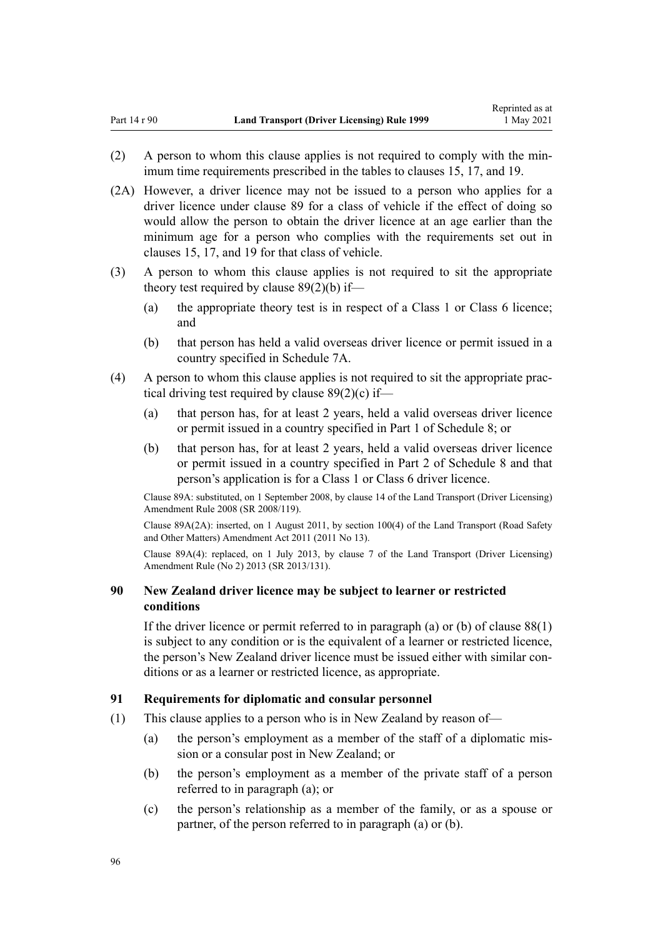- (2) A person to whom this clause applies is not required to comply with the min‐ imum time requirements prescribed in the tables to [clauses 15,](#page-26-0) [17](#page-28-0), and [19.](#page-30-0)
- (2A) However, a driver licence may not be issued to a person who applies for a driver licence under [clause 89](#page-93-0) for a class of vehicle if the effect of doing so would allow the person to obtain the driver licence at an age earlier than the minimum age for a person who complies with the requirements set out in [clauses 15,](#page-26-0) [17](#page-28-0), and [19](#page-30-0) for that class of vehicle.
- (3) A person to whom this clause applies is not required to sit the appropriate theory test required by [clause 89\(2\)\(b\)](#page-93-0) if—
	- (a) the appropriate theory test is in respect of a Class 1 or Class 6 licence; and
	- (b) that person has held a valid overseas driver licence or permit issued in a country specified in [Schedule 7A.](#page-119-0)
- (4) A person to whom this clause applies is not required to sit the appropriate prac‐ tical driving test required by clause  $89(2)(c)$  if—
	- (a) that person has, for at least 2 years, held a valid overseas driver licence or permit issued in a country specified in [Part 1](#page-120-0) of Schedule 8; or
	- (b) that person has, for at least 2 years, held a valid overseas driver licence or permit issued in a country specified in [Part 2](#page-121-0) of Schedule 8 and that person's application is for a Class 1 or Class 6 driver licence.

Clause 89A: substituted, on 1 September 2008, by [clause 14](http://legislation.govt.nz/pdflink.aspx?id=DLM1317920) of the Land Transport (Driver Licensing) Amendment Rule 2008 (SR 2008/119).

Clause 89A(2A): inserted, on 1 August 2011, by [section 100\(4\)](http://legislation.govt.nz/pdflink.aspx?id=DLM3231293) of the Land Transport (Road Safety and Other Matters) Amendment Act 2011 (2011 No 13).

Clause 89A(4): replaced, on 1 July 2013, by [clause 7](http://legislation.govt.nz/pdflink.aspx?id=DLM5159812) of the Land Transport (Driver Licensing) Amendment Rule (No 2) 2013 (SR 2013/131).

# **90 New Zealand driver licence may be subject to learner or restricted conditions**

If the driver licence or permit referred to in paragraph (a) or (b) of clause  $88(1)$ is subject to any condition or is the equivalent of a learner or restricted licence, the person's New Zealand driver licence must be issued either with similar conditions or as a learner or restricted licence, as appropriate.

#### **91 Requirements for diplomatic and consular personnel**

- (1) This clause applies to a person who is in New Zealand by reason of—
	- (a) the person's employment as a member of the staff of a diplomatic mis‐ sion or a consular post in New Zealand; or
	- (b) the person's employment as a member of the private staff of a person referred to in paragraph (a); or
	- (c) the person's relationship as a member of the family, or as a spouse or partner, of the person referred to in paragraph (a) or (b).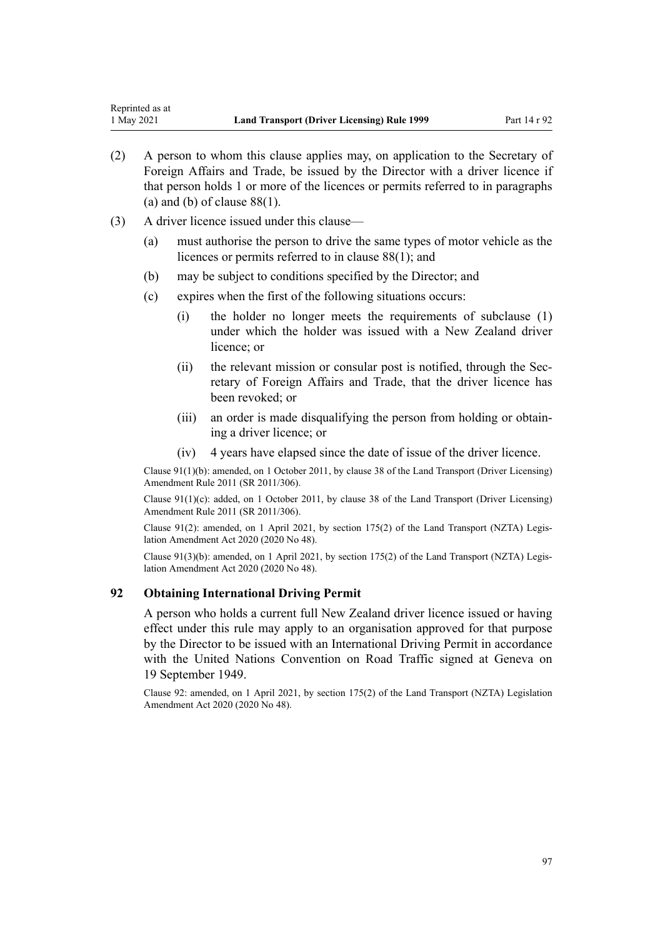- (2) A person to whom this clause applies may, on application to the Secretary of Foreign Affairs and Trade, be issued by the Director with a driver licence if that person holds 1 or more of the licences or permits referred to in paragraphs (a) and (b) of clause  $88(1)$ .
- (3) A driver licence issued under this clause—
	- (a) must authorise the person to drive the same types of motor vehicle as the licences or permits referred to in [clause 88\(1\)](#page-89-0); and
	- (b) may be subject to conditions specified by the Director; and
	- (c) expires when the first of the following situations occurs:
		- (i) the holder no longer meets the requirements of subclause (1) under which the holder was issued with a New Zealand driver licence; or
		- (ii) the relevant mission or consular post is notified, through the Secretary of Foreign Affairs and Trade, that the driver licence has been revoked; or
		- (iii) an order is made disqualifying the person from holding or obtain‐ ing a driver licence; or
		- (iv) 4 years have elapsed since the date of issue of the driver licence.

Clause 91(1)(b): amended, on 1 October 2011, by [clause 38](http://legislation.govt.nz/pdflink.aspx?id=DLM3956745) of the Land Transport (Driver Licensing) Amendment Rule 2011 (SR 2011/306).

Clause 91(1)(c): added, on 1 October 2011, by [clause 38](http://legislation.govt.nz/pdflink.aspx?id=DLM3956745) of the Land Transport (Driver Licensing) Amendment Rule 2011 (SR 2011/306).

Clause 91(2): amended, on 1 April 2021, by [section 175\(2\)](http://legislation.govt.nz/pdflink.aspx?id=LMS286883) of the Land Transport (NZTA) Legislation Amendment Act 2020 (2020 No 48).

Clause 91(3)(b): amended, on 1 April 2021, by [section 175\(2\)](http://legislation.govt.nz/pdflink.aspx?id=LMS286883) of the Land Transport (NZTA) Legis‐ lation Amendment Act 2020 (2020 No 48).

## **92 Obtaining International Driving Permit**

A person who holds a current full New Zealand driver licence issued or having effect under this rule may apply to an organisation approved for that purpose by the Director to be issued with an International Driving Permit in accordance with the United Nations Convention on Road Traffic signed at Geneva on 19 September 1949.

Clause 92: amended, on 1 April 2021, by [section 175\(2\)](http://legislation.govt.nz/pdflink.aspx?id=LMS286883) of the Land Transport (NZTA) Legislation Amendment Act 2020 (2020 No 48).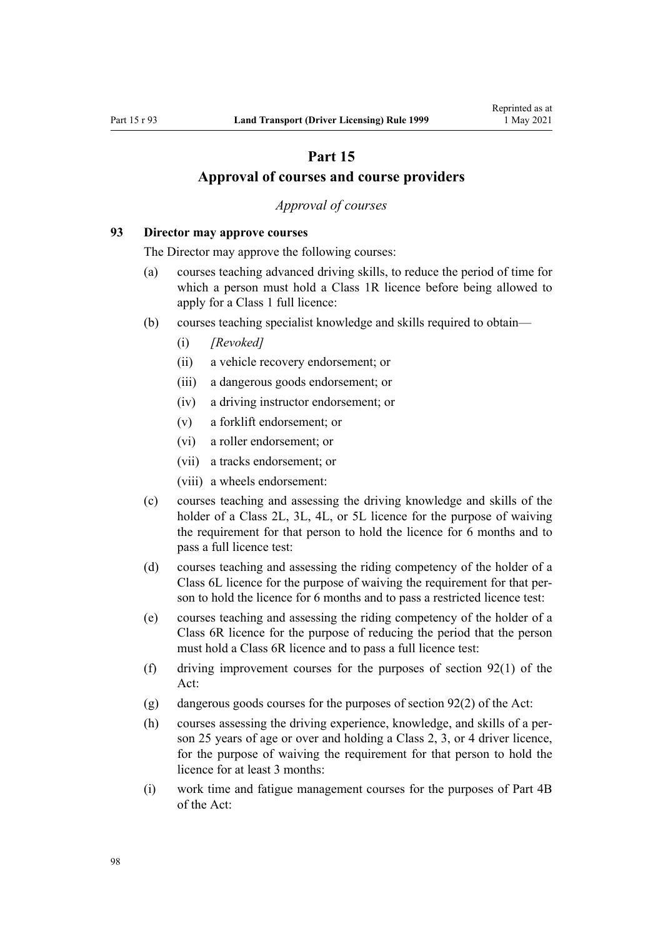# **Part 15**

# **Approval of courses and course providers**

## *Approval of courses*

#### <span id="page-97-0"></span>**93 Director may approve courses**

The Director may approve the following courses:

- (a) courses teaching advanced driving skills, to reduce the period of time for which a person must hold a Class 1R licence before being allowed to apply for a Class 1 full licence:
- (b) courses teaching specialist knowledge and skills required to obtain—
	- (i) *[Revoked]*
	- (ii) a vehicle recovery endorsement; or
	- (iii) a dangerous goods endorsement; or
	- (iv) a driving instructor endorsement; or
	- (v) a forklift endorsement; or
	- (vi) a roller endorsement; or
	- (vii) a tracks endorsement; or
	- (viii) a wheels endorsement:
- (c) courses teaching and assessing the driving knowledge and skills of the holder of a Class 2L, 3L, 4L, or 5L licence for the purpose of waiving the requirement for that person to hold the licence for 6 months and to pass a full licence test:
- (d) courses teaching and assessing the riding competency of the holder of a Class 6L licence for the purpose of waiving the requirement for that per‐ son to hold the licence for 6 months and to pass a restricted licence test:
- (e) courses teaching and assessing the riding competency of the holder of a Class 6R licence for the purpose of reducing the period that the person must hold a Class 6R licence and to pass a full licence test:
- (f) driving improvement courses for the purposes of [section 92\(1\)](http://legislation.govt.nz/pdflink.aspx?id=DLM435016) of the Act:
- (g) dangerous goods courses for the purposes of [section 92\(2\)](http://legislation.govt.nz/pdflink.aspx?id=DLM435016) of the Act:
- (h) courses assessing the driving experience, knowledge, and skills of a per‐ son 25 years of age or over and holding a Class 2, 3, or 4 driver licence, for the purpose of waiving the requirement for that person to hold the licence for at least 3 months:
- (i) work time and fatigue management courses for the purposes of [Part 4B](http://legislation.govt.nz/pdflink.aspx?id=DLM434620) of the Act: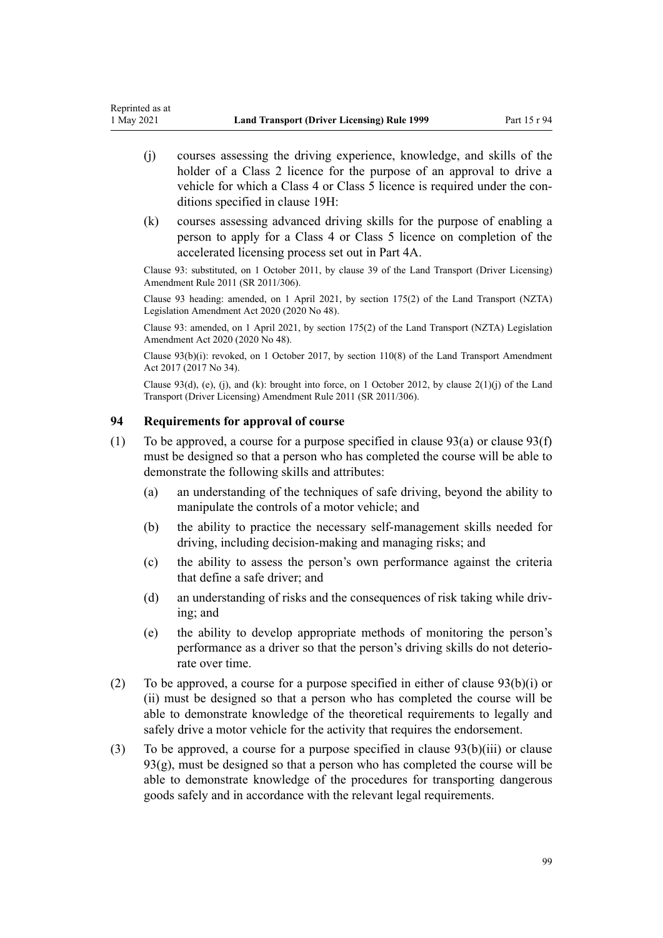- <span id="page-98-0"></span>(j) courses assessing the driving experience, knowledge, and skills of the holder of a Class 2 licence for the purpose of an approval to drive a vehicle for which a Class 4 or Class 5 licence is required under the conditions specified in [clause 19H](#page-36-0):
- (k) courses assessing advanced driving skills for the purpose of enabling a person to apply for a Class 4 or Class 5 licence on completion of the accelerated licensing process set out in [Part 4A](#page-33-0).

Clause 93: substituted, on 1 October 2011, by [clause 39](http://legislation.govt.nz/pdflink.aspx?id=DLM3956519) of the Land Transport (Driver Licensing) Amendment Rule 2011 (SR 2011/306).

Clause 93 heading: amended, on 1 April 2021, by [section 175\(2\)](http://legislation.govt.nz/pdflink.aspx?id=LMS286883) of the Land Transport (NZTA) Legislation Amendment Act 2020 (2020 No 48).

Clause 93: amended, on 1 April 2021, by [section 175\(2\)](http://legislation.govt.nz/pdflink.aspx?id=LMS286883) of the Land Transport (NZTA) Legislation Amendment Act 2020 (2020 No 48).

Clause  $93(b)(i)$ : revoked, on 1 October 2017, by [section 110\(8\)](http://legislation.govt.nz/pdflink.aspx?id=DLM6960929) of the Land Transport Amendment Act 2017 (2017 No 34).

Clause 93(d), (e), (j), and (k): brought into force, on 1 October 2012, by clause  $2(1)(j)$  of the Land Transport (Driver Licensing) Amendment Rule 2011 (SR 2011/306).

## **94 Requirements for approval of course**

- (1) To be approved, a course for a purpose specified in clause  $93(a)$  or clause  $93(f)$ must be designed so that a person who has completed the course will be able to demonstrate the following skills and attributes:
	- (a) an understanding of the techniques of safe driving, beyond the ability to manipulate the controls of a motor vehicle; and
	- (b) the ability to practice the necessary self-management skills needed for driving, including decision-making and managing risks; and
	- (c) the ability to assess the person's own performance against the criteria that define a safe driver; and
	- (d) an understanding of risks and the consequences of risk taking while driving; and
	- (e) the ability to develop appropriate methods of monitoring the person's performance as a driver so that the person's driving skills do not deterio‐ rate over time.
- (2) To be approved, a course for a purpose specified in either of [clause 93\(b\)\(i\) or](#page-97-0) [\(ii\)](#page-97-0) must be designed so that a person who has completed the course will be able to demonstrate knowledge of the theoretical requirements to legally and safely drive a motor vehicle for the activity that requires the endorsement.
- (3) To be approved, a course for a purpose specified in [clause 93\(b\)\(iii\)](#page-97-0) or clause  $93(g)$ , must be designed so that a person who has completed the course will be able to demonstrate knowledge of the procedures for transporting dangerous goods safely and in accordance with the relevant legal requirements.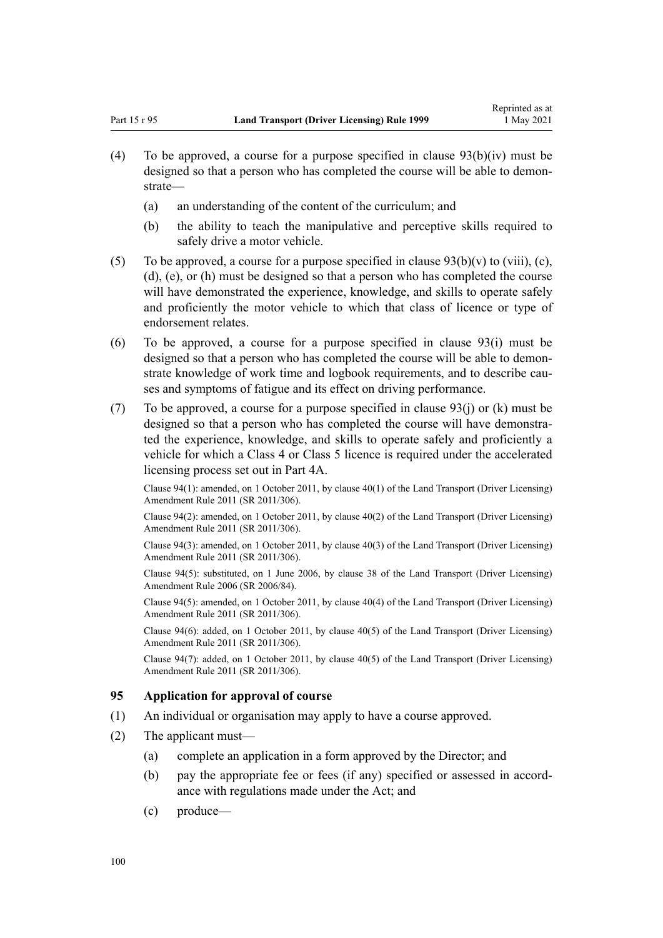- <span id="page-99-0"></span>(4) To be approved, a course for a purpose specified in clause  $93(b)(iv)$  must be designed so that a person who has completed the course will be able to demonstrate—
	- (a) an understanding of the content of the curriculum; and
	- (b) the ability to teach the manipulative and perceptive skills required to safely drive a motor vehicle.
- (5) To be approved, a course for a purpose specified in clause  $93(b)(v)$  to (viii), (c), [\(d\), \(e\), or \(h\)](#page-97-0) must be designed so that a person who has completed the course will have demonstrated the experience, knowledge, and skills to operate safely and proficiently the motor vehicle to which that class of licence or type of endorsement relates.
- (6) To be approved, a course for a purpose specified in [clause 93\(i\)](#page-97-0) must be designed so that a person who has completed the course will be able to demonstrate knowledge of work time and logbook requirements, and to describe causes and symptoms of fatigue and its effect on driving performance.
- (7) To be approved, a course for a purpose specified in clause  $93(i)$  or (k) must be designed so that a person who has completed the course will have demonstrated the experience, knowledge, and skills to operate safely and proficiently a vehicle for which a Class 4 or Class 5 licence is required under the accelerated licensing process set out in [Part 4A](#page-33-0).

Clause 94(1): amended, on 1 October 2011, by [clause 40\(1\)](http://legislation.govt.nz/pdflink.aspx?id=DLM3956521) of the Land Transport (Driver Licensing) Amendment Rule 2011 (SR 2011/306).

Clause 94(2): amended, on 1 October 2011, by [clause 40\(2\)](http://legislation.govt.nz/pdflink.aspx?id=DLM3956521) of the Land Transport (Driver Licensing) Amendment Rule 2011 (SR 2011/306).

Clause 94(3): amended, on 1 October 2011, by [clause 40\(3\)](http://legislation.govt.nz/pdflink.aspx?id=DLM3956521) of the Land Transport (Driver Licensing) Amendment Rule 2011 (SR 2011/306).

Clause 94(5): substituted, on 1 June 2006, by [clause 38](http://legislation.govt.nz/pdflink.aspx?id=DLM376137) of the Land Transport (Driver Licensing) Amendment Rule 2006 (SR 2006/84).

Clause 94(5): amended, on 1 October 2011, by [clause 40\(4\)](http://legislation.govt.nz/pdflink.aspx?id=DLM3956521) of the Land Transport (Driver Licensing) Amendment Rule 2011 (SR 2011/306).

Clause 94(6): added, on 1 October 2011, by [clause 40\(5\)](http://legislation.govt.nz/pdflink.aspx?id=DLM3956521) of the Land Transport (Driver Licensing) Amendment Rule 2011 (SR 2011/306).

Clause 94(7): added, on 1 October 2011, by [clause 40\(5\)](http://legislation.govt.nz/pdflink.aspx?id=DLM3956521) of the Land Transport (Driver Licensing) Amendment Rule 2011 (SR 2011/306).

#### **95 Application for approval of course**

- (1) An individual or organisation may apply to have a course approved.
- (2) The applicant must—
	- (a) complete an application in a form approved by the Director; and
	- (b) pay the appropriate fee or fees (if any) specified or assessed in accordance with regulations made under the Act; and
	- (c) produce—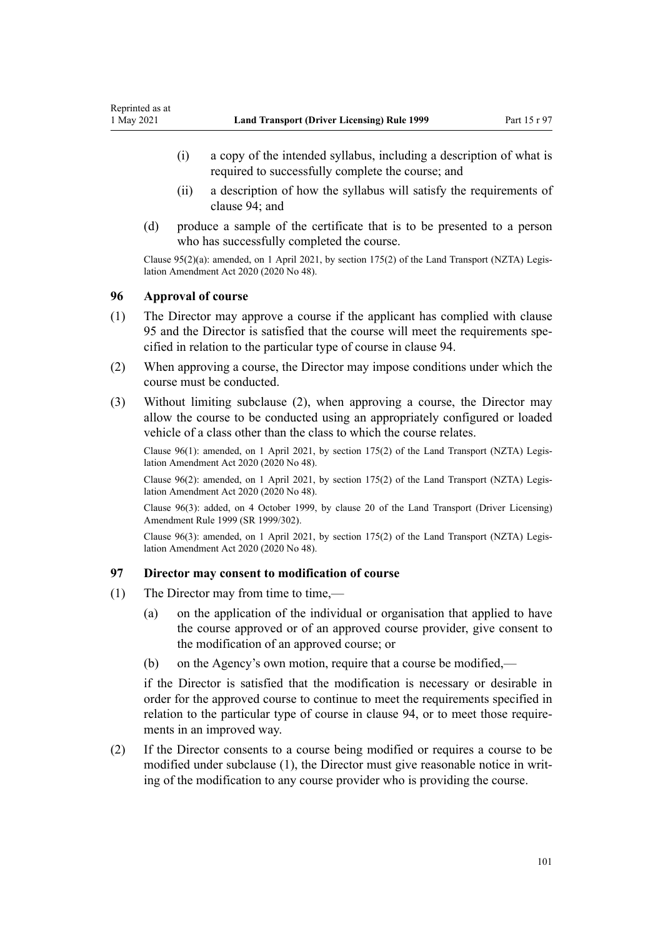- <span id="page-100-0"></span>(i) a copy of the intended syllabus, including a description of what is required to successfully complete the course; and
- (ii) a description of how the syllabus will satisfy the requirements of [clause 94](#page-98-0); and
- (d) produce a sample of the certificate that is to be presented to a person who has successfully completed the course.

Clause 95(2)(a): amended, on 1 April 2021, by [section 175\(2\)](http://legislation.govt.nz/pdflink.aspx?id=LMS286883) of the Land Transport (NZTA) Legis‐ lation Amendment Act 2020 (2020 No 48).

#### **96 Approval of course**

- (1) The Director may approve a course if the applicant has complied with [clause](#page-99-0) [95](#page-99-0) and the Director is satisfied that the course will meet the requirements spe‐ cified in relation to the particular type of course in [clause 94.](#page-98-0)
- (2) When approving a course, the Director may impose conditions under which the course must be conducted.
- (3) Without limiting subclause (2), when approving a course, the Director may allow the course to be conducted using an appropriately configured or loaded vehicle of a class other than the class to which the course relates.

Clause 96(1): amended, on 1 April 2021, by [section 175\(2\)](http://legislation.govt.nz/pdflink.aspx?id=LMS286883) of the Land Transport (NZTA) Legis‐ lation Amendment Act 2020 (2020 No 48).

Clause 96(2): amended, on 1 April 2021, by [section 175\(2\)](http://legislation.govt.nz/pdflink.aspx?id=LMS286883) of the Land Transport (NZTA) Legis‐ lation Amendment Act 2020 (2020 No 48).

Clause 96(3): added, on 4 October 1999, by [clause 20](http://legislation.govt.nz/pdflink.aspx?id=DLM293689) of the Land Transport (Driver Licensing) Amendment Rule 1999 (SR 1999/302).

Clause 96(3): amended, on 1 April 2021, by [section 175\(2\)](http://legislation.govt.nz/pdflink.aspx?id=LMS286883) of the Land Transport (NZTA) Legis‐ lation Amendment Act 2020 (2020 No 48).

#### **97 Director may consent to modification of course**

- (1) The Director may from time to time,—
	- (a) on the application of the individual or organisation that applied to have the course approved or of an approved course provider, give consent to the modification of an approved course; or
	- (b) on the Agency's own motion, require that a course be modified,—

if the Director is satisfied that the modification is necessary or desirable in order for the approved course to continue to meet the requirements specified in relation to the particular type of course in [clause 94](#page-98-0), or to meet those requirements in an improved way.

(2) If the Director consents to a course being modified or requires a course to be modified under subclause (1), the Director must give reasonable notice in writing of the modification to any course provider who is providing the course.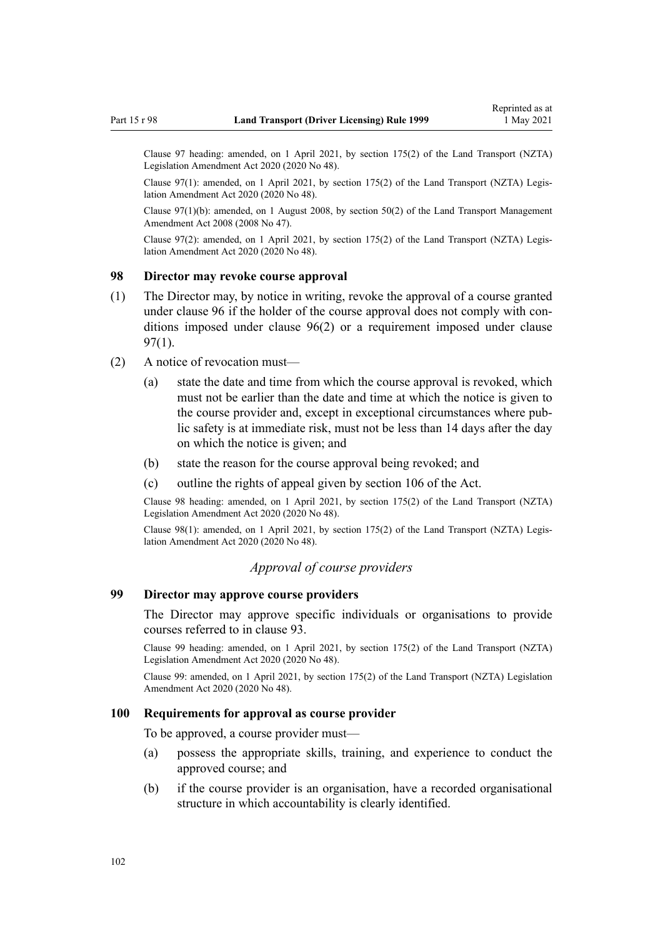<span id="page-101-0"></span>Clause 97 heading: amended, on 1 April 2021, by [section 175\(2\)](http://legislation.govt.nz/pdflink.aspx?id=LMS286883) of the Land Transport (NZTA) Legislation Amendment Act 2020 (2020 No 48).

Clause 97(1): amended, on 1 April 2021, by [section 175\(2\)](http://legislation.govt.nz/pdflink.aspx?id=LMS286883) of the Land Transport (NZTA) Legis‐ lation Amendment Act 2020 (2020 No 48).

Clause 97(1)(b): amended, on 1 August 2008, by [section 50\(2\)](http://legislation.govt.nz/pdflink.aspx?id=DLM1313622) of the Land Transport Management Amendment Act 2008 (2008 No 47).

Clause 97(2): amended, on 1 April 2021, by [section 175\(2\)](http://legislation.govt.nz/pdflink.aspx?id=LMS286883) of the Land Transport (NZTA) Legis‐ lation Amendment Act 2020 (2020 No 48).

#### **98 Director may revoke course approval**

- (1) The Director may, by notice in writing, revoke the approval of a course granted under [clause 96](#page-100-0) if the holder of the course approval does not comply with conditions imposed under [clause 96\(2\)](#page-100-0) or a requirement imposed under [clause](#page-100-0) [97\(1\)](#page-100-0).
- (2) A notice of revocation must—
	- (a) state the date and time from which the course approval is revoked, which must not be earlier than the date and time at which the notice is given to the course provider and, except in exceptional circumstances where pub‐ lic safety is at immediate risk, must not be less than 14 days after the day on which the notice is given; and
	- (b) state the reason for the course approval being revoked; and
	- (c) outline the rights of appeal given by [section 106](http://legislation.govt.nz/pdflink.aspx?id=DLM435083) of the Act.

Clause 98 heading: amended, on 1 April 2021, by [section 175\(2\)](http://legislation.govt.nz/pdflink.aspx?id=LMS286883) of the Land Transport (NZTA) Legislation Amendment Act 2020 (2020 No 48).

Clause 98(1): amended, on 1 April 2021, by [section 175\(2\)](http://legislation.govt.nz/pdflink.aspx?id=LMS286883) of the Land Transport (NZTA) Legis‐ lation Amendment Act 2020 (2020 No 48).

## *Approval of course providers*

# **99 Director may approve course providers**

The Director may approve specific individuals or organisations to provide courses referred to in [clause 93.](#page-97-0)

Clause 99 heading: amended, on 1 April 2021, by [section 175\(2\)](http://legislation.govt.nz/pdflink.aspx?id=LMS286883) of the Land Transport (NZTA) Legislation Amendment Act 2020 (2020 No 48).

Clause 99: amended, on 1 April 2021, by [section 175\(2\)](http://legislation.govt.nz/pdflink.aspx?id=LMS286883) of the Land Transport (NZTA) Legislation Amendment Act 2020 (2020 No 48).

#### **100 Requirements for approval as course provider**

To be approved, a course provider must—

- (a) possess the appropriate skills, training, and experience to conduct the approved course; and
- (b) if the course provider is an organisation, have a recorded organisational structure in which accountability is clearly identified.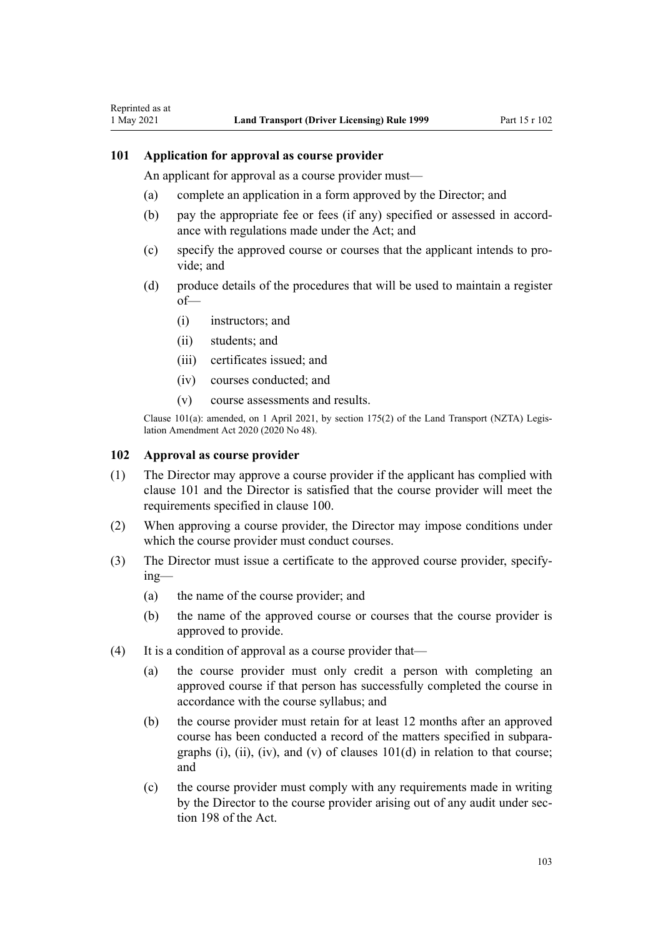# **101 Application for approval as course provider**

<span id="page-102-0"></span>Reprinted as at

An applicant for approval as a course provider must—

- (a) complete an application in a form approved by the Director; and
- (b) pay the appropriate fee or fees (if any) specified or assessed in accord‐ ance with regulations made under the Act; and
- (c) specify the approved course or courses that the applicant intends to pro‐ vide; and
- (d) produce details of the procedures that will be used to maintain a register of—
	- (i) instructors; and
	- (ii) students; and
	- (iii) certificates issued; and
	- (iv) courses conducted; and
	- (v) course assessments and results.

Clause 101(a): amended, on 1 April 2021, by [section 175\(2\)](http://legislation.govt.nz/pdflink.aspx?id=LMS286883) of the Land Transport (NZTA) Legis‐ lation Amendment Act 2020 (2020 No 48).

#### **102 Approval as course provider**

- (1) The Director may approve a course provider if the applicant has complied with clause 101 and the Director is satisfied that the course provider will meet the requirements specified in [clause 100](#page-101-0).
- (2) When approving a course provider, the Director may impose conditions under which the course provider must conduct courses.
- (3) The Director must issue a certificate to the approved course provider, specify‐ ing—
	- (a) the name of the course provider; and
	- (b) the name of the approved course or courses that the course provider is approved to provide.
- (4) It is a condition of approval as a course provider that—
	- (a) the course provider must only credit a person with completing an approved course if that person has successfully completed the course in accordance with the course syllabus; and
	- (b) the course provider must retain for at least 12 months after an approved course has been conducted a record of the matters specified in subpara‐ graphs (i), (ii), (iv), and (v) of clauses  $101(d)$  in relation to that course; and
	- (c) the course provider must comply with any requirements made in writing by the Director to the course provider arising out of any audit under sec[tion 198](http://legislation.govt.nz/pdflink.aspx?id=DLM435602) of the Act.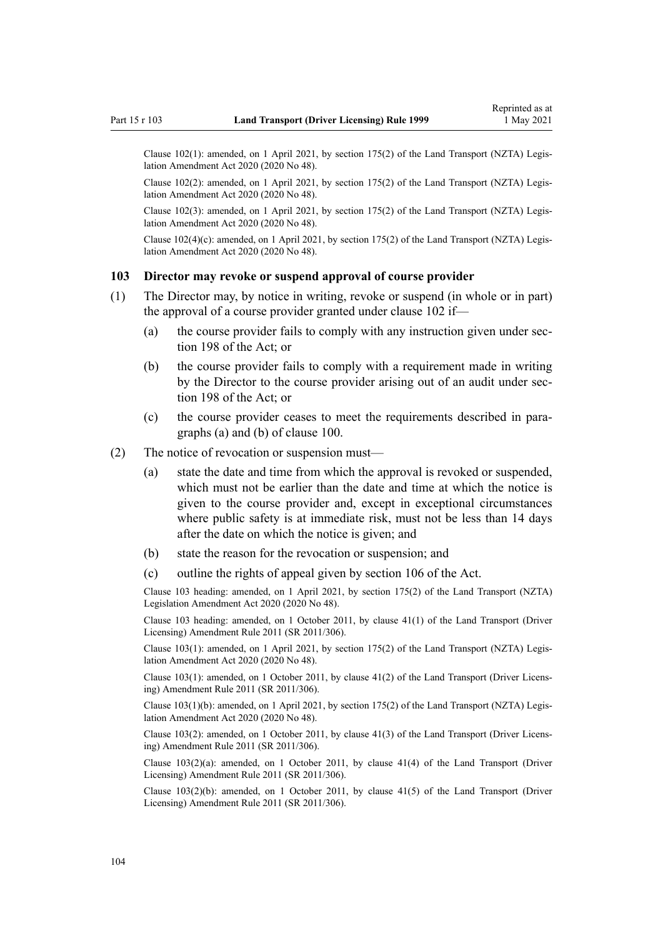Clause 102(1): amended, on 1 April 2021, by [section 175\(2\)](http://legislation.govt.nz/pdflink.aspx?id=LMS286883) of the Land Transport (NZTA) Legis‐ lation Amendment Act 2020 (2020 No 48).

Clause 102(2): amended, on 1 April 2021, by [section 175\(2\)](http://legislation.govt.nz/pdflink.aspx?id=LMS286883) of the Land Transport (NZTA) Legis‐ lation Amendment Act 2020 (2020 No 48).

Clause 102(3): amended, on 1 April 2021, by [section 175\(2\)](http://legislation.govt.nz/pdflink.aspx?id=LMS286883) of the Land Transport (NZTA) Legis‐ lation Amendment Act 2020 (2020 No 48).

Clause  $102(4)(c)$ : amended, on 1 April 2021, by [section 175\(2\)](http://legislation.govt.nz/pdflink.aspx?id=LMS286883) of the Land Transport (NZTA) Legislation Amendment Act 2020 (2020 No 48).

#### **103 Director may revoke or suspend approval of course provider**

- (1) The Director may, by notice in writing, revoke or suspend (in whole or in part) the approval of a course provider granted under [clause 102](#page-102-0) if—
	- (a) the course provider fails to comply with any instruction given under sec[tion 198](http://legislation.govt.nz/pdflink.aspx?id=DLM435602) of the Act; or
	- (b) the course provider fails to comply with a requirement made in writing by the Director to the course provider arising out of an audit under sec[tion 198](http://legislation.govt.nz/pdflink.aspx?id=DLM435602) of the Act; or
	- (c) the course provider ceases to meet the requirements described in para‐ graphs (a) and (b) of [clause 100](#page-101-0).
- (2) The notice of revocation or suspension must—
	- (a) state the date and time from which the approval is revoked or suspended, which must not be earlier than the date and time at which the notice is given to the course provider and, except in exceptional circumstances where public safety is at immediate risk, must not be less than 14 days after the date on which the notice is given; and
	- (b) state the reason for the revocation or suspension; and
	- (c) outline the rights of appeal given by [section 106](http://legislation.govt.nz/pdflink.aspx?id=DLM435083) of the Act.

Clause 103 heading: amended, on 1 April 2021, by [section 175\(2\)](http://legislation.govt.nz/pdflink.aspx?id=LMS286883) of the Land Transport (NZTA) Legislation Amendment Act 2020 (2020 No 48).

Clause 103 heading: amended, on 1 October 2011, by [clause 41\(1\)](http://legislation.govt.nz/pdflink.aspx?id=DLM3956747) of the Land Transport (Driver Licensing) Amendment Rule 2011 (SR 2011/306).

Clause 103(1): amended, on 1 April 2021, by [section 175\(2\)](http://legislation.govt.nz/pdflink.aspx?id=LMS286883) of the Land Transport (NZTA) Legis‐ lation Amendment Act 2020 (2020 No 48).

Clause 103(1): amended, on 1 October 2011, by [clause 41\(2\)](http://legislation.govt.nz/pdflink.aspx?id=DLM3956747) of the Land Transport (Driver Licens‐ ing) Amendment Rule 2011 (SR 2011/306).

Clause 103(1)(b): amended, on 1 April 2021, by [section 175\(2\)](http://legislation.govt.nz/pdflink.aspx?id=LMS286883) of the Land Transport (NZTA) Legis‐ lation Amendment Act 2020 (2020 No 48).

Clause 103(2): amended, on 1 October 2011, by [clause 41\(3\)](http://legislation.govt.nz/pdflink.aspx?id=DLM3956747) of the Land Transport (Driver Licens‐ ing) Amendment Rule 2011 (SR 2011/306).

Clause 103(2)(a): amended, on 1 October 2011, by [clause 41\(4\)](http://legislation.govt.nz/pdflink.aspx?id=DLM3956747) of the Land Transport (Driver Licensing) Amendment Rule 2011 (SR 2011/306).

Clause 103(2)(b): amended, on 1 October 2011, by [clause 41\(5\)](http://legislation.govt.nz/pdflink.aspx?id=DLM3956747) of the Land Transport (Driver Licensing) Amendment Rule 2011 (SR 2011/306).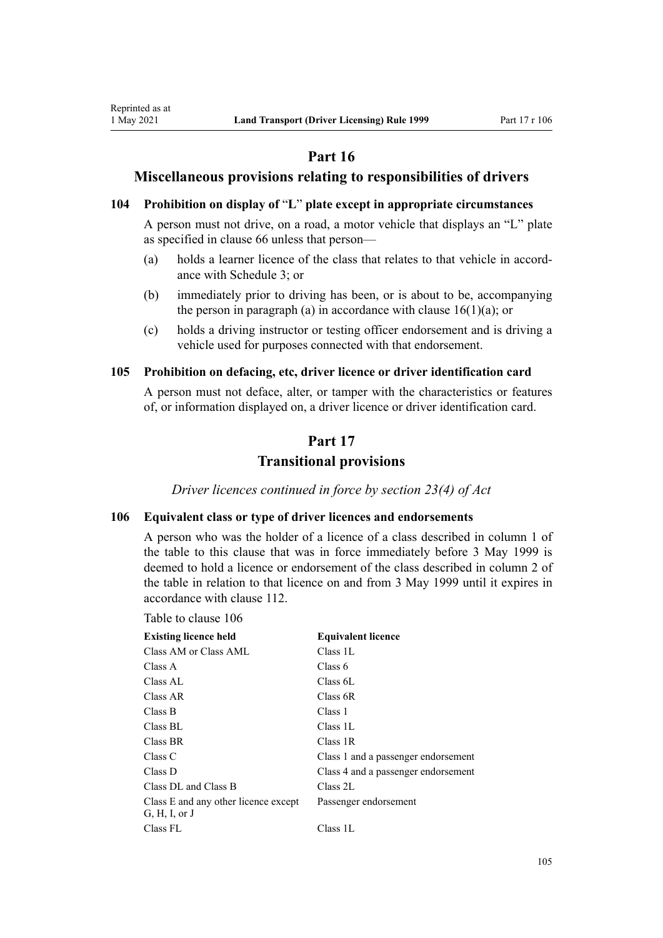# **Part 16**

## **Miscellaneous provisions relating to responsibilities of drivers**

## **104 Prohibition on display of** "**L**" **plate except in appropriate circumstances**

A person must not drive, on a road, a motor vehicle that displays an "L" plate as specified in [clause 66](#page-69-0) unless that person—

- (a) holds a learner licence of the class that relates to that vehicle in accord‐ ance with [Schedule 3](#page-115-0); or
- (b) immediately prior to driving has been, or is about to be, accompanying the person in paragraph (a) in accordance with clause  $16(1)(a)$ ; or
- (c) holds a driving instructor or testing officer endorsement and is driving a vehicle used for purposes connected with that endorsement.

#### **105 Prohibition on defacing, etc, driver licence or driver identification card**

A person must not deface, alter, or tamper with the characteristics or features of, or information displayed on, a driver licence or driver identification card.

# **Part 17**

# **Transitional provisions**

*Driver licences continued in force by section 23(4) of Act*

## **106 Equivalent class or type of driver licences and endorsements**

A person who was the holder of a licence of a class described in column 1 of the table to this clause that was in force immediately before 3 May 1999 is deemed to hold a licence or endorsement of the class described in column 2 of the table in relation to that licence on and from 3 May 1999 until it expires in accordance with [clause 112.](#page-106-0)

Table to clause 106

<span id="page-104-0"></span>Reprinted as at

| <b>Existing licence held</b>                          | <b>Equivalent licence</b>           |
|-------------------------------------------------------|-------------------------------------|
| Class AM or Class AML                                 | Class 1L                            |
| Class A                                               | Class 6                             |
| Class AL                                              | Class 6L                            |
| Class AR                                              | Class 6R                            |
| Class B                                               | Class 1                             |
| Class BL                                              | Class 1L                            |
| Class BR                                              | Class 1R                            |
| Class C                                               | Class 1 and a passenger endorsement |
| Class D                                               | Class 4 and a passenger endorsement |
| Class DL and Class B                                  | Class 2L                            |
| Class E and any other licence except<br>G, H, I, or J | Passenger endorsement               |
| Class FL                                              | Class 1L                            |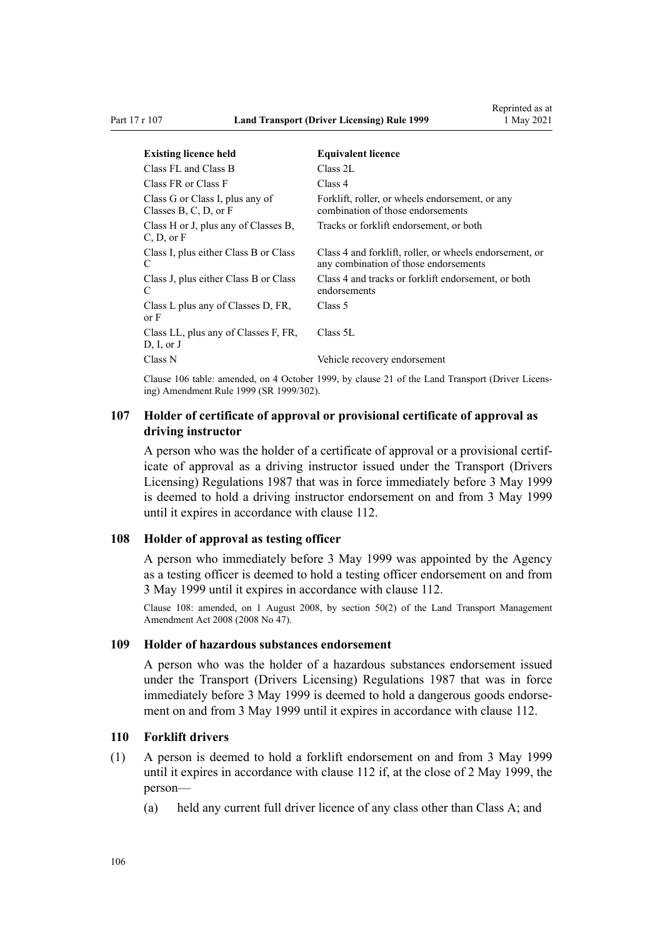<span id="page-105-0"></span>

| <b>Existing licence held</b>                             | <b>Equivalent licence</b>                                                                        |
|----------------------------------------------------------|--------------------------------------------------------------------------------------------------|
| Class FL and Class B                                     | Class 2L                                                                                         |
| Class FR or Class F                                      | Class 4                                                                                          |
| Class G or Class I, plus any of<br>Classes B, C, D, or F | Forklift, roller, or wheels endorsement, or any<br>combination of those endorsements             |
| Class H or J, plus any of Classes B,<br>C, D, or F       | Tracks or forklift endorsement, or both                                                          |
| Class I, plus either Class B or Class<br>C               | Class 4 and forklift, roller, or wheels endorsement, or<br>any combination of those endorsements |
| Class J, plus either Class B or Class<br>C               | Class 4 and tracks or forklift endorsement, or both<br>endorsements                              |
| Class L plus any of Classes D, FR,<br>or F               | Class 5                                                                                          |
| Class LL, plus any of Classes F, FR,<br>D, I, or J       | Class 5L                                                                                         |
| Class N                                                  | Vehicle recovery endorsement                                                                     |

Clause 106 table: amended, on 4 October 1999, by [clause 21](http://legislation.govt.nz/pdflink.aspx?id=DLM293690) of the Land Transport (Driver Licens‐ ing) Amendment Rule 1999 (SR 1999/302).

## **107 Holder of certificate of approval or provisional certificate of approval as driving instructor**

A person who was the holder of a certificate of approval or a provisional certif‐ icate of approval as a driving instructor issued under the Transport (Drivers Licensing) Regulations 1987 that was in force immediately before 3 May 1999 is deemed to hold a driving instructor endorsement on and from 3 May 1999 until it expires in accordance with [clause 112.](#page-106-0)

#### **108 Holder of approval as testing officer**

A person who immediately before 3 May 1999 was appointed by the Agency as a testing officer is deemed to hold a testing officer endorsement on and from 3 May 1999 until it expires in accordance with [clause 112](#page-106-0).

Clause 108: amended, on 1 August 2008, by [section 50\(2\)](http://legislation.govt.nz/pdflink.aspx?id=DLM1313622) of the Land Transport Management Amendment Act 2008 (2008 No 47).

#### **109 Holder of hazardous substances endorsement**

A person who was the holder of a hazardous substances endorsement issued under the Transport (Drivers Licensing) Regulations 1987 that was in force immediately before 3 May 1999 is deemed to hold a dangerous goods endorsement on and from 3 May 1999 until it expires in accordance with [clause 112](#page-106-0).

#### **110 Forklift drivers**

- (1) A person is deemed to hold a forklift endorsement on and from 3 May 1999 until it expires in accordance with [clause 112](#page-106-0) if, at the close of 2 May 1999, the person—
	- (a) held any current full driver licence of any class other than Class A; and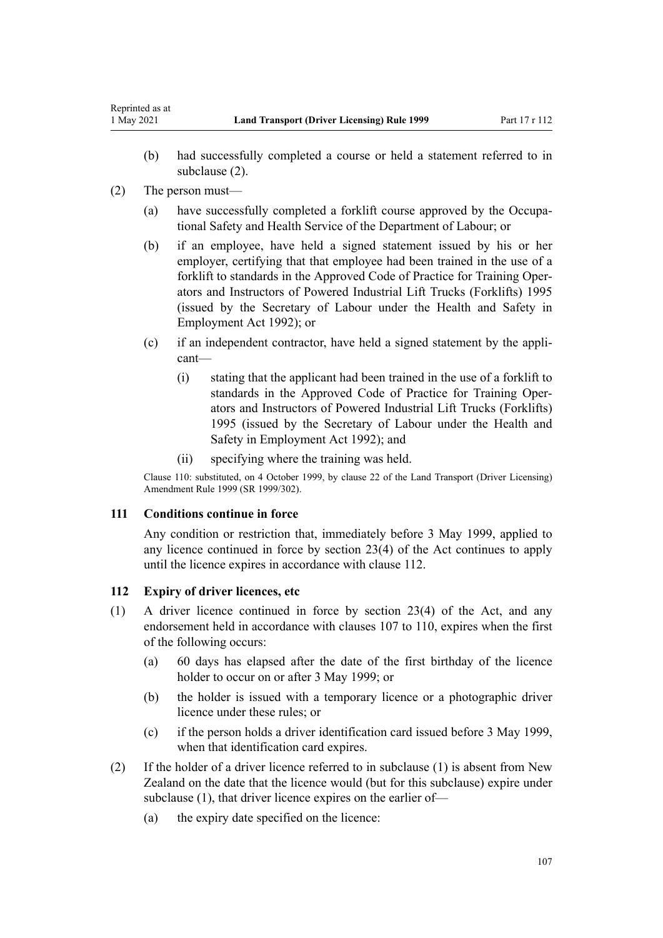- (b) had successfully completed a course or held a statement referred to in subclause (2).
- (2) The person must—

<span id="page-106-0"></span>Reprinted as at

- (a) have successfully completed a forklift course approved by the Occupa‐ tional Safety and Health Service of the Department of Labour; or
- (b) if an employee, have held a signed statement issued by his or her employer, certifying that that employee had been trained in the use of a forklift to standards in the Approved Code of Practice for Training Oper‐ ators and Instructors of Powered Industrial Lift Trucks (Forklifts) 1995 (issued by the Secretary of Labour under the [Health and Safety in](http://legislation.govt.nz/pdflink.aspx?id=DLM278828) [Employment Act 1992\)](http://legislation.govt.nz/pdflink.aspx?id=DLM278828); or
- (c) if an independent contractor, have held a signed statement by the appli‐ cant—
	- (i) stating that the applicant had been trained in the use of a forklift to standards in the Approved Code of Practice for Training Oper‐ ators and Instructors of Powered Industrial Lift Trucks (Forklifts) 1995 (issued by the Secretary of Labour under the [Health and](http://legislation.govt.nz/pdflink.aspx?id=DLM278828) [Safety in Employment Act 1992](http://legislation.govt.nz/pdflink.aspx?id=DLM278828)); and
	- (ii) specifying where the training was held.

Clause 110: substituted, on 4 October 1999, by [clause 22](http://legislation.govt.nz/pdflink.aspx?id=DLM293692) of the Land Transport (Driver Licensing) Amendment Rule 1999 (SR 1999/302).

## **111 Conditions continue in force**

Any condition or restriction that, immediately before 3 May 1999, applied to any licence continued in force by [section 23\(4\)](http://legislation.govt.nz/pdflink.aspx?id=DLM434552) of the Act continues to apply until the licence expires in accordance with clause 112.

## **112 Expiry of driver licences, etc**

- (1) A driver licence continued in force by [section 23\(4\)](http://legislation.govt.nz/pdflink.aspx?id=DLM434552) of the Act, and any endorsement held in accordance with [clauses 107 to 110](#page-105-0), expires when the first of the following occurs:
	- (a) 60 days has elapsed after the date of the first birthday of the licence holder to occur on or after 3 May 1999; or
	- (b) the holder is issued with a temporary licence or a photographic driver licence under these rules; or
	- (c) if the person holds a driver identification card issued before 3 May 1999, when that identification card expires.
- (2) If the holder of a driver licence referred to in subclause (1) is absent from New Zealand on the date that the licence would (but for this subclause) expire under subclause (1), that driver licence expires on the earlier of—
	- (a) the expiry date specified on the licence: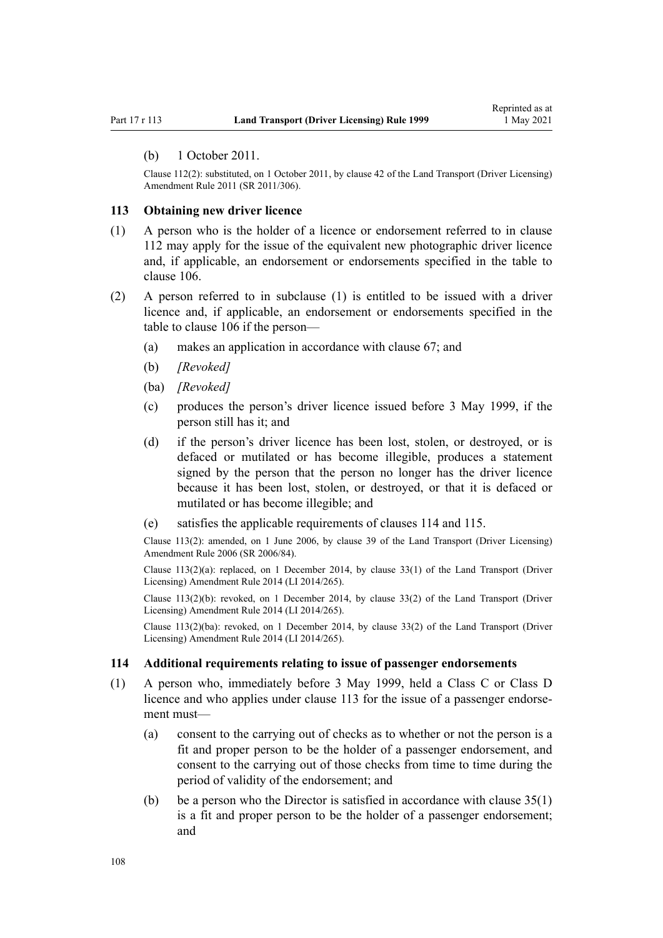#### (b) 1 October 2011.

Clause 112(2): substituted, on 1 October 2011, by [clause 42](http://legislation.govt.nz/pdflink.aspx?id=DLM3956748) of the Land Transport (Driver Licensing) Amendment Rule 2011 (SR 2011/306).

#### **113 Obtaining new driver licence**

- (1) A person who is the holder of a licence or endorsement referred to in [clause](#page-106-0) [112](#page-106-0) may apply for the issue of the equivalent new photographic driver licence and, if applicable, an endorsement or endorsements specified in the table to [clause 106](#page-104-0).
- (2) A person referred to in subclause (1) is entitled to be issued with a driver licence and, if applicable, an endorsement or endorsements specified in the table to [clause 106](#page-104-0) if the person—
	- (a) makes an application in accordance with [clause 67;](#page-70-0) and
	- (b) *[Revoked]*
	- (ba) *[Revoked]*
	- (c) produces the person's driver licence issued before 3 May 1999, if the person still has it; and
	- (d) if the person's driver licence has been lost, stolen, or destroyed, or is defaced or mutilated or has become illegible, produces a statement signed by the person that the person no longer has the driver licence because it has been lost, stolen, or destroyed, or that it is defaced or mutilated or has become illegible; and
	- (e) satisfies the applicable requirements of clauses 114 and [115.](#page-108-0)

Clause 113(2): amended, on 1 June 2006, by [clause 39](http://legislation.govt.nz/pdflink.aspx?id=DLM376138) of the Land Transport (Driver Licensing) Amendment Rule 2006 (SR 2006/84).

Clause  $113(2)(a)$ : replaced, on 1 December 2014, by [clause 33\(1\)](http://legislation.govt.nz/pdflink.aspx?id=DLM6216947) of the Land Transport (Driver Licensing) Amendment Rule 2014 (LI 2014/265).

Clause  $113(2)(b)$ : revoked, on 1 December 2014, by [clause 33\(2\)](http://legislation.govt.nz/pdflink.aspx?id=DLM6216947) of the Land Transport (Driver Licensing) Amendment Rule 2014 (LI 2014/265).

Clause 113(2)(ba): revoked, on 1 December 2014, by [clause 33\(2\)](http://legislation.govt.nz/pdflink.aspx?id=DLM6216947) of the Land Transport (Driver Licensing) Amendment Rule 2014 (LI 2014/265).

#### **114 Additional requirements relating to issue of passenger endorsements**

- (1) A person who, immediately before 3 May 1999, held a Class C or Class D licence and who applies under clause 113 for the issue of a passenger endorsement must—
	- (a) consent to the carrying out of checks as to whether or not the person is a fit and proper person to be the holder of a passenger endorsement, and consent to the carrying out of those checks from time to time during the period of validity of the endorsement; and
	- (b) be a person who the Director is satisfied in accordance with [clause 35\(1\)](#page-48-0) is a fit and proper person to be the holder of a passenger endorsement; and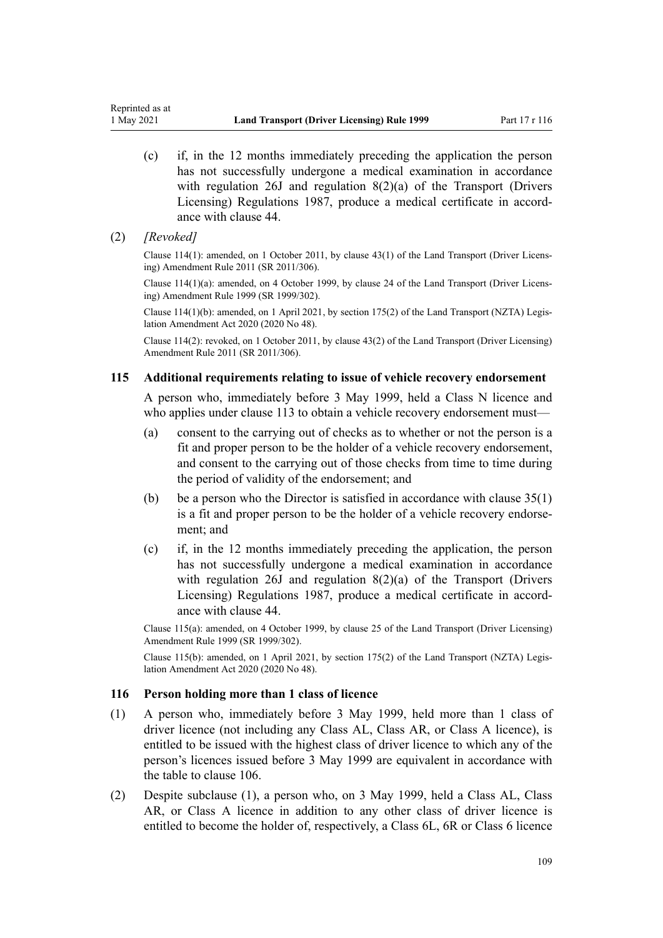- (c) if, in the 12 months immediately preceding the application the person has not successfully undergone a medical examination in accordance with regulation 26J and regulation 8(2)(a) of the Transport (Drivers Licensing) Regulations 1987, produce a medical certificate in accord‐ ance with [clause 44.](#page-54-0)
- (2) *[Revoked]*

Reprinted as at

Clause 114(1): amended, on 1 October 2011, by [clause 43\(1\)](http://legislation.govt.nz/pdflink.aspx?id=DLM3956749) of the Land Transport (Driver Licens‐ ing) Amendment Rule 2011 (SR 2011/306).

Clause 114(1)(a): amended, on 4 October 1999, by [clause 24](http://legislation.govt.nz/pdflink.aspx?id=DLM293695) of the Land Transport (Driver Licens‐ ing) Amendment Rule 1999 (SR 1999/302).

Clause 114(1)(b): amended, on 1 April 2021, by [section 175\(2\)](http://legislation.govt.nz/pdflink.aspx?id=LMS286883) of the Land Transport (NZTA) Legis‐ lation Amendment Act 2020 (2020 No 48).

Clause 114(2): revoked, on 1 October 2011, by [clause 43\(2\)](http://legislation.govt.nz/pdflink.aspx?id=DLM3956749) of the Land Transport (Driver Licensing) Amendment Rule 2011 (SR 2011/306).

#### **115 Additional requirements relating to issue of vehicle recovery endorsement**

A person who, immediately before 3 May 1999, held a Class N licence and who applies under [clause 113](#page-107-0) to obtain a vehicle recovery endorsement must—

- (a) consent to the carrying out of checks as to whether or not the person is a fit and proper person to be the holder of a vehicle recovery endorsement, and consent to the carrying out of those checks from time to time during the period of validity of the endorsement; and
- (b) be a person who the Director is satisfied in accordance with clause  $35(1)$ is a fit and proper person to be the holder of a vehicle recovery endorsement; and
- (c) if, in the 12 months immediately preceding the application, the person has not successfully undergone a medical examination in accordance with regulation 26J and regulation 8(2)(a) of the Transport (Drivers Licensing) Regulations 1987, produce a medical certificate in accord‐ ance with [clause 44.](#page-54-0)

Clause 115(a): amended, on 4 October 1999, by [clause 25](http://legislation.govt.nz/pdflink.aspx?id=DLM293696) of the Land Transport (Driver Licensing) Amendment Rule 1999 (SR 1999/302).

Clause 115(b): amended, on 1 April 2021, by [section 175\(2\)](http://legislation.govt.nz/pdflink.aspx?id=LMS286883) of the Land Transport (NZTA) Legis‐ lation Amendment Act 2020 (2020 No 48).

#### **116 Person holding more than 1 class of licence**

- (1) A person who, immediately before 3 May 1999, held more than 1 class of driver licence (not including any Class AL, Class AR, or Class A licence), is entitled to be issued with the highest class of driver licence to which any of the person's licences issued before 3 May 1999 are equivalent in accordance with the table to [clause 106](#page-104-0).
- (2) Despite subclause (1), a person who, on 3 May 1999, held a Class AL, Class AR, or Class A licence in addition to any other class of driver licence is entitled to become the holder of, respectively, a Class 6L, 6R or Class 6 licence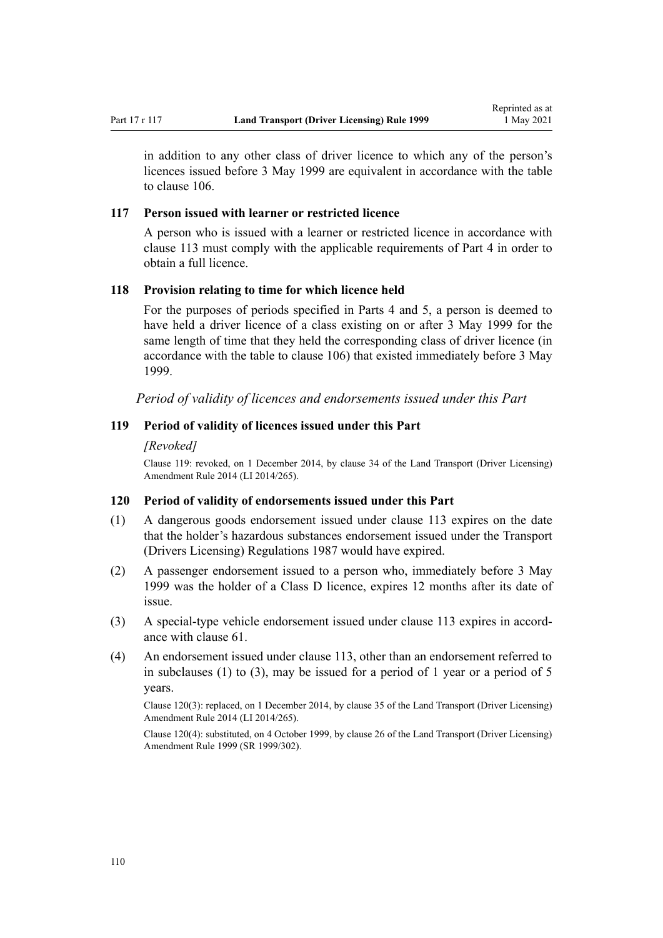in addition to any other class of driver licence to which any of the person's licences issued before 3 May 1999 are equivalent in accordance with the table to [clause 106.](#page-104-0)

#### **117 Person issued with learner or restricted licence**

A person who is issued with a learner or restricted licence in accordance with [clause 113](#page-107-0) must comply with the applicable requirements of [Part 4](#page-26-0) in order to obtain a full licence.

#### **118 Provision relating to time for which licence held**

For the purposes of periods specified in [Parts 4](#page-26-0) and [5](#page-40-0), a person is deemed to have held a driver licence of a class existing on or after 3 May 1999 for the same length of time that they held the corresponding class of driver licence (in accordance with the table to [clause 106\)](#page-104-0) that existed immediately before 3 May 1999.

*Period of validity of licences and endorsements issued under this Part*

#### **119 Period of validity of licences issued under this Part**

#### *[Revoked]*

Clause 119: revoked, on 1 December 2014, by [clause 34](http://legislation.govt.nz/pdflink.aspx?id=DLM6216948) of the Land Transport (Driver Licensing) Amendment Rule 2014 (LI 2014/265).

#### **120 Period of validity of endorsements issued under this Part**

- (1) A dangerous goods endorsement issued under [clause 113](#page-107-0) expires on the date that the holder's hazardous substances endorsement issued under the Transport (Drivers Licensing) Regulations 1987 would have expired.
- (2) A passenger endorsement issued to a person who, immediately before 3 May 1999 was the holder of a Class D licence, expires 12 months after its date of issue.
- (3) A special-type vehicle endorsement issued under [clause 113](#page-107-0) expires in accord‐ ance with [clause 61.](#page-64-0)
- (4) An endorsement issued under [clause 113](#page-107-0), other than an endorsement referred to in subclauses (1) to (3), may be issued for a period of 1 year or a period of 5 years.

Clause 120(3): replaced, on 1 December 2014, by [clause 35](http://legislation.govt.nz/pdflink.aspx?id=DLM6216949) of the Land Transport (Driver Licensing) Amendment Rule 2014 (LI 2014/265).

Clause 120(4): substituted, on 4 October 1999, by [clause 26](http://legislation.govt.nz/pdflink.aspx?id=DLM293697) of the Land Transport (Driver Licensing) Amendment Rule 1999 (SR 1999/302).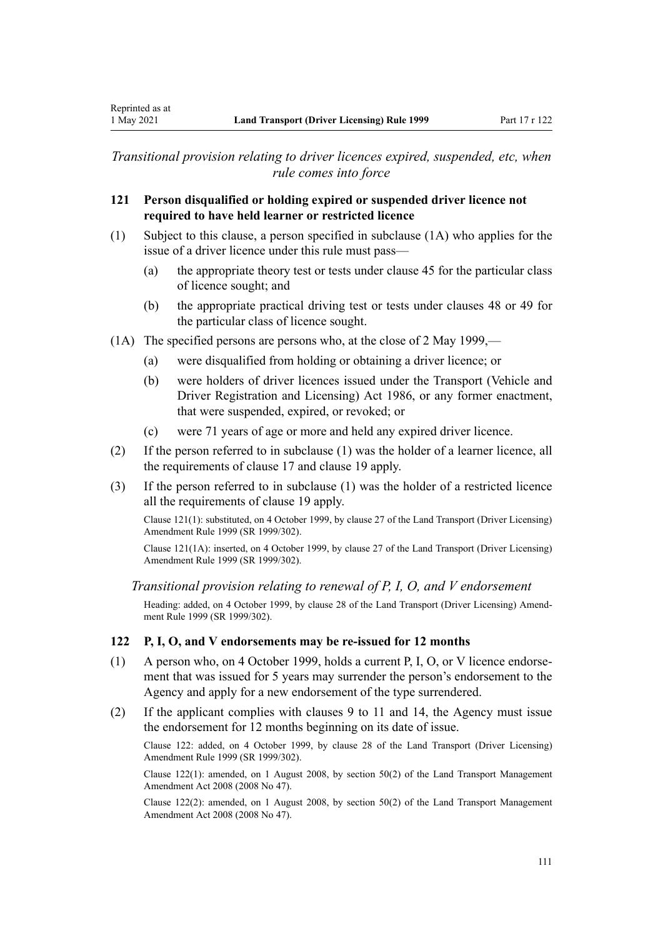*Transitional provision relating to driver licences expired, suspended, etc, when rule comes into force*

### **121 Person disqualified or holding expired or suspended driver licence not required to have held learner or restricted licence**

- (1) Subject to this clause, a person specified in subclause (1A) who applies for the issue of a driver licence under this rule must pass—
	- (a) the appropriate theory test or tests under [clause 45](#page-56-0) for the particular class of licence sought; and
	- (b) the appropriate practical driving test or tests under [clauses 48](#page-57-0) or [49](#page-57-0) for the particular class of licence sought.
- (1A) The specified persons are persons who, at the close of 2 May 1999,—
	- (a) were disqualified from holding or obtaining a driver licence; or
	- (b) were holders of driver licences issued under the [Transport \(Vehicle and](http://legislation.govt.nz/pdflink.aspx?id=DLM90414) [Driver Registration and Licensing\) Act 1986](http://legislation.govt.nz/pdflink.aspx?id=DLM90414), or any former enactment, that were suspended, expired, or revoked; or
	- (c) were 71 years of age or more and held any expired driver licence.
- (2) If the person referred to in subclause (1) was the holder of a learner licence, all the requirements of [clause 17](#page-28-0) and [clause 19](#page-30-0) apply.
- (3) If the person referred to in subclause (1) was the holder of a restricted licence all the requirements of [clause 19](#page-30-0) apply.

Clause 121(1): substituted, on 4 October 1999, by [clause 27](http://legislation.govt.nz/pdflink.aspx?id=DLM293698) of the Land Transport (Driver Licensing) Amendment Rule 1999 (SR 1999/302).

Clause 121(1A): inserted, on 4 October 1999, by [clause 27](http://legislation.govt.nz/pdflink.aspx?id=DLM293698) of the Land Transport (Driver Licensing) Amendment Rule 1999 (SR 1999/302).

*Transitional provision relating to renewal of P, I, O, and V endorsement*

Heading: added, on 4 October 1999, by [clause 28](http://legislation.govt.nz/pdflink.aspx?id=DLM293699) of the Land Transport (Driver Licensing) Amend‐ ment Rule 1999 (SR 1999/302).

### **122 P, I, O, and V endorsements may be re-issued for 12 months**

- (1) A person who, on 4 October 1999, holds a current P, I, O, or V licence endorse‐ ment that was issued for 5 years may surrender the person's endorsement to the Agency and apply for a new endorsement of the type surrendered.
- (2) If the applicant complies with [clauses 9 to 11](#page-21-0) and [14](#page-25-0), the Agency must issue the endorsement for 12 months beginning on its date of issue.

Clause 122: added, on 4 October 1999, by [clause 28](http://legislation.govt.nz/pdflink.aspx?id=DLM293699) of the Land Transport (Driver Licensing) Amendment Rule 1999 (SR 1999/302).

Clause 122(1): amended, on 1 August 2008, by [section 50\(2\)](http://legislation.govt.nz/pdflink.aspx?id=DLM1313622) of the Land Transport Management Amendment Act 2008 (2008 No 47).

Clause 122(2): amended, on 1 August 2008, by [section 50\(2\)](http://legislation.govt.nz/pdflink.aspx?id=DLM1313622) of the Land Transport Management Amendment Act 2008 (2008 No 47).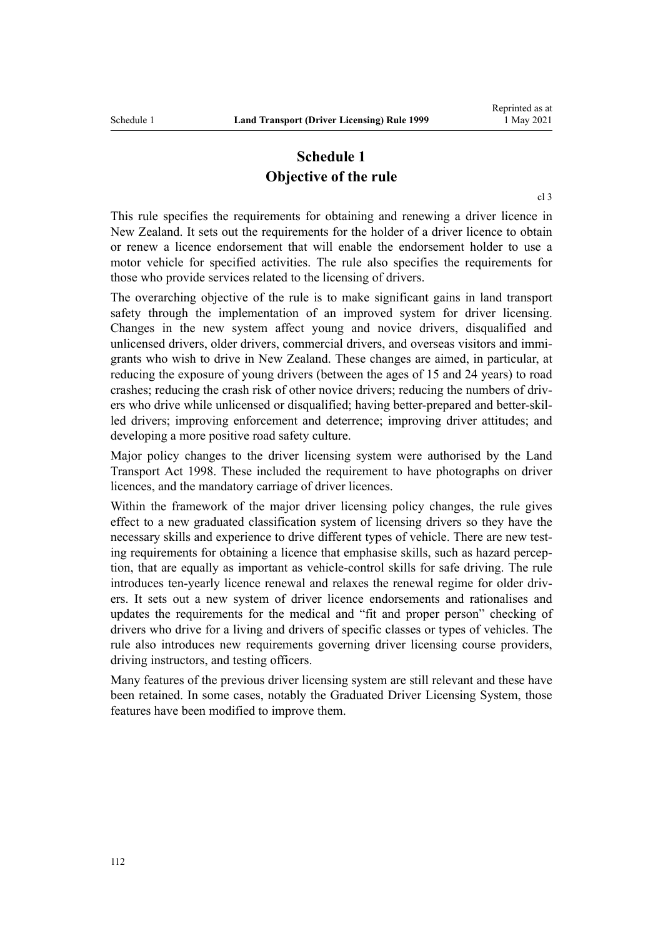# **Schedule 1 Objective of the rule**

[cl 3](#page-18-0)

This rule specifies the requirements for obtaining and renewing a driver licence in New Zealand. It sets out the requirements for the holder of a driver licence to obtain or renew a licence endorsement that will enable the endorsement holder to use a motor vehicle for specified activities. The rule also specifies the requirements for those who provide services related to the licensing of drivers.

The overarching objective of the rule is to make significant gains in land transport safety through the implementation of an improved system for driver licensing. Changes in the new system affect young and novice drivers, disqualified and unlicensed drivers, older drivers, commercial drivers, and overseas visitors and immigrants who wish to drive in New Zealand. These changes are aimed, in particular, at reducing the exposure of young drivers (between the ages of 15 and 24 years) to road crashes; reducing the crash risk of other novice drivers; reducing the numbers of driv‐ ers who drive while unlicensed or disqualified; having better-prepared and better-skilled drivers; improving enforcement and deterrence; improving driver attitudes; and developing a more positive road safety culture.

Major policy changes to the driver licensing system were authorised by the [Land](http://legislation.govt.nz/pdflink.aspx?id=DLM433612) [Transport Act 1998.](http://legislation.govt.nz/pdflink.aspx?id=DLM433612) These included the requirement to have photographs on driver licences, and the mandatory carriage of driver licences.

Within the framework of the major driver licensing policy changes, the rule gives effect to a new graduated classification system of licensing drivers so they have the necessary skills and experience to drive different types of vehicle. There are new testing requirements for obtaining a licence that emphasise skills, such as hazard perception, that are equally as important as vehicle-control skills for safe driving. The rule introduces ten-yearly licence renewal and relaxes the renewal regime for older drivers. It sets out a new system of driver licence endorsements and rationalises and updates the requirements for the medical and "fit and proper person" checking of drivers who drive for a living and drivers of specific classes or types of vehicles. The rule also introduces new requirements governing driver licensing course providers, driving instructors, and testing officers.

Many features of the previous driver licensing system are still relevant and these have been retained. In some cases, notably the Graduated Driver Licensing System, those features have been modified to improve them.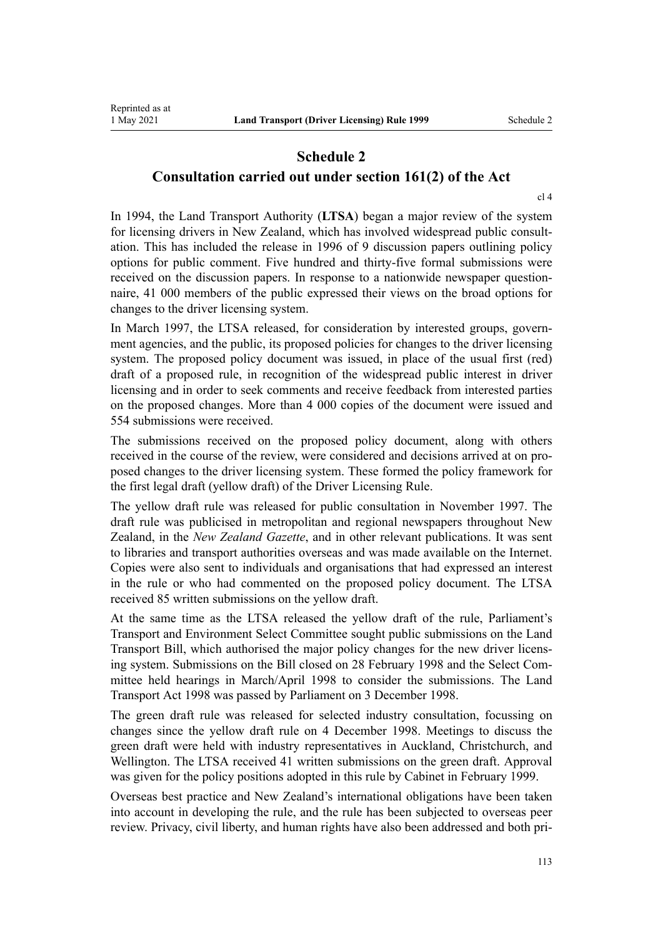### **Schedule 2 Consultation carried out under section 161(2) of the Act**

[cl 4](#page-19-0)

In 1994, the Land Transport Authority (**LTSA**) began a major review of the system for licensing drivers in New Zealand, which has involved widespread public consultation. This has included the release in 1996 of 9 discussion papers outlining policy options for public comment. Five hundred and thirty-five formal submissions were received on the discussion papers. In response to a nationwide newspaper question– naire, 41 000 members of the public expressed their views on the broad options for changes to the driver licensing system.

In March 1997, the LTSA released, for consideration by interested groups, government agencies, and the public, its proposed policies for changes to the driver licensing system. The proposed policy document was issued, in place of the usual first (red) draft of a proposed rule, in recognition of the widespread public interest in driver licensing and in order to seek comments and receive feedback from interested parties on the proposed changes. More than 4 000 copies of the document were issued and 554 submissions were received.

The submissions received on the proposed policy document, along with others received in the course of the review, were considered and decisions arrived at on proposed changes to the driver licensing system. These formed the policy framework for the first legal draft (yellow draft) of the Driver Licensing Rule.

The yellow draft rule was released for public consultation in November 1997. The draft rule was publicised in metropolitan and regional newspapers throughout New Zealand, in the *New Zealand Gazette*, and in other relevant publications. It was sent to libraries and transport authorities overseas and was made available on the Internet. Copies were also sent to individuals and organisations that had expressed an interest in the rule or who had commented on the proposed policy document. The LTSA received 85 written submissions on the yellow draft.

At the same time as the LTSA released the yellow draft of the rule, Parliament's Transport and Environment Select Committee sought public submissions on the Land Transport Bill, which authorised the major policy changes for the new driver licens‐ ing system. Submissions on the Bill closed on 28 February 1998 and the Select Committee held hearings in March/April 1998 to consider the submissions. The [Land](http://legislation.govt.nz/pdflink.aspx?id=DLM433612) [Transport Act 1998](http://legislation.govt.nz/pdflink.aspx?id=DLM433612) was passed by Parliament on 3 December 1998.

The green draft rule was released for selected industry consultation, focussing on changes since the yellow draft rule on 4 December 1998. Meetings to discuss the green draft were held with industry representatives in Auckland, Christchurch, and Wellington. The LTSA received 41 written submissions on the green draft. Approval was given for the policy positions adopted in this rule by Cabinet in February 1999.

Overseas best practice and New Zealand's international obligations have been taken into account in developing the rule, and the rule has been subjected to overseas peer review. Privacy, civil liberty, and human rights have also been addressed and both pri‐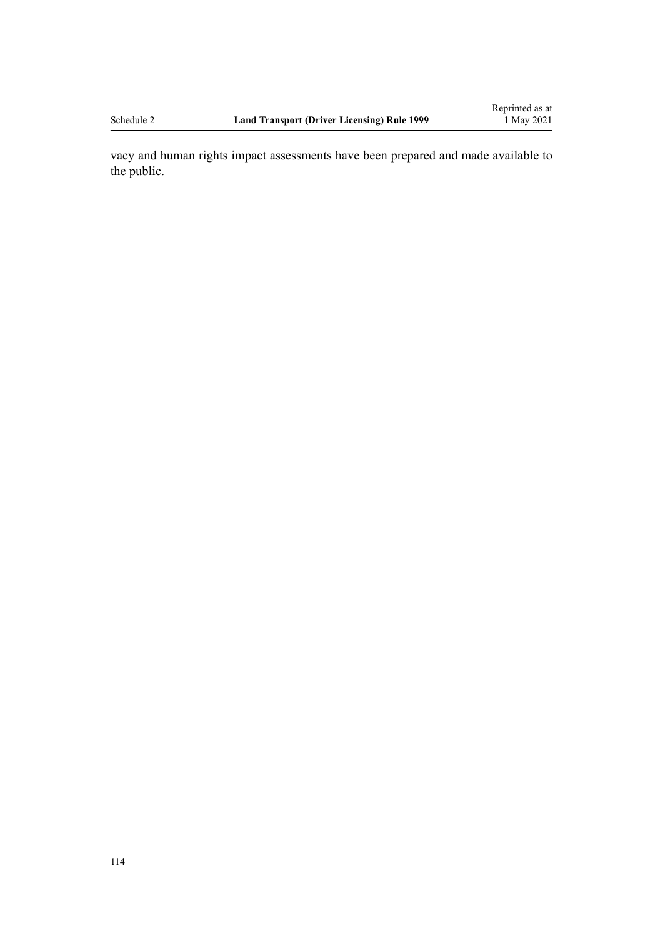vacy and human rights impact assessments have been prepared and made available to the public.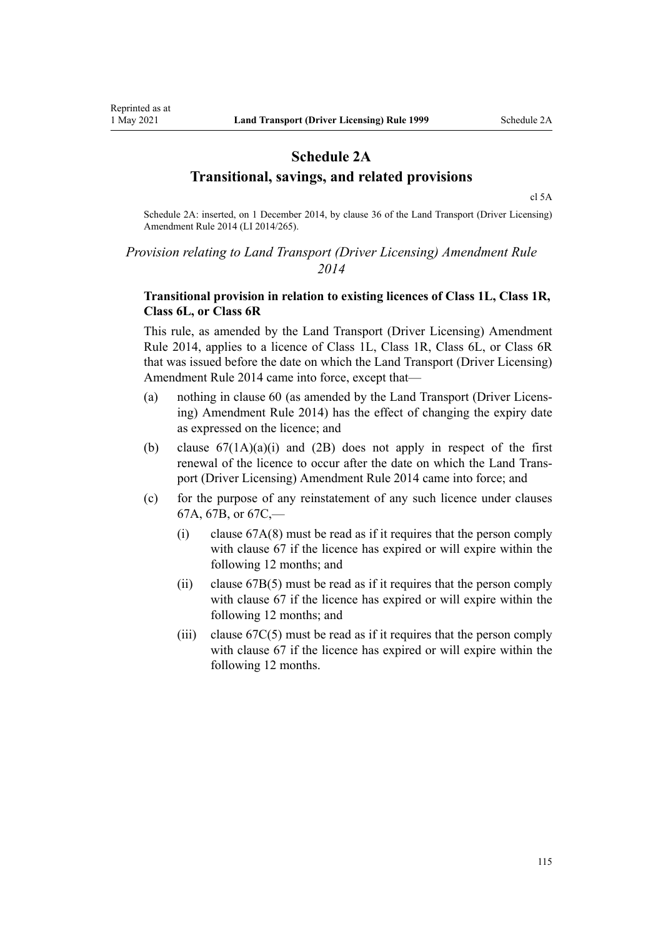# **Schedule 2A Transitional, savings, and related provisions**

[cl 5A](#page-20-0)

Schedule 2A: inserted, on 1 December 2014, by [clause 36](http://legislation.govt.nz/pdflink.aspx?id=DLM6216950) of the Land Transport (Driver Licensing) Amendment Rule 2014 (LI 2014/265).

### *Provision relating to Land Transport (Driver Licensing) Amendment Rule 2014*

### **Transitional provision in relation to existing licences of Class 1L, Class 1R, Class 6L, or Class 6R**

This rule, as amended by the [Land Transport \(Driver Licensing\) Amendment](http://legislation.govt.nz/pdflink.aspx?id=DLM6216900) [Rule 2014,](http://legislation.govt.nz/pdflink.aspx?id=DLM6216900) applies to a licence of Class 1L, Class 1R, Class 6L, or Class 6R that was issued before the date on which the Land Transport (Driver Licensing) Amendment Rule 2014 came into force, except that—

- (a) nothing in [clause 60](#page-62-0) (as amended by the [Land Transport \(Driver Licens‐](http://legislation.govt.nz/pdflink.aspx?id=DLM6216900) [ing\) Amendment Rule 2014](http://legislation.govt.nz/pdflink.aspx?id=DLM6216900)) has the effect of changing the expiry date as expressed on the licence; and
- (b) clause  $67(1A)(a)(i)$  and  $(2B)$  does not apply in respect of the first renewal of the licence to occur after the date on which the [Land Trans‐](http://legislation.govt.nz/pdflink.aspx?id=DLM6216900) [port \(Driver Licensing\) Amendment Rule 2014](http://legislation.govt.nz/pdflink.aspx?id=DLM6216900) came into force; and
- (c) for the purpose of any reinstatement of any such licence under [clauses](#page-72-0) [67A](#page-72-0), [67B,](#page-74-0) or [67C](#page-74-0),—
	- (i) [clause 67A\(8\)](#page-72-0) must be read as if it requires that the person comply with [clause 67](#page-70-0) if the licence has expired or will expire within the following 12 months; and
	- (ii) [clause 67B\(5\)](#page-74-0) must be read as if it requires that the person comply with [clause 67](#page-70-0) if the licence has expired or will expire within the following 12 months; and
	- (iii) clause  $67C(5)$  must be read as if it requires that the person comply with [clause 67](#page-70-0) if the licence has expired or will expire within the following 12 months.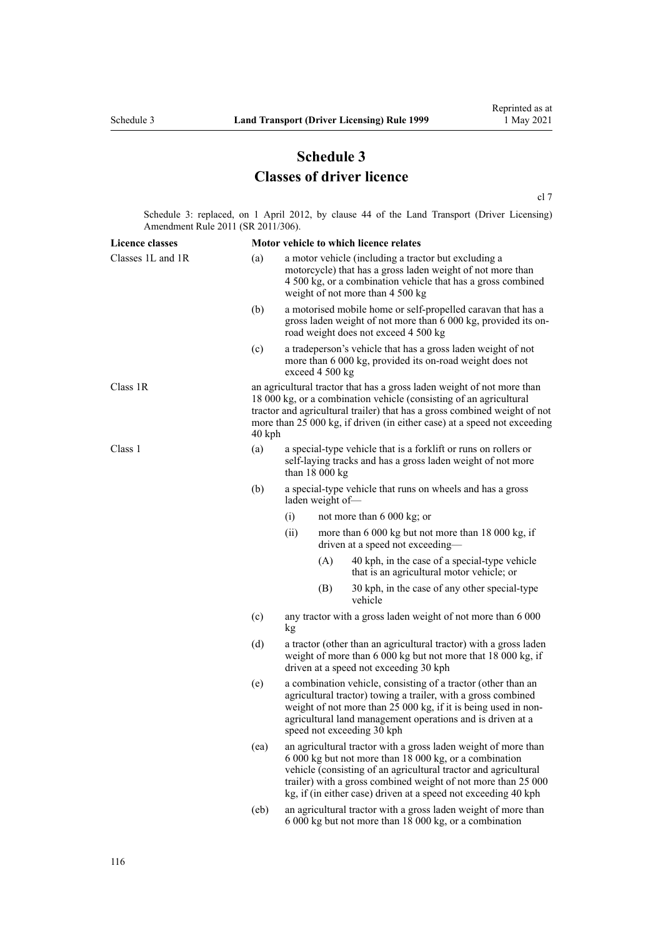# **Schedule 3 Classes of driver licence**

[cl 7](#page-20-0)

Schedule 3: replaced, on 1 April 2012, by [clause 44](http://legislation.govt.nz/pdflink.aspx?id=DLM3956523) of the Land Transport (Driver Licensing) Amendment Rule 2011 (SR 2011/306).

| <b>Licence classes</b> |          |                                                                                                                                                                                                                                                                                                                                |     | Motor vehicle to which licence relates                                                                                                                                                                                 |  |
|------------------------|----------|--------------------------------------------------------------------------------------------------------------------------------------------------------------------------------------------------------------------------------------------------------------------------------------------------------------------------------|-----|------------------------------------------------------------------------------------------------------------------------------------------------------------------------------------------------------------------------|--|
| Classes 1L and 1R      | (a)      |                                                                                                                                                                                                                                                                                                                                |     | a motor vehicle (including a tractor but excluding a<br>motorcycle) that has a gross laden weight of not more than<br>4 500 kg, or a combination vehicle that has a gross combined<br>weight of not more than 4 500 kg |  |
|                        | (b)      |                                                                                                                                                                                                                                                                                                                                |     | a motorised mobile home or self-propelled caravan that has a<br>gross laden weight of not more than 6 000 kg, provided its on-<br>road weight does not exceed 4 500 kg                                                 |  |
|                        | (c)      | a tradeperson's vehicle that has a gross laden weight of not<br>more than 6 000 kg, provided its on-road weight does not<br>exceed 4 500 kg                                                                                                                                                                                    |     |                                                                                                                                                                                                                        |  |
| Class 1R               | $40$ kph | an agricultural tractor that has a gross laden weight of not more than<br>18 000 kg, or a combination vehicle (consisting of an agricultural<br>tractor and agricultural trailer) that has a gross combined weight of not<br>more than 25 000 kg, if driven (in either case) at a speed not exceeding                          |     |                                                                                                                                                                                                                        |  |
| Class 1                | (a)      | a special-type vehicle that is a forklift or runs on rollers or<br>self-laying tracks and has a gross laden weight of not more<br>than $18000 kg$                                                                                                                                                                              |     |                                                                                                                                                                                                                        |  |
|                        | (b)      | a special-type vehicle that runs on wheels and has a gross<br>laden weight of-                                                                                                                                                                                                                                                 |     |                                                                                                                                                                                                                        |  |
|                        |          | (i)                                                                                                                                                                                                                                                                                                                            |     | not more than 6 000 kg; or                                                                                                                                                                                             |  |
|                        |          | (ii)                                                                                                                                                                                                                                                                                                                           |     | more than 6 000 kg but not more than 18 000 kg, if<br>driven at a speed not exceeding-                                                                                                                                 |  |
|                        |          |                                                                                                                                                                                                                                                                                                                                | (A) | 40 kph, in the case of a special-type vehicle<br>that is an agricultural motor vehicle; or                                                                                                                             |  |
|                        |          |                                                                                                                                                                                                                                                                                                                                | (B) | 30 kph, in the case of any other special-type<br>vehicle                                                                                                                                                               |  |
|                        | (c)      | any tractor with a gross laden weight of not more than 6 000<br>kg                                                                                                                                                                                                                                                             |     |                                                                                                                                                                                                                        |  |
|                        | (d)      | a tractor (other than an agricultural tractor) with a gross laden<br>weight of more than 6 000 kg but not more that 18 000 kg, if<br>driven at a speed not exceeding 30 kph                                                                                                                                                    |     |                                                                                                                                                                                                                        |  |
|                        | (e)      | a combination vehicle, consisting of a tractor (other than an<br>agricultural tractor) towing a trailer, with a gross combined<br>weight of not more than 25 000 kg, if it is being used in non-<br>agricultural land management operations and is driven at a<br>speed not exceeding 30 kph                                   |     |                                                                                                                                                                                                                        |  |
|                        | (ea)     | an agricultural tractor with a gross laden weight of more than<br>6 000 kg but not more than 18 000 kg, or a combination<br>vehicle (consisting of an agricultural tractor and agricultural<br>trailer) with a gross combined weight of not more than 25 000<br>kg, if (in either case) driven at a speed not exceeding 40 kph |     |                                                                                                                                                                                                                        |  |
|                        | (eb)     | an agricultural tractor with a gross laden weight of more than<br>6 000 kg but not more than 18 000 kg, or a combination                                                                                                                                                                                                       |     |                                                                                                                                                                                                                        |  |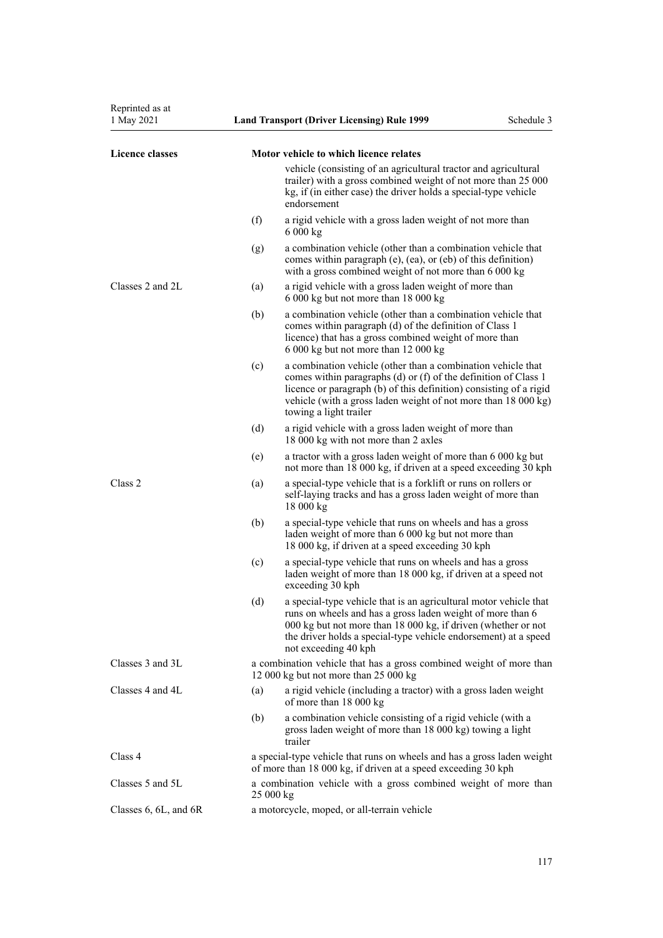| 1 May 2021                |     | <b>Land Transport (Driver Licensing) Rule 1999</b>                                                                                                                                                                                                                                                | Schedule 3 |
|---------------------------|-----|---------------------------------------------------------------------------------------------------------------------------------------------------------------------------------------------------------------------------------------------------------------------------------------------------|------------|
| <b>Licence classes</b>    |     | Motor vehicle to which licence relates                                                                                                                                                                                                                                                            |            |
|                           |     | vehicle (consisting of an agricultural tractor and agricultural<br>trailer) with a gross combined weight of not more than 25 000<br>kg, if (in either case) the driver holds a special-type vehicle<br>endorsement                                                                                |            |
|                           | (f) | a rigid vehicle with a gross laden weight of not more than<br>6 000 kg                                                                                                                                                                                                                            |            |
|                           | (g) | a combination vehicle (other than a combination vehicle that<br>comes within paragraph (e), (ea), or (eb) of this definition)<br>with a gross combined weight of not more than 6 000 kg                                                                                                           |            |
| Classes 2 and 2L          | (a) | a rigid vehicle with a gross laden weight of more than<br>6 000 kg but not more than 18 000 kg                                                                                                                                                                                                    |            |
|                           | (b) | a combination vehicle (other than a combination vehicle that<br>comes within paragraph (d) of the definition of Class 1<br>licence) that has a gross combined weight of more than<br>6 000 kg but not more than 12 000 kg                                                                         |            |
|                           | (c) | a combination vehicle (other than a combination vehicle that<br>comes within paragraphs (d) or (f) of the definition of Class 1<br>licence or paragraph (b) of this definition) consisting of a rigid<br>vehicle (with a gross laden weight of not more than 18 000 kg)<br>towing a light trailer |            |
|                           | (d) | a rigid vehicle with a gross laden weight of more than<br>18 000 kg with not more than 2 axles                                                                                                                                                                                                    |            |
|                           | (e) | a tractor with a gross laden weight of more than 6 000 kg but<br>not more than 18 000 kg, if driven at a speed exceeding 30 kph                                                                                                                                                                   |            |
| Class 2                   | (a) | a special-type vehicle that is a forklift or runs on rollers or<br>self-laying tracks and has a gross laden weight of more than<br>18 000 kg                                                                                                                                                      |            |
|                           | (b) | a special-type vehicle that runs on wheels and has a gross<br>laden weight of more than 6 000 kg but not more than<br>18 000 kg, if driven at a speed exceeding 30 kph                                                                                                                            |            |
|                           | (c) | a special-type vehicle that runs on wheels and has a gross<br>laden weight of more than 18 000 kg, if driven at a speed not<br>exceeding 30 kph                                                                                                                                                   |            |
|                           | (d) | a special-type vehicle that is an agricultural motor vehicle that<br>runs on wheels and has a gross laden weight of more than 6<br>000 kg but not more than 18 000 kg, if driven (whether or not<br>the driver holds a special-type vehicle endorsement) at a speed<br>not exceeding 40 kph       |            |
| Classes 3 and 3L          |     | a combination vehicle that has a gross combined weight of more than<br>12 000 kg but not more than $25\,000$ kg                                                                                                                                                                                   |            |
| Classes 4 and 4L          | (a) | a rigid vehicle (including a tractor) with a gross laden weight<br>of more than 18 000 kg                                                                                                                                                                                                         |            |
|                           | (b) | a combination vehicle consisting of a rigid vehicle (with a<br>gross laden weight of more than 18 000 kg) towing a light<br>trailer                                                                                                                                                               |            |
| Class 4                   |     | a special-type vehicle that runs on wheels and has a gross laden weight<br>of more than 18 000 kg, if driven at a speed exceeding 30 kph                                                                                                                                                          |            |
| Classes 5 and 5L          |     | a combination vehicle with a gross combined weight of more than<br>25 000 kg                                                                                                                                                                                                                      |            |
| Classes $6, 6L,$ and $6R$ |     | a motorcycle, moped, or all-terrain vehicle                                                                                                                                                                                                                                                       |            |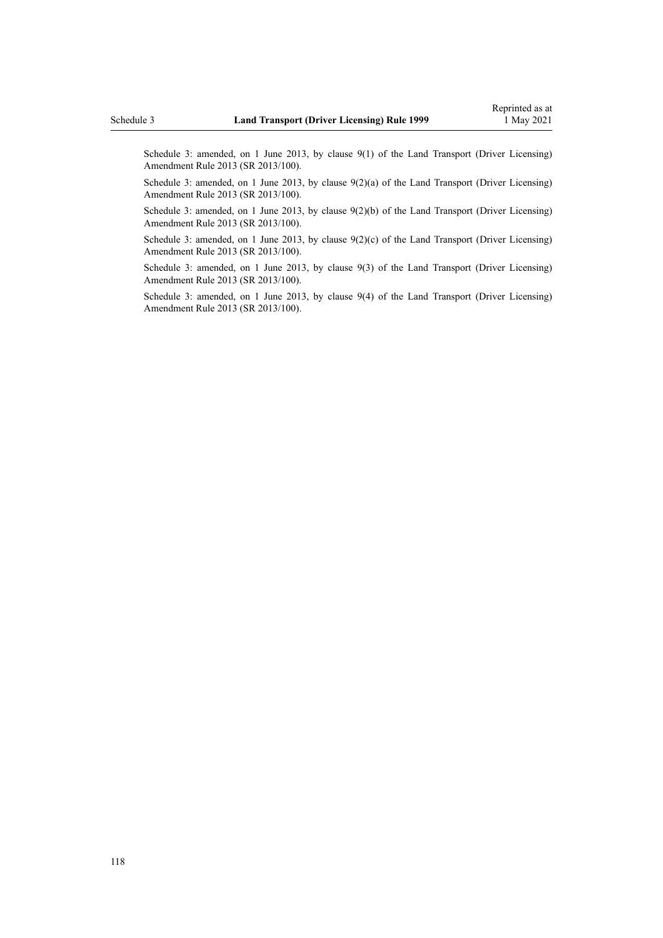Schedule 3: amended, on 1 June 2013, by [clause 9\(1\)](http://legislation.govt.nz/pdflink.aspx?id=DLM5102246) of the Land Transport (Driver Licensing) Amendment Rule 2013 (SR 2013/100).

Schedule 3: amended, on 1 June 2013, by [clause 9\(2\)\(a\)](http://legislation.govt.nz/pdflink.aspx?id=DLM5102246) of the Land Transport (Driver Licensing) Amendment Rule 2013 (SR 2013/100).

Schedule 3: amended, on 1 June 2013, by [clause 9\(2\)\(b\)](http://legislation.govt.nz/pdflink.aspx?id=DLM5102246) of the Land Transport (Driver Licensing) Amendment Rule 2013 (SR 2013/100).

Schedule 3: amended, on 1 June 2013, by clause  $9(2)(c)$  of the Land Transport (Driver Licensing) Amendment Rule 2013 (SR 2013/100).

Schedule 3: amended, on 1 June 2013, by [clause 9\(3\)](http://legislation.govt.nz/pdflink.aspx?id=DLM5102246) of the Land Transport (Driver Licensing) Amendment Rule 2013 (SR 2013/100).

Schedule 3: amended, on 1 June 2013, by [clause 9\(4\)](http://legislation.govt.nz/pdflink.aspx?id=DLM5102246) of the Land Transport (Driver Licensing) Amendment Rule 2013 (SR 2013/100).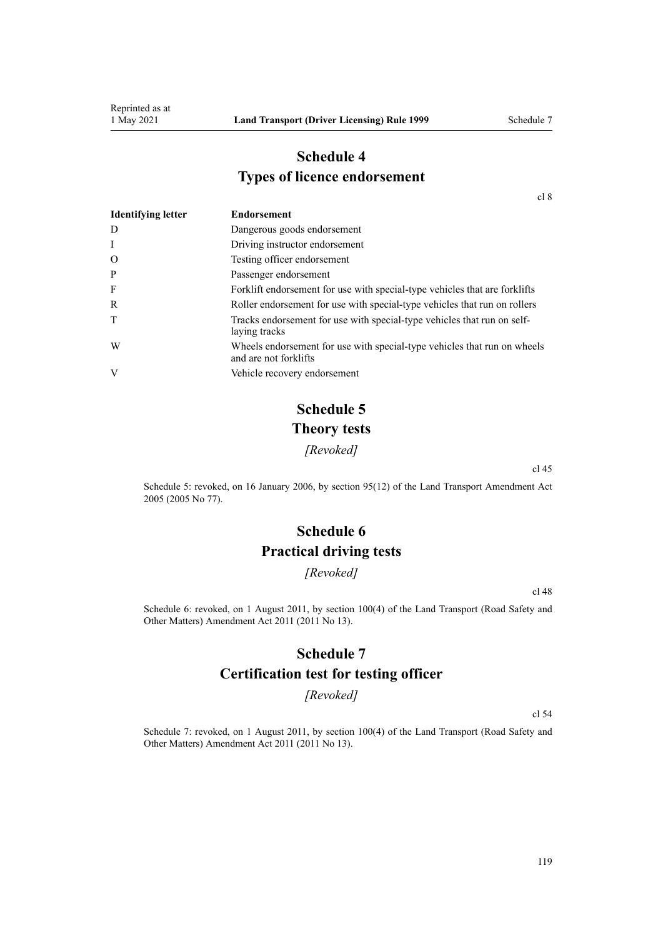# **Schedule 4 Types of licence endorsement**

[cl 8](#page-20-0)

| <b>Identifying letter</b> | <b>Endorsement</b>                                                                                |
|---------------------------|---------------------------------------------------------------------------------------------------|
| D                         | Dangerous goods endorsement                                                                       |
| Ι                         | Driving instructor endorsement                                                                    |
| O                         | Testing officer endorsement                                                                       |
| P                         | Passenger endorsement                                                                             |
| F                         | Forklift endorsement for use with special-type vehicles that are forklifts                        |
| R                         | Roller endorsement for use with special-type vehicles that run on rollers                         |
| T                         | Tracks endorsement for use with special-type vehicles that run on self-<br>laying tracks          |
| W                         | Wheels endorsement for use with special-type vehicles that run on wheels<br>and are not forklifts |
| V                         | Vehicle recovery endorsement                                                                      |

# **Schedule 5 Theory tests**

*[Revoked]*

[cl 45](#page-56-0)

Schedule 5: revoked, on 16 January 2006, by [section 95\(12\)](http://legislation.govt.nz/pdflink.aspx?id=DLM353501) of the Land Transport Amendment Act 2005 (2005 No 77).

# **Schedule 6 Practical driving tests**

*[Revoked]*

[cl 48](#page-57-0)

Schedule 6: revoked, on 1 August 2011, by [section 100\(4\)](http://legislation.govt.nz/pdflink.aspx?id=DLM3231293) of the Land Transport (Road Safety and Other Matters) Amendment Act 2011 (2011 No 13).

### **Schedule 7**

### **Certification test for testing officer**

*[Revoked]*

[cl 54](#page-60-0)

Schedule 7: revoked, on 1 August 2011, by [section 100\(4\)](http://legislation.govt.nz/pdflink.aspx?id=DLM3231293) of the Land Transport (Road Safety and Other Matters) Amendment Act 2011 (2011 No 13).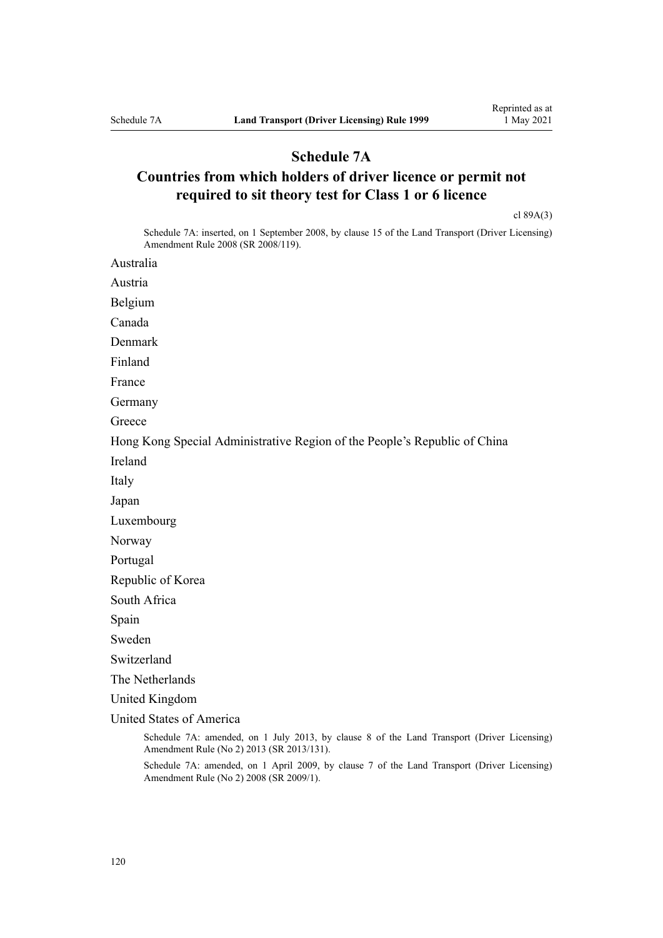### **Schedule 7A**

# **Countries from which holders of driver licence or permit not required to sit theory test for Class 1 or 6 licence**

[cl 89A\(3\)](#page-94-0)

Schedule 7A: inserted, on 1 September 2008, by [clause 15](http://legislation.govt.nz/pdflink.aspx?id=DLM1317922) of the Land Transport (Driver Licensing) Amendment Rule 2008 (SR 2008/119).

Australia

Austria

Belgium

Canada

Denmark

Finland

France

Germany

**Greece** 

Hong Kong Special Administrative Region of the People's Republic of China

Ireland

Italy

Japan

Luxembourg

Norway

Portugal

Republic of Korea

South Africa

Spain

Sweden

Switzerland

The Netherlands

United Kingdom

United States of America

Schedule 7A: amended, on 1 July 2013, by [clause 8](http://legislation.govt.nz/pdflink.aspx?id=DLM5159813) of the Land Transport (Driver Licensing) Amendment Rule (No 2) 2013 (SR 2013/131).

Schedule 7A: amended, on 1 April 2009, by [clause 7](http://legislation.govt.nz/pdflink.aspx?id=DLM1783613) of the Land Transport (Driver Licensing) Amendment Rule (No 2) 2008 (SR 2009/1).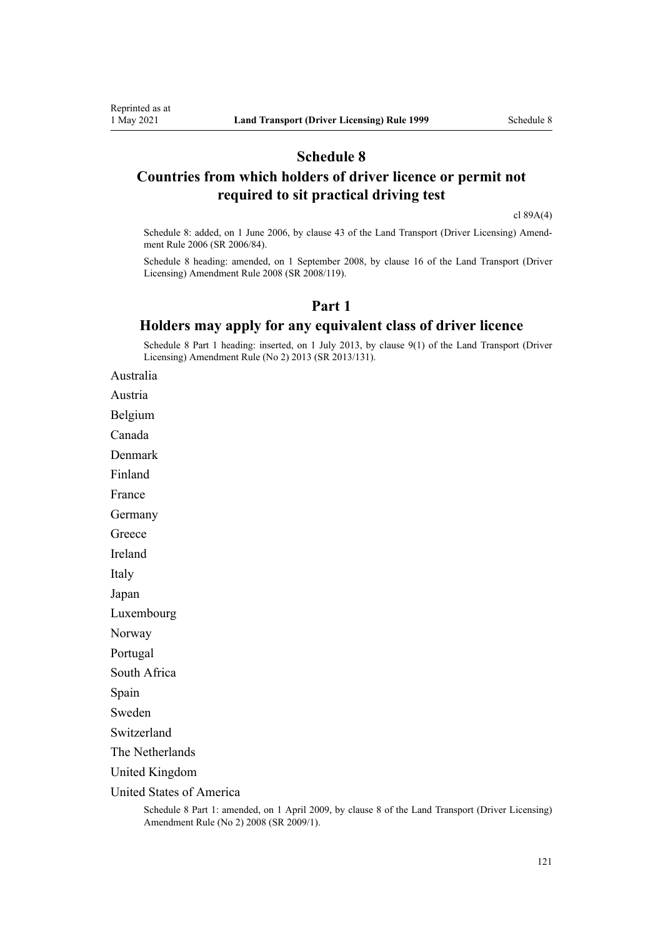## **Schedule 8**

### **Countries from which holders of driver licence or permit not required to sit practical driving test**

[cl 89A\(4\)](#page-94-0)

Schedule 8: added, on 1 June 2006, by [clause 43](http://legislation.govt.nz/pdflink.aspx?id=DLM376146) of the Land Transport (Driver Licensing) Amend‐ ment Rule 2006 (SR 2006/84).

Schedule 8 heading: amended, on 1 September 2008, by [clause 16](http://legislation.govt.nz/pdflink.aspx?id=DLM1317923) of the Land Transport (Driver Licensing) Amendment Rule 2008 (SR 2008/119).

### **Part 1**

### **Holders may apply for any equivalent class of driver licence**

Schedule 8 Part 1 heading: inserted, on 1 July 2013, by [clause 9\(1\)](http://legislation.govt.nz/pdflink.aspx?id=DLM5159814) of the Land Transport (Driver Licensing) Amendment Rule (No 2) 2013 (SR 2013/131).

Australia

Austria

Belgium

Canada

Denmark

Finland

France

Germany

**Greece** 

Ireland

Italy

Japan

Luxembourg

Norway

Portugal

South Africa

Spain

Sweden

Switzerland

The Netherlands

United Kingdom

United States of America

Schedule 8 Part 1: amended, on 1 April 2009, by [clause 8](http://legislation.govt.nz/pdflink.aspx?id=DLM1783614) of the Land Transport (Driver Licensing) Amendment Rule (No 2) 2008 (SR 2009/1).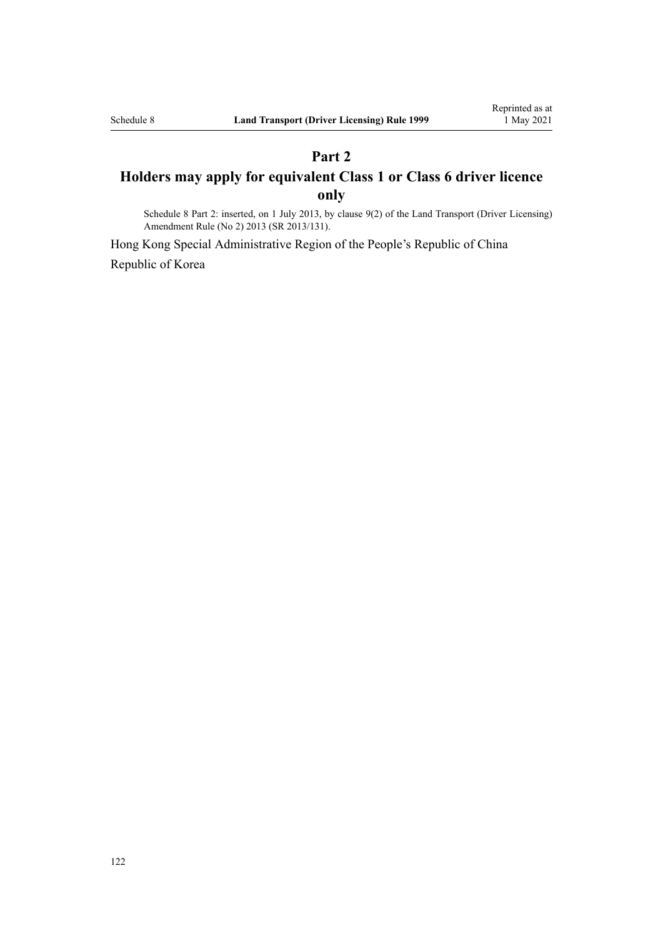# **Part 2 Holders may apply for equivalent Class 1 or Class 6 driver licence only**

Schedule 8 Part 2: inserted, on 1 July 2013, by [clause 9\(2\)](http://legislation.govt.nz/pdflink.aspx?id=DLM5159814) of the Land Transport (Driver Licensing) Amendment Rule (No 2) 2013 (SR 2013/131).

Hong Kong Special Administrative Region of the People's Republic of China Republic of Korea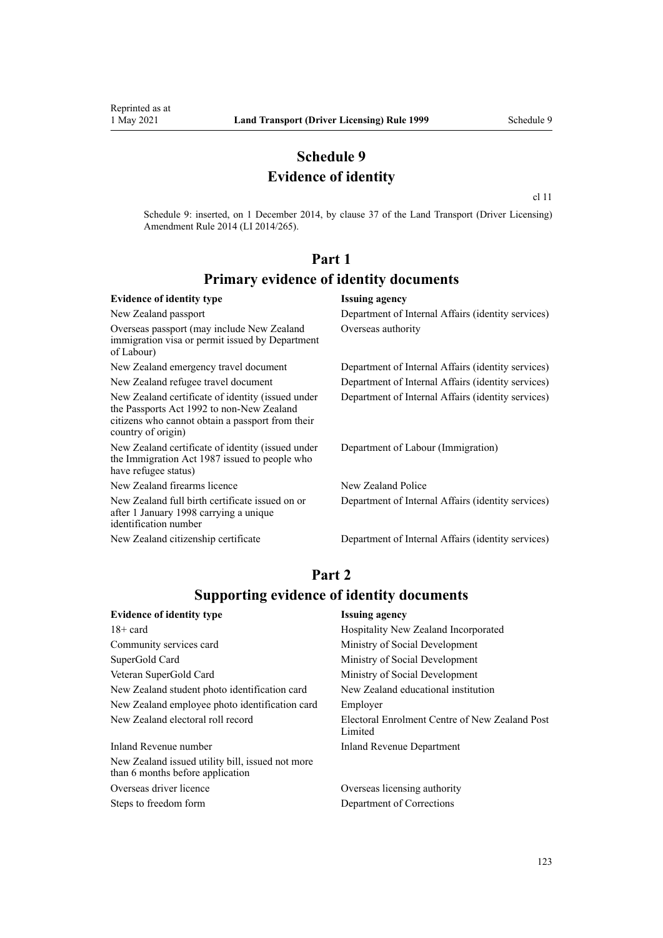## **Schedule 9 Evidence of identity**

[cl 11](#page-22-0)

Schedule 9: inserted, on 1 December 2014, by [clause 37](http://legislation.govt.nz/pdflink.aspx?id=DLM6216951) of the Land Transport (Driver Licensing) Amendment Rule 2014 (LI 2014/265).

# **Part 1 Primary evidence of identity documents**

#### **Evidence of identity type Issuing agency** New Zealand passport Department of Internal Affairs (identity services) Overseas passport (may include New Zealand immigration visa or permit issued by Department of Labour) Overseas authority New Zealand emergency travel document Department of Internal Affairs (identity services) New Zealand refugee travel document Department of Internal Affairs (identity services) New Zealand certificate of identity (issued under the [Passports Act 1992](http://legislation.govt.nz/pdflink.aspx?id=DLM277432) to non-New Zealand citizens who cannot obtain a passport from their country of origin) Department of Internal Affairs (identity services) New Zealand certificate of identity (issued under the [Immigration Act 1987](http://legislation.govt.nz/pdflink.aspx?id=DLM108017) issued to people who have refugee status) Department of Labour (Immigration) New Zealand firearms licence New Zealand Police New Zealand full birth certificate issued on or after 1 January 1998 carrying a unique identification number Department of Internal Affairs (identity services) New Zealand citizenship certificate Department of Internal Affairs (identity services)

### **Part 2 Supporting evidence of identity documents**

| <b>Evidence of identity type</b>                                                     | <b>Issuing agency</b>                                     |
|--------------------------------------------------------------------------------------|-----------------------------------------------------------|
| $18 + \text{card}$                                                                   | Hospitality New Zealand Incorporated                      |
| Community services card                                                              | Ministry of Social Development                            |
| SuperGold Card                                                                       | Ministry of Social Development                            |
| Veteran SuperGold Card                                                               | Ministry of Social Development                            |
| New Zealand student photo identification card                                        | New Zealand educational institution                       |
| New Zealand employee photo identification card                                       | Employer                                                  |
| New Zealand electoral roll record                                                    | Electoral Enrolment Centre of New Zealand Post<br>Limited |
| Inland Revenue number                                                                | Inland Revenue Department                                 |
| New Zealand issued utility bill, issued not more<br>than 6 months before application |                                                           |
|                                                                                      |                                                           |

Overseas driver licence Overseas licensing authority Steps to freedom form Department of Corrections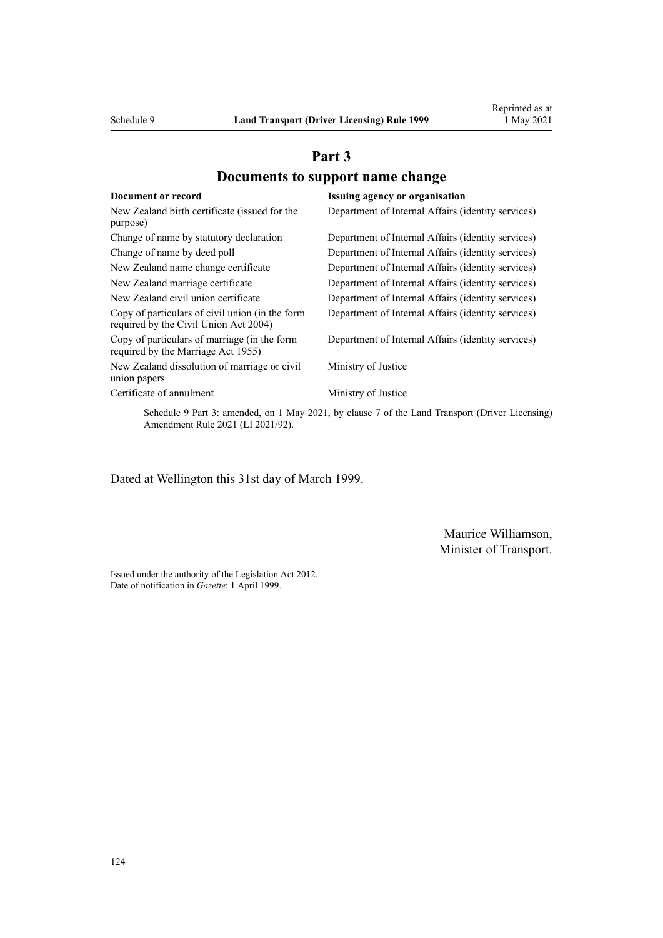# **Part 3 Documents to support name change**

| Document or record                                                                       | Issuing agency or organisation                     |
|------------------------------------------------------------------------------------------|----------------------------------------------------|
| New Zealand birth certificate (issued for the<br>purpose)                                | Department of Internal Affairs (identity services) |
| Change of name by statutory declaration                                                  | Department of Internal Affairs (identity services) |
| Change of name by deed poll                                                              | Department of Internal Affairs (identity services) |
| New Zealand name change certificate                                                      | Department of Internal Affairs (identity services) |
| New Zealand marriage certificate                                                         | Department of Internal Affairs (identity services) |
| New Zealand civil union certificate                                                      | Department of Internal Affairs (identity services) |
| Copy of particulars of civil union (in the form<br>required by the Civil Union Act 2004) | Department of Internal Affairs (identity services) |
| Copy of particulars of marriage (in the form<br>required by the Marriage Act 1955)       | Department of Internal Affairs (identity services) |
| New Zealand dissolution of marriage or civil<br>union papers                             | Ministry of Justice                                |
| Certificate of annulment                                                                 | Ministry of Justice                                |

Schedule 9 Part 3: amended, on 1 May 2021, by [clause 7](http://legislation.govt.nz/pdflink.aspx?id=LMS453279) of the Land Transport (Driver Licensing) Amendment Rule 2021 (LI 2021/92).

Dated at Wellington this 31st day of March 1999.

Maurice Williamson, Minister of Transport.

Issued under the authority of the [Legislation Act 2012](http://legislation.govt.nz/pdflink.aspx?id=DLM2997643). Date of notification in *Gazette*: 1 April 1999.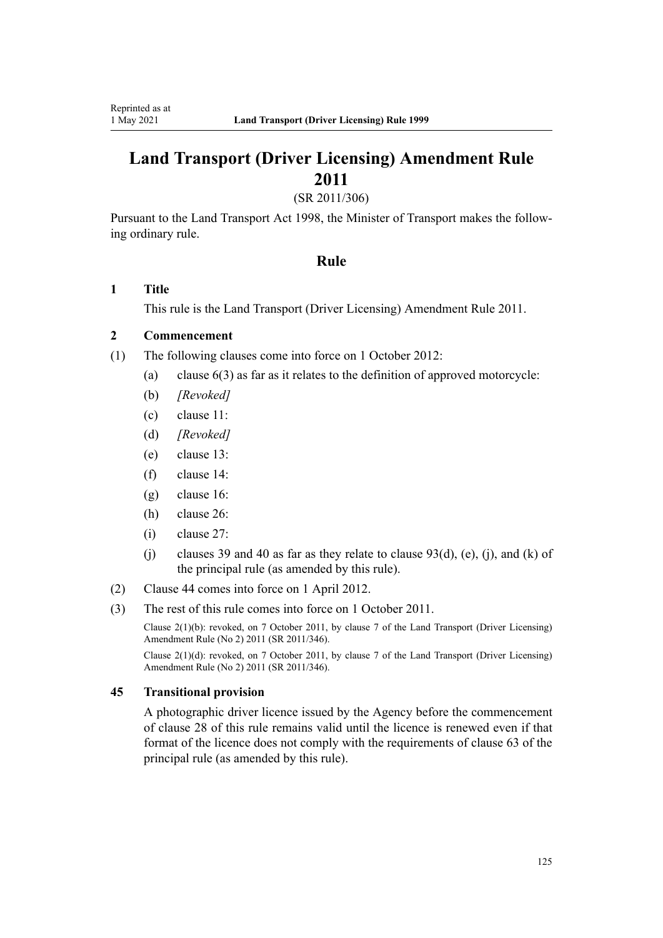# **Land Transport (Driver Licensing) Amendment Rule 2011**

(SR 2011/306)

Pursuant to the Land Transport Act 1998, the Minister of Transport makes the follow‐ ing ordinary rule.

### **Rule**

### **1 Title**

This rule is the [Land Transport \(Driver Licensing\) Amendment Rule 2011](http://legislation.govt.nz/pdflink.aspx?id=DLM3956573).

### **2 Commencement**

- (1) The following clauses come into force on 1 October 2012:
	- (a) clause 6(3) as far as it relates to the definition of approved motorcycle:
	- (b) *[Revoked]*
	- (c) clause 11:
	- (d) *[Revoked]*
	- (e) clause 13:
	- (f) clause 14:
	- (g) clause 16:
	- (h) clause 26:
	- (i) clause 27:
	- (j) clauses 39 and 40 as far as they relate to clause  $93(d)$ , (e), (j), and (k) of the principal rule (as amended by this rule).
- (2) Clause 44 comes into force on 1 April 2012.
- (3) The rest of this rule comes into force on 1 October 2011.

Clause 2(1)(b): revoked, on 7 October 2011, by [clause 7](http://legislation.govt.nz/pdflink.aspx?id=DLM4067013) of the Land Transport (Driver Licensing) Amendment Rule (No 2) 2011 (SR 2011/346).

Clause 2(1)(d): revoked, on 7 October 2011, by [clause 7](http://legislation.govt.nz/pdflink.aspx?id=DLM4067013) of the Land Transport (Driver Licensing) Amendment Rule (No 2) 2011 (SR 2011/346).

### **45 Transitional provision**

A photographic driver licence issued by the Agency before the commencement of clause 28 of this rule remains valid until the licence is renewed even if that format of the licence does not comply with the requirements of clause 63 of the principal rule (as amended by this rule).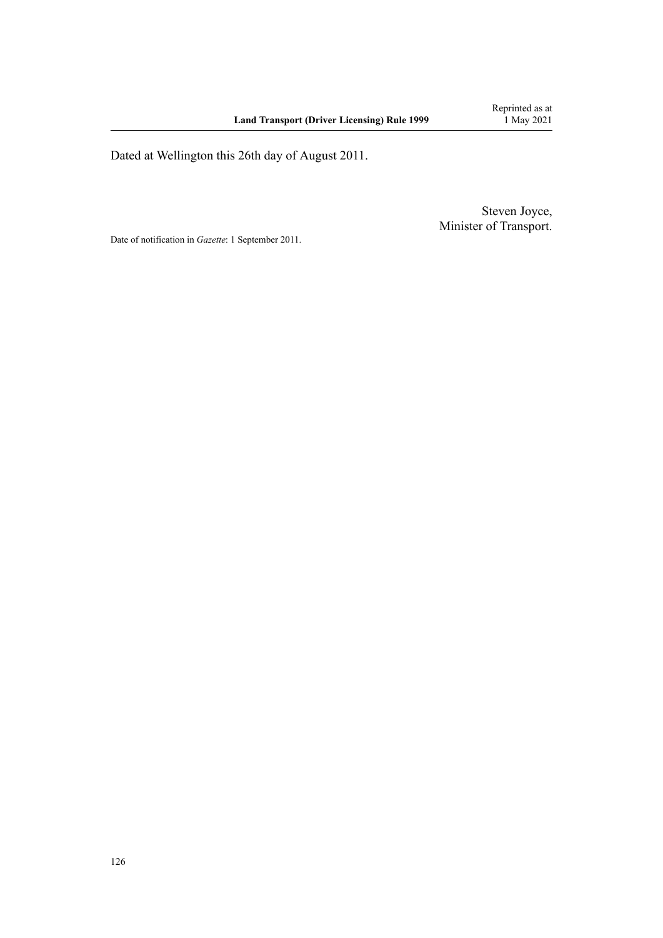Dated at Wellington this 26th day of August 2011.

Steven Joyce, Minister of Transport.

Date of notification in *Gazette*: 1 September 2011.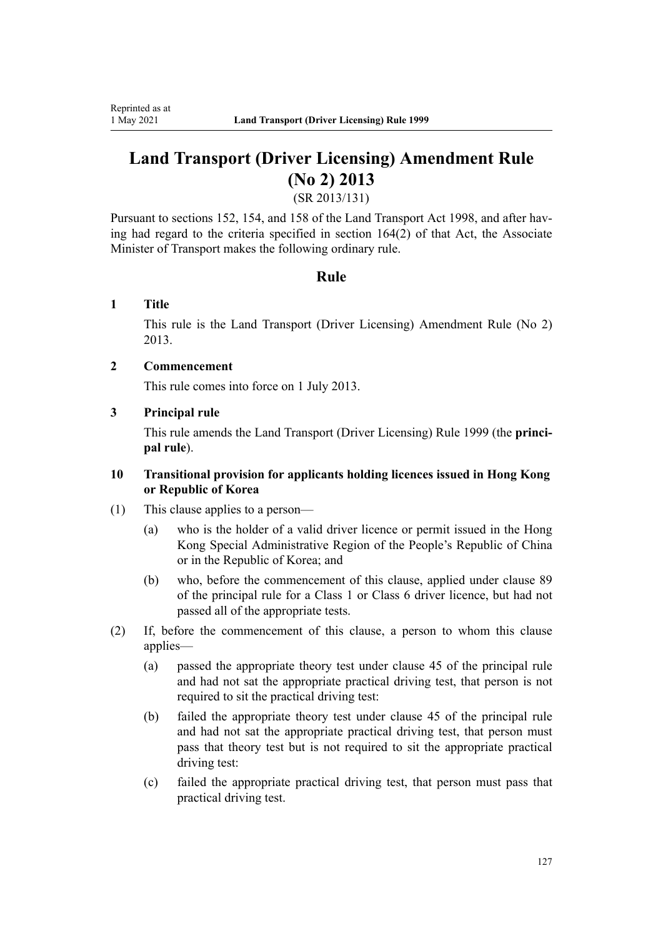# **Land Transport (Driver Licensing) Amendment Rule (No 2) 2013**

(SR 2013/131)

Pursuant to sections 152, 154, and 158 of the Land Transport Act 1998, and after having had regard to the criteria specified in section 164(2) of that Act, the Associate Minister of Transport makes the following ordinary rule.

### **Rule**

### **1 Title**

This rule is the [Land Transport \(Driver Licensing\) Amendment Rule \(No 2\)](http://legislation.govt.nz/pdflink.aspx?id=DLM5159800) [2013](http://legislation.govt.nz/pdflink.aspx?id=DLM5159800).

### **2 Commencement**

This rule comes into force on 1 July 2013.

### **3 Principal rule**

This rule amends the Land Transport (Driver Licensing) Rule 1999 (the **princi‐ pal rule**).

### **10 Transitional provision for applicants holding licences issued in Hong Kong or Republic of Korea**

- (1) This clause applies to a person—
	- (a) who is the holder of a valid driver licence or permit issued in the Hong Kong Special Administrative Region of the People's Republic of China or in the Republic of Korea; and
	- (b) who, before the commencement of this clause, applied under clause 89 of the principal rule for a Class 1 or Class 6 driver licence, but had not passed all of the appropriate tests.
- (2) If, before the commencement of this clause, a person to whom this clause applies—
	- (a) passed the appropriate theory test under clause 45 of the principal rule and had not sat the appropriate practical driving test, that person is not required to sit the practical driving test:
	- (b) failed the appropriate theory test under clause 45 of the principal rule and had not sat the appropriate practical driving test, that person must pass that theory test but is not required to sit the appropriate practical driving test:
	- (c) failed the appropriate practical driving test, that person must pass that practical driving test.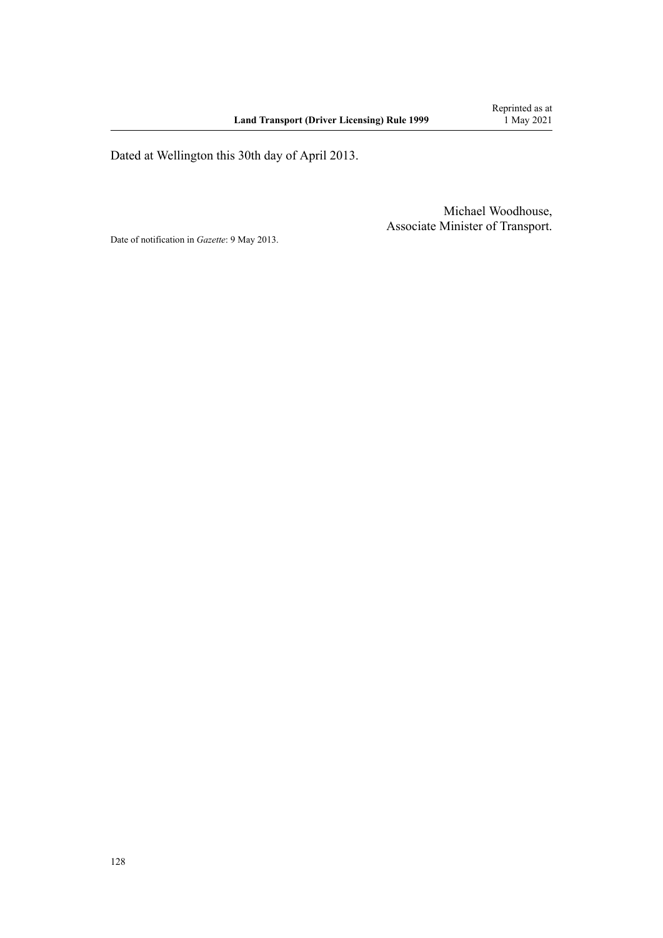Dated at Wellington this 30th day of April 2013.

Michael Woodhouse, Associate Minister of Transport.

Date of notification in *Gazette*: 9 May 2013.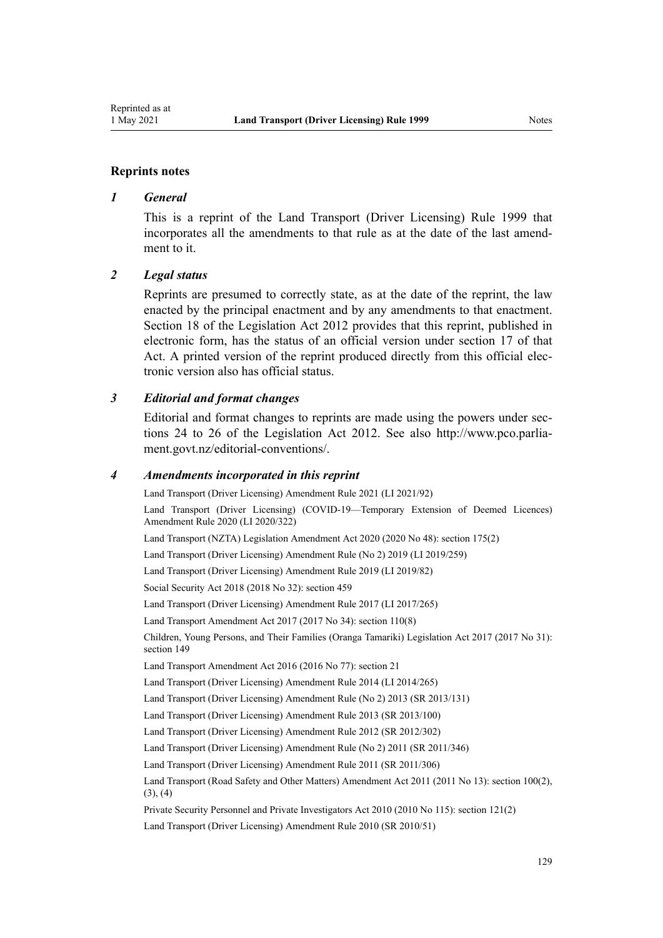#### **Reprints notes**

#### *1 General*

This is a reprint of the Land Transport (Driver Licensing) Rule 1999 that incorporates all the amendments to that rule as at the date of the last amendment to it.

#### *2 Legal status*

Reprints are presumed to correctly state, as at the date of the reprint, the law enacted by the principal enactment and by any amendments to that enactment. [Section 18](http://legislation.govt.nz/pdflink.aspx?id=DLM2998516) of the Legislation Act 2012 provides that this reprint, published in electronic form, has the status of an official version under [section 17](http://legislation.govt.nz/pdflink.aspx?id=DLM2998515) of that Act. A printed version of the reprint produced directly from this official electronic version also has official status.

#### *3 Editorial and format changes*

Editorial and format changes to reprints are made using the powers under sec[tions 24 to 26](http://legislation.govt.nz/pdflink.aspx?id=DLM2998532) of the Legislation Act 2012. See also [http://www.pco.parlia‐](http://www.pco.parliament.govt.nz/editorial-conventions/) [ment.govt.nz/editorial-conventions/](http://www.pco.parliament.govt.nz/editorial-conventions/).

#### *4 Amendments incorporated in this reprint*

[Land Transport \(Driver Licensing\) Amendment Rule 2021](http://legislation.govt.nz/pdflink.aspx?id=LMS453263) (LI 2021/92) [Land Transport \(Driver Licensing\) \(COVID-19—Temporary Extension of Deemed Licences\)](http://legislation.govt.nz/pdflink.aspx?id=LMS436139) [Amendment Rule 2020](http://legislation.govt.nz/pdflink.aspx?id=LMS436139) (LI 2020/322) Land Transport (NZTA) Legislation Amendment Act 2020 (2020 No 48): [section 175\(2\)](http://legislation.govt.nz/pdflink.aspx?id=LMS286883) [Land Transport \(Driver Licensing\) Amendment Rule \(No 2\) 2019](http://legislation.govt.nz/pdflink.aspx?id=LMS264750) (LI 2019/259) [Land Transport \(Driver Licensing\) Amendment Rule 2019](http://legislation.govt.nz/pdflink.aspx?id=LMS135998) (LI 2019/82) Social Security Act 2018 (2018 No 32): [section 459](http://legislation.govt.nz/pdflink.aspx?id=DLM6784038) [Land Transport \(Driver Licensing\) Amendment Rule 2017](http://legislation.govt.nz/pdflink.aspx?id=DLM7420922) (LI 2017/265) Land Transport Amendment Act 2017 (2017 No 34): [section 110\(8\)](http://legislation.govt.nz/pdflink.aspx?id=DLM6960929) Children, Young Persons, and Their Families (Oranga Tamariki) Legislation Act 2017 (2017 No 31): [section 149](http://legislation.govt.nz/pdflink.aspx?id=DLM7287401) Land Transport Amendment Act 2016 (2016 No 77): [section 21](http://legislation.govt.nz/pdflink.aspx?id=DLM6984133) [Land Transport \(Driver Licensing\) Amendment Rule 2014](http://legislation.govt.nz/pdflink.aspx?id=DLM6216900) (LI 2014/265) [Land Transport \(Driver Licensing\) Amendment Rule \(No 2\) 2013](http://legislation.govt.nz/pdflink.aspx?id=DLM5159800) (SR 2013/131) [Land Transport \(Driver Licensing\) Amendment Rule 2013](http://legislation.govt.nz/pdflink.aspx?id=DLM5102226) (SR 2013/100) [Land Transport \(Driver Licensing\) Amendment Rule 2012](http://legislation.govt.nz/pdflink.aspx?id=DLM4773428) (SR 2012/302) [Land Transport \(Driver Licensing\) Amendment Rule \(No 2\) 2011](http://legislation.govt.nz/pdflink.aspx?id=DLM4067006) (SR 2011/346) [Land Transport \(Driver Licensing\) Amendment Rule 2011](http://legislation.govt.nz/pdflink.aspx?id=DLM3956573) (SR 2011/306) Land Transport (Road Safety and Other Matters) Amendment Act 2011 (2011 No 13): [section 100\(2\),](http://legislation.govt.nz/pdflink.aspx?id=DLM3231293)  $(3), (4)$ Private Security Personnel and Private Investigators Act 2010 (2010 No 115): [section 121\(2\)](http://legislation.govt.nz/pdflink.aspx?id=DLM1594656) [Land Transport \(Driver Licensing\) Amendment Rule 2010](http://legislation.govt.nz/pdflink.aspx?id=DLM2740170) (SR 2010/51)